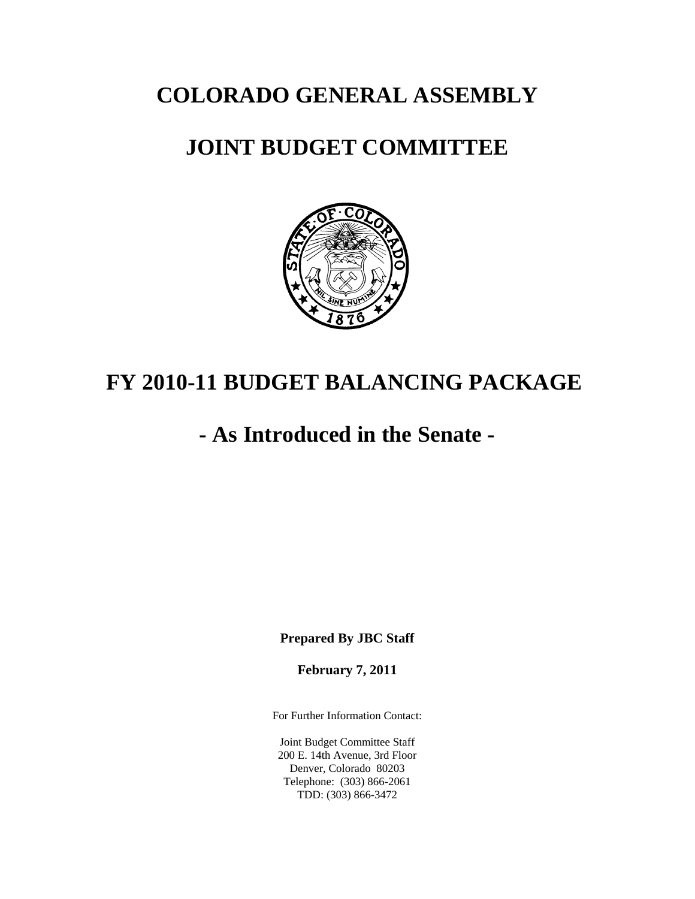**COLORADO GENERAL ASSEMBLY**

# **JOINT BUDGET COMMITTEE**



# **FY 2010-11 BUDGET BALANCING PACKAGE**

# **- As Introduced in the Senate -**

**Prepared By JBC Staff**

**February 7, 2011**

For Further Information Contact:

Joint Budget Committee Staff 200 E. 14th Avenue, 3rd Floor Denver, Colorado 80203 Telephone: (303) 866-2061 TDD: (303) 866-3472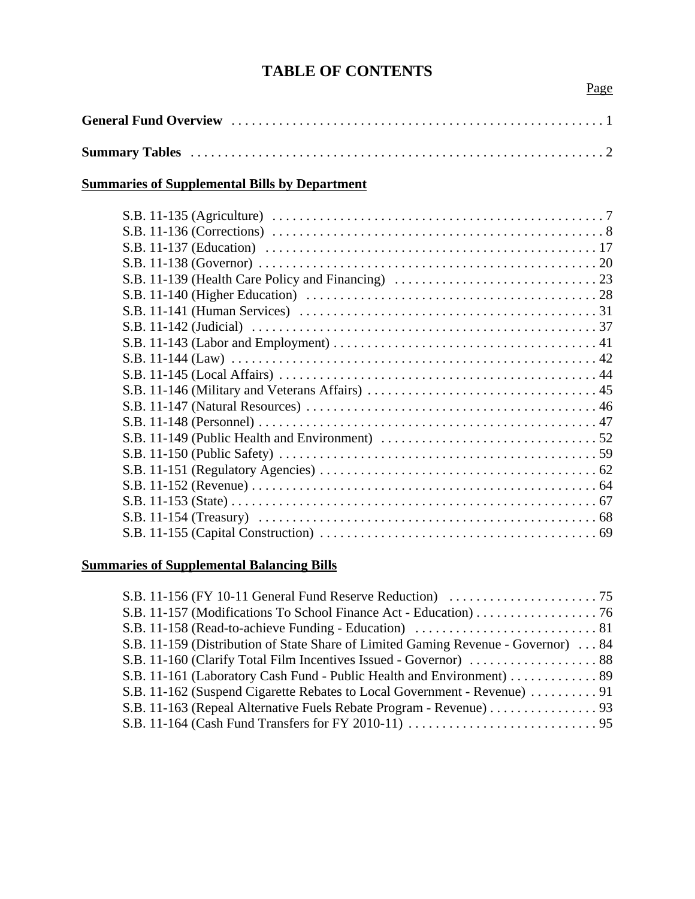# **TABLE OF CONTENTS**

# **Summaries of Supplemental Bills by Department**

| S.B. 11-155 (Capital Construction) $\ldots \ldots \ldots \ldots \ldots \ldots \ldots \ldots \ldots \ldots \ldots \ldots \ldots$ |  |
|---------------------------------------------------------------------------------------------------------------------------------|--|
|                                                                                                                                 |  |

# **Summaries of Supplemental Balancing Bills**

| S.B. 11-159 (Distribution of State Share of Limited Gaming Revenue - Governor)  84 |  |
|------------------------------------------------------------------------------------|--|
|                                                                                    |  |
|                                                                                    |  |
| S.B. 11-162 (Suspend Cigarette Rebates to Local Government - Revenue) 91           |  |
| S.B. 11-163 (Repeal Alternative Fuels Rebate Program - Revenue) 93                 |  |
|                                                                                    |  |
|                                                                                    |  |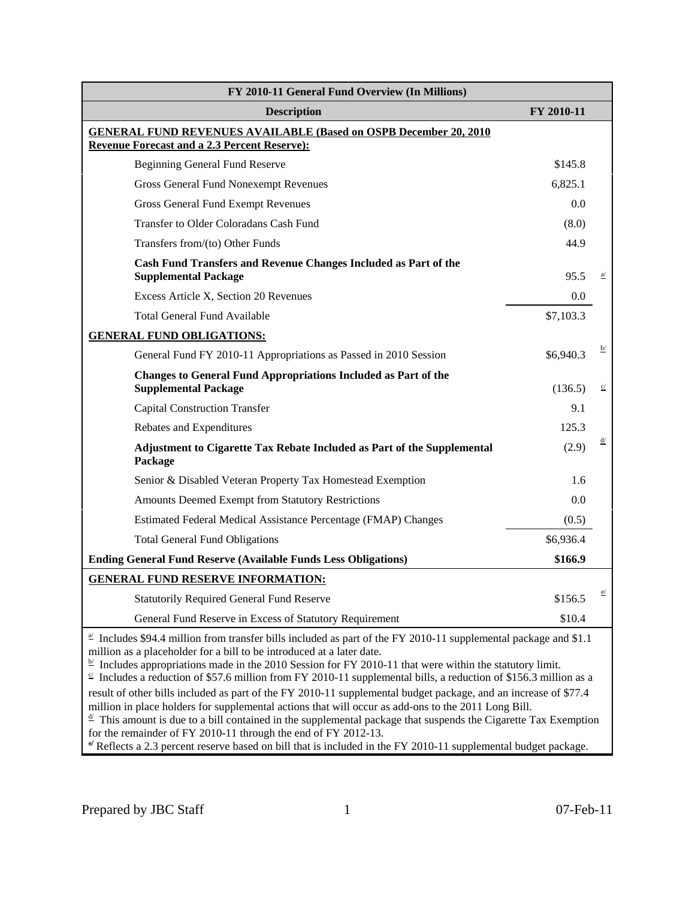| FY 2010-11 General Fund Overview (In Millions)                                                                                                                                                                                                                                                                                                                                                                                                                                                                                                                                                                                                                           |            |                 |  |  |  |
|--------------------------------------------------------------------------------------------------------------------------------------------------------------------------------------------------------------------------------------------------------------------------------------------------------------------------------------------------------------------------------------------------------------------------------------------------------------------------------------------------------------------------------------------------------------------------------------------------------------------------------------------------------------------------|------------|-----------------|--|--|--|
| <b>Description</b>                                                                                                                                                                                                                                                                                                                                                                                                                                                                                                                                                                                                                                                       | FY 2010-11 |                 |  |  |  |
| <b>GENERAL FUND REVENUES AVAILABLE (Based on OSPB December 20, 2010)</b>                                                                                                                                                                                                                                                                                                                                                                                                                                                                                                                                                                                                 |            |                 |  |  |  |
| <b>Revenue Forecast and a 2.3 Percent Reserve):</b>                                                                                                                                                                                                                                                                                                                                                                                                                                                                                                                                                                                                                      |            |                 |  |  |  |
| <b>Beginning General Fund Reserve</b>                                                                                                                                                                                                                                                                                                                                                                                                                                                                                                                                                                                                                                    | \$145.8    |                 |  |  |  |
| <b>Gross General Fund Nonexempt Revenues</b>                                                                                                                                                                                                                                                                                                                                                                                                                                                                                                                                                                                                                             | 6,825.1    |                 |  |  |  |
| <b>Gross General Fund Exempt Revenues</b>                                                                                                                                                                                                                                                                                                                                                                                                                                                                                                                                                                                                                                | 0.0        |                 |  |  |  |
| Transfer to Older Coloradans Cash Fund                                                                                                                                                                                                                                                                                                                                                                                                                                                                                                                                                                                                                                   | (8.0)      |                 |  |  |  |
| Transfers from/(to) Other Funds                                                                                                                                                                                                                                                                                                                                                                                                                                                                                                                                                                                                                                          | 44.9       |                 |  |  |  |
| Cash Fund Transfers and Revenue Changes Included as Part of the<br><b>Supplemental Package</b>                                                                                                                                                                                                                                                                                                                                                                                                                                                                                                                                                                           | 95.5       | $\underline{a}$ |  |  |  |
| Excess Article X, Section 20 Revenues                                                                                                                                                                                                                                                                                                                                                                                                                                                                                                                                                                                                                                    | 0.0        |                 |  |  |  |
| <b>Total General Fund Available</b>                                                                                                                                                                                                                                                                                                                                                                                                                                                                                                                                                                                                                                      | \$7,103.3  |                 |  |  |  |
| <b>GENERAL FUND OBLIGATIONS:</b>                                                                                                                                                                                                                                                                                                                                                                                                                                                                                                                                                                                                                                         |            |                 |  |  |  |
| General Fund FY 2010-11 Appropriations as Passed in 2010 Session                                                                                                                                                                                                                                                                                                                                                                                                                                                                                                                                                                                                         | \$6,940.3  | $\overline{p}$  |  |  |  |
| <b>Changes to General Fund Appropriations Included as Part of the</b><br><b>Supplemental Package</b>                                                                                                                                                                                                                                                                                                                                                                                                                                                                                                                                                                     | (136.5)    | c/              |  |  |  |
| <b>Capital Construction Transfer</b>                                                                                                                                                                                                                                                                                                                                                                                                                                                                                                                                                                                                                                     | 9.1        |                 |  |  |  |
| Rebates and Expenditures                                                                                                                                                                                                                                                                                                                                                                                                                                                                                                                                                                                                                                                 | 125.3      |                 |  |  |  |
| Adjustment to Cigarette Tax Rebate Included as Part of the Supplemental<br>Package                                                                                                                                                                                                                                                                                                                                                                                                                                                                                                                                                                                       | (2.9)      | <u>d/</u>       |  |  |  |
| Senior & Disabled Veteran Property Tax Homestead Exemption                                                                                                                                                                                                                                                                                                                                                                                                                                                                                                                                                                                                               | 1.6        |                 |  |  |  |
| Amounts Deemed Exempt from Statutory Restrictions                                                                                                                                                                                                                                                                                                                                                                                                                                                                                                                                                                                                                        | 0.0        |                 |  |  |  |
| Estimated Federal Medical Assistance Percentage (FMAP) Changes                                                                                                                                                                                                                                                                                                                                                                                                                                                                                                                                                                                                           | (0.5)      |                 |  |  |  |
| <b>Total General Fund Obligations</b>                                                                                                                                                                                                                                                                                                                                                                                                                                                                                                                                                                                                                                    | \$6,936.4  |                 |  |  |  |
| <b>Ending General Fund Reserve (Available Funds Less Obligations)</b>                                                                                                                                                                                                                                                                                                                                                                                                                                                                                                                                                                                                    | \$166.9    |                 |  |  |  |
| <b>GENERAL FUND RESERVE INFORMATION:</b>                                                                                                                                                                                                                                                                                                                                                                                                                                                                                                                                                                                                                                 |            |                 |  |  |  |
| <b>Statutorily Required General Fund Reserve</b>                                                                                                                                                                                                                                                                                                                                                                                                                                                                                                                                                                                                                         | \$156.5    |                 |  |  |  |
| General Fund Reserve in Excess of Statutory Requirement                                                                                                                                                                                                                                                                                                                                                                                                                                                                                                                                                                                                                  | \$10.4     |                 |  |  |  |
| $\leq$ Includes \$94.4 million from transfer bills included as part of the FY 2010-11 supplemental package and \$1.1<br>million as a placeholder for a bill to be introduced at a later date.<br>$\frac{b'}{c}$ Includes appropriations made in the 2010 Session for FY 2010-11 that were within the statutory limit.<br>$\leq$ Includes a reduction of \$57.6 million from FY 2010-11 supplemental bills, a reduction of \$156.3 million as a<br>result of other bills included as part of the FY 2010-11 supplemental budget package, and an increase of \$77.4<br>million in place holders for supplemental actions that will occur as add-ons to the 2011 Long Bill. |            |                 |  |  |  |

 $\frac{d}{dx}$  This amount is due to a bill contained in the supplemental package that suspends the Cigarette Tax Exemption for the remainder of FY 2010-11 through the end of FY 2012-13.

Reflects a 2.3 percent reserve based on bill that is included in the FY 2010-11 supplemental budget package.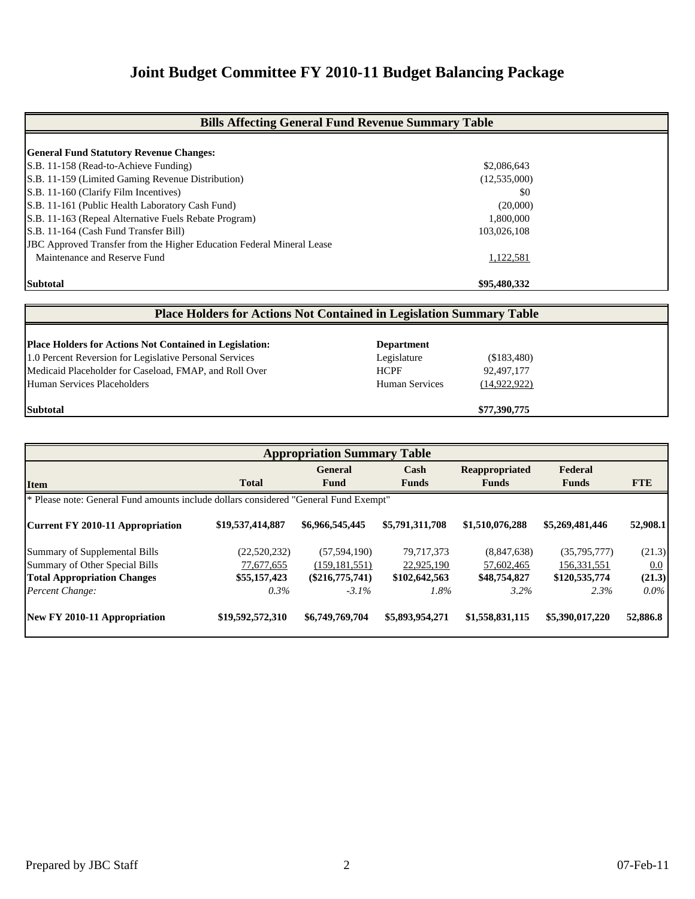# **Joint Budget Committee FY 2010-11 Budget Balancing Package**

| <b>Bills Affecting General Fund Revenue Summary Table</b>                    |              |  |  |  |  |
|------------------------------------------------------------------------------|--------------|--|--|--|--|
| <b>General Fund Statutory Revenue Changes:</b>                               |              |  |  |  |  |
|                                                                              |              |  |  |  |  |
| S.B. 11-158 (Read-to-Achieve Funding)                                        | \$2,086,643  |  |  |  |  |
| S.B. 11-159 (Limited Gaming Revenue Distribution)                            | (12,535,000) |  |  |  |  |
| S.B. 11-160 (Clarify Film Incentives)                                        | \$0          |  |  |  |  |
| S.B. 11-161 (Public Health Laboratory Cash Fund)                             | (20,000)     |  |  |  |  |
| S.B. 11-163 (Repeal Alternative Fuels Rebate Program)                        | 1,800,000    |  |  |  |  |
| S.B. 11-164 (Cash Fund Transfer Bill)                                        | 103,026,108  |  |  |  |  |
| <b>JBC</b> Approved Transfer from the Higher Education Federal Mineral Lease |              |  |  |  |  |
| Maintenance and Reserve Fund                                                 | 1,122,581    |  |  |  |  |
| <b>Subtotal</b>                                                              | \$95,480,332 |  |  |  |  |

| <b>Place Holders for Actions Not Contained in Legislation Summary Table</b> |                       |                |  |  |  |  |  |
|-----------------------------------------------------------------------------|-----------------------|----------------|--|--|--|--|--|
|                                                                             |                       |                |  |  |  |  |  |
| <b>Place Holders for Actions Not Contained in Legislation:</b>              | <b>Department</b>     |                |  |  |  |  |  |
| 1.0 Percent Reversion for Legislative Personal Services                     | Legislature           | (\$183,480)    |  |  |  |  |  |
| Medicaid Placeholder for Caseload, FMAP, and Roll Over                      | <b>HCPF</b>           | 92,497,177     |  |  |  |  |  |
| Human Services Placeholders                                                 | <b>Human Services</b> | (14, 922, 922) |  |  |  |  |  |
| <b>Subtotal</b>                                                             |                       | \$77,390,775   |  |  |  |  |  |

| <b>Appropriation Summary Table</b>                                                   |                  |                   |                 |                 |                 |            |  |  |
|--------------------------------------------------------------------------------------|------------------|-------------------|-----------------|-----------------|-----------------|------------|--|--|
|                                                                                      |                  | <b>General</b>    | Cash            | Reappropriated  | Federal         |            |  |  |
| <b>Item</b>                                                                          | <b>Total</b>     | Fund              | <b>Funds</b>    | <b>Funds</b>    | <b>Funds</b>    | <b>FTE</b> |  |  |
| * Please note: General Fund amounts include dollars considered "General Fund Exempt" |                  |                   |                 |                 |                 |            |  |  |
| Current FY 2010-11 Appropriation                                                     | \$19,537,414,887 | \$6,966,545,445   | \$5,791,311,708 | \$1,510,076,288 | \$5,269,481,446 | 52,908.1   |  |  |
| Summary of Supplemental Bills                                                        | (22,520,232)     | (57, 594, 190)    | 79,717,373      | (8,847,638)     | (35,795,777)    | (21.3)     |  |  |
| Summary of Other Special Bills                                                       | 77,677,655       | (159, 181, 551)   | 22,925,190      | 57,602,465      | 156,331,551     | 0.0        |  |  |
| <b>Total Appropriation Changes</b>                                                   | \$55,157,423     | $(\$216,775,741)$ | \$102,642,563   | \$48,754,827    | \$120,535,774   | (21.3)     |  |  |
| Percent Change:                                                                      | $0.3\%$          | $-3.1\%$          | 1.8%            | 3.2%            | 2.3%            | $0.0\%$    |  |  |
| New FY 2010-11 Appropriation                                                         | \$19,592,572,310 | \$6,749,769,704   | \$5,893,954,271 | \$1,558,831,115 | \$5,390,017,220 | 52,886.8   |  |  |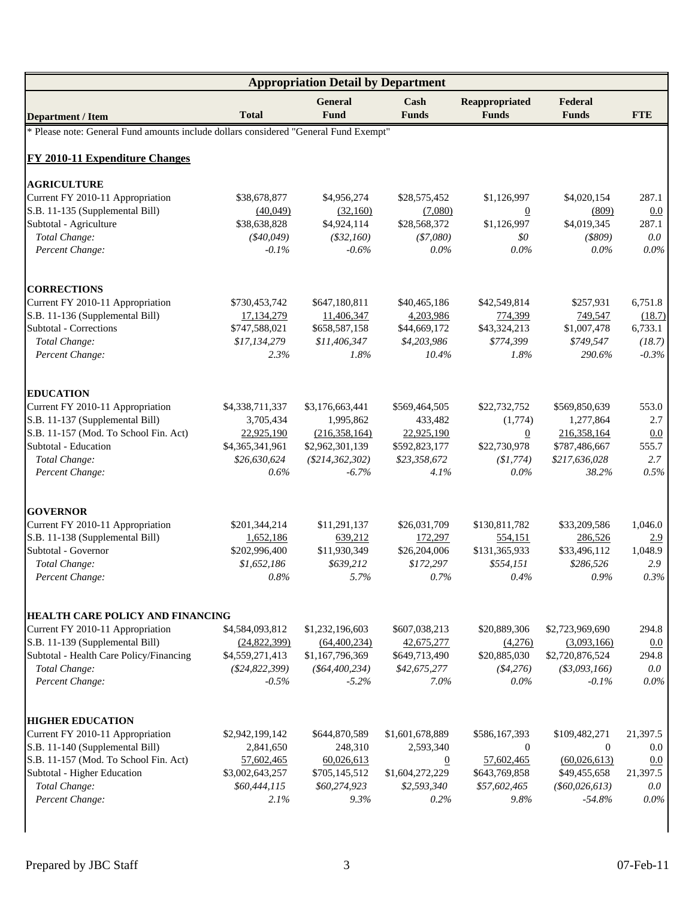|                                                                                      |                  | <b>Appropriation Detail by Department</b> |                      |                                |                         |            |
|--------------------------------------------------------------------------------------|------------------|-------------------------------------------|----------------------|--------------------------------|-------------------------|------------|
| <b>Department / Item</b>                                                             | <b>Total</b>     | <b>General</b><br><b>Fund</b>             | Cash<br><b>Funds</b> | Reappropriated<br><b>Funds</b> | Federal<br><b>Funds</b> | <b>FTE</b> |
| * Please note: General Fund amounts include dollars considered "General Fund Exempt" |                  |                                           |                      |                                |                         |            |
| FY 2010-11 Expenditure Changes                                                       |                  |                                           |                      |                                |                         |            |
| <b>AGRICULTURE</b>                                                                   |                  |                                           |                      |                                |                         |            |
| Current FY 2010-11 Appropriation                                                     | \$38,678,877     | \$4,956,274                               | \$28,575,452         | \$1,126,997                    | \$4,020,154             | 287.1      |
| S.B. 11-135 (Supplemental Bill)                                                      | (40,049)         | (32,160)                                  | (7,080)              | $\overline{0}$                 | (809)                   | 0.0        |
| Subtotal - Agriculture                                                               | \$38,638,828     | \$4,924,114                               | \$28,568,372         | \$1,126,997                    | \$4,019,345             | 287.1      |
| Total Change:                                                                        | $(*40,049)$      | $(*32,160)$                               | $(*7,080)$           | \$0                            | $($ \$809 $)$           | 0.0        |
| Percent Change:                                                                      | $-0.1%$          | $-0.6%$                                   | $0.0\%$              | $0.0\%$                        | $0.0\%$                 | 0.0%       |
| <b>CORRECTIONS</b>                                                                   |                  |                                           |                      |                                |                         |            |
| Current FY 2010-11 Appropriation                                                     | \$730,453,742    | \$647,180,811                             | \$40,465,186         | \$42,549,814                   | \$257,931               | 6,751.8    |
| S.B. 11-136 (Supplemental Bill)                                                      | 17,134,279       | 11,406,347                                | 4,203,986            | 774,399                        | 749,547                 | (18.7)     |
| Subtotal - Corrections                                                               | \$747,588,021    | \$658,587,158                             | \$44,669,172         | \$43,324,213                   | \$1,007,478             | 6,733.1    |
| Total Change:                                                                        | \$17,134,279     | \$11,406,347                              | \$4,203,986          | \$774,399                      | \$749,547               | (18.7)     |
| Percent Change:                                                                      | 2.3%             | 1.8%                                      | 10.4%                | 1.8%                           | 290.6%                  | $-0.3%$    |
| <b>EDUCATION</b>                                                                     |                  |                                           |                      |                                |                         |            |
| Current FY 2010-11 Appropriation                                                     | \$4,338,711,337  | \$3,176,663,441                           | \$569,464,505        | \$22,732,752                   | \$569,850,639           | 553.0      |
| S.B. 11-137 (Supplemental Bill)                                                      | 3,705,434        | 1,995,862                                 | 433,482              | (1,774)                        | 1,277,864               | 2.7        |
| S.B. 11-157 (Mod. To School Fin. Act)                                                | 22,925,190       | (216,358,164)                             | 22,925,190           | $\boldsymbol{0}$               | 216,358,164             | 0.0        |
| Subtotal - Education                                                                 | \$4,365,341,961  | \$2,962,301,139                           | \$592,823,177        | \$22,730,978                   | \$787,486,667           | 555.7      |
| Total Change:                                                                        | \$26,630,624     | $(\$214,362,302)$                         | \$23,358,672         | (\$1,774)                      | \$217,636,028           | 2.7        |
| Percent Change:                                                                      | $0.6\%$          | $-6.7%$                                   | 4.1%                 | $0.0\%$                        | 38.2%                   | 0.5%       |
| <b>GOVERNOR</b>                                                                      |                  |                                           |                      |                                |                         |            |
| Current FY 2010-11 Appropriation                                                     | \$201,344,214    | \$11,291,137                              | \$26,031,709         | \$130,811,782                  | \$33,209,586            | 1,046.0    |
| S.B. 11-138 (Supplemental Bill)                                                      | 1,652,186        | 639,212                                   | 172,297              | 554,151                        | 286,526                 | 2.9        |
| Subtotal - Governor                                                                  | \$202,996,400    | \$11,930,349                              | \$26,204,006         | \$131,365,933                  | \$33,496,112            | 1,048.9    |
| Total Change:                                                                        | \$1,652,186      | \$639,212                                 | \$172,297            | \$554,151                      | \$286,526               | 2.9        |
| Percent Change:                                                                      | $0.8\%$          | 5.7%                                      | 0.7%                 | $0.4\%$                        | $0.9\%$                 | 0.3%       |
| <b>HEALTH CARE POLICY AND FINANCING</b>                                              |                  |                                           |                      |                                |                         |            |
| Current FY 2010-11 Appropriation                                                     | \$4,584,093,812  | \$1,232,196,603                           | \$607,038,213        | \$20,889,306                   | \$2,723,969,690         | 294.8      |
| S.B. 11-139 (Supplemental Bill)                                                      | (24,822,399)     | (64, 400, 234)                            | 42,675,277           | (4,276)                        | (3,093,166)             | 0.0        |
| Subtotal - Health Care Policy/Financing                                              | \$4,559,271,413  | \$1,167,796,369                           | \$649,713,490        | \$20,885,030                   | \$2,720,876,524         | 294.8      |
| Total Change:                                                                        | $(\$24,822,399)$ | $(\$64,400,234)$                          | \$42,675,277         | ( \$4,276)                     | $(*3,093,166)$          | $0.0\,$    |
| Percent Change:                                                                      | $-0.5%$          | $-5.2%$                                   | 7.0%                 | $0.0\%$                        | $-0.1%$                 | 0.0%       |
| <b>HIGHER EDUCATION</b>                                                              |                  |                                           |                      |                                |                         |            |
| Current FY 2010-11 Appropriation                                                     | \$2,942,199,142  | \$644,870,589                             | \$1,601,678,889      | \$586,167,393                  | \$109,482,271           | 21,397.5   |
| S.B. 11-140 (Supplemental Bill)                                                      | 2,841,650        | 248,310                                   | 2,593,340            | $\overline{0}$                 | $\overline{0}$          | 0.0        |
| S.B. 11-157 (Mod. To School Fin. Act)                                                | 57,602,465       | 60,026,613                                | $\overline{0}$       | 57,602,465                     | (60,026,613)            | 0.0        |
| Subtotal - Higher Education                                                          | \$3,002,643,257  | \$705,145,512                             | \$1,604,272,229      | \$643,769,858                  | \$49,455,658            | 21,397.5   |
| Total Change:                                                                        | \$60,444,115     | \$60,274,923                              | \$2,593,340          | \$57,602,465                   | $(\$60,026,613)$        | 0.0        |
| Percent Change:                                                                      | 2.1%             | 9.3%                                      | 0.2%                 | 9.8%                           | $-54.8%$                | 0.0%       |
|                                                                                      |                  |                                           |                      |                                |                         |            |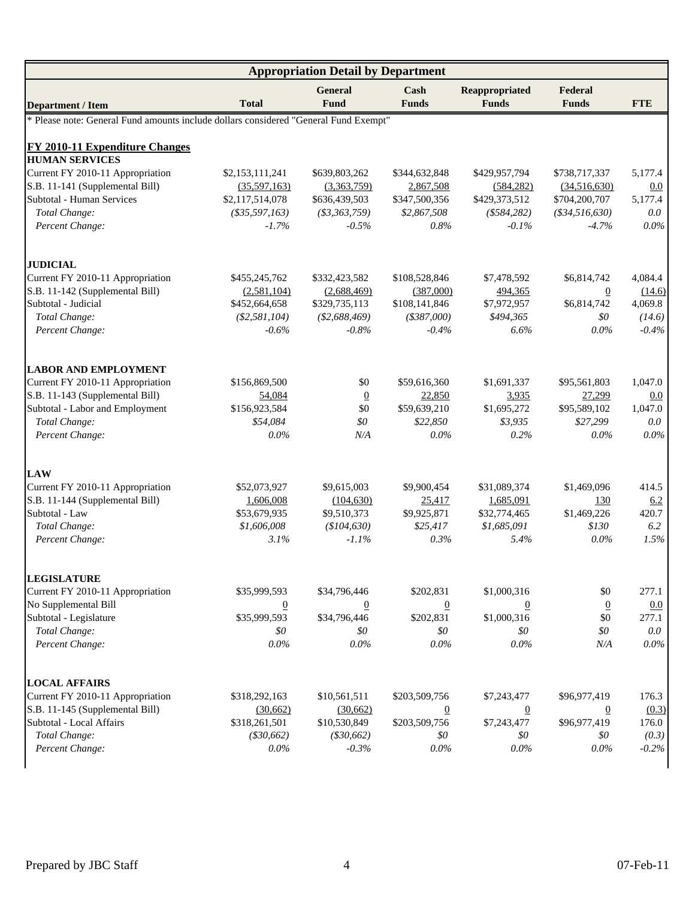|                                                                                      | <b>Appropriation Detail by Department</b> |                        |                      |                                |                         |            |  |  |
|--------------------------------------------------------------------------------------|-------------------------------------------|------------------------|----------------------|--------------------------------|-------------------------|------------|--|--|
| <b>Department / Item</b>                                                             | <b>Total</b>                              | <b>General</b><br>Fund | Cash<br><b>Funds</b> | Reappropriated<br><b>Funds</b> | Federal<br><b>Funds</b> | <b>FTE</b> |  |  |
| * Please note: General Fund amounts include dollars considered "General Fund Exempt" |                                           |                        |                      |                                |                         |            |  |  |
| <b>FY 2010-11 Expenditure Changes</b>                                                |                                           |                        |                      |                                |                         |            |  |  |
| <b>HUMAN SERVICES</b>                                                                |                                           |                        |                      |                                |                         |            |  |  |
| Current FY 2010-11 Appropriation                                                     | \$2,153,111,241                           | \$639,803,262          | \$344,632,848        | \$429,957,794                  | \$738,717,337           | 5,177.4    |  |  |
| S.B. 11-141 (Supplemental Bill)                                                      | (35,597,163)                              | (3,363,759)            | 2,867,508            | (584, 282)                     | (34,516,630)            | 0.0        |  |  |
| Subtotal - Human Services                                                            | \$2,117,514,078                           | \$636,439,503          | \$347,500,356        | \$429,373,512                  | \$704,200,707           | 5,177.4    |  |  |
| Total Change:                                                                        | $(*35,597,163)$                           | $(*3,363,759)$         | \$2,867,508          | $(*584,282)$                   | $(*34,516,630)$         | $0.0\,$    |  |  |
| Percent Change:                                                                      | $-1.7\%$                                  | $-0.5%$                | 0.8%                 | $-0.1\%$                       | $-4.7\%$                | $0.0\%$    |  |  |
| <b>JUDICIAL</b>                                                                      |                                           |                        |                      |                                |                         |            |  |  |
| Current FY 2010-11 Appropriation                                                     | \$455,245,762                             | \$332,423,582          | \$108,528,846        | \$7,478,592                    | \$6,814,742             | 4,084.4    |  |  |
| S.B. 11-142 (Supplemental Bill)                                                      | (2,581,104)                               | (2,688,469)            | (387,000)            | 494,365                        | $\overline{0}$          | (14.6)     |  |  |
| Subtotal - Judicial                                                                  | \$452,664,658                             | \$329,735,113          | \$108,141,846        | \$7,972,957                    | \$6,814,742             | 4,069.8    |  |  |
| Total Change:                                                                        | (\$2,581,104)                             | $(\$2,688,469)$        | $(*387,000)$         | \$494.365                      | \$0                     | (14.6)     |  |  |
| Percent Change:                                                                      | $-0.6\%$                                  | $-0.8\%$               | $-0.4\%$             | 6.6%                           | $0.0\%$                 | $-0.4\%$   |  |  |
| <b>LABOR AND EMPLOYMENT</b>                                                          |                                           |                        |                      |                                |                         |            |  |  |
| Current FY 2010-11 Appropriation                                                     | \$156,869,500                             | \$0                    | \$59,616,360         | \$1,691,337                    | \$95,561,803            | 1,047.0    |  |  |
| S.B. 11-143 (Supplemental Bill)                                                      | 54,084                                    | $\overline{0}$         | 22,850               | 3,935                          | 27,299                  | 0.0        |  |  |
| Subtotal - Labor and Employment                                                      | \$156,923,584                             | \$0                    | \$59,639,210         | \$1,695,272                    | \$95,589,102            | 1,047.0    |  |  |
| Total Change:                                                                        | \$54,084                                  | \$0                    | \$22,850             | \$3,935                        | \$27,299                | $0.0\,$    |  |  |
| Percent Change:                                                                      | $0.0\%$                                   | N/A                    | $0.0\%$              | 0.2%                           | $0.0\%$                 | $0.0\%$    |  |  |
| <b>LAW</b>                                                                           |                                           |                        |                      |                                |                         |            |  |  |
| Current FY 2010-11 Appropriation                                                     | \$52,073,927                              | \$9,615,003            | \$9,900,454          | \$31,089,374                   | \$1,469,096             | 414.5      |  |  |
| S.B. 11-144 (Supplemental Bill)                                                      | 1,606,008                                 | (104, 630)             | 25,417               | 1,685,091                      | 130                     | 6.2        |  |  |
| Subtotal - Law                                                                       | \$53,679,935                              | \$9,510,373            | \$9,925,871          | \$32,774,465                   | \$1,469,226             | 420.7      |  |  |
| Total Change:                                                                        | \$1,606,008                               | (\$104,630)            | \$25,417             | \$1,685,091                    | \$130                   | 6.2        |  |  |
| Percent Change:                                                                      | 3.1%                                      | $-1.1\%$               | 0.3%                 | 5.4%                           | $0.0\%$                 | 1.5%       |  |  |
| <b>LEGISLATURE</b>                                                                   |                                           |                        |                      |                                |                         |            |  |  |
| Current FY 2010-11 Appropriation                                                     | \$35,999,593                              | \$34,796,446           | \$202,831            | \$1,000,316                    | \$0                     | 277.1      |  |  |
| No Supplemental Bill                                                                 | $\overline{0}$                            | $\boldsymbol{0}$       | $\overline{0}$       | $\boldsymbol{0}$               | $\overline{0}$          | 0.0        |  |  |
| Subtotal - Legislature                                                               | \$35,999,593                              | \$34,796,446           | \$202,831            | \$1,000,316                    | \$0                     | 277.1      |  |  |
| Total Change:                                                                        | \$0                                       | $\$0$                  | \$0                  | \$0                            | \$0                     | $0.0\,$    |  |  |
| Percent Change:                                                                      | $0.0\%$                                   | 0.0%                   | $0.0\%$              | 0.0%                           | N/A                     | $0.0\%$    |  |  |
| <b>LOCAL AFFAIRS</b>                                                                 |                                           |                        |                      |                                |                         |            |  |  |
| Current FY 2010-11 Appropriation                                                     | \$318,292,163                             | \$10,561,511           | \$203,509,756        | \$7,243,477                    | \$96,977,419            | 176.3      |  |  |
| S.B. 11-145 (Supplemental Bill)                                                      | (30,662)                                  | (30,662)               | $\overline{0}$       | $\overline{0}$                 | $\overline{0}$          | (0.3)      |  |  |
| Subtotal - Local Affairs                                                             | \$318,261,501                             | \$10,530,849           | \$203,509,756        | \$7,243,477                    | \$96,977,419            | 176.0      |  |  |
| Total Change:                                                                        | $(*30,662)$                               | $(*30,662)$            | \$0                  | \$0                            | \$0                     | (0.3)      |  |  |
| Percent Change:                                                                      | $0.0\%$                                   | $-0.3%$                | $0.0\%$              | 0.0%                           | $0.0\%$                 | $-0.2\%$   |  |  |
|                                                                                      |                                           |                        |                      |                                |                         |            |  |  |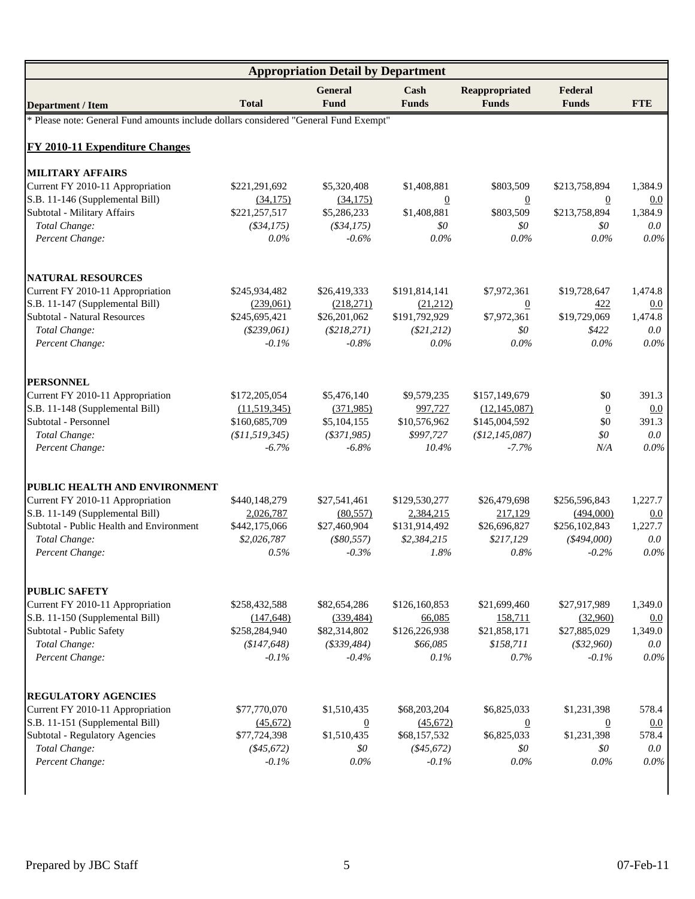|                                                                                      | <b>Appropriation Detail by Department</b> |                        |                      |                                |                         |            |  |  |
|--------------------------------------------------------------------------------------|-------------------------------------------|------------------------|----------------------|--------------------------------|-------------------------|------------|--|--|
| <b>Department / Item</b>                                                             | <b>Total</b>                              | <b>General</b><br>Fund | Cash<br><b>Funds</b> | Reappropriated<br><b>Funds</b> | Federal<br><b>Funds</b> | <b>FTE</b> |  |  |
| * Please note: General Fund amounts include dollars considered "General Fund Exempt" |                                           |                        |                      |                                |                         |            |  |  |
| <b>FY 2010-11 Expenditure Changes</b>                                                |                                           |                        |                      |                                |                         |            |  |  |
| <b>MILITARY AFFAIRS</b>                                                              |                                           |                        |                      |                                |                         |            |  |  |
| Current FY 2010-11 Appropriation                                                     | \$221,291,692                             | \$5,320,408            | \$1,408,881          | \$803,509                      | \$213,758,894           | 1,384.9    |  |  |
| S.B. 11-146 (Supplemental Bill)                                                      | (34,175)                                  | (34, 175)              | $\boldsymbol{0}$     | $\underline{0}$                | $\overline{0}$          | 0.0        |  |  |
| Subtotal - Military Affairs                                                          | \$221,257,517                             | \$5,286,233            | \$1,408,881          | \$803,509                      | \$213,758,894           | 1,384.9    |  |  |
| Total Change:                                                                        | ( \$34, 175)                              | $($ \$34,175 $)$       | \$0                  | \$0                            | \$0                     | 0.0        |  |  |
| Percent Change:                                                                      | $0.0\%$                                   | $-0.6%$                | $0.0\%$              | $0.0\%$                        | $0.0\%$                 | $0.0\%$    |  |  |
| <b>NATURAL RESOURCES</b>                                                             |                                           |                        |                      |                                |                         |            |  |  |
| Current FY 2010-11 Appropriation                                                     | \$245,934,482                             | \$26,419,333           | \$191,814,141        | \$7,972,361                    | \$19,728,647            | 1,474.8    |  |  |
| S.B. 11-147 (Supplemental Bill)                                                      | (239,061)                                 | (218,271)              | (21,212)             | $\overline{0}$                 | 422                     | 0.0        |  |  |
| <b>Subtotal - Natural Resources</b>                                                  | \$245,695,421                             | \$26,201,062           | \$191,792,929        | \$7,972,361                    | \$19,729,069            | 1.474.8    |  |  |
| Total Change:                                                                        | (\$239,061)                               | $(\$218,271)$          | $(\$21,212)$         | \$0                            | \$422                   | 0.0        |  |  |
| Percent Change:                                                                      | $-0.1\%$                                  | $-0.8\%$               | $0.0\%$              | $0.0\%$                        | $0.0\%$                 | $0.0\%$    |  |  |
| <b>PERSONNEL</b>                                                                     |                                           |                        |                      |                                |                         |            |  |  |
| Current FY 2010-11 Appropriation                                                     | \$172,205,054                             | \$5,476,140            | \$9,579,235          | \$157,149,679                  | \$0                     | 391.3      |  |  |
| S.B. 11-148 (Supplemental Bill)                                                      | (11,519,345)                              | (371,985)              | 997,727              | (12, 145, 087)                 | $\overline{0}$          | 0.0        |  |  |
| Subtotal - Personnel                                                                 | \$160,685,709                             | \$5,104,155            | \$10,576,962         | \$145,004,592                  | \$0                     | 391.3      |  |  |
| Total Change:                                                                        | \$11,519,345                              | $($ \$371,985 $)$      | \$997,727            | (\$12, 145, 087)               | \$0                     | 0.0        |  |  |
| Percent Change:                                                                      | $-6.7%$                                   | $-6.8%$                | 10.4%                | $-7.7%$                        | N/A                     | 0.0%       |  |  |
| PUBLIC HEALTH AND ENVIRONMENT                                                        |                                           |                        |                      |                                |                         |            |  |  |
| Current FY 2010-11 Appropriation                                                     | \$440,148,279                             | \$27,541,461           | \$129,530,277        | \$26,479,698                   | \$256,596,843           | 1,227.7    |  |  |
| S.B. 11-149 (Supplemental Bill)                                                      | 2,026,787                                 | (80, 557)              | 2,384,215            | 217,129                        | (494,000)               | 0.0        |  |  |
| Subtotal - Public Health and Environment                                             | \$442,175,066                             | \$27,460,904           | \$131,914,492        | \$26,696,827                   | \$256,102,843           | 1,227.7    |  |  |
| Total Change:                                                                        | \$2,026,787                               | $(\$80,557)$           | \$2,384,215          | \$217,129                      | $(*494,000)$            | 0.0        |  |  |
| Percent Change:                                                                      | 0.5%                                      | $-0.3\%$               | 1.8%                 | 0.8%                           | $-0.2\%$                | $0.0\%$    |  |  |
| <b>PUBLIC SAFETY</b>                                                                 |                                           |                        |                      |                                |                         |            |  |  |
| Current FY 2010-11 Appropriation                                                     | \$258,432,588                             | \$82,654,286           | \$126,160,853        | \$21,699,460                   | \$27,917,989            | 1,349.0    |  |  |
| S.B. 11-150 (Supplemental Bill)                                                      | (147, 648)                                | (339, 484)             | 66,085               | 158,711                        | (32,960)                | 0.0        |  |  |
| Subtotal - Public Safety                                                             | \$258,284,940                             | \$82,314,802           | \$126,226,938        | \$21,858,171                   | \$27,885,029            | 1,349.0    |  |  |
| Total Change:                                                                        | (\$147,648)                               | $(*339,484)$           | \$66,085             | \$158,711                      | ( \$32,960)             | 0.0        |  |  |
| Percent Change:                                                                      | $-0.1%$                                   | $-0.4%$                | 0.1%                 | 0.7%                           | $-0.1%$                 | 0.0%       |  |  |
| <b>REGULATORY AGENCIES</b>                                                           |                                           |                        |                      |                                |                         |            |  |  |
| Current FY 2010-11 Appropriation                                                     | \$77,770,070                              | \$1,510,435            | \$68,203,204         | \$6,825,033                    | \$1,231,398             | 578.4      |  |  |
| S.B. 11-151 (Supplemental Bill)                                                      | (45,672)                                  | $\overline{0}$         | (45,672)             | $\overline{0}$                 | $\overline{0}$          | 0.0        |  |  |
| <b>Subtotal - Regulatory Agencies</b>                                                | \$77,724,398                              | \$1,510,435            | \$68,157,532         | \$6,825,033                    | \$1,231,398             | 578.4      |  |  |
| Total Change:                                                                        | $(*45,672)$                               | \$0                    | ( \$45,672)          | \$0                            | \$0                     | 0.0        |  |  |
| Percent Change:                                                                      | $-0.1%$                                   | $0.0\%$                | $-0.1%$              | $0.0\%$                        | $0.0\%$                 | $0.0\%$    |  |  |
|                                                                                      |                                           |                        |                      |                                |                         |            |  |  |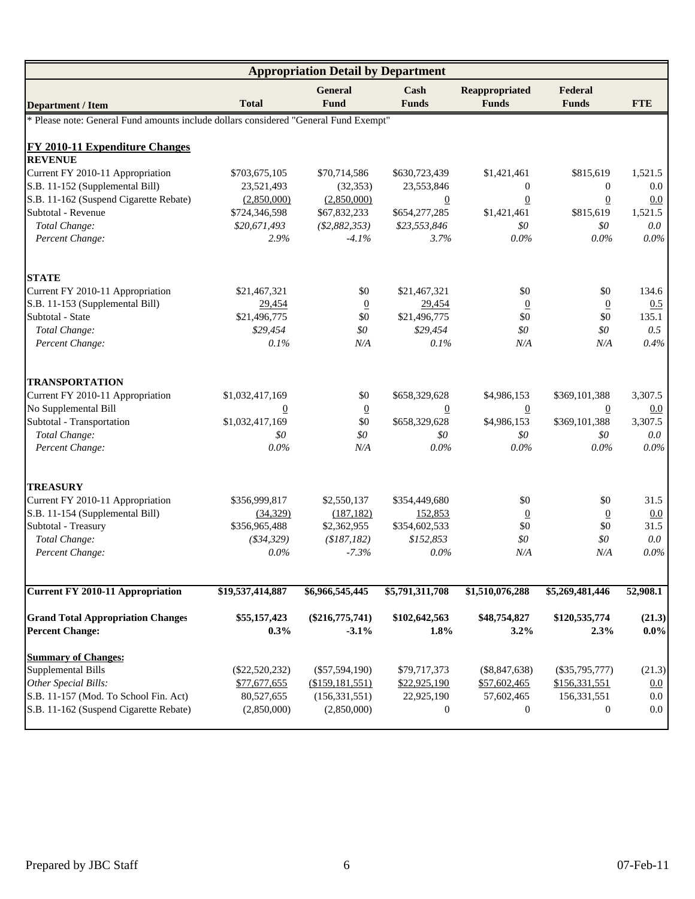|                                                                                      | <b>Appropriation Detail by Department</b> |                              |                       |                                |                         |                   |  |  |
|--------------------------------------------------------------------------------------|-------------------------------------------|------------------------------|-----------------------|--------------------------------|-------------------------|-------------------|--|--|
| <b>Department / Item</b>                                                             | <b>Total</b>                              | General<br><b>Fund</b>       | Cash<br><b>Funds</b>  | Reappropriated<br><b>Funds</b> | Federal<br><b>Funds</b> | <b>FTE</b>        |  |  |
| * Please note: General Fund amounts include dollars considered "General Fund Exempt" |                                           |                              |                       |                                |                         |                   |  |  |
| <b>FY 2010-11 Expenditure Changes</b>                                                |                                           |                              |                       |                                |                         |                   |  |  |
| <b>REVENUE</b>                                                                       |                                           |                              |                       |                                |                         |                   |  |  |
| Current FY 2010-11 Appropriation                                                     | \$703,675,105                             | \$70,714,586                 | \$630,723,439         | \$1,421,461                    | \$815,619               | 1,521.5           |  |  |
| S.B. 11-152 (Supplemental Bill)                                                      | 23,521,493                                | (32, 353)                    | 23,553,846            | $\mathbf{0}$                   | $\overline{0}$          | 0.0               |  |  |
| S.B. 11-162 (Suspend Cigarette Rebate)                                               | (2,850,000)                               | (2,850,000)                  | $\overline{0}$        | $\overline{0}$                 | $\underline{0}$         | 0.0               |  |  |
| Subtotal - Revenue                                                                   | \$724,346,598                             | \$67,832,233                 | \$654,277,285         | \$1,421,461                    | \$815,619               | 1,521.5           |  |  |
| Total Change:                                                                        | \$20,671,493                              | (\$2,882,353)                | \$23,553,846          | \$0                            | \$0\$                   | 0.0               |  |  |
| Percent Change:                                                                      | 2.9%                                      | $-4.1%$                      | 3.7%                  | 0.0%                           | $0.0\%$                 | $0.0\%$           |  |  |
| <b>STATE</b>                                                                         |                                           |                              |                       |                                |                         |                   |  |  |
| Current FY 2010-11 Appropriation                                                     | \$21,467,321                              | \$0                          | \$21,467,321          | \$0                            | \$0                     | 134.6             |  |  |
| S.B. 11-153 (Supplemental Bill)                                                      | 29,454                                    | $\overline{0}$               | 29,454                | $\overline{0}$                 | $\overline{0}$          | 0.5               |  |  |
| Subtotal - State                                                                     | \$21,496,775                              | \$0                          | \$21,496,775          | \$0                            | \$0                     | 135.1             |  |  |
| Total Change:                                                                        | \$29,454                                  | \$0                          | \$29,454              | \$0                            | \$0                     | 0.5               |  |  |
| Percent Change:                                                                      | 0.1%                                      | N/A                          | 0.1%                  | N/A                            | N/A                     | 0.4%              |  |  |
| <b>TRANSPORTATION</b>                                                                |                                           |                              |                       |                                |                         |                   |  |  |
| Current FY 2010-11 Appropriation                                                     | \$1,032,417,169                           | \$0                          | \$658,329,628         | \$4,986,153                    | \$369,101,388           | 3,307.5           |  |  |
| No Supplemental Bill                                                                 | 0                                         | $\overline{0}$               | $\overline{0}$        | $\overline{0}$                 | 0                       | 0.0               |  |  |
| Subtotal - Transportation                                                            | \$1,032,417,169                           | \$0                          | \$658,329,628         | \$4,986,153                    | \$369,101,388           | 3,307.5           |  |  |
| Total Change:                                                                        | \$0                                       | \$0\$                        | \$0                   | \$0                            | \$0                     | 0.0               |  |  |
| Percent Change:                                                                      | 0.0%                                      | N/A                          | $0.0\%$               | $0.0\%$                        | $0.0\%$                 | $0.0\%$           |  |  |
| <b>TREASURY</b>                                                                      |                                           |                              |                       |                                |                         |                   |  |  |
| Current FY 2010-11 Appropriation                                                     | \$356,999,817                             | \$2,550,137                  | \$354,449,680         | \$0                            | \$0                     | 31.5              |  |  |
| S.B. 11-154 (Supplemental Bill)                                                      | (34, 329)                                 | (187, 182)                   | 152,853               | $\overline{0}$                 | $\overline{0}$          | 0.0               |  |  |
| Subtotal - Treasury                                                                  | \$356,965,488                             | \$2,362,955                  | \$354,602,533         | \$0                            | \$0                     | 31.5              |  |  |
| Total Change:                                                                        | ( \$34, 329)                              | (\$187,182)                  | \$152,853             | \$0                            | \$0\$                   | 0.0               |  |  |
| Percent Change:                                                                      | $0.0\%$                                   | $-7.3%$                      | $0.0\%$               | N/A                            | N/A                     | $0.0\%$           |  |  |
| <b>Current FY 2010-11 Appropriation</b>                                              | \$19,537,414,887                          | \$6,966,545,445              | \$5,791,311,708       | \$1,510,076,288                | \$5,269,481,446         | 52,908.1          |  |  |
|                                                                                      |                                           |                              |                       |                                |                         |                   |  |  |
| <b>Grand Total Appropriation Changes</b><br><b>Percent Change:</b>                   | \$55,157,423<br>0.3%                      | $(\$216,775,741)$<br>$-3.1%$ | \$102,642,563<br>1.8% | \$48,754,827<br>3.2%           | \$120,535,774<br>2.3%   | (21.3)<br>$0.0\%$ |  |  |
| <b>Summary of Changes:</b>                                                           |                                           |                              |                       |                                |                         |                   |  |  |
| <b>Supplemental Bills</b>                                                            | $(\$22,520,232)$                          | $(\$57,594,190)$             | \$79,717,373          | $(\$8,847,638)$                | $(\$35,795,777)$        | (21.3)            |  |  |
| Other Special Bills:                                                                 | \$77,677,655                              | (\$159,181,551)              | \$22,925,190          | \$57,602,465                   | \$156,331,551           | 0.0               |  |  |
| S.B. 11-157 (Mod. To School Fin. Act)                                                | 80,527,655                                | (156, 331, 551)              | 22,925,190            | 57,602,465                     | 156,331,551             | 0.0               |  |  |
| S.B. 11-162 (Suspend Cigarette Rebate)                                               | (2,850,000)                               | (2,850,000)                  | 0                     | $\boldsymbol{0}$               | $\mathbf{0}$            | 0.0               |  |  |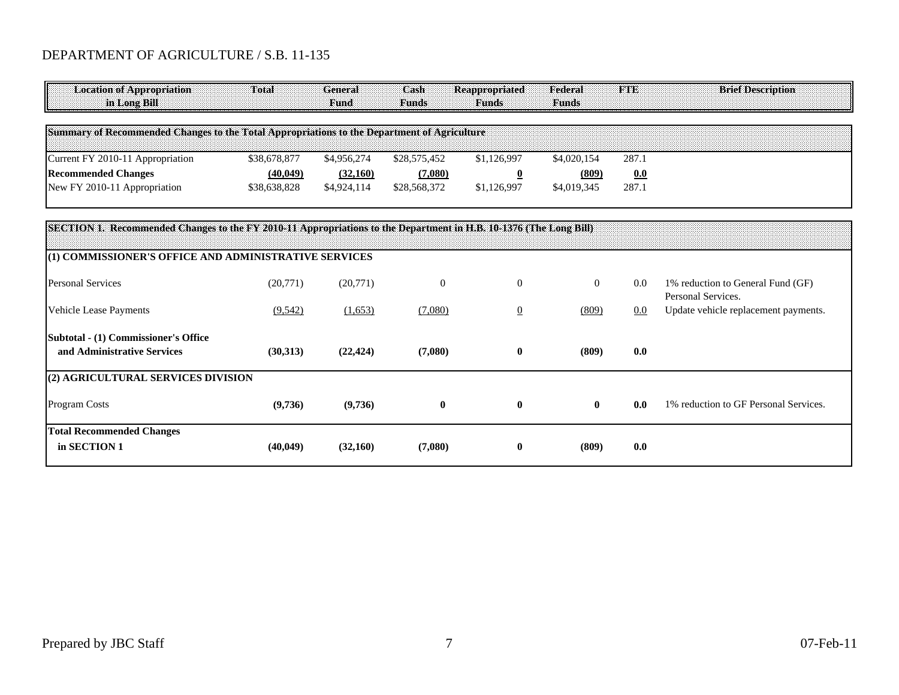# DEPARTMENT OF AGRICULTURE / S.B. 11-135

| <b>Location of Appropriation</b><br>in Long Bill                                                                  | Total        | General<br>Fund | Cash<br>Funds | <b>Reappropriated</b><br>Eunds | Federal<br><b>Funds</b> | FIE   | <b>Brief Description</b>                                |
|-------------------------------------------------------------------------------------------------------------------|--------------|-----------------|---------------|--------------------------------|-------------------------|-------|---------------------------------------------------------|
| Summary of Recommended Changes to the Total Appropriations to the Department of Agriculture                       |              |                 |               |                                |                         |       |                                                         |
| Current FY 2010-11 Appropriation                                                                                  | \$38,678,877 | \$4,956,274     | \$28,575,452  | \$1,126,997                    | \$4,020,154             | 287.1 |                                                         |
| <b>Recommended Changes</b>                                                                                        | (40, 049)    | (32,160)        | (7,080)       | $\overline{\mathbf{0}}$        | (809)                   | 0.0   |                                                         |
| New FY 2010-11 Appropriation                                                                                      | \$38,638,828 | \$4,924,114     | \$28,568,372  | \$1,126,997                    | \$4,019,345             | 287.1 |                                                         |
| SECTION 1. Recommended Changes to the FY 2010-11 Appropriations to the Department in H.B. 10-1376 (The Long Bill) |              |                 |               |                                |                         |       |                                                         |
| (1) COMMISSIONER'S OFFICE AND ADMINISTRATIVE SERVICES                                                             |              |                 |               |                                |                         |       |                                                         |
| <b>Personal Services</b>                                                                                          | (20,771)     | (20,771)        | $\theta$      | $\theta$                       | $\overline{0}$          | 0.0   | 1% reduction to General Fund (GF)<br>Personal Services. |
| Vehicle Lease Payments                                                                                            | (9,542)      | (1,653)         | (7,080)       | $\overline{0}$                 | (809)                   | 0.0   | Update vehicle replacement payments.                    |
| Subtotal - (1) Commissioner's Office<br>and Administrative Services                                               | (30,313)     | (22, 424)       | (7,080)       | $\bf{0}$                       | (809)                   | 0.0   |                                                         |
| (2) AGRICULTURAL SERVICES DIVISION                                                                                |              |                 |               |                                |                         |       |                                                         |
| Program Costs                                                                                                     | (9,736)      | (9,736)         | $\bf{0}$      | $\bf{0}$                       | $\mathbf{0}$            | 0.0   | 1% reduction to GF Personal Services.                   |
| <b>Total Recommended Changes</b><br>in SECTION 1                                                                  | (40, 049)    | (32,160)        | (7,080)       | $\bf{0}$                       | (809)                   | 0.0   |                                                         |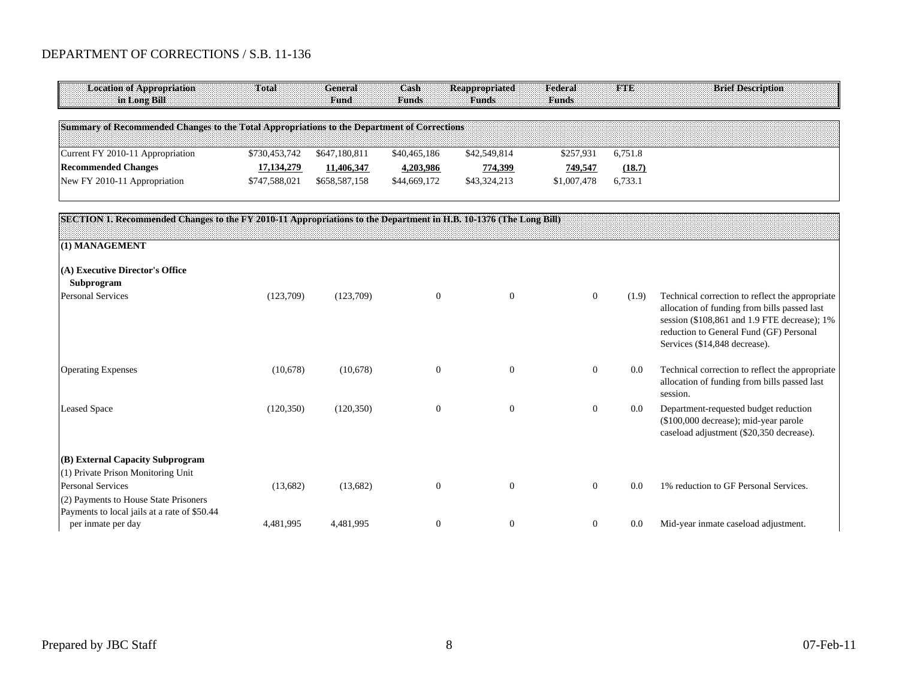| <b>Location of Appropriation</b><br>in Long Bill                                                                  | <b>Total</b>  | <b>General</b><br><b>Fund</b> | Cash<br><b>Funds</b> | <b>Reappropriated</b><br><b>Funds</b> | Federal<br><b>Funds</b> | FTE     | <b>Brief Description</b>                                                                                                                                                                                                    |
|-------------------------------------------------------------------------------------------------------------------|---------------|-------------------------------|----------------------|---------------------------------------|-------------------------|---------|-----------------------------------------------------------------------------------------------------------------------------------------------------------------------------------------------------------------------------|
| Summary of Recommended Changes to the Total Appropriations to the Department of Corrections                       |               |                               |                      |                                       |                         |         |                                                                                                                                                                                                                             |
| Current FY 2010-11 Appropriation                                                                                  | \$730,453,742 | \$647,180,811                 | \$40,465,186         | \$42,549,814                          | \$257,931               | 6,751.8 |                                                                                                                                                                                                                             |
| <b>Recommended Changes</b>                                                                                        | 17, 134, 279  | 11,406,347                    | 4,203,986            | 774,399                               | 749,547                 | (18.7)  |                                                                                                                                                                                                                             |
| New FY 2010-11 Appropriation                                                                                      | \$747,588,021 | \$658,587,158                 | \$44,669,172         | \$43,324,213                          | \$1,007,478             | 6,733.1 |                                                                                                                                                                                                                             |
| SECTION 1. Recommended Changes to the FY 2010-11 Appropriations to the Department in H.B. 10-1376 (The Long Bill) |               |                               |                      |                                       |                         |         |                                                                                                                                                                                                                             |
| (1) MANAGEMENT                                                                                                    |               |                               |                      |                                       |                         |         |                                                                                                                                                                                                                             |
| (A) Executive Director's Office<br>Subprogram                                                                     |               |                               |                      |                                       |                         |         |                                                                                                                                                                                                                             |
| <b>Personal Services</b>                                                                                          | (123,709)     | (123,709)                     | $\mathbf{0}$         | $\mathbf{0}$                          | $\overline{0}$          | (1.9)   | Technical correction to reflect the appropriate<br>allocation of funding from bills passed last<br>session (\$108,861 and 1.9 FTE decrease); 1%<br>reduction to General Fund (GF) Personal<br>Services (\$14,848 decrease). |
| <b>Operating Expenses</b>                                                                                         | (10,678)      | (10,678)                      | $\boldsymbol{0}$     | $\mathbf{0}$                          | $\overline{0}$          | 0.0     | Technical correction to reflect the appropriate<br>allocation of funding from bills passed last<br>session.                                                                                                                 |
| <b>Leased Space</b>                                                                                               | (120, 350)    | (120, 350)                    | $\theta$             | $\mathbf{0}$                          | $\Omega$                | 0.0     | Department-requested budget reduction<br>(\$100,000 decrease); mid-year parole<br>caseload adjustment (\$20,350 decrease).                                                                                                  |
| (B) External Capacity Subprogram                                                                                  |               |                               |                      |                                       |                         |         |                                                                                                                                                                                                                             |
| (1) Private Prison Monitoring Unit<br><b>Personal Services</b><br>(2) Payments to House State Prisoners           | (13,682)      | (13,682)                      | $\boldsymbol{0}$     | $\mathbf{0}$                          | $\Omega$                | 0.0     | 1% reduction to GF Personal Services.                                                                                                                                                                                       |
| Payments to local jails at a rate of \$50.44<br>per inmate per day                                                | 4,481,995     | 4,481,995                     | $\mathbf{0}$         | $\mathbf{0}$                          | $\overline{0}$          | 0.0     | Mid-year inmate caseload adjustment.                                                                                                                                                                                        |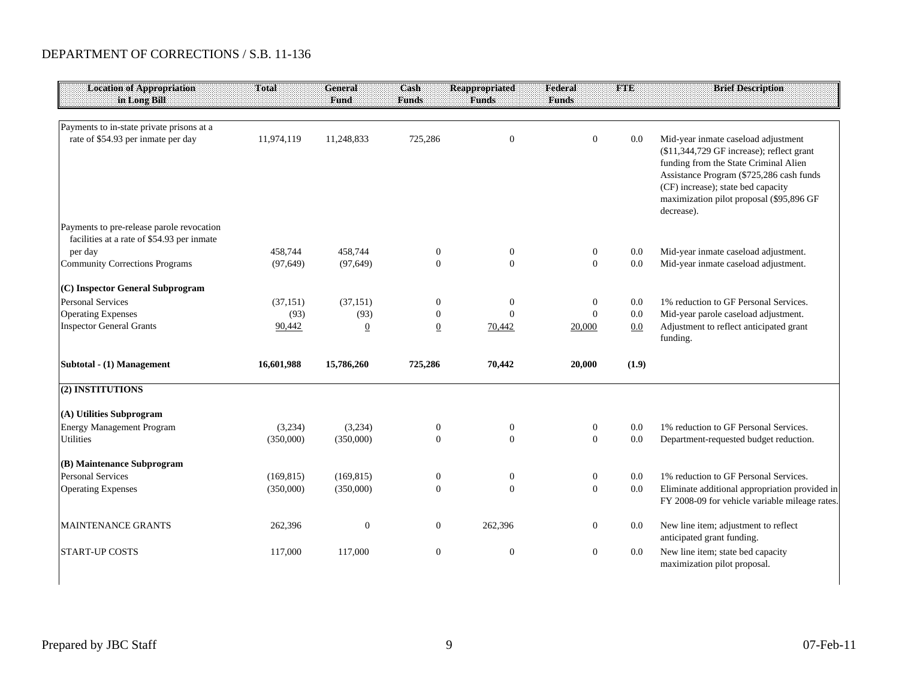| <b>Location of Appropriation</b><br>in Long Bill                                        | Total      | <b>General</b><br>Fund | Cash<br><b>Funds</b> | Reappropriated<br><b>Funds</b> | Federal<br><b>Funds</b> | <b>FTE</b> | <b>Brief Description</b>                                                                                                                                                                                                                                              |
|-----------------------------------------------------------------------------------------|------------|------------------------|----------------------|--------------------------------|-------------------------|------------|-----------------------------------------------------------------------------------------------------------------------------------------------------------------------------------------------------------------------------------------------------------------------|
| Payments to in-state private prisons at a                                               |            |                        |                      |                                |                         |            |                                                                                                                                                                                                                                                                       |
| rate of \$54.93 per inmate per day                                                      | 11,974,119 | 11,248,833             | 725,286              | $\mathbf{0}$                   | $\overline{0}$          | 0.0        | Mid-year inmate caseload adjustment<br>(\$11,344,729 GF increase); reflect grant<br>funding from the State Criminal Alien<br>Assistance Program (\$725,286 cash funds<br>(CF) increase); state bed capacity<br>maximization pilot proposal (\$95,896 GF<br>decrease). |
| Payments to pre-release parole revocation<br>facilities at a rate of \$54.93 per inmate |            |                        |                      |                                |                         |            |                                                                                                                                                                                                                                                                       |
| per day                                                                                 | 458,744    | 458.744                | $\boldsymbol{0}$     | $\mathbf{0}$                   | $\boldsymbol{0}$        | 0.0        | Mid-year inmate caseload adjustment.                                                                                                                                                                                                                                  |
| <b>Community Corrections Programs</b>                                                   | (97, 649)  | (97, 649)              | $\Omega$             | $\Omega$                       | $\mathbf{0}$            | 0.0        | Mid-year inmate caseload adjustment.                                                                                                                                                                                                                                  |
| (C) Inspector General Subprogram                                                        |            |                        |                      |                                |                         |            |                                                                                                                                                                                                                                                                       |
| <b>Personal Services</b>                                                                | (37, 151)  | (37, 151)              | $\boldsymbol{0}$     | $\boldsymbol{0}$               | $\mathbf{0}$            | 0.0        | 1% reduction to GF Personal Services.                                                                                                                                                                                                                                 |
| <b>Operating Expenses</b>                                                               | (93)       | (93)                   | $\boldsymbol{0}$     | $\theta$                       | $\overline{0}$          | 0.0        | Mid-year parole caseload adjustment.                                                                                                                                                                                                                                  |
| <b>Inspector General Grants</b>                                                         | 90,442     | $\overline{0}$         | $\underline{0}$      | 70,442                         | 20,000                  | 0.0        | Adjustment to reflect anticipated grant<br>funding.                                                                                                                                                                                                                   |
| Subtotal - (1) Management                                                               | 16,601,988 | 15,786,260             | 725,286              | 70,442                         | 20,000                  | (1.9)      |                                                                                                                                                                                                                                                                       |
| (2) INSTITUTIONS                                                                        |            |                        |                      |                                |                         |            |                                                                                                                                                                                                                                                                       |
| (A) Utilities Subprogram                                                                |            |                        |                      |                                |                         |            |                                                                                                                                                                                                                                                                       |
| <b>Energy Management Program</b>                                                        | (3,234)    | (3,234)                | $\boldsymbol{0}$     | $\boldsymbol{0}$               | $\mathbf{0}$            | 0.0        | 1% reduction to GF Personal Services.                                                                                                                                                                                                                                 |
| <b>Utilities</b>                                                                        | (350,000)  | (350,000)              | $\mathbf{0}$         | $\Omega$                       | $\overline{0}$          | 0.0        | Department-requested budget reduction.                                                                                                                                                                                                                                |
| (B) Maintenance Subprogram                                                              |            |                        |                      |                                |                         |            |                                                                                                                                                                                                                                                                       |
| <b>Personal Services</b>                                                                | (169, 815) | (169, 815)             | $\boldsymbol{0}$     | $\boldsymbol{0}$               | $\boldsymbol{0}$        | 0.0        | 1% reduction to GF Personal Services.                                                                                                                                                                                                                                 |
| <b>Operating Expenses</b>                                                               | (350,000)  | (350,000)              | $\mathbf{0}$         | $\theta$                       | $\mathbf{0}$            | $0.0\,$    | Eliminate additional appropriation provided in<br>FY 2008-09 for vehicle variable mileage rates.                                                                                                                                                                      |
| <b>MAINTENANCE GRANTS</b>                                                               | 262,396    | $\overline{0}$         | $\boldsymbol{0}$     | 262,396                        | $\boldsymbol{0}$        | 0.0        | New line item; adjustment to reflect<br>anticipated grant funding.                                                                                                                                                                                                    |
| <b>START-UP COSTS</b>                                                                   | 117,000    | 117,000                | $\boldsymbol{0}$     | $\boldsymbol{0}$               | $\mathbf{0}$            | 0.0        | New line item; state bed capacity<br>maximization pilot proposal.                                                                                                                                                                                                     |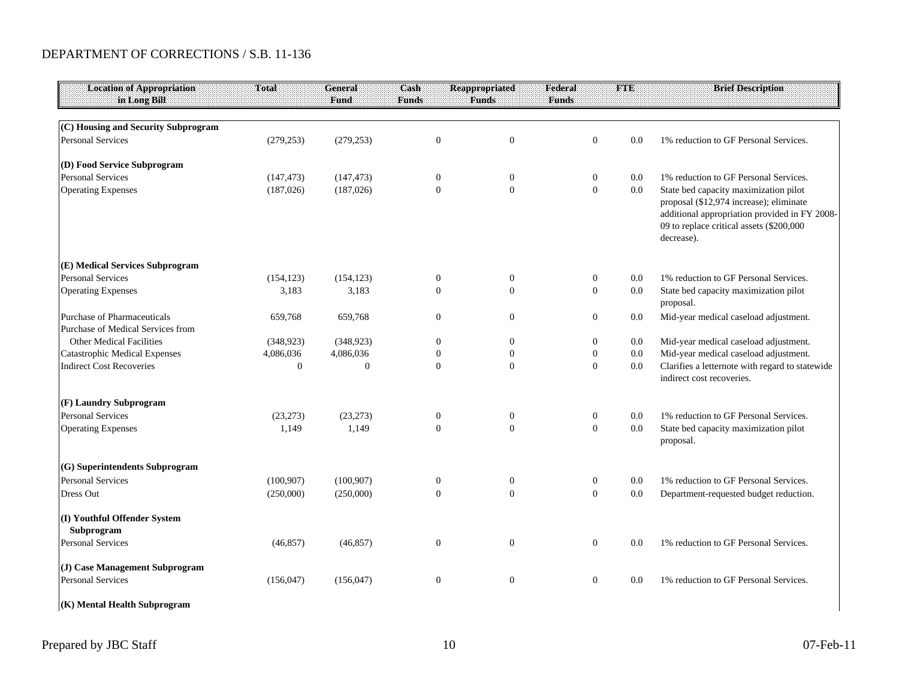| <b>Location of Appropriation</b><br>in Long Bill | Total            | <b>General</b><br>Fund | Cash<br><b>Funds</b> | <b>Reappropriated</b><br><b>Funds</b> | Federal<br><b>Funds</b> |                  | <b>FTE</b> | <b>Brief Description</b>                                                                                                                                                                    |
|--------------------------------------------------|------------------|------------------------|----------------------|---------------------------------------|-------------------------|------------------|------------|---------------------------------------------------------------------------------------------------------------------------------------------------------------------------------------------|
|                                                  |                  |                        |                      |                                       |                         |                  |            |                                                                                                                                                                                             |
| (C) Housing and Security Subprogram              |                  |                        |                      |                                       |                         |                  |            |                                                                                                                                                                                             |
| <b>Personal Services</b>                         | (279, 253)       | (279, 253)             | $\mathbf{0}$         | $\mathbf{0}$                          |                         | $\mathbf{0}$     | 0.0        | 1% reduction to GF Personal Services.                                                                                                                                                       |
| (D) Food Service Subprogram                      |                  |                        |                      |                                       |                         |                  |            |                                                                                                                                                                                             |
| <b>Personal Services</b>                         | (147, 473)       | (147, 473)             | $\boldsymbol{0}$     | $\boldsymbol{0}$                      |                         | $\boldsymbol{0}$ | 0.0        | 1% reduction to GF Personal Services.                                                                                                                                                       |
| <b>Operating Expenses</b>                        | (187, 026)       | (187,026)              | $\Omega$             | $\Omega$                              |                         | $\mathbf{0}$     | 0.0        | State bed capacity maximization pilot<br>proposal (\$12,974 increase); eliminate<br>additional appropriation provided in FY 2008-<br>09 to replace critical assets (\$200,000<br>decrease). |
| (E) Medical Services Subprogram                  |                  |                        |                      |                                       |                         |                  |            |                                                                                                                                                                                             |
| <b>Personal Services</b>                         | (154, 123)       | (154, 123)             | $\boldsymbol{0}$     | $\bf{0}$                              |                         | $\boldsymbol{0}$ | 0.0        | 1% reduction to GF Personal Services.                                                                                                                                                       |
| <b>Operating Expenses</b>                        | 3,183            | 3,183                  | $\Omega$             | $\Omega$                              |                         | $\mathbf{0}$     | 0.0        | State bed capacity maximization pilot<br>proposal.                                                                                                                                          |
| Purchase of Pharmaceuticals                      | 659,768          | 659,768                | $\mathbf{0}$         | $\mathbf{0}$                          |                         | $\overline{0}$   | 0.0        | Mid-year medical caseload adjustment.                                                                                                                                                       |
| Purchase of Medical Services from                |                  |                        |                      |                                       |                         |                  |            |                                                                                                                                                                                             |
| <b>Other Medical Facilities</b>                  | (348, 923)       | (348, 923)             | $\mathbf{0}$         | $\overline{0}$                        |                         | $\mathbf{0}$     | 0.0        | Mid-year medical caseload adjustment.                                                                                                                                                       |
| <b>Catastrophic Medical Expenses</b>             | 4,086,036        | 4,086,036              | $\mathbf{0}$         | $\boldsymbol{0}$                      |                         | $\boldsymbol{0}$ | 0.0        | Mid-year medical caseload adjustment.                                                                                                                                                       |
| <b>Indirect Cost Recoveries</b>                  | $\boldsymbol{0}$ | $\mathbf{0}$           | $\mathbf{0}$         | $\mathbf{0}$                          |                         | $\boldsymbol{0}$ | 0.0        | Clarifies a letternote with regard to statewide<br>indirect cost recoveries.                                                                                                                |
| (F) Laundry Subprogram                           |                  |                        |                      |                                       |                         |                  |            |                                                                                                                                                                                             |
| <b>Personal Services</b>                         | (23, 273)        | (23, 273)              | $\boldsymbol{0}$     | $\boldsymbol{0}$                      |                         | $\boldsymbol{0}$ | 0.0        | 1% reduction to GF Personal Services.                                                                                                                                                       |
| <b>Operating Expenses</b>                        | 1,149            | 1.149                  | $\theta$             | $\theta$                              |                         | $\mathbf{0}$     | 0.0        | State bed capacity maximization pilot<br>proposal.                                                                                                                                          |
| (G) Superintendents Subprogram                   |                  |                        |                      |                                       |                         |                  |            |                                                                                                                                                                                             |
| <b>Personal Services</b>                         | (100, 907)       | (100, 907)             | $\boldsymbol{0}$     | $\boldsymbol{0}$                      |                         | $\boldsymbol{0}$ | 0.0        | 1% reduction to GF Personal Services.                                                                                                                                                       |
| Dress Out                                        | (250,000)        | (250,000)              | $\mathbf{0}$         | $\mathbf{0}$                          |                         | $\mathbf{0}$     | $0.0\,$    | Department-requested budget reduction.                                                                                                                                                      |
| (I) Youthful Offender System<br>Subprogram       |                  |                        |                      |                                       |                         |                  |            |                                                                                                                                                                                             |
| <b>Personal Services</b>                         | (46, 857)        | (46, 857)              | $\boldsymbol{0}$     | $\mathbf{0}$                          |                         | $\mathbf{0}$     | 0.0        | 1% reduction to GF Personal Services.                                                                                                                                                       |
| (J) Case Management Subprogram                   |                  |                        |                      |                                       |                         |                  |            |                                                                                                                                                                                             |
| <b>Personal Services</b>                         | (156, 047)       | (156, 047)             | $\mathbf{0}$         | $\mathbf{0}$                          |                         | $\overline{0}$   | 0.0        | 1% reduction to GF Personal Services.                                                                                                                                                       |
| (K) Mental Health Subprogram                     |                  |                        |                      |                                       |                         |                  |            |                                                                                                                                                                                             |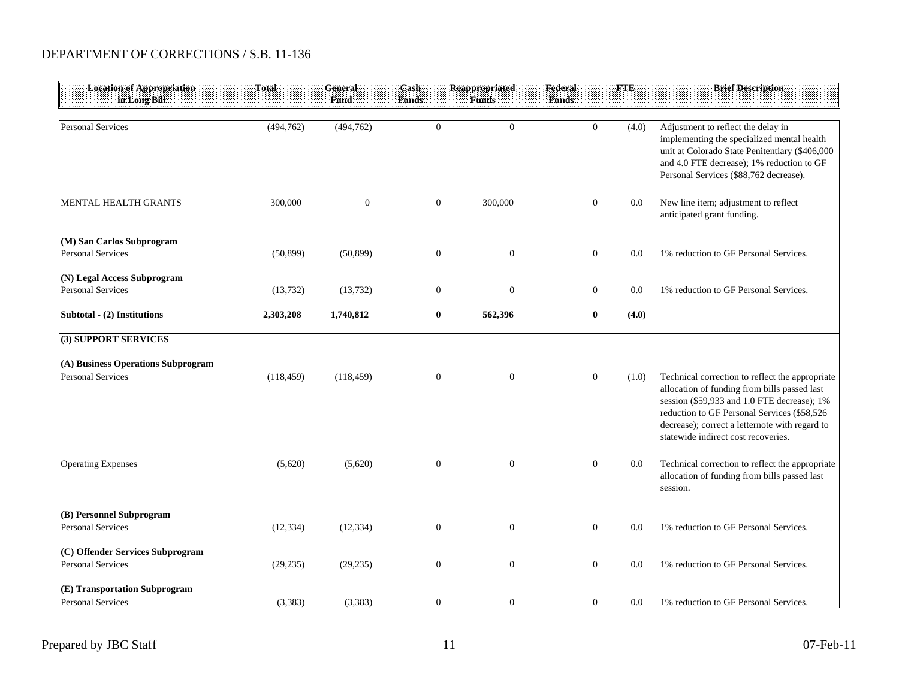| <b>Location of Appropriation</b><br>in Long Bill               | Total      | General<br>Fund | Cash<br><b>Funds</b> | Reappropriated<br><b>Funds</b> | Federal<br><b>Funds</b> | FTE   | <b>Brief Description</b>                                                                                                                                                                                                                                                               |
|----------------------------------------------------------------|------------|-----------------|----------------------|--------------------------------|-------------------------|-------|----------------------------------------------------------------------------------------------------------------------------------------------------------------------------------------------------------------------------------------------------------------------------------------|
|                                                                |            |                 |                      |                                |                         |       |                                                                                                                                                                                                                                                                                        |
| <b>Personal Services</b>                                       | (494, 762) | (494, 762)      | $\mathbf{0}$         | $\overline{0}$                 | $\overline{0}$          | (4.0) | Adjustment to reflect the delay in<br>implementing the specialized mental health<br>unit at Colorado State Penitentiary (\$406,000<br>and 4.0 FTE decrease); 1% reduction to GF<br>Personal Services (\$88,762 decrease).                                                              |
| <b>MENTAL HEALTH GRANTS</b>                                    | 300,000    | $\mathbf{0}$    | $\mathbf{0}$         | 300,000                        | $\mathbf{0}$            | 0.0   | New line item; adjustment to reflect<br>anticipated grant funding.                                                                                                                                                                                                                     |
| (M) San Carlos Subprogram<br><b>Personal Services</b>          | (50, 899)  | (50, 899)       | $\mathbf{0}$         | $\overline{0}$                 | $\boldsymbol{0}$        | 0.0   | 1% reduction to GF Personal Services.                                                                                                                                                                                                                                                  |
| (N) Legal Access Subprogram                                    |            |                 |                      |                                |                         |       |                                                                                                                                                                                                                                                                                        |
| <b>Personal Services</b>                                       | (13, 732)  | (13, 732)       | $\overline{0}$       | $\overline{0}$                 | $\overline{0}$          | 0.0   | 1% reduction to GF Personal Services.                                                                                                                                                                                                                                                  |
| Subtotal - (2) Institutions                                    | 2,303,208  | 1,740,812       | $\bf{0}$             | 562,396                        | $\bf{0}$                | (4.0) |                                                                                                                                                                                                                                                                                        |
| (3) SUPPORT SERVICES                                           |            |                 |                      |                                |                         |       |                                                                                                                                                                                                                                                                                        |
| (A) Business Operations Subprogram<br><b>Personal Services</b> | (118, 459) | (118, 459)      | $\boldsymbol{0}$     | $\overline{0}$                 | $\mathbf{0}$            | (1.0) | Technical correction to reflect the appropriate<br>allocation of funding from bills passed last<br>session (\$59,933 and 1.0 FTE decrease); 1%<br>reduction to GF Personal Services (\$58,526<br>decrease); correct a letternote with regard to<br>statewide indirect cost recoveries. |
| <b>Operating Expenses</b>                                      | (5,620)    | (5,620)         | $\boldsymbol{0}$     | $\mathbf{0}$                   | $\mathbf{0}$            | 0.0   | Technical correction to reflect the appropriate<br>allocation of funding from bills passed last<br>session.                                                                                                                                                                            |
| (B) Personnel Subprogram                                       |            |                 |                      |                                |                         |       |                                                                                                                                                                                                                                                                                        |
| <b>Personal Services</b>                                       | (12, 334)  | (12, 334)       | $\overline{0}$       | $\overline{0}$                 | $\mathbf{0}$            | 0.0   | 1% reduction to GF Personal Services.                                                                                                                                                                                                                                                  |
| (C) Offender Services Subprogram<br><b>Personal Services</b>   | (29, 235)  | (29, 235)       | $\boldsymbol{0}$     | $\boldsymbol{0}$               | $\mathbf{0}$            | 0.0   | 1% reduction to GF Personal Services.                                                                                                                                                                                                                                                  |
| (E) Transportation Subprogram                                  |            |                 |                      |                                |                         |       |                                                                                                                                                                                                                                                                                        |
| <b>Personal Services</b>                                       | (3,383)    | (3,383)         | $\boldsymbol{0}$     | $\boldsymbol{0}$               | $\mathbf{0}$            | 0.0   | 1% reduction to GF Personal Services.                                                                                                                                                                                                                                                  |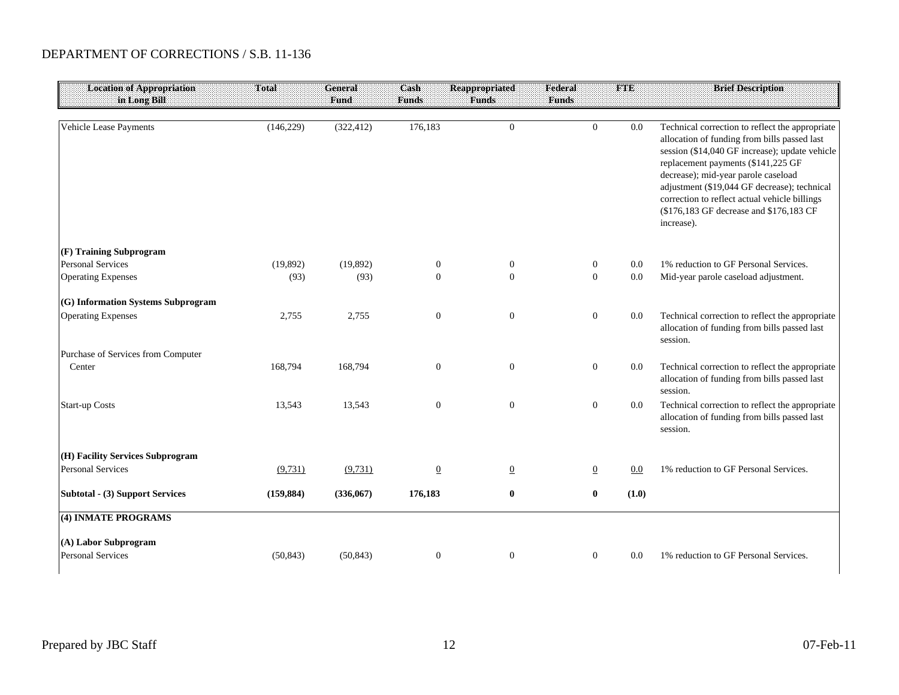| <b>Location of Appropriation</b><br>in Long Bill | Total      | General<br>Fund | Cash<br><b>Funds</b> | <b>Reappropriated</b><br><b>Funds</b> | Federal<br><b>Funds</b> | <b>FTE</b>       |       | <b>Brief Description</b>                                                                                                                                                                                                                                                                                                                                                                 |
|--------------------------------------------------|------------|-----------------|----------------------|---------------------------------------|-------------------------|------------------|-------|------------------------------------------------------------------------------------------------------------------------------------------------------------------------------------------------------------------------------------------------------------------------------------------------------------------------------------------------------------------------------------------|
| Vehicle Lease Payments                           | (146, 229) | (322, 412)      | 176,183              | $\overline{0}$                        |                         | $\overline{0}$   | 0.0   | Technical correction to reflect the appropriate<br>allocation of funding from bills passed last<br>session (\$14,040 GF increase); update vehicle<br>replacement payments (\$141,225 GF<br>decrease); mid-year parole caseload<br>adjustment (\$19,044 GF decrease); technical<br>correction to reflect actual vehicle billings<br>(\$176,183 GF decrease and \$176,183 CF<br>increase). |
| (F) Training Subprogram                          |            |                 |                      |                                       |                         |                  |       |                                                                                                                                                                                                                                                                                                                                                                                          |
| <b>Personal Services</b>                         | (19, 892)  | (19,892)        | $\boldsymbol{0}$     | $\mathbf{0}$                          |                         | $\boldsymbol{0}$ | 0.0   | 1% reduction to GF Personal Services.                                                                                                                                                                                                                                                                                                                                                    |
| <b>Operating Expenses</b>                        | (93)       | (93)            | $\mathbf{0}$         | $\overline{0}$                        |                         | $\overline{0}$   | 0.0   | Mid-year parole caseload adjustment.                                                                                                                                                                                                                                                                                                                                                     |
| (G) Information Systems Subprogram               |            |                 |                      |                                       |                         |                  |       |                                                                                                                                                                                                                                                                                                                                                                                          |
| <b>Operating Expenses</b>                        | 2,755      | 2,755           | $\boldsymbol{0}$     | $\mathbf{0}$                          |                         | $\boldsymbol{0}$ | 0.0   | Technical correction to reflect the appropriate<br>allocation of funding from bills passed last<br>session.                                                                                                                                                                                                                                                                              |
| Purchase of Services from Computer<br>Center     | 168,794    | 168,794         | $\mathbf{0}$         | $\overline{0}$                        |                         | $\mathbf{0}$     | 0.0   | Technical correction to reflect the appropriate<br>allocation of funding from bills passed last<br>session.                                                                                                                                                                                                                                                                              |
| <b>Start-up Costs</b>                            | 13,543     | 13,543          | $\boldsymbol{0}$     | $\mathbf{0}$                          |                         | $\boldsymbol{0}$ | 0.0   | Technical correction to reflect the appropriate<br>allocation of funding from bills passed last<br>session.                                                                                                                                                                                                                                                                              |
| (H) Facility Services Subprogram                 |            |                 |                      |                                       |                         |                  |       |                                                                                                                                                                                                                                                                                                                                                                                          |
| <b>Personal Services</b>                         | (9,731)    | (9,731)         | $\underline{0}$      | $\overline{0}$                        |                         | $\mathbf{0}$     | 0.0   | 1% reduction to GF Personal Services.                                                                                                                                                                                                                                                                                                                                                    |
| <b>Subtotal - (3) Support Services</b>           | (159, 884) | (336,067)       | 176,183              | $\bf{0}$                              |                         | $\bf{0}$         | (1.0) |                                                                                                                                                                                                                                                                                                                                                                                          |
| (4) INMATE PROGRAMS                              |            |                 |                      |                                       |                         |                  |       |                                                                                                                                                                                                                                                                                                                                                                                          |
| (A) Labor Subprogram<br><b>Personal Services</b> | (50, 843)  | (50, 843)       | $\boldsymbol{0}$     | $\boldsymbol{0}$                      |                         | $\mathbf{0}$     | 0.0   | 1% reduction to GF Personal Services.                                                                                                                                                                                                                                                                                                                                                    |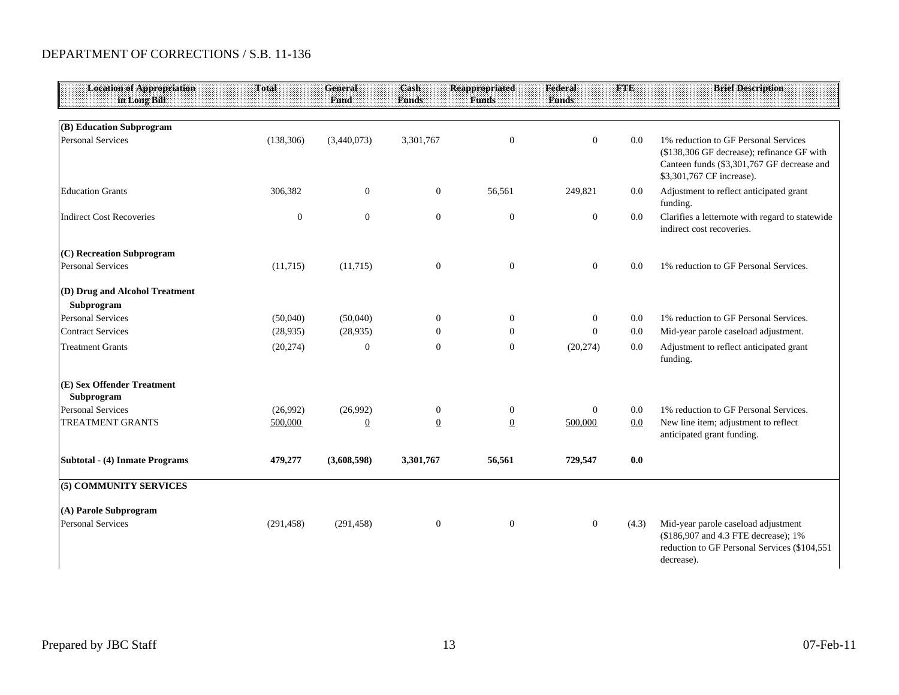| <b>Location of Appropriation</b><br>in Long Bill      | Total               | <b>General</b><br>Fund     | Cash<br><b>Funds</b>              | <b>Reappropriated</b><br><b>Funds</b> | Federal<br><b>Funds</b> | FIIE       | <b>Brief Description:</b>                                                                                                                                     |
|-------------------------------------------------------|---------------------|----------------------------|-----------------------------------|---------------------------------------|-------------------------|------------|---------------------------------------------------------------------------------------------------------------------------------------------------------------|
|                                                       |                     |                            |                                   |                                       |                         |            |                                                                                                                                                               |
| (B) Education Subprogram<br><b>Personal Services</b>  | (138, 306)          | (3,440,073)                | 3,301,767                         | $\mathbf{0}$                          | $\overline{0}$          | 0.0        | 1% reduction to GF Personal Services<br>(\$138,306 GF decrease); refinance GF with<br>Canteen funds (\$3,301,767 GF decrease and<br>\$3,301,767 CF increase). |
| <b>Education Grants</b>                               | 306,382             | $\overline{0}$             | $\overline{0}$                    | 56,561                                | 249,821                 | 0.0        | Adjustment to reflect anticipated grant<br>funding.                                                                                                           |
| <b>Indirect Cost Recoveries</b>                       | $\boldsymbol{0}$    | $\mathbf{0}$               | $\mathbf{0}$                      | $\mathbf{0}$                          | $\boldsymbol{0}$        | 0.0        | Clarifies a letternote with regard to statewide<br>indirect cost recoveries.                                                                                  |
| (C) Recreation Subprogram<br><b>Personal Services</b> | (11,715)            | (11,715)                   | $\mathbf{0}$                      | $\overline{0}$                        | $\overline{0}$          | 0.0        | 1% reduction to GF Personal Services.                                                                                                                         |
| (D) Drug and Alcohol Treatment<br>Subprogram          |                     |                            |                                   |                                       |                         |            |                                                                                                                                                               |
| <b>Personal Services</b>                              | (50,040)            | (50,040)                   | $\overline{0}$                    | $\overline{0}$                        | $\overline{0}$          | 0.0        | 1% reduction to GF Personal Services.                                                                                                                         |
| <b>Contract Services</b>                              | (28, 935)           | (28,935)                   | $\Omega$                          | $\overline{0}$                        | $\mathbf{0}$            | 0.0        | Mid-year parole caseload adjustment.                                                                                                                          |
| <b>Treatment Grants</b>                               | (20, 274)           | $\mathbf{0}$               | $\Omega$                          | $\mathbf{0}$                          | (20, 274)               | 0.0        | Adjustment to reflect anticipated grant<br>funding.                                                                                                           |
| (E) Sex Offender Treatment<br>Subprogram              |                     |                            |                                   |                                       |                         |            |                                                                                                                                                               |
| <b>Personal Services</b><br><b>TREATMENT GRANTS</b>   | (26,992)<br>500,000 | (26,992)<br>$\overline{0}$ | $\overline{0}$<br>$\underline{0}$ | $\overline{0}$<br>$\underline{0}$     | $\mathbf{0}$<br>500,000 | 0.0<br>0.0 | 1% reduction to GF Personal Services.<br>New line item; adjustment to reflect<br>anticipated grant funding.                                                   |
| Subtotal - (4) Inmate Programs                        | 479,277             | (3,608,598)                | 3,301,767                         | 56,561                                | 729,547                 | 0.0        |                                                                                                                                                               |
| (5) COMMUNITY SERVICES                                |                     |                            |                                   |                                       |                         |            |                                                                                                                                                               |
| (A) Parole Subprogram                                 |                     |                            |                                   |                                       |                         |            |                                                                                                                                                               |
| <b>Personal Services</b>                              | (291, 458)          | (291, 458)                 | $\mathbf{0}$                      | $\overline{0}$                        | $\mathbf{0}$            | (4.3)      | Mid-year parole caseload adjustment<br>(\$186,907 and 4.3 FTE decrease); 1%<br>reduction to GF Personal Services (\$104,551<br>decrease).                     |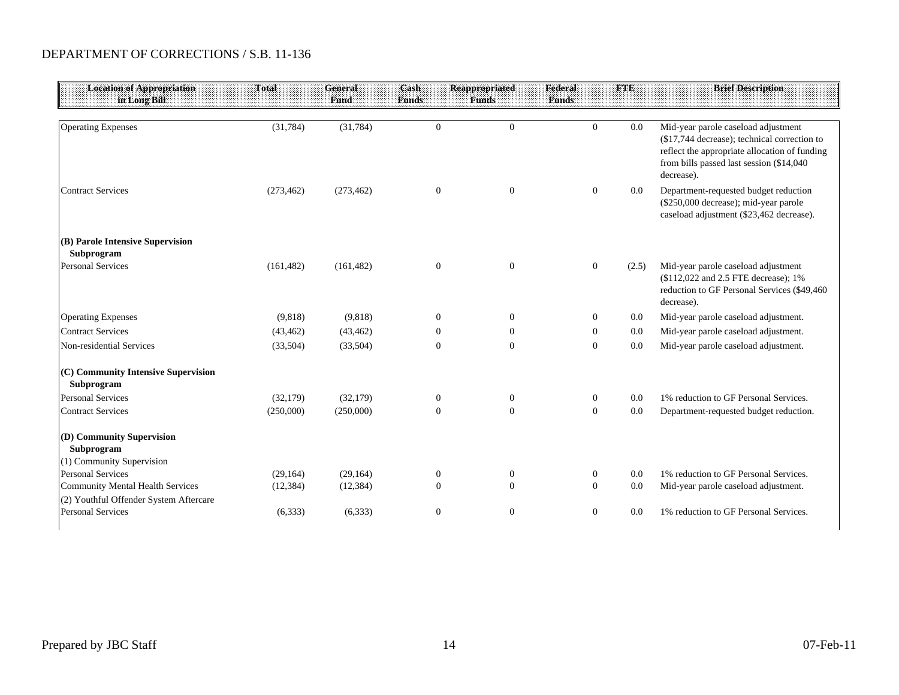| <b>Location of Appropriation</b><br>in Long Bill                   | <b>Total</b> | <b>General</b><br><b>Fund</b> | Cash<br><b>Funds</b> | <b>Reappropriated</b><br><b>Funds</b> | Federal<br><b>Funds</b> | FTE   | <b>Brief Description</b>                                                                                                                                                                       |
|--------------------------------------------------------------------|--------------|-------------------------------|----------------------|---------------------------------------|-------------------------|-------|------------------------------------------------------------------------------------------------------------------------------------------------------------------------------------------------|
|                                                                    |              |                               |                      |                                       |                         |       |                                                                                                                                                                                                |
| <b>Operating Expenses</b>                                          | (31, 784)    | (31, 784)                     | $\mathbf{0}$         | $\mathbf{0}$                          | $\Omega$                | 0.0   | Mid-year parole caseload adjustment<br>(\$17,744 decrease); technical correction to<br>reflect the appropriate allocation of funding<br>from bills passed last session (\$14,040<br>decrease). |
| <b>Contract Services</b>                                           | (273, 462)   | (273, 462)                    | $\boldsymbol{0}$     | $\overline{0}$                        | $\overline{0}$          | 0.0   | Department-requested budget reduction<br>(\$250,000 decrease); mid-year parole<br>caseload adjustment (\$23,462 decrease).                                                                     |
| (B) Parole Intensive Supervision                                   |              |                               |                      |                                       |                         |       |                                                                                                                                                                                                |
| Subprogram                                                         |              |                               |                      |                                       |                         |       |                                                                                                                                                                                                |
| <b>Personal Services</b>                                           | (161, 482)   | (161, 482)                    | $\mathbf{0}$         | $\mathbf{0}$                          | $\boldsymbol{0}$        | (2.5) | Mid-year parole caseload adjustment<br>(\$112,022 and 2.5 FTE decrease); 1%<br>reduction to GF Personal Services (\$49,460<br>decrease).                                                       |
| <b>Operating Expenses</b>                                          | (9,818)      | (9,818)                       | $\overline{0}$       | $\Omega$                              | $\overline{0}$          | 0.0   | Mid-year parole caseload adjustment.                                                                                                                                                           |
| <b>Contract Services</b>                                           | (43, 462)    | (43, 462)                     | $\mathbf{0}$         | $\boldsymbol{0}$                      | $\boldsymbol{0}$        | 0.0   | Mid-year parole caseload adjustment.                                                                                                                                                           |
| Non-residential Services                                           | (33,504)     | (33,504)                      | $\overline{0}$       | $\overline{0}$                        | $\mathbf{0}$            | 0.0   | Mid-year parole caseload adjustment.                                                                                                                                                           |
| (C) Community Intensive Supervision<br>Subprogram                  |              |                               |                      |                                       |                         |       |                                                                                                                                                                                                |
| <b>Personal Services</b>                                           | (32,179)     | (32, 179)                     | $\overline{0}$       | $\overline{0}$                        | $\boldsymbol{0}$        | 0.0   | 1% reduction to GF Personal Services.                                                                                                                                                          |
| <b>Contract Services</b>                                           | (250,000)    | (250,000)                     | $\overline{0}$       | $\overline{0}$                        | $\mathbf{0}$            | 0.0   | Department-requested budget reduction.                                                                                                                                                         |
| (D) Community Supervision<br>Subprogram                            |              |                               |                      |                                       |                         |       |                                                                                                                                                                                                |
| (1) Community Supervision                                          |              |                               |                      |                                       |                         |       |                                                                                                                                                                                                |
| <b>Personal Services</b>                                           | (29, 164)    | (29, 164)                     | $\mathbf{0}$         | $\boldsymbol{0}$                      | $\boldsymbol{0}$        | 0.0   | 1% reduction to GF Personal Services.                                                                                                                                                          |
| <b>Community Mental Health Services</b>                            | (12, 384)    | (12, 384)                     | $\Omega$             | $\Omega$                              | $\mathbf{0}$            | 0.0   | Mid-year parole caseload adjustment.                                                                                                                                                           |
| (2) Youthful Offender System Aftercare<br><b>Personal Services</b> | (6,333)      | (6,333)                       | $\mathbf{0}$         | $\overline{0}$                        | $\boldsymbol{0}$        | 0.0   | 1% reduction to GF Personal Services.                                                                                                                                                          |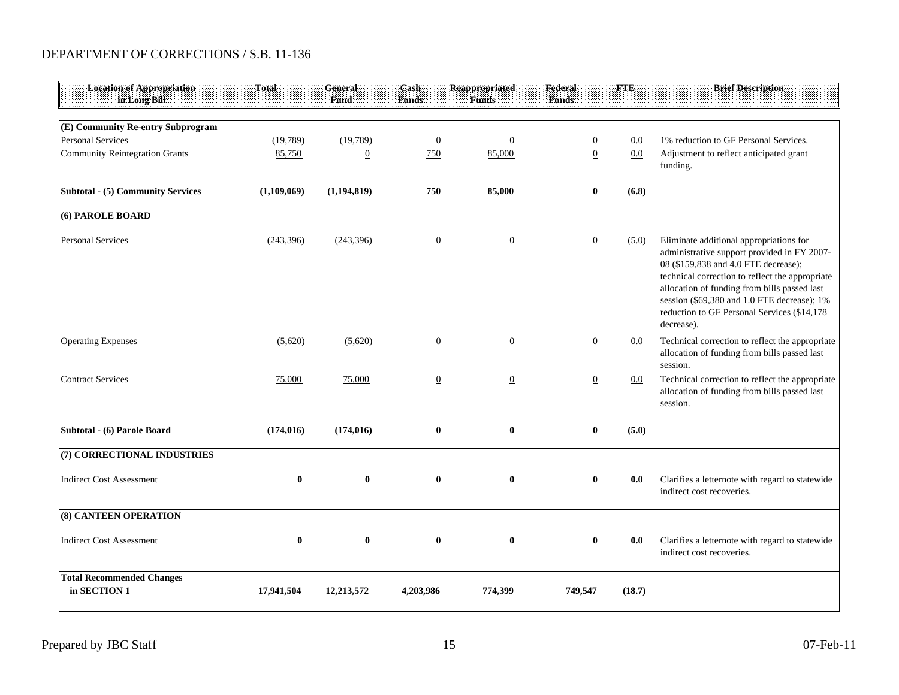| <b>Location of Appropriation</b><br>in Long Bill              | <b>Total</b> | General<br>Fund | Cash<br><b>Funds</b> | <b>Reappropriated</b><br><b>Funds</b> | Federal<br><b>Funds</b> | <b>FTE</b> | <b>Brief Description</b>                                                                                                                                                                                                                                                                                                                      |
|---------------------------------------------------------------|--------------|-----------------|----------------------|---------------------------------------|-------------------------|------------|-----------------------------------------------------------------------------------------------------------------------------------------------------------------------------------------------------------------------------------------------------------------------------------------------------------------------------------------------|
|                                                               |              |                 |                      |                                       |                         |            |                                                                                                                                                                                                                                                                                                                                               |
| (E) Community Re-entry Subprogram<br><b>Personal Services</b> | (19,789)     | (19,789)        | $\mathbf{0}$         | $\overline{0}$                        | 0                       | 0.0        | 1% reduction to GF Personal Services.                                                                                                                                                                                                                                                                                                         |
| <b>Community Reintegration Grants</b>                         | 85,750       | $\overline{0}$  | 750                  | 85,000                                | $\overline{0}$          | 0.0        | Adjustment to reflect anticipated grant<br>funding.                                                                                                                                                                                                                                                                                           |
| <b>Subtotal - (5) Community Services</b>                      | (1,109,069)  | (1,194,819)     | 750                  | 85,000                                | $\bf{0}$                | (6.8)      |                                                                                                                                                                                                                                                                                                                                               |
| (6) PAROLE BOARD                                              |              |                 |                      |                                       |                         |            |                                                                                                                                                                                                                                                                                                                                               |
| <b>Personal Services</b>                                      | (243, 396)   | (243, 396)      | $\mathbf{0}$         | $\boldsymbol{0}$                      | $\mathbf{0}$            | (5.0)      | Eliminate additional appropriations for<br>administrative support provided in FY 2007-<br>08 (\$159,838 and 4.0 FTE decrease);<br>technical correction to reflect the appropriate<br>allocation of funding from bills passed last<br>session (\$69,380 and 1.0 FTE decrease); 1%<br>reduction to GF Personal Services (\$14,178<br>decrease). |
| <b>Operating Expenses</b>                                     | (5,620)      | (5,620)         | $\boldsymbol{0}$     | $\Omega$                              | $\boldsymbol{0}$        | 0.0        | Technical correction to reflect the appropriate<br>allocation of funding from bills passed last<br>session.                                                                                                                                                                                                                                   |
| <b>Contract Services</b>                                      | 75,000       | 75,000          | $\overline{0}$       | $\overline{0}$                        | $\overline{0}$          | $0.0\,$    | Technical correction to reflect the appropriate<br>allocation of funding from bills passed last<br>session.                                                                                                                                                                                                                                   |
| Subtotal - (6) Parole Board                                   | (174, 016)   | (174, 016)      | $\bf{0}$             | $\bf{0}$                              | $\bf{0}$                | (5.0)      |                                                                                                                                                                                                                                                                                                                                               |
| (7) CORRECTIONAL INDUSTRIES                                   |              |                 |                      |                                       |                         |            |                                                                                                                                                                                                                                                                                                                                               |
| <b>Indirect Cost Assessment</b>                               | $\bf{0}$     | $\mathbf{0}$    | $\bf{0}$             | $\mathbf{0}$                          | $\bf{0}$                | 0.0        | Clarifies a letternote with regard to statewide<br>indirect cost recoveries.                                                                                                                                                                                                                                                                  |
| <b>(8) CANTEEN OPERATION</b>                                  |              |                 |                      |                                       |                         |            |                                                                                                                                                                                                                                                                                                                                               |
| <b>Indirect Cost Assessment</b>                               | $\bf{0}$     | $\bf{0}$        | $\bf{0}$             | $\bf{0}$                              | $\bf{0}$                | 0.0        | Clarifies a letternote with regard to statewide<br>indirect cost recoveries.                                                                                                                                                                                                                                                                  |
| <b>Total Recommended Changes</b><br>in SECTION 1              | 17,941,504   | 12,213,572      | 4,203,986            | 774,399                               | 749,547                 | (18.7)     |                                                                                                                                                                                                                                                                                                                                               |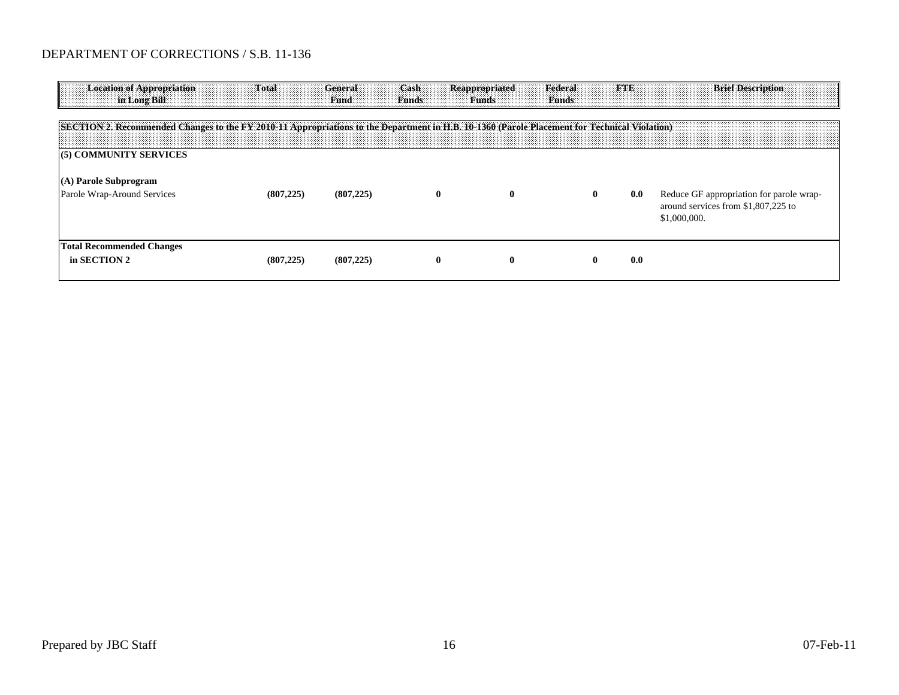| <b>Location of Appropriation</b><br>in Long Bill                                                                                             | Total      | General<br>Fund | Cash<br><b>Funds</b> | <b>Reappropriated</b><br><b>Funds</b> | Federal<br><b>Funds</b> | <b>FIR</b> | <b>Brief Description</b>                                                                        |
|----------------------------------------------------------------------------------------------------------------------------------------------|------------|-----------------|----------------------|---------------------------------------|-------------------------|------------|-------------------------------------------------------------------------------------------------|
| SECTION 2. Recommended Changes to the FY 2010-11 Appropriations to the Department in H.B. 10-1360 (Parole Placement for Technical Violation) |            |                 |                      |                                       |                         |            |                                                                                                 |
| (5) COMMUNITY SERVICES                                                                                                                       |            |                 |                      |                                       |                         |            |                                                                                                 |
| (A) Parole Subprogram<br>Parole Wrap-Around Services                                                                                         | (807, 225) | (807, 225)      | $\bf{0}$             | $\bf{0}$                              | $\mathbf{0}$            | 0.0        | Reduce GF appropriation for parole wrap-<br>around services from \$1,807,225 to<br>\$1,000,000. |
| <b>Total Recommended Changes</b><br>in SECTION 2                                                                                             | (807, 225) | (807, 225)      | $\bf{0}$             | $\mathbf{0}$                          | $\mathbf 0$             | 0.0        |                                                                                                 |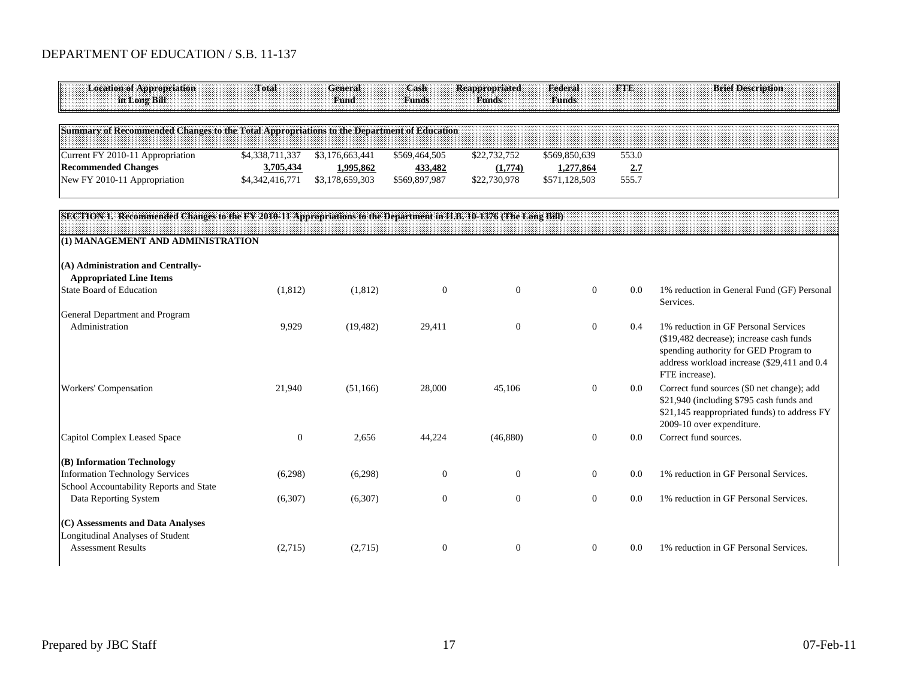#### DEPARTMENT OF EDUCATION / S.B. 11-137

| <b>Location of Appropriation</b><br>in Long Bill                                                                  | Total            | <b>General</b><br>Fund | Cash<br><b>Funds</b> | <b>Reappropriated</b><br><b>Funds</b> | Federal<br>Funds | <b>FTE</b> | <b>Brief Description</b>                                                                                                                                                                   |
|-------------------------------------------------------------------------------------------------------------------|------------------|------------------------|----------------------|---------------------------------------|------------------|------------|--------------------------------------------------------------------------------------------------------------------------------------------------------------------------------------------|
| Summary of Recommended Changes to the Total Appropriations to the Department of Education                         |                  |                        |                      |                                       |                  |            |                                                                                                                                                                                            |
| Current FY 2010-11 Appropriation                                                                                  | \$4,338,711,337  | \$3,176,663,441        | \$569,464,505        | \$22,732,752                          | \$569,850,639    | 553.0      |                                                                                                                                                                                            |
| <b>Recommended Changes</b>                                                                                        | 3,705,434        | 1,995,862              | 433,482              | (1,774)                               | 1,277,864        | 2.7        |                                                                                                                                                                                            |
| New FY 2010-11 Appropriation                                                                                      | \$4,342,416,771  | \$3,178,659,303        | \$569,897,987        | \$22,730,978                          | \$571,128,503    | 555.7      |                                                                                                                                                                                            |
| SECTION 1. Recommended Changes to the FY 2010-11 Appropriations to the Department in H.B. 10-1376 (The Long Bill) |                  |                        |                      |                                       |                  |            |                                                                                                                                                                                            |
| (1) MANAGEMENT AND ADMINISTRATION                                                                                 |                  |                        |                      |                                       |                  |            |                                                                                                                                                                                            |
| (A) Administration and Centrally-<br><b>Appropriated Line Items</b>                                               |                  |                        |                      |                                       |                  |            |                                                                                                                                                                                            |
| <b>State Board of Education</b>                                                                                   | (1, 812)         | (1,812)                | $\mathbf{0}$         | $\overline{0}$                        | $\overline{0}$   | 0.0        | 1% reduction in General Fund (GF) Personal<br>Services.                                                                                                                                    |
| General Department and Program                                                                                    |                  |                        |                      |                                       |                  |            |                                                                                                                                                                                            |
| Administration                                                                                                    | 9,929            | (19, 482)              | 29,411               | $\overline{0}$                        | $\mathbf{0}$     | 0.4        | 1% reduction in GF Personal Services<br>(\$19,482 decrease); increase cash funds<br>spending authority for GED Program to<br>address workload increase (\$29,411 and 0.4<br>FTE increase). |
| Workers' Compensation                                                                                             | 21,940           | (51,166)               | 28,000               | 45,106                                | $\overline{0}$   | 0.0        | Correct fund sources (\$0 net change); add<br>\$21,940 (including \$795 cash funds and<br>\$21,145 reappropriated funds) to address FY<br>2009-10 over expenditure.                        |
| Capitol Complex Leased Space                                                                                      | $\boldsymbol{0}$ | 2,656                  | 44,224               | (46,880)                              | $\overline{0}$   | 0.0        | Correct fund sources.                                                                                                                                                                      |
| (B) Information Technology<br><b>Information Technology Services</b><br>School Accountability Reports and State   | (6,298)          | (6,298)                | $\overline{0}$       | 0                                     | $\overline{0}$   | 0.0        | 1% reduction in GF Personal Services.                                                                                                                                                      |
| Data Reporting System                                                                                             | (6,307)          | (6,307)                | $\Omega$             | $\Omega$                              | $\mathbf{0}$     | 0.0        | 1% reduction in GF Personal Services.                                                                                                                                                      |
| (C) Assessments and Data Analyses                                                                                 |                  |                        |                      |                                       |                  |            |                                                                                                                                                                                            |
| Longitudinal Analyses of Student<br><b>Assessment Results</b>                                                     | (2,715)          | (2,715)                | $\boldsymbol{0}$     | $\overline{0}$                        | $\overline{0}$   | 0.0        | 1% reduction in GF Personal Services.                                                                                                                                                      |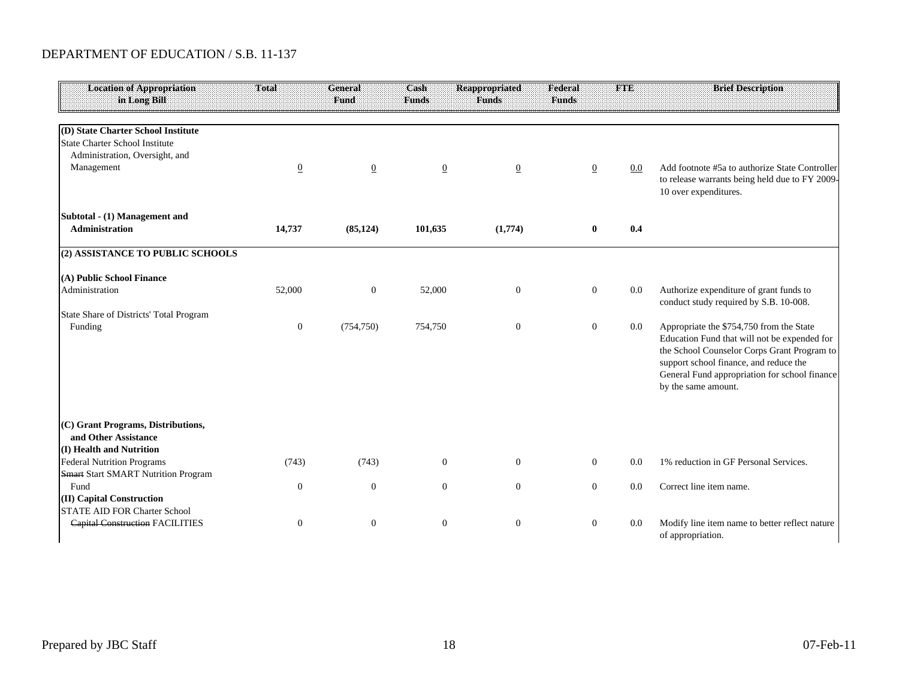#### DEPARTMENT OF EDUCATION / S.B. 11-137

| <b>Location of Appropriation</b><br>in Long Bill                                       | <b>Total</b>   | <b>General</b><br><b>Fund</b> | Cash<br><b>Funds</b> | <b>Reappropriated</b><br><b>Funds</b> | Federal<br><b>Funds</b> | <b>FTE</b> | <b>Brief Description</b>                                                                                                                                                                                                                                  |
|----------------------------------------------------------------------------------------|----------------|-------------------------------|----------------------|---------------------------------------|-------------------------|------------|-----------------------------------------------------------------------------------------------------------------------------------------------------------------------------------------------------------------------------------------------------------|
| (D) State Charter School Institute                                                     |                |                               |                      |                                       |                         |            |                                                                                                                                                                                                                                                           |
| <b>State Charter School Institute</b>                                                  |                |                               |                      |                                       |                         |            |                                                                                                                                                                                                                                                           |
| Administration, Oversight, and                                                         |                |                               |                      |                                       |                         |            | Add footnote #5a to authorize State Controller                                                                                                                                                                                                            |
| Management                                                                             | $\overline{0}$ | $\overline{0}$                | $\overline{0}$       | $\overline{0}$                        | $\overline{0}$          | $0.0\,$    | to release warrants being held due to FY 2009-<br>10 over expenditures.                                                                                                                                                                                   |
| Subtotal - (1) Management and                                                          |                |                               |                      |                                       |                         |            |                                                                                                                                                                                                                                                           |
| Administration                                                                         | 14,737         | (85, 124)                     | 101,635              | (1,774)                               | $\bf{0}$                | 0.4        |                                                                                                                                                                                                                                                           |
| (2) ASSISTANCE TO PUBLIC SCHOOLS                                                       |                |                               |                      |                                       |                         |            |                                                                                                                                                                                                                                                           |
| (A) Public School Finance                                                              |                |                               |                      |                                       |                         |            |                                                                                                                                                                                                                                                           |
| Administration                                                                         | 52,000         | $\overline{0}$                | 52,000               | $\overline{0}$                        | $\mathbf{0}$            | 0.0        | Authorize expenditure of grant funds to<br>conduct study required by S.B. 10-008.                                                                                                                                                                         |
| State Share of Districts' Total Program                                                |                |                               |                      |                                       |                         |            |                                                                                                                                                                                                                                                           |
| Funding                                                                                | $\mathbf{0}$   | (754, 750)                    | 754,750              | $\overline{0}$                        | $\mathbf{0}$            | $0.0\,$    | Appropriate the \$754,750 from the State<br>Education Fund that will not be expended for<br>the School Counselor Corps Grant Program to<br>support school finance, and reduce the<br>General Fund appropriation for school finance<br>by the same amount. |
| (C) Grant Programs, Distributions,<br>and Other Assistance<br>(I) Health and Nutrition |                |                               |                      |                                       |                         |            |                                                                                                                                                                                                                                                           |
| <b>Federal Nutrition Programs</b>                                                      | (743)          | (743)                         | $\boldsymbol{0}$     | $\overline{0}$                        | $\overline{0}$          | 0.0        | 1% reduction in GF Personal Services.                                                                                                                                                                                                                     |
| <b>Smart Start SMART Nutrition Program</b><br>Fund                                     | $\overline{0}$ | $\mathbf{0}$                  | $\overline{0}$       | $\overline{0}$                        | $\mathbf{0}$            | 0.0        | Correct line item name.                                                                                                                                                                                                                                   |
| (II) Capital Construction<br><b>STATE AID FOR Charter School</b>                       |                |                               |                      |                                       |                         |            |                                                                                                                                                                                                                                                           |
| <b>Capital Construction FACILITIES</b>                                                 | $\mathbf{0}$   | $\mathbf{0}$                  | $\mathbf{0}$         | $\mathbf{0}$                          | $\mathbf{0}$            | 0.0        | Modify line item name to better reflect nature<br>of appropriation.                                                                                                                                                                                       |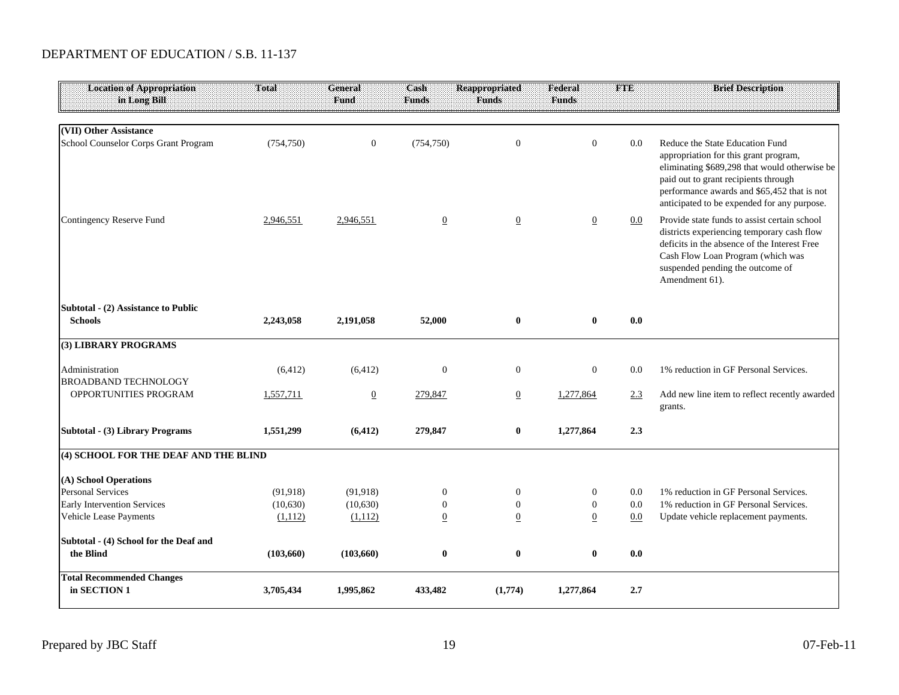#### DEPARTMENT OF EDUCATION / S.B. 11-137

| Location of Appropriation<br>in Long Bill             | <b>Total</b> | <b>General</b><br>Fund | Cash<br><b>Funds</b> | <b>Reappropriated</b><br><b>Funds</b> | <b>Federal</b><br><b>Funds</b> | <b>FTE</b> | <b>Brief Description</b>                                                                                                                                                                                                                                        |
|-------------------------------------------------------|--------------|------------------------|----------------------|---------------------------------------|--------------------------------|------------|-----------------------------------------------------------------------------------------------------------------------------------------------------------------------------------------------------------------------------------------------------------------|
| (VII) Other Assistance                                |              |                        |                      |                                       |                                |            |                                                                                                                                                                                                                                                                 |
| School Counselor Corps Grant Program                  | (754, 750)   | $\mathbf{0}$           | (754, 750)           | $\mathbf{0}$                          | $\mathbf{0}$                   | 0.0        | Reduce the State Education Fund<br>appropriation for this grant program,<br>eliminating \$689,298 that would otherwise be<br>paid out to grant recipients through<br>performance awards and \$65,452 that is not<br>anticipated to be expended for any purpose. |
| Contingency Reserve Fund                              | 2,946,551    | 2,946,551              | $\overline{0}$       | $\overline{0}$                        | $\overline{0}$                 | $0.0\,$    | Provide state funds to assist certain school<br>districts experiencing temporary cash flow<br>deficits in the absence of the Interest Free<br>Cash Flow Loan Program (which was<br>suspended pending the outcome of<br>Amendment 61).                           |
| Subtotal - (2) Assistance to Public<br><b>Schools</b> | 2,243,058    | 2,191,058              | 52,000               | $\bf{0}$                              | $\bf{0}$                       | 0.0        |                                                                                                                                                                                                                                                                 |
| (3) LIBRARY PROGRAMS                                  |              |                        |                      |                                       |                                |            |                                                                                                                                                                                                                                                                 |
| Administration<br><b>BROADBAND TECHNOLOGY</b>         | (6, 412)     | (6, 412)               | $\boldsymbol{0}$     | $\mathbf{0}$                          | $\overline{0}$                 | 0.0        | 1% reduction in GF Personal Services.                                                                                                                                                                                                                           |
| OPPORTUNITIES PROGRAM                                 | 1,557,711    | $\underline{0}$        | 279,847              | $\overline{0}$                        | 1,277,864                      | 2.3        | Add new line item to reflect recently awarded<br>grants.                                                                                                                                                                                                        |
| Subtotal - (3) Library Programs                       | 1,551,299    | (6, 412)               | 279,847              | $\bf{0}$                              | 1,277,864                      | 2.3        |                                                                                                                                                                                                                                                                 |
| (4) SCHOOL FOR THE DEAF AND THE BLIND                 |              |                        |                      |                                       |                                |            |                                                                                                                                                                                                                                                                 |
| (A) School Operations                                 |              |                        |                      |                                       |                                |            |                                                                                                                                                                                                                                                                 |
| Personal Services                                     | (91, 918)    | (91, 918)              | $\boldsymbol{0}$     | $\boldsymbol{0}$                      | $\boldsymbol{0}$               | 0.0        | 1% reduction in GF Personal Services.                                                                                                                                                                                                                           |
| Early Intervention Services                           | (10,630)     | (10,630)               | $\mathbf{0}$         | $\mathbf{0}$                          | $\mathbf{0}$                   | 0.0        | 1% reduction in GF Personal Services.                                                                                                                                                                                                                           |
| Vehicle Lease Payments                                | (1,112)      | (1,112)                | $\underline{0}$      | $\overline{0}$                        | $\overline{0}$                 | 0.0        | Update vehicle replacement payments.                                                                                                                                                                                                                            |
| Subtotal - (4) School for the Deaf and                |              |                        |                      |                                       |                                |            |                                                                                                                                                                                                                                                                 |
| the Blind                                             | (103, 660)   | (103, 660)             | $\bf{0}$             | $\bf{0}$                              | $\bf{0}$                       | 0.0        |                                                                                                                                                                                                                                                                 |
| <b>Total Recommended Changes</b><br>in SECTION 1      | 3,705,434    | 1,995,862              | 433,482              | (1,774)                               | 1,277,864                      | 2.7        |                                                                                                                                                                                                                                                                 |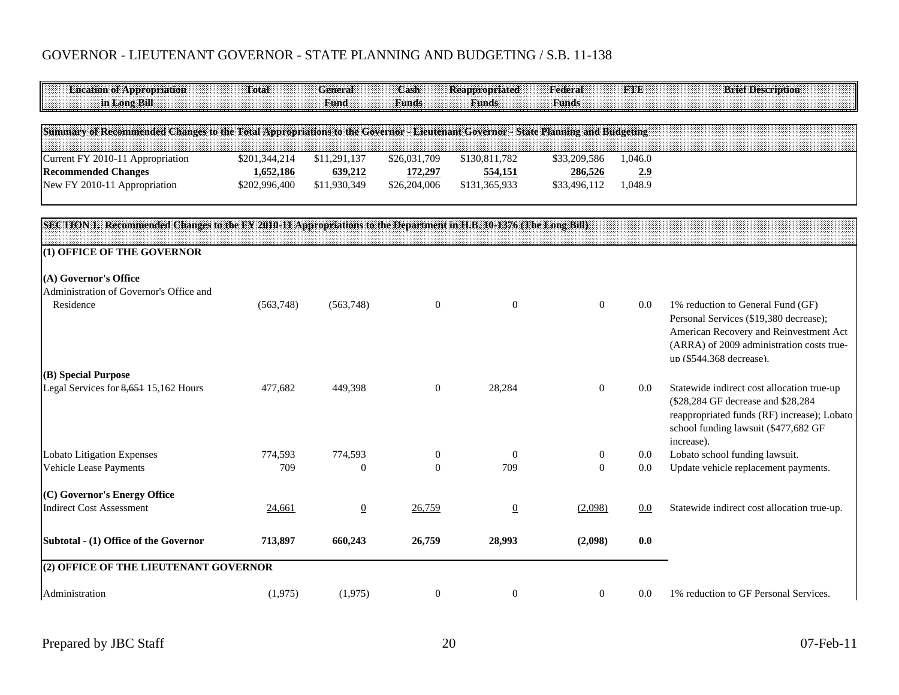# GOVERNOR - LIEUTENANT GOVERNOR - STATE PLANNING AND BUDGETING / S.B. 11-138

| <b>Location of Appropriation</b><br>in Long Bill                                                                                | Total         | <b>General</b><br>Fund | Cash<br><b>Funds</b> | <b>Reappropriated</b><br><b>Funds</b> | Federal<br><b>Funds</b> | <b>FTE</b> | <b>Brief Description</b>                                                                                                                                                              |
|---------------------------------------------------------------------------------------------------------------------------------|---------------|------------------------|----------------------|---------------------------------------|-------------------------|------------|---------------------------------------------------------------------------------------------------------------------------------------------------------------------------------------|
| Summary of Recommended Changes to the Total Appropriations to the Governor - Lieutenant Governor - State Planning and Budgeting |               |                        |                      |                                       |                         |            |                                                                                                                                                                                       |
| Current FY 2010-11 Appropriation                                                                                                | \$201,344,214 | \$11,291,137           | \$26,031,709         | \$130,811,782                         | \$33,209,586            | 1,046.0    |                                                                                                                                                                                       |
| <b>Recommended Changes</b>                                                                                                      | 1,652,186     | 639,212                | 172,297              | 554,151                               | 286,526                 | 2.9        |                                                                                                                                                                                       |
| New FY 2010-11 Appropriation                                                                                                    | \$202,996,400 | \$11,930,349           | \$26,204,006         | \$131,365,933                         | \$33,496,112            | 1,048.9    |                                                                                                                                                                                       |
| SECTION 1. Recommended Changes to the FY 2010-11 Appropriations to the Department in H.B. 10-1376 (The Long Bill)               |               |                        |                      |                                       |                         |            |                                                                                                                                                                                       |
| (1) OFFICE OF THE GOVERNOR                                                                                                      |               |                        |                      |                                       |                         |            |                                                                                                                                                                                       |
| (A) Governor's Office<br>Administration of Governor's Office and<br>Residence                                                   | (563,748)     | (563,748)              | $\mathbf{0}$         | $\mathbf{0}$                          | $\boldsymbol{0}$        | 0.0        | 1% reduction to General Fund (GF)                                                                                                                                                     |
|                                                                                                                                 |               |                        |                      |                                       |                         |            | Personal Services (\$19,380 decrease);<br>American Recovery and Reinvestment Act<br>(ARRA) of 2009 administration costs true-<br>un (\$544.368 decrease).                             |
| (B) Special Purpose<br>Legal Services for 8,651 15,162 Hours                                                                    | 477,682       | 449,398                | $\theta$             | 28,284                                | $\mathbf{0}$            | 0.0        | Statewide indirect cost allocation true-up<br>(\$28,284 GF decrease and \$28,284<br>reappropriated funds (RF) increase); Lobato<br>school funding lawsuit (\$477,682 GF<br>increase). |
| <b>Lobato Litigation Expenses</b>                                                                                               | 774,593       | 774,593                | $\mathbf{0}$         | $\theta$                              | $\boldsymbol{0}$        | 0.0        | Lobato school funding lawsuit.                                                                                                                                                        |
| Vehicle Lease Payments                                                                                                          | 709           | $\Omega$               | $\Omega$             | 709                                   | $\Omega$                | 0.0        | Update vehicle replacement payments.                                                                                                                                                  |
| (C) Governor's Energy Office                                                                                                    |               |                        |                      |                                       |                         |            |                                                                                                                                                                                       |
| <b>Indirect Cost Assessment</b>                                                                                                 | 24,661        | $\overline{0}$         | 26,759               | $\underline{0}$                       | (2,098)                 | 0.0        | Statewide indirect cost allocation true-up.                                                                                                                                           |
| Subtotal - (1) Office of the Governor                                                                                           | 713,897       | 660,243                | 26,759               | 28,993                                | (2,098)                 | 0.0        |                                                                                                                                                                                       |
| (2) OFFICE OF THE LIEUTENANT GOVERNOR                                                                                           |               |                        |                      |                                       |                         |            |                                                                                                                                                                                       |
| Administration                                                                                                                  | (1,975)       | (1,975)                | $\boldsymbol{0}$     | $\boldsymbol{0}$                      | $\mathbf{0}$            | 0.0        | 1% reduction to GF Personal Services.                                                                                                                                                 |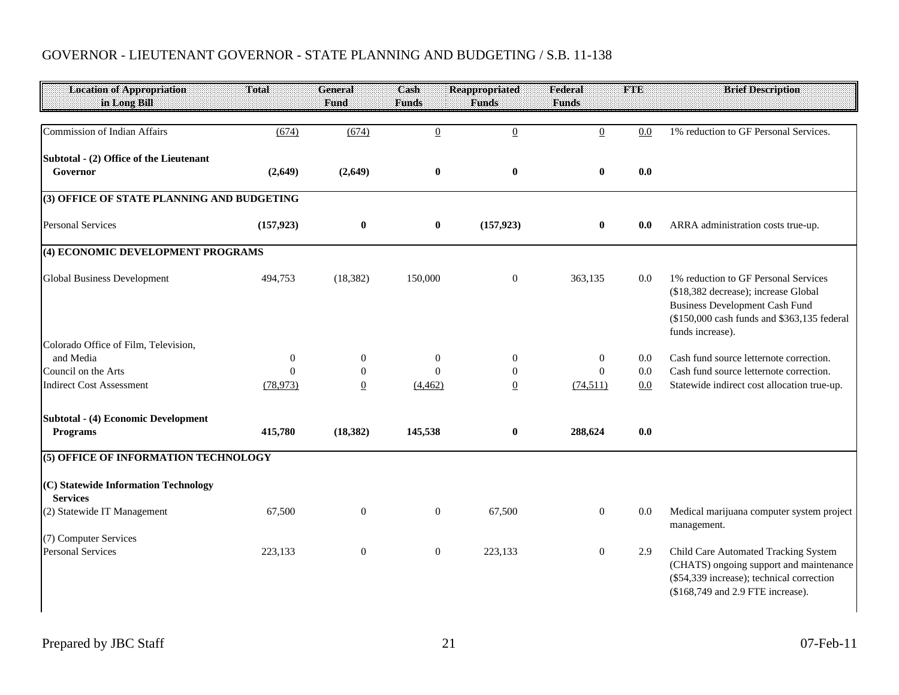# GOVERNOR - LIEUTENANT GOVERNOR - STATE PLANNING AND BUDGETING / S.B. 11-138

| <b>Location of Appropriation</b><br>in Long Bill        | Total                 | <b>General</b><br>Fund         | Cash<br><b>Funds</b> | <b>Reappropriated</b><br><b>Funds</b> | Federal<br><b>Funds</b>     | <b>FTE</b> | <b>Brief Description</b>                                                                                                                                                                 |
|---------------------------------------------------------|-----------------------|--------------------------------|----------------------|---------------------------------------|-----------------------------|------------|------------------------------------------------------------------------------------------------------------------------------------------------------------------------------------------|
|                                                         |                       |                                |                      |                                       |                             |            |                                                                                                                                                                                          |
| Commission of Indian Affairs                            | (674)                 | (674)                          | $\overline{0}$       | $\overline{0}$                        | $\underline{0}$             | 0.0        | 1% reduction to GF Personal Services.                                                                                                                                                    |
| Subtotal - (2) Office of the Lieutenant                 |                       |                                |                      |                                       |                             |            |                                                                                                                                                                                          |
| Governor                                                | (2,649)               | (2,649)                        | $\bf{0}$             | $\bf{0}$                              | $\bf{0}$                    | 0.0        |                                                                                                                                                                                          |
| (3) OFFICE OF STATE PLANNING AND BUDGETING              |                       |                                |                      |                                       |                             |            |                                                                                                                                                                                          |
| <b>Personal Services</b>                                | (157, 923)            | $\bf{0}$                       | $\bf{0}$             | (157, 923)                            | $\bf{0}$                    | 0.0        | ARRA administration costs true-up.                                                                                                                                                       |
| (4) ECONOMIC DEVELOPMENT PROGRAMS                       |                       |                                |                      |                                       |                             |            |                                                                                                                                                                                          |
| <b>Global Business Development</b>                      | 494,753               | (18, 382)                      | 150,000              | $\mathbf{0}$                          | 363,135                     | 0.0        | 1% reduction to GF Personal Services<br>(\$18,382 decrease); increase Global<br><b>Business Development Cash Fund</b><br>(\$150,000 cash funds and \$363,135 federal<br>funds increase). |
| Colorado Office of Film, Television,                    |                       |                                |                      |                                       |                             |            |                                                                                                                                                                                          |
| and Media                                               | $\mathbf{0}$          | $\mathbf{0}$                   | $\mathbf{0}$         | $\mathbf{0}$                          | $\mathbf{0}$                | 0.0        | Cash fund source letternote correction.                                                                                                                                                  |
| Council on the Arts<br><b>Indirect Cost Assessment</b>  | $\Omega$<br>(78, 973) | $\mathbf{0}$<br>$\overline{0}$ | $\theta$<br>(4, 462) | $\mathbf{0}$<br>$\underline{0}$       | $\overline{0}$<br>(74, 511) | 0.0<br>0.0 | Cash fund source letternote correction.<br>Statewide indirect cost allocation true-up.                                                                                                   |
|                                                         |                       |                                |                      |                                       |                             |            |                                                                                                                                                                                          |
| <b>Subtotal - (4) Economic Development</b><br>Programs  | 415,780               | (18, 382)                      | 145,538              | $\bf{0}$                              | 288,624                     | 0.0        |                                                                                                                                                                                          |
| (5) OFFICE OF INFORMATION TECHNOLOGY                    |                       |                                |                      |                                       |                             |            |                                                                                                                                                                                          |
| (C) Statewide Information Technology<br><b>Services</b> |                       |                                |                      |                                       |                             |            |                                                                                                                                                                                          |
| (2) Statewide IT Management                             | 67,500                | $\mathbf{0}$                   | $\mathbf{0}$         | 67,500                                | $\overline{0}$              | 0.0        | Medical marijuana computer system project<br>management.                                                                                                                                 |
| (7) Computer Services                                   |                       |                                |                      |                                       |                             |            |                                                                                                                                                                                          |
| <b>Personal Services</b>                                | 223,133               | $\boldsymbol{0}$               | $\mathbf{0}$         | 223,133                               | $\mathbf{0}$                | 2.9        | Child Care Automated Tracking System<br>(CHATS) ongoing support and maintenance<br>(\$54,339 increase); technical correction<br>(\$168,749 and 2.9 FTE increase).                        |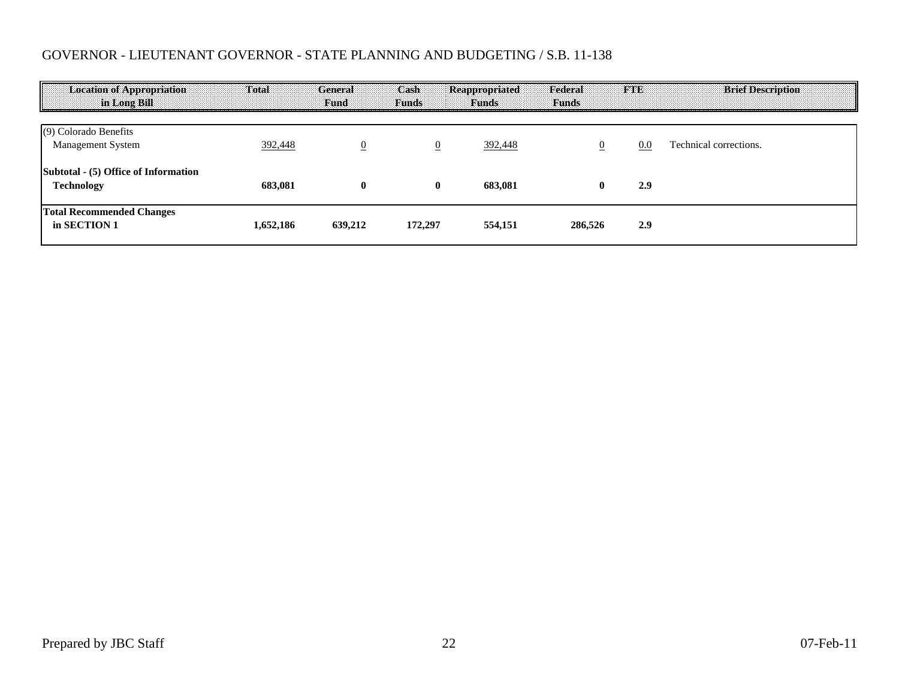# GOVERNOR - LIEUTENANT GOVERNOR - STATE PLANNING AND BUDGETING / S.B. 11-138

| <b>Location of Appropriation</b><br>in Long Bill | Total     | <b>General</b><br>Fund | Cash<br><b>Funds</b> | Reappropriated<br><b>Funds</b> | Federal<br><b>Funds</b> | <b>FTE</b> | <b>Brief Description</b> |
|--------------------------------------------------|-----------|------------------------|----------------------|--------------------------------|-------------------------|------------|--------------------------|
| (9) Colorado Benefits<br>Management System       | 392,448   | $\overline{0}$         | $\overline{0}$       | 392,448                        |                         | 0.0        | Technical corrections.   |
| Subtotal - (5) Office of Information             |           |                        |                      |                                |                         |            |                          |
| <b>Technology</b>                                | 683.081   | $\mathbf{0}$           | $\mathbf 0$          | 683.081                        | $\bf{0}$                | 2.9        |                          |
| <b>Total Recommended Changes</b><br>in SECTION 1 | 1.652.186 | 639,212                | 172,297              | 554,151                        | 286,526                 | 2.9        |                          |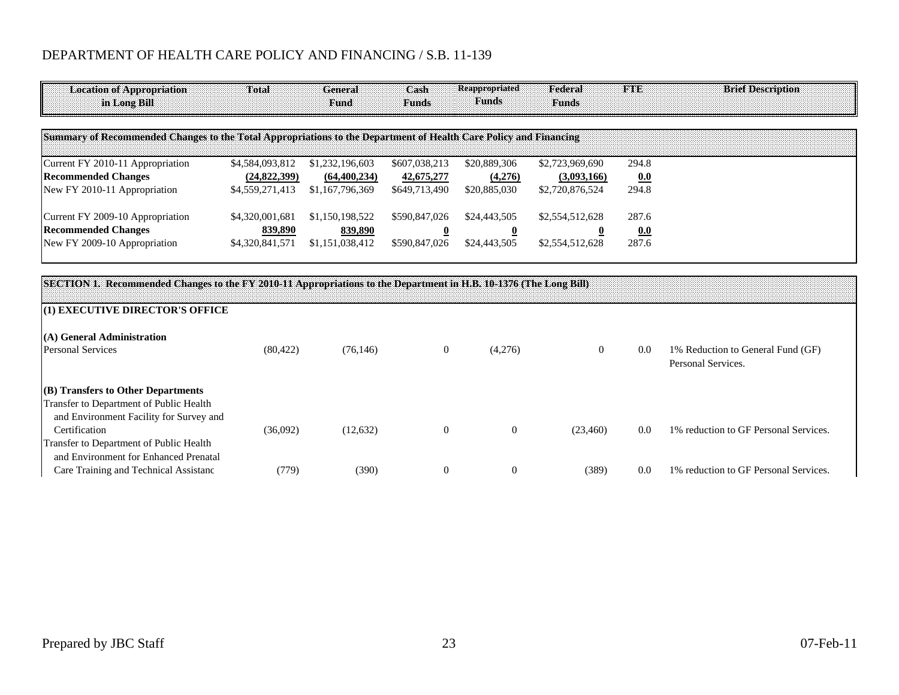| <b>Location of Appropriation</b><br>in Long Bill                                                                  | <b>Total</b>    | General<br><b>Fund</b> | Cash<br><b>Funds</b> | <b>Reappropriated</b><br><b>Funds</b> | Federal<br><b>Funds</b> | <b>FRINDE</b> | <b>Brief Description</b>                                |
|-------------------------------------------------------------------------------------------------------------------|-----------------|------------------------|----------------------|---------------------------------------|-------------------------|---------------|---------------------------------------------------------|
| Summary of Recommended Changes to the Total Appropriations to the Department of Health Care Policy and Financing  |                 |                        |                      |                                       |                         |               |                                                         |
| Current FY 2010-11 Appropriation                                                                                  | \$4,584,093,812 | \$1,232,196,603        | \$607,038,213        | \$20,889,306                          | \$2,723,969,690         | 294.8         |                                                         |
| <b>Recommended Changes</b>                                                                                        | (24,822,399)    | (64, 400, 234)         | 42,675,277           | (4,276)                               | (3,093,166)             | 0.0           |                                                         |
| New FY 2010-11 Appropriation                                                                                      | \$4,559,271,413 | \$1,167,796,369        | \$649,713,490        | \$20,885,030                          | \$2,720,876,524         | 294.8         |                                                         |
| Current FY 2009-10 Appropriation                                                                                  | \$4,320,001,681 | \$1,150,198,522        | \$590,847,026        | \$24,443,505                          | \$2,554,512,628         | 287.6         |                                                         |
| <b>Recommended Changes</b>                                                                                        | 839,890         | 839,890                |                      | $\overline{\mathbf{0}}$               |                         | 0.0           |                                                         |
| New FY 2009-10 Appropriation                                                                                      | \$4,320,841,571 | \$1,151,038,412        | \$590,847,026        | \$24,443,505                          | \$2,554,512,628         | 287.6         |                                                         |
|                                                                                                                   |                 |                        |                      |                                       |                         |               |                                                         |
| SECTION 1. Recommended Changes to the FY 2010-11 Appropriations to the Department in H.B. 10-1376 (The Long Bill) |                 |                        |                      |                                       |                         |               |                                                         |
| (1) EXECUTIVE DIRECTOR'S OFFICE                                                                                   |                 |                        |                      |                                       |                         |               |                                                         |
| (A) General Administration                                                                                        |                 |                        |                      |                                       |                         |               |                                                         |
| <b>Personal Services</b>                                                                                          | (80, 422)       | (76, 146)              | $\overline{0}$       | (4,276)                               | $\theta$                | 0.0           | 1% Reduction to General Fund (GF)<br>Personal Services. |

|               | $(B)$ Transfers to Other Departments    |          |           |  |           |     |                                       |
|---------------|-----------------------------------------|----------|-----------|--|-----------|-----|---------------------------------------|
|               | Transfer to Department of Public Health |          |           |  |           |     |                                       |
|               | and Environment Facility for Survey and |          |           |  |           |     |                                       |
| Certification |                                         | (36,092) | (12, 632) |  | (23, 460) | 0.0 | 1% reduction to GF Personal Services. |
|               | Transfer to Department of Public Health |          |           |  |           |     |                                       |
|               | and Environment for Enhanced Prenatal   |          |           |  |           |     |                                       |
|               | Care Training and Technical Assistanc   | 779)     | (390)     |  | (389)     | 0.0 | 1% reduction to GF Personal Services. |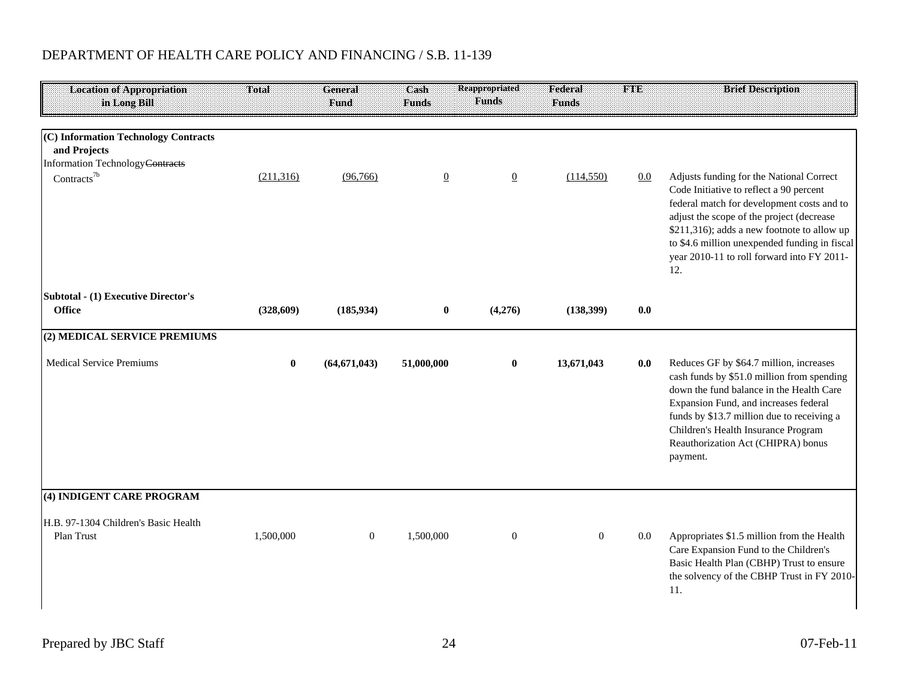| <b>Location of Appropriation</b><br>in Long Bill                                                    | <b>Total</b> | General<br><b>Fund</b> | Cash<br><b>Funds</b> | <b>Reappropriated</b><br><b>Funds</b> | Federal<br><b>Funds</b> | <b>FTE</b> | <b>Brief Description</b>                                                                                                                                                                                                                                                                                                            |
|-----------------------------------------------------------------------------------------------------|--------------|------------------------|----------------------|---------------------------------------|-------------------------|------------|-------------------------------------------------------------------------------------------------------------------------------------------------------------------------------------------------------------------------------------------------------------------------------------------------------------------------------------|
| (C) Information Technology Contracts<br>and Projects<br>Information Technology <del>Contracts</del> |              |                        |                      |                                       |                         |            |                                                                                                                                                                                                                                                                                                                                     |
| Contracts <sup>7b</sup>                                                                             | (211, 316)   | (96,766)               | $\overline{0}$       | $\underline{0}$                       | (114, 550)              | 0.0        | Adjusts funding for the National Correct<br>Code Initiative to reflect a 90 percent<br>federal match for development costs and to<br>adjust the scope of the project (decrease<br>\$211,316); adds a new footnote to allow up<br>to \$4.6 million unexpended funding in fiscal<br>year 2010-11 to roll forward into FY 2011-<br>12. |
| <b>Subtotal - (1) Executive Director's</b><br><b>Office</b>                                         | (328, 609)   | (185, 934)             | $\bf{0}$             | (4,276)                               | (138,399)               | 0.0        |                                                                                                                                                                                                                                                                                                                                     |
| (2) MEDICAL SERVICE PREMIUMS                                                                        |              |                        |                      |                                       |                         |            |                                                                                                                                                                                                                                                                                                                                     |
| <b>Medical Service Premiums</b>                                                                     | $\bf{0}$     | (64, 671, 043)         | 51,000,000           | $\bf{0}$                              | 13,671,043              | 0.0        | Reduces GF by \$64.7 million, increases<br>cash funds by \$51.0 million from spending<br>down the fund balance in the Health Care<br>Expansion Fund, and increases federal<br>funds by \$13.7 million due to receiving a<br>Children's Health Insurance Program<br>Reauthorization Act (CHIPRA) bonus<br>payment.                   |
| (4) INDIGENT CARE PROGRAM                                                                           |              |                        |                      |                                       |                         |            |                                                                                                                                                                                                                                                                                                                                     |
| H.B. 97-1304 Children's Basic Health<br>Plan Trust                                                  | 1,500,000    | $\boldsymbol{0}$       | 1,500,000            | $\boldsymbol{0}$                      | $\mathbf{0}$            | $0.0\,$    | Appropriates \$1.5 million from the Health<br>Care Expansion Fund to the Children's<br>Basic Health Plan (CBHP) Trust to ensure<br>the solvency of the CBHP Trust in FY 2010-<br>11.                                                                                                                                                |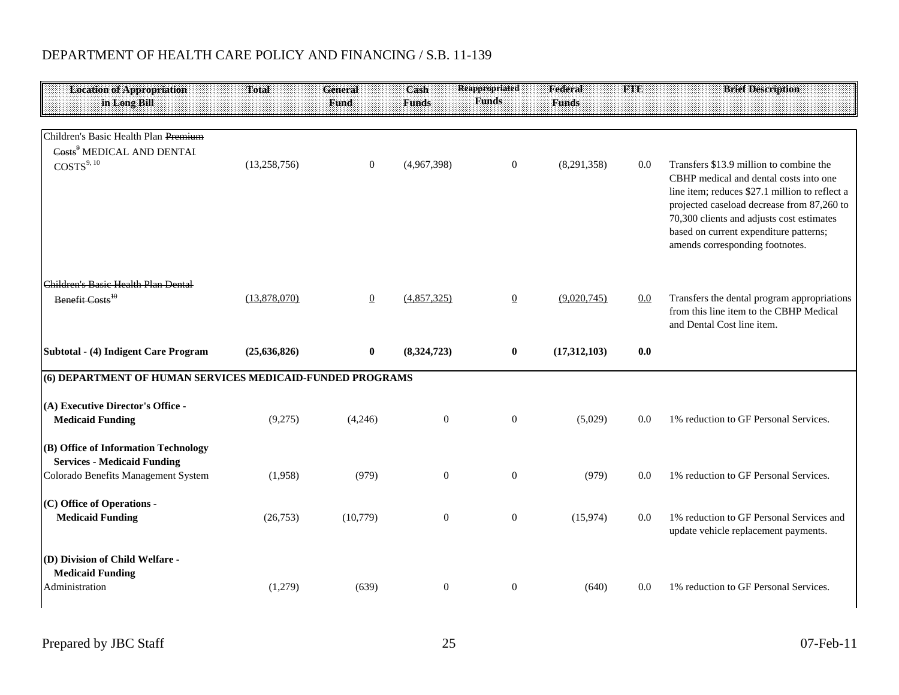| <b>Location of Appropriation</b>                          | Total          | General          | Cash             | Reappropriated   | Federal      | <b>THER</b> | <b>Brief Description</b>                                                                                                                                                                                                                                                                                    |
|-----------------------------------------------------------|----------------|------------------|------------------|------------------|--------------|-------------|-------------------------------------------------------------------------------------------------------------------------------------------------------------------------------------------------------------------------------------------------------------------------------------------------------------|
| in Long Bill                                              |                | Fund             | Funds            | <b>Funds</b>     | <b>Funds</b> |             |                                                                                                                                                                                                                                                                                                             |
|                                                           |                |                  |                  |                  |              |             |                                                                                                                                                                                                                                                                                                             |
| Children's Basic Health Plan Premium                      |                |                  |                  |                  |              |             |                                                                                                                                                                                                                                                                                                             |
| Costs <sup>9</sup> MEDICAL AND DENTAL                     |                |                  |                  |                  |              |             |                                                                                                                                                                                                                                                                                                             |
| $\text{COSTS}^{9,\,10}$                                   | (13,258,756)   | $\boldsymbol{0}$ | (4,967,398)      | $\mathbf{0}$     | (8,291,358)  | 0.0         | Transfers \$13.9 million to combine the<br>CBHP medical and dental costs into one<br>line item; reduces \$27.1 million to reflect a<br>projected caseload decrease from 87,260 to<br>70,300 clients and adjusts cost estimates<br>based on current expenditure patterns;<br>amends corresponding footnotes. |
| Children's Basic Health Plan Dental                       |                |                  |                  |                  |              |             |                                                                                                                                                                                                                                                                                                             |
| Benefit Costs <sup>10</sup>                               | (13,878,070)   | $\overline{0}$   | (4,857,325)      | $\underline{0}$  | (9,020,745)  | 0.0         | Transfers the dental program appropriations<br>from this line item to the CBHP Medical<br>and Dental Cost line item.                                                                                                                                                                                        |
| Subtotal - (4) Indigent Care Program                      | (25, 636, 826) | $\bf{0}$         | (8,324,723)      | $\bf{0}$         | (17,312,103) | 0.0         |                                                                                                                                                                                                                                                                                                             |
| (6) DEPARTMENT OF HUMAN SERVICES MEDICAID-FUNDED PROGRAMS |                |                  |                  |                  |              |             |                                                                                                                                                                                                                                                                                                             |
| (A) Executive Director's Office -                         |                |                  |                  |                  |              |             |                                                                                                                                                                                                                                                                                                             |
| <b>Medicaid Funding</b>                                   | (9,275)        | (4,246)          | $\boldsymbol{0}$ | $\boldsymbol{0}$ | (5,029)      | 0.0         | 1% reduction to GF Personal Services.                                                                                                                                                                                                                                                                       |
| (B) Office of Information Technology                      |                |                  |                  |                  |              |             |                                                                                                                                                                                                                                                                                                             |
| <b>Services - Medicaid Funding</b>                        |                |                  |                  |                  |              |             |                                                                                                                                                                                                                                                                                                             |
| Colorado Benefits Management System                       | (1,958)        | (979)            | $\mathbf{0}$     | $\overline{0}$   | (979)        | 0.0         | 1% reduction to GF Personal Services.                                                                                                                                                                                                                                                                       |
| (C) Office of Operations -                                |                |                  |                  |                  |              |             |                                                                                                                                                                                                                                                                                                             |
| <b>Medicaid Funding</b>                                   | (26, 753)      | (10,779)         | $\boldsymbol{0}$ | $\boldsymbol{0}$ | (15, 974)    | 0.0         | 1% reduction to GF Personal Services and<br>update vehicle replacement payments.                                                                                                                                                                                                                            |
| (D) Division of Child Welfare -                           |                |                  |                  |                  |              |             |                                                                                                                                                                                                                                                                                                             |
| <b>Medicaid Funding</b>                                   |                |                  |                  |                  |              |             |                                                                                                                                                                                                                                                                                                             |
| Administration                                            | (1,279)        | (639)            | $\boldsymbol{0}$ | $\mathbf{0}$     | (640)        | 0.0         | 1% reduction to GF Personal Services.                                                                                                                                                                                                                                                                       |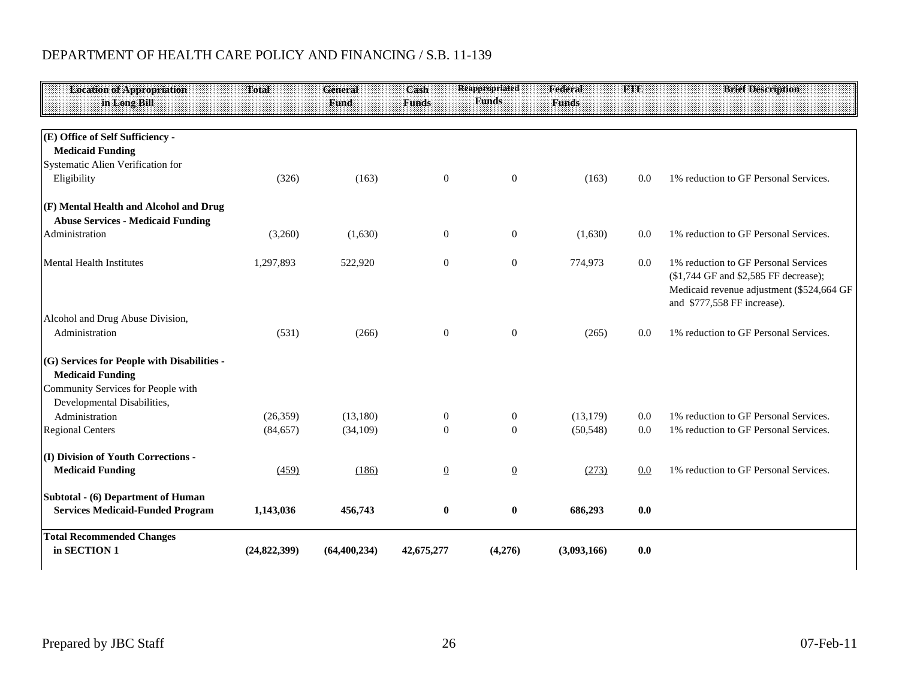| <b>Location of Appropriation</b><br>in Long Bill                                                                                            | Total        | <b>General</b><br>Fund | Cash<br><b>Funds</b> | Reappropriated<br><b>Funds</b> | Federal<br><b>Funds</b> | <b>FAND</b> | <b>Brief Description</b>                                                                                                                                  |
|---------------------------------------------------------------------------------------------------------------------------------------------|--------------|------------------------|----------------------|--------------------------------|-------------------------|-------------|-----------------------------------------------------------------------------------------------------------------------------------------------------------|
| (E) Office of Self Sufficiency -<br><b>Medicaid Funding</b><br>Systematic Alien Verification for                                            |              |                        |                      |                                |                         |             |                                                                                                                                                           |
| Eligibility                                                                                                                                 | (326)        | (163)                  | $\mathbf{0}$         | $\mathbf{0}$                   | (163)                   | 0.0         | 1% reduction to GF Personal Services.                                                                                                                     |
| (F) Mental Health and Alcohol and Drug<br><b>Abuse Services - Medicaid Funding</b>                                                          |              |                        |                      |                                |                         |             |                                                                                                                                                           |
| Administration                                                                                                                              | (3,260)      | (1,630)                | $\mathbf{0}$         | $\mathbf{0}$                   | (1,630)                 | 0.0         | 1% reduction to GF Personal Services.                                                                                                                     |
| <b>Mental Health Institutes</b>                                                                                                             | 1,297,893    | 522,920                | $\boldsymbol{0}$     | $\boldsymbol{0}$               | 774,973                 | 0.0         | 1% reduction to GF Personal Services<br>(\$1,744 GF and \$2,585 FF decrease);<br>Medicaid revenue adjustment (\$524,664 GF<br>and \$777,558 FF increase). |
| Alcohol and Drug Abuse Division,<br>Administration                                                                                          | (531)        | (266)                  | $\mathbf{0}$         | $\mathbf{0}$                   | (265)                   | 0.0         | 1% reduction to GF Personal Services.                                                                                                                     |
| (G) Services for People with Disabilities -<br><b>Medicaid Funding</b><br>Community Services for People with<br>Developmental Disabilities, |              |                        |                      |                                |                         |             |                                                                                                                                                           |
| Administration                                                                                                                              | (26, 359)    | (13,180)               | $\boldsymbol{0}$     | $\mathbf{0}$                   | (13, 179)               | 0.0         | 1% reduction to GF Personal Services.                                                                                                                     |
| <b>Regional Centers</b>                                                                                                                     | (84, 657)    | (34,109)               | $\theta$             | $\Omega$                       | (50, 548)               | 0.0         | 1% reduction to GF Personal Services.                                                                                                                     |
| (I) Division of Youth Corrections -                                                                                                         |              |                        |                      |                                |                         |             |                                                                                                                                                           |
| <b>Medicaid Funding</b>                                                                                                                     | (459)        | (186)                  | $\overline{0}$       | $\underline{0}$                | (273)                   | 0.0         | 1% reduction to GF Personal Services.                                                                                                                     |
| Subtotal - (6) Department of Human<br><b>Services Medicaid-Funded Program</b>                                                               | 1,143,036    | 456,743                | $\boldsymbol{0}$     | $\bf{0}$                       | 686,293                 | 0.0         |                                                                                                                                                           |
| <b>Total Recommended Changes</b><br>in SECTION 1                                                                                            | (24,822,399) | (64, 400, 234)         | 42,675,277           | (4,276)                        | (3,093,166)             | 0.0         |                                                                                                                                                           |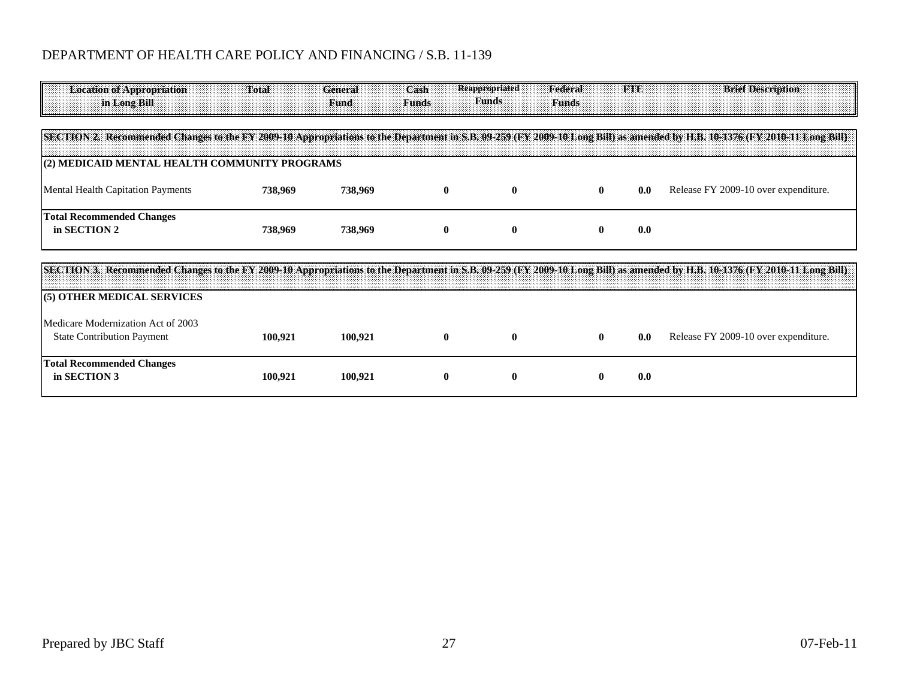| <b>Location of Appropriation</b><br>in Long Bill                        | <b>Total</b> | General<br><b>Fund</b> | Cash<br><b>Funds</b> | <b>Reappropriated</b><br><b>Funds</b> | Federal<br><b>Funds</b> | <b>FINE</b> | <b>Brief Description</b>                                                                                                                                                   |
|-------------------------------------------------------------------------|--------------|------------------------|----------------------|---------------------------------------|-------------------------|-------------|----------------------------------------------------------------------------------------------------------------------------------------------------------------------------|
|                                                                         |              |                        |                      |                                       |                         |             | [SECTION 2. Recommended Changes to the FY 2009-10 Appropriations to the Department in S.B. 09-259 (FY 2009-10 Long Bill) as amended by H.B. 10-1376 (FY 2010-11 Long Bill) |
| (2) MEDICAID MENTAL HEALTH COMMUNITY PROGRAMS                           |              |                        |                      |                                       |                         |             |                                                                                                                                                                            |
| <b>Mental Health Capitation Payments</b>                                | 738,969      | 738,969                | $\bf{0}$             | $\bf{0}$                              | $\bf{0}$                | 0.0         | Release FY 2009-10 over expenditure.                                                                                                                                       |
| <b>Total Recommended Changes</b><br>in SECTION 2                        | 738,969      | 738,969                | $\bf{0}$             | $\bf{0}$                              | $\mathbf{0}$            | 0.0         |                                                                                                                                                                            |
|                                                                         |              |                        |                      |                                       |                         |             | SECTION 3. Recommended Changes to the FY 2009-10 Appropriations to the Department in S.B. 09-259 (FY 2009-10 Long Bill) as amended by H.B. 10-1376 (FY 2010-11 Long Bill)  |
| (5) OTHER MEDICAL SERVICES                                              |              |                        |                      |                                       |                         |             |                                                                                                                                                                            |
| Medicare Modernization Act of 2003<br><b>State Contribution Payment</b> | 100,921      | 100,921                | $\bf{0}$             | $\mathbf{0}$                          | $\mathbf{0}$            | 0.0         | Release FY 2009-10 over expenditure.                                                                                                                                       |
| <b>Total Recommended Changes</b><br>in SECTION 3                        | 100,921      | 100,921                | $\bf{0}$             | 0                                     | $\bf{0}$                | 0.0         |                                                                                                                                                                            |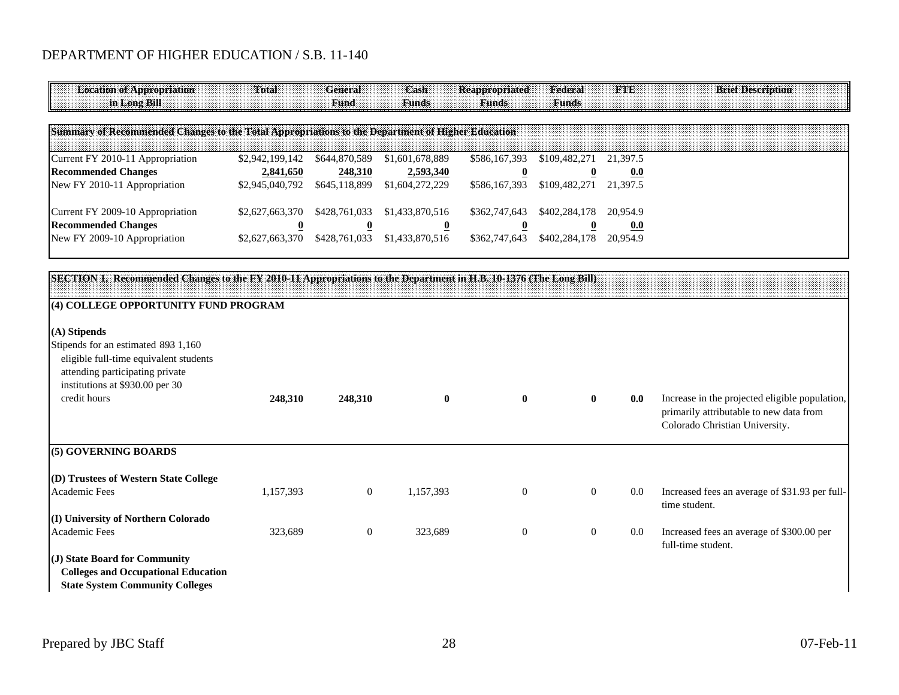# DEPARTMENT OF HIGHER EDUCATION / S.B. 11-140

| <b>Location of Appropriation</b><br>in Long Bill                                                                                                    | Total                   | General<br>Fund         | Cash<br><b>Funds</b>    | Reappropriated<br>Funds | Federal<br><b>Funds</b> | FTE      | <b>Brief Description</b>                                                                                                    |
|-----------------------------------------------------------------------------------------------------------------------------------------------------|-------------------------|-------------------------|-------------------------|-------------------------|-------------------------|----------|-----------------------------------------------------------------------------------------------------------------------------|
| Summary of Recommended Changes to the Total Appropriations to the Department of Higher Education                                                    |                         |                         |                         |                         |                         |          |                                                                                                                             |
| Current FY 2010-11 Appropriation                                                                                                                    | \$2,942,199,142         | \$644,870,589           | \$1,601,678,889         | \$586,167,393           | \$109,482,271           | 21,397.5 |                                                                                                                             |
| <b>Recommended Changes</b>                                                                                                                          | 2,841,650               | 248,310                 | 2,593,340               | $\overline{\mathbf{0}}$ | $\overline{\mathbf{0}}$ | 0.0      |                                                                                                                             |
| New FY 2010-11 Appropriation                                                                                                                        | \$2,945,040,792         | \$645,118,899           | \$1,604,272,229         | \$586,167,393           | \$109,482,271           | 21,397.5 |                                                                                                                             |
| Current FY 2009-10 Appropriation                                                                                                                    | \$2,627,663,370         | \$428,761,033           | \$1,433,870,516         | \$362,747,643           | \$402,284,178           | 20,954.9 |                                                                                                                             |
| <b>Recommended Changes</b>                                                                                                                          | $\overline{\mathbf{0}}$ | $\overline{\mathbf{0}}$ | $\overline{\mathbf{0}}$ | $\overline{\mathbf{0}}$ | $\overline{\mathbf{0}}$ | 0.0      |                                                                                                                             |
| New FY 2009-10 Appropriation                                                                                                                        | \$2,627,663,370         | \$428,761,033           | \$1,433,870,516         | \$362,747,643           | \$402,284,178           | 20,954.9 |                                                                                                                             |
|                                                                                                                                                     |                         |                         |                         |                         |                         |          |                                                                                                                             |
| SECTION 1. Recommended Changes to the FY 2010-11 Appropriations to the Department in H.B. 10-1376 (The Long Bill)                                   |                         |                         |                         |                         |                         |          |                                                                                                                             |
| (4) COLLEGE OPPORTUNITY FUND PROGRAM                                                                                                                |                         |                         |                         |                         |                         |          |                                                                                                                             |
| (A) Stipends                                                                                                                                        |                         |                         |                         |                         |                         |          |                                                                                                                             |
| Stipends for an estimated 893 1,160<br>eligible full-time equivalent students<br>attending participating private<br>institutions at \$930.00 per 30 |                         |                         |                         |                         |                         |          |                                                                                                                             |
| credit hours<br>(5) GOVERNING BOARDS                                                                                                                | 248,310                 | 248,310                 | $\mathbf{0}$            | $\mathbf{0}$            | $\mathbf{0}$            | 0.0      | Increase in the projected eligible population,<br>primarily attributable to new data from<br>Colorado Christian University. |

| (D) Trustees of Western State College      |           |          |           |          |     |                                                                 |
|--------------------------------------------|-----------|----------|-----------|----------|-----|-----------------------------------------------------------------|
| Academic Fees                              | 1,157,393 | $\theta$ | 1,157,393 | $\theta$ | 0.0 | Increased fees an average of \$31.93 per full-<br>time student. |
| (I) University of Northern Colorado        |           |          |           |          |     |                                                                 |
| Academic Fees                              | 323,689   | U        | 323.689   |          | 0.0 | Increased fees an average of \$300.00 per<br>full-time student. |
| $J$ State Board for Community              |           |          |           |          |     |                                                                 |
| <b>Colleges and Occupational Education</b> |           |          |           |          |     |                                                                 |

**State System Community Colleges**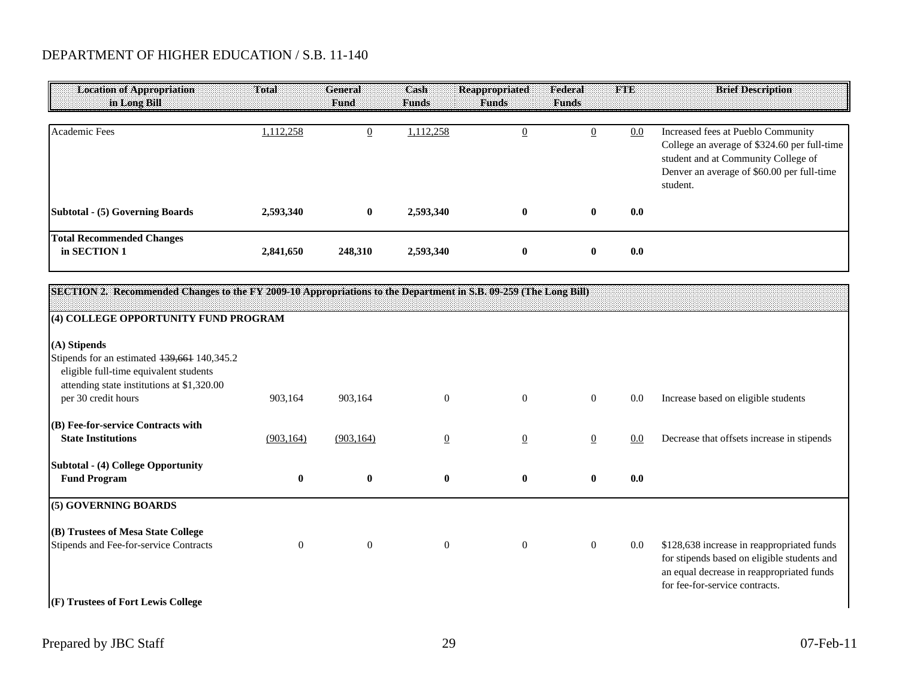# DEPARTMENT OF HIGHER EDUCATION / S.B. 11-140

| <b>Location of Appropriation</b><br>in Long Bill | <b>Total</b> | General<br>Fund | Cash<br><b>Funds</b> | Reappropriated<br><b>Funds</b> | Federal<br><b>Funds</b> | <b>FTE</b> | <b>Brief Description</b>                                                                                                                                                            |
|--------------------------------------------------|--------------|-----------------|----------------------|--------------------------------|-------------------------|------------|-------------------------------------------------------------------------------------------------------------------------------------------------------------------------------------|
| Academic Fees                                    | ,112,258     | <u>∪</u>        | 1,112,258            |                                |                         | 0.0        | Increased fees at Pueblo Community<br>College an average of \$324.60 per full-time<br>student and at Community College of<br>Denver an average of \$60.00 per full-time<br>student. |
| Subtotal - (5) Governing Boards                  | 2,593,340    | $\bf{0}$        | 2,593,340            | $\mathbf{0}$                   |                         | 0.0        |                                                                                                                                                                                     |
| <b>Total Recommended Changes</b><br>in SECTION 1 | 2,841,650    | 248,310         | 2,593,340            | $\bf{0}$                       |                         | 0.0        |                                                                                                                                                                                     |

| [SECTION 2. Recommended Changes to the FY 2009-10 Appropriations to the Department in S.B. 09-259 (The Long Bill)                   |              |                  |                |                |                |         |                                                                                                                                                                          |
|-------------------------------------------------------------------------------------------------------------------------------------|--------------|------------------|----------------|----------------|----------------|---------|--------------------------------------------------------------------------------------------------------------------------------------------------------------------------|
| (4) COLLEGE OPPORTUNITY FUND PROGRAM                                                                                                |              |                  |                |                |                |         |                                                                                                                                                                          |
| (A) Stipends                                                                                                                        |              |                  |                |                |                |         |                                                                                                                                                                          |
| Stipends for an estimated 139,661 140,345.2<br>eligible full-time equivalent students<br>attending state institutions at \$1,320.00 |              |                  |                |                |                |         |                                                                                                                                                                          |
| per 30 credit hours                                                                                                                 | 903,164      | 903,164          | $\overline{0}$ | $\overline{0}$ | $\overline{0}$ | 0.0     | Increase based on eligible students                                                                                                                                      |
| (B) Fee-for-service Contracts with                                                                                                  |              |                  |                |                |                |         |                                                                                                                                                                          |
| <b>State Institutions</b>                                                                                                           | (903, 164)   | (903, 164)       | $\overline{0}$ | $\overline{0}$ | $\mathbf{0}$   | 0.0     | Decrease that offsets increase in stipends                                                                                                                               |
| Subtotal - (4) College Opportunity                                                                                                  |              |                  |                |                |                |         |                                                                                                                                                                          |
| <b>Fund Program</b>                                                                                                                 | $\mathbf{0}$ | $\boldsymbol{0}$ | $\mathbf{0}$   | $\bf{0}$       | $\mathbf{0}$   | 0.0     |                                                                                                                                                                          |
| (5) GOVERNING BOARDS                                                                                                                |              |                  |                |                |                |         |                                                                                                                                                                          |
| (B) Trustees of Mesa State College                                                                                                  |              |                  |                |                |                |         |                                                                                                                                                                          |
| Stipends and Fee-for-service Contracts<br>(F) Trustees of Fort Lewis College                                                        | $\Omega$     | $\mathbf{0}$     | $\overline{0}$ | $\theta$       | $\overline{0}$ | $0.0\,$ | \$128,638 increase in reappropriated funds<br>for stipends based on eligible students and<br>an equal decrease in reappropriated funds<br>for fee-for-service contracts. |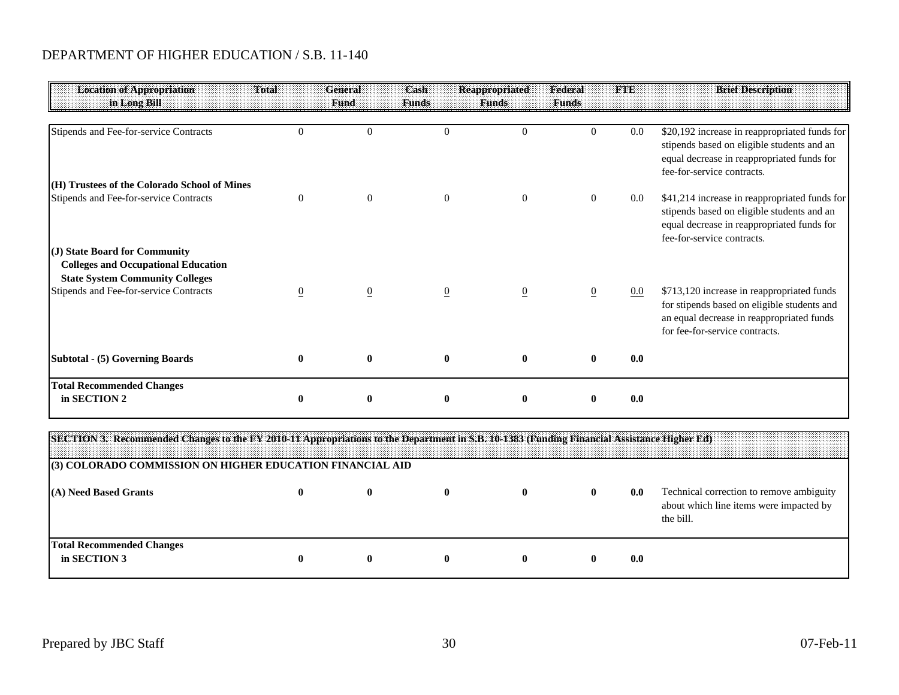# DEPARTMENT OF HIGHER EDUCATION / S.B. 11-140

| <b>Location of Appropriation</b><br>in Long Bill                                                                                                                | Total          | General<br>Fund  | Cash<br><b>Funds</b> | <b>Reappropriated</b><br><b>Funds</b> | Federal<br><b>Funds</b> | <b>FTE</b> | <b>Brief Description</b>                                                                                                                                                 |
|-----------------------------------------------------------------------------------------------------------------------------------------------------------------|----------------|------------------|----------------------|---------------------------------------|-------------------------|------------|--------------------------------------------------------------------------------------------------------------------------------------------------------------------------|
| Stipends and Fee-for-service Contracts                                                                                                                          | $\Omega$       | $\overline{0}$   | $\Omega$             | $\Omega$                              | $\Omega$                | 0.0        | \$20,192 increase in reappropriated funds for<br>stipends based on eligible students and an<br>equal decrease in reappropriated funds for<br>fee-for-service contracts.  |
| (H) Trustees of the Colorado School of Mines<br>Stipends and Fee-for-service Contracts                                                                          | $\overline{0}$ | $\boldsymbol{0}$ | $\boldsymbol{0}$     | $\boldsymbol{0}$                      | $\overline{0}$          | 0.0        | \$41,214 increase in reappropriated funds for<br>stipends based on eligible students and an<br>equal decrease in reappropriated funds for<br>fee-for-service contracts.  |
| (J) State Board for Community<br><b>Colleges and Occupational Education</b><br><b>State System Community Colleges</b><br>Stipends and Fee-for-service Contracts | $\overline{0}$ | $\overline{0}$   | $\overline{0}$       | $\overline{0}$                        | $\overline{0}$          | $0.0\,$    | \$713,120 increase in reappropriated funds<br>for stipends based on eligible students and<br>an equal decrease in reappropriated funds<br>for fee-for-service contracts. |
| Subtotal - (5) Governing Boards                                                                                                                                 |                | $\bf{0}$         | $\bf{0}$             | $\mathbf{0}$                          | 0                       | 0.0        |                                                                                                                                                                          |
| <b>Total Recommended Changes</b><br>in SECTION 2                                                                                                                | $\bf{0}$       | $\bf{0}$         | $\bf{0}$             | $\bf{0}$                              | 0                       | 0.0        |                                                                                                                                                                          |

| [SECTION 3. Recommended Changes to the FY 2010-11 Appropriations to the Department in S.B. 10-1383 (Funding Financial Assistance Higher Ed) |  |              |  |     |                                                                                                  |
|---------------------------------------------------------------------------------------------------------------------------------------------|--|--------------|--|-----|--------------------------------------------------------------------------------------------------|
| (3) COLORADO COMMISSION ON HIGHER EDUCATION FINANCIAL AID                                                                                   |  |              |  |     |                                                                                                  |
| (A) Need Based Grants                                                                                                                       |  |              |  | 0.0 | Technical correction to remove ambiguity<br>about which line items were impacted by<br>the bill. |
| <b>Total Recommended Changes</b><br>in SECTION 3                                                                                            |  | $\mathbf{0}$ |  | 0.0 |                                                                                                  |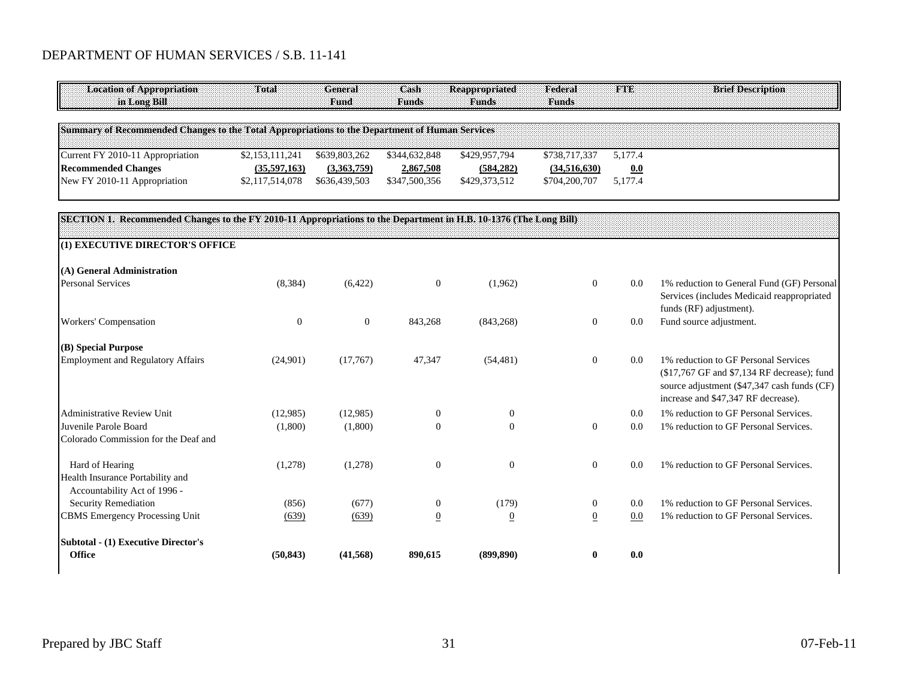| <b>Location of Appropriation</b><br>in Long Bill                                                                  | Total            | <b>General</b><br><b>Fund</b> | Cash<br><b>Funds</b> | <b>Reappropriated</b><br><b>Funds</b> | Federal<br><b>Funds</b> | <b>FTE</b> | <b>Brief Description</b>                                                                                                                                                  |
|-------------------------------------------------------------------------------------------------------------------|------------------|-------------------------------|----------------------|---------------------------------------|-------------------------|------------|---------------------------------------------------------------------------------------------------------------------------------------------------------------------------|
| Summary of Recommended Changes to the Total Appropriations to the Department of Human Services                    |                  |                               |                      |                                       |                         |            |                                                                                                                                                                           |
| Current FY 2010-11 Appropriation                                                                                  | \$2,153,111,241  | \$639,803,262                 | \$344,632,848        | \$429,957,794                         | \$738,717,337           | 5,177.4    |                                                                                                                                                                           |
| <b>Recommended Changes</b>                                                                                        | (35,597,163)     | (3,363,759)                   | 2,867,508            | (584, 282)                            | (34,516,630)            | 0.0        |                                                                                                                                                                           |
| New FY 2010-11 Appropriation                                                                                      | \$2,117,514,078  | \$636,439,503                 | \$347,500,356        | \$429,373,512                         | \$704,200,707           | 5,177.4    |                                                                                                                                                                           |
| SECTION 1. Recommended Changes to the FY 2010-11 Appropriations to the Department in H.B. 10-1376 (The Long Bill) |                  |                               |                      |                                       |                         |            |                                                                                                                                                                           |
|                                                                                                                   |                  |                               |                      |                                       |                         |            |                                                                                                                                                                           |
| (1) EXECUTIVE DIRECTOR'S OFFICE                                                                                   |                  |                               |                      |                                       |                         |            |                                                                                                                                                                           |
| (A) General Administration                                                                                        |                  |                               |                      |                                       |                         |            |                                                                                                                                                                           |
| <b>Personal Services</b>                                                                                          | (8,384)          | (6,422)                       | $\theta$             | (1,962)                               | $\overline{0}$          | 0.0        | 1% reduction to General Fund (GF) Personal<br>Services (includes Medicaid reappropriated<br>funds (RF) adjustment).                                                       |
| Workers' Compensation                                                                                             | $\boldsymbol{0}$ | $\theta$                      | 843,268              | (843,268)                             | $\overline{0}$          | 0.0        | Fund source adjustment.                                                                                                                                                   |
| (B) Special Purpose                                                                                               |                  |                               |                      |                                       |                         |            |                                                                                                                                                                           |
| <b>Employment and Regulatory Affairs</b>                                                                          | (24,901)         | (17,767)                      | 47,347               | (54, 481)                             | $\boldsymbol{0}$        | 0.0        | 1% reduction to GF Personal Services<br>(\$17,767 GF and \$7,134 RF decrease); fund<br>source adjustment (\$47,347 cash funds (CF)<br>increase and \$47,347 RF decrease). |
| Administrative Review Unit                                                                                        | (12,985)         | (12,985)                      | $\theta$             | $\overline{0}$                        |                         | 0.0        | 1% reduction to GF Personal Services.                                                                                                                                     |
| Juvenile Parole Board                                                                                             | (1,800)          | (1,800)                       | $\Omega$             | $\Omega$                              | $\overline{0}$          | 0.0        | 1% reduction to GF Personal Services.                                                                                                                                     |
| Colorado Commission for the Deaf and                                                                              |                  |                               |                      |                                       |                         |            |                                                                                                                                                                           |
| Hard of Hearing                                                                                                   | (1,278)          | (1,278)                       | $\mathbf{0}$         | $\overline{0}$                        | $\overline{0}$          | 0.0        | 1% reduction to GF Personal Services.                                                                                                                                     |
| Health Insurance Portability and<br>Accountability Act of 1996 -                                                  |                  |                               |                      |                                       |                         |            |                                                                                                                                                                           |
| Security Remediation                                                                                              | (856)            | (677)                         | $\boldsymbol{0}$     | (179)                                 | $\boldsymbol{0}$        | 0.0        | 1% reduction to GF Personal Services.                                                                                                                                     |
| <b>CBMS</b> Emergency Processing Unit                                                                             | (639)            | (639)                         | $\overline{0}$       | $\overline{0}$                        | $\underline{0}$         | 0.0        | 1% reduction to GF Personal Services.                                                                                                                                     |
| <b>Subtotal - (1) Executive Director's</b>                                                                        |                  |                               |                      |                                       |                         |            |                                                                                                                                                                           |
| <b>Office</b>                                                                                                     | (50, 843)        | (41, 568)                     | 890,615              | (899, 890)                            |                         | 0.0        |                                                                                                                                                                           |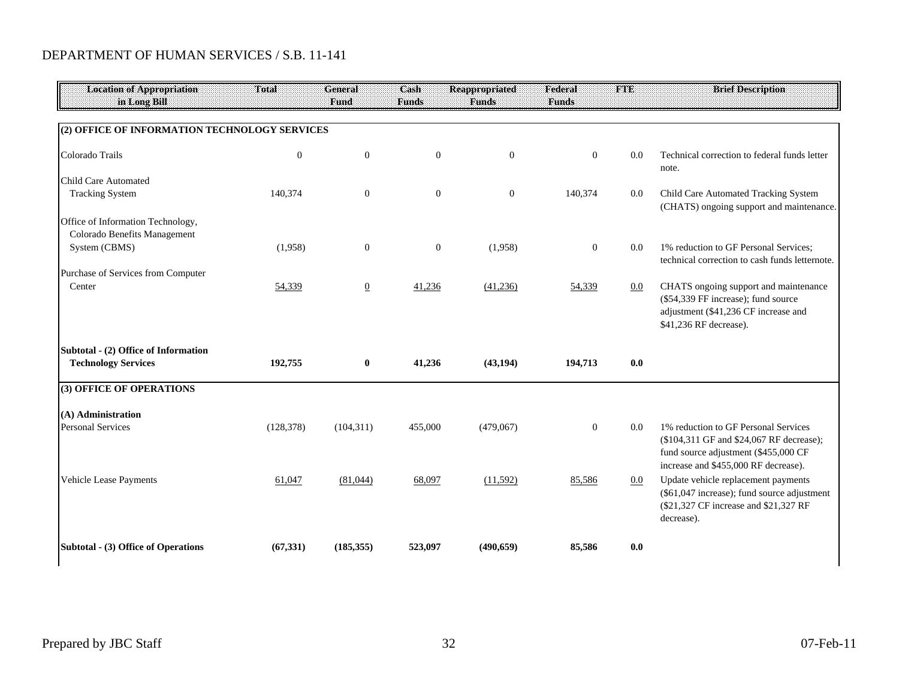| <b>Location of Appropriation</b>                                  | Total          | <b>General</b> | $\overline{\mathbf{Cash}}$ | Reappropriated | Federal        | <b>FTE</b> | <b>Brief Description</b>                                                                                                                                         |
|-------------------------------------------------------------------|----------------|----------------|----------------------------|----------------|----------------|------------|------------------------------------------------------------------------------------------------------------------------------------------------------------------|
| in Long Bill                                                      |                | <b>Fund</b>    | <b>Funds</b>               | <b>Funds</b>   | <b>Funds</b>   |            |                                                                                                                                                                  |
| (2) OFFICE OF INFORMATION TECHNOLOGY SERVICES                     |                |                |                            |                |                |            |                                                                                                                                                                  |
|                                                                   |                |                |                            |                |                |            |                                                                                                                                                                  |
| Colorado Trails                                                   | $\overline{0}$ | $\mathbf{0}$   | $\boldsymbol{0}$           | $\mathbf{0}$   | $\overline{0}$ | 0.0        | Technical correction to federal funds letter<br>note.                                                                                                            |
| <b>Child Care Automated</b>                                       |                |                |                            |                |                |            |                                                                                                                                                                  |
| <b>Tracking System</b>                                            | 140,374        | $\mathbf{0}$   | $\boldsymbol{0}$           | $\mathbf{0}$   | 140,374        | 0.0        | Child Care Automated Tracking System<br>(CHATS) ongoing support and maintenance.                                                                                 |
| Office of Information Technology,<br>Colorado Benefits Management |                |                |                            |                |                |            |                                                                                                                                                                  |
| System (CBMS)                                                     | (1,958)        | $\mathbf{0}$   | $\boldsymbol{0}$           | (1,958)        | $\mathbf{0}$   | 0.0        | 1% reduction to GF Personal Services;<br>technical correction to cash funds letternote.                                                                          |
| Purchase of Services from Computer                                |                |                |                            |                |                |            |                                                                                                                                                                  |
| Center                                                            | 54,339         | $\overline{0}$ | 41,236                     | (41,236)       | 54,339         | 0.0        | CHATS ongoing support and maintenance<br>(\$54,339 FF increase); fund source<br>adjustment (\$41,236 CF increase and<br>\$41,236 RF decrease).                   |
| Subtotal - (2) Office of Information                              |                |                |                            |                |                |            |                                                                                                                                                                  |
| <b>Technology Services</b>                                        | 192,755        | $\bf{0}$       | 41,236                     | (43, 194)      | 194,713        | 0.0        |                                                                                                                                                                  |
| (3) OFFICE OF OPERATIONS                                          |                |                |                            |                |                |            |                                                                                                                                                                  |
| (A) Administration                                                |                |                |                            |                |                |            |                                                                                                                                                                  |
| <b>Personal Services</b>                                          | (128, 378)     | (104,311)      | 455,000                    | (479,067)      | $\overline{0}$ | 0.0        | 1% reduction to GF Personal Services<br>(\$104,311 GF and \$24,067 RF decrease);<br>fund source adjustment (\$455,000 CF<br>increase and \$455,000 RF decrease). |
| Vehicle Lease Payments                                            | 61,047         | (81,044)       | 68,097                     | (11,592)       | 85,586         | $0.0\,$    | Update vehicle replacement payments<br>(\$61,047 increase); fund source adjustment<br>(\$21,327 CF increase and \$21,327 RF<br>decrease).                        |
| Subtotal - (3) Office of Operations                               | (67, 331)      | (185, 355)     | 523,097                    | (490, 659)     | 85,586         | 0.0        |                                                                                                                                                                  |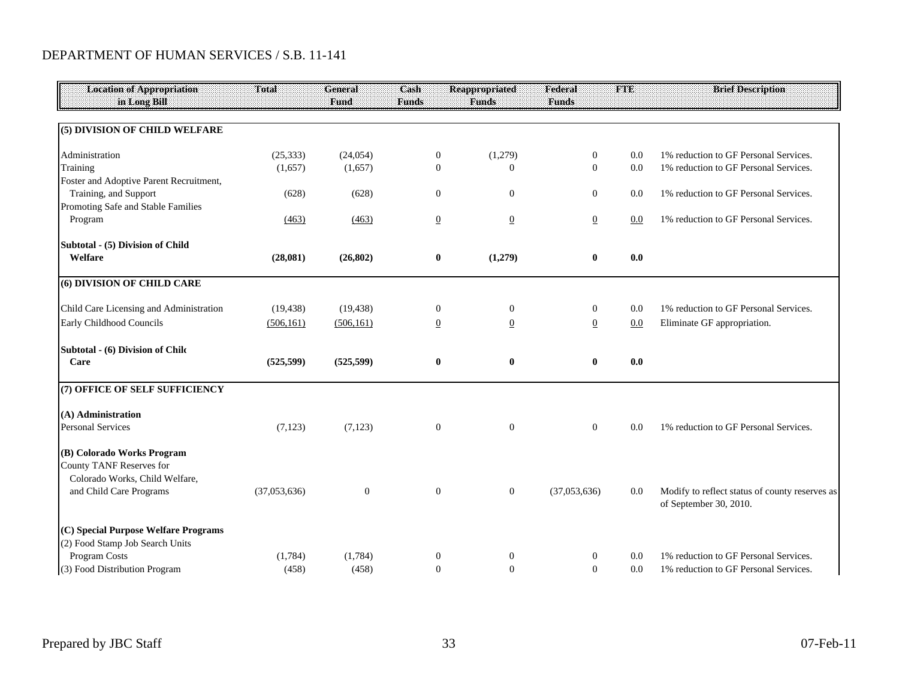| <b>Location of Appropriation</b>                                                                | Total        | General      | Cash             | <b>Reappropriated</b> | Federal          | FTE     | <b>Brief Description</b>                                                 |
|-------------------------------------------------------------------------------------------------|--------------|--------------|------------------|-----------------------|------------------|---------|--------------------------------------------------------------------------|
| in Long Bill                                                                                    |              | Fund         | <b>Funds</b>     | <b>Funds</b>          | <b>Funds</b>     |         |                                                                          |
| (5) DIVISION OF CHILD WELFARE                                                                   |              |              |                  |                       |                  |         |                                                                          |
| Administration                                                                                  | (25, 333)    | (24, 054)    | $\overline{0}$   | (1,279)               | $\overline{0}$   | 0.0     | 1% reduction to GF Personal Services.                                    |
| Training                                                                                        | (1,657)      | (1,657)      | $\mathbf{0}$     | $\overline{0}$        | $\mathbf{0}$     | 0.0     | 1% reduction to GF Personal Services.                                    |
| Foster and Adoptive Parent Recruitment,                                                         |              |              |                  |                       |                  |         |                                                                          |
| Training, and Support                                                                           | (628)        | (628)        | $\mathbf{0}$     | $\mathbf{0}$          | $\overline{0}$   | 0.0     | 1% reduction to GF Personal Services.                                    |
| Promoting Safe and Stable Families                                                              |              |              |                  |                       |                  |         |                                                                          |
| Program                                                                                         | (463)        | (463)        | $\overline{0}$   | $\overline{0}$        | $\overline{0}$   | $0.0\,$ | 1% reduction to GF Personal Services.                                    |
| Subtotal - (5) Division of Child                                                                |              |              |                  |                       |                  |         |                                                                          |
| Welfare                                                                                         | (28,081)     | (26, 802)    | $\bf{0}$         | (1,279)               | $\bf{0}$         | 0.0     |                                                                          |
| (6) DIVISION OF CHILD CARE                                                                      |              |              |                  |                       |                  |         |                                                                          |
| Child Care Licensing and Administration                                                         | (19, 438)    | (19, 438)    | $\overline{0}$   | $\mathbf{0}$          | $\overline{0}$   | 0.0     | 1% reduction to GF Personal Services.                                    |
| Early Childhood Councils                                                                        | (506, 161)   | (506, 161)   | $\overline{0}$   | $\overline{0}$        | $\overline{0}$   | 0.0     | Eliminate GF appropriation.                                              |
| Subtotal - (6) Division of Chilc                                                                |              |              |                  |                       |                  |         |                                                                          |
| Care                                                                                            | (525, 599)   | (525, 599)   | $\bf{0}$         | $\bf{0}$              | $\bf{0}$         | 0.0     |                                                                          |
| (7) OFFICE OF SELF SUFFICIENCY                                                                  |              |              |                  |                       |                  |         |                                                                          |
| (A) Administration                                                                              |              |              |                  |                       |                  |         |                                                                          |
| <b>Personal Services</b>                                                                        | (7, 123)     | (7, 123)     | $\mathbf{0}$     | $\mathbf{0}$          | $\overline{0}$   | 0.0     | 1% reduction to GF Personal Services.                                    |
| (B) Colorado Works Program<br><b>County TANF Reserves for</b><br>Colorado Works, Child Welfare, |              |              |                  |                       |                  |         |                                                                          |
| and Child Care Programs                                                                         | (37,053,636) | $\mathbf{0}$ | $\mathbf{0}$     | $\boldsymbol{0}$      | (37,053,636)     | 0.0     | Modify to reflect status of county reserves as<br>of September 30, 2010. |
| (C) Special Purpose Welfare Programs                                                            |              |              |                  |                       |                  |         |                                                                          |
| (2) Food Stamp Job Search Units                                                                 |              |              |                  |                       |                  |         |                                                                          |
| Program Costs                                                                                   | (1,784)      | (1,784)      | $\boldsymbol{0}$ | $\mathbf{0}$          | $\boldsymbol{0}$ | 0.0     | 1% reduction to GF Personal Services.                                    |
| (3) Food Distribution Program                                                                   | (458)        | (458)        | $\overline{0}$   | $\overline{0}$        | $\theta$         | 0.0     | 1% reduction to GF Personal Services.                                    |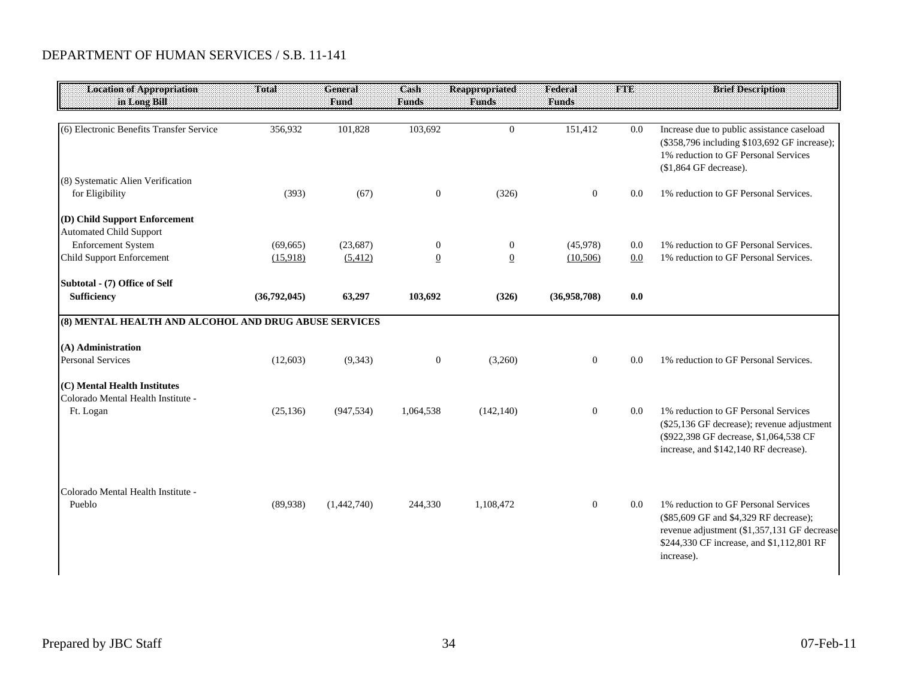| <b>Location of Appropriation</b><br>in Long Bill                   | <b>Total</b> | <b>General</b><br><b>Fund</b> | Cash<br>Funds  | <b>Reappropriated</b><br><b>Funds</b> | Federal<br><b>Funds</b> | <b>FTE</b> | <b>Brief Description</b>                                                                                                                                                                 |
|--------------------------------------------------------------------|--------------|-------------------------------|----------------|---------------------------------------|-------------------------|------------|------------------------------------------------------------------------------------------------------------------------------------------------------------------------------------------|
|                                                                    |              |                               |                |                                       |                         |            |                                                                                                                                                                                          |
| (6) Electronic Benefits Transfer Service                           | 356,932      | 101,828                       | 103,692        | $\overline{0}$                        | 151,412                 | 0.0        | Increase due to public assistance caseload<br>(\$358,796 including \$103,692 GF increase);<br>1% reduction to GF Personal Services<br>(\$1,864 GF decrease).                             |
| (8) Systematic Alien Verification<br>for Eligibility               | (393)        | (67)                          | $\mathbf{0}$   | (326)                                 | $\overline{0}$          | 0.0        | 1% reduction to GF Personal Services.                                                                                                                                                    |
| (D) Child Support Enforcement<br><b>Automated Child Support</b>    |              |                               |                |                                       |                         |            |                                                                                                                                                                                          |
| <b>Enforcement System</b>                                          | (69, 665)    | (23, 687)                     | $\mathbf{0}$   | $\mathbf{0}$                          | (45,978)                | 0.0        | 1% reduction to GF Personal Services.                                                                                                                                                    |
| <b>Child Support Enforcement</b>                                   | (15,918)     | (5,412)                       | $\overline{0}$ | $\overline{0}$                        | (10,506)                | 0.0        | 1% reduction to GF Personal Services.                                                                                                                                                    |
| Subtotal - (7) Office of Self                                      |              |                               |                |                                       |                         |            |                                                                                                                                                                                          |
| <b>Sufficiency</b>                                                 | (36,792,045) | 63,297                        | 103,692        | (326)                                 | (36,958,708)            | 0.0        |                                                                                                                                                                                          |
| (8) MENTAL HEALTH AND ALCOHOL AND DRUG ABUSE SERVICES              |              |                               |                |                                       |                         |            |                                                                                                                                                                                          |
| (A) Administration                                                 |              |                               |                |                                       |                         |            |                                                                                                                                                                                          |
| <b>Personal Services</b>                                           | (12,603)     | (9, 343)                      | $\mathbf{0}$   | (3,260)                               | $\overline{0}$          | 0.0        | 1% reduction to GF Personal Services.                                                                                                                                                    |
| (C) Mental Health Institutes<br>Colorado Mental Health Institute - |              |                               |                |                                       |                         |            |                                                                                                                                                                                          |
| Ft. Logan                                                          | (25, 136)    | (947, 534)                    | 1,064,538      | (142, 140)                            | $\overline{0}$          | 0.0        | 1% reduction to GF Personal Services<br>(\$25,136 GF decrease); revenue adjustment<br>(\$922,398 GF decrease, \$1,064,538 CF<br>increase, and \$142,140 RF decrease).                    |
| Colorado Mental Health Institute -<br>Pueblo                       | (89,938)     | (1,442,740)                   | 244,330        | 1,108,472                             | $\overline{0}$          | 0.0        | 1% reduction to GF Personal Services<br>(\$85,609 GF and \$4,329 RF decrease);<br>revenue adjustment (\$1,357,131 GF decrease<br>\$244,330 CF increase, and \$1,112,801 RF<br>increase). |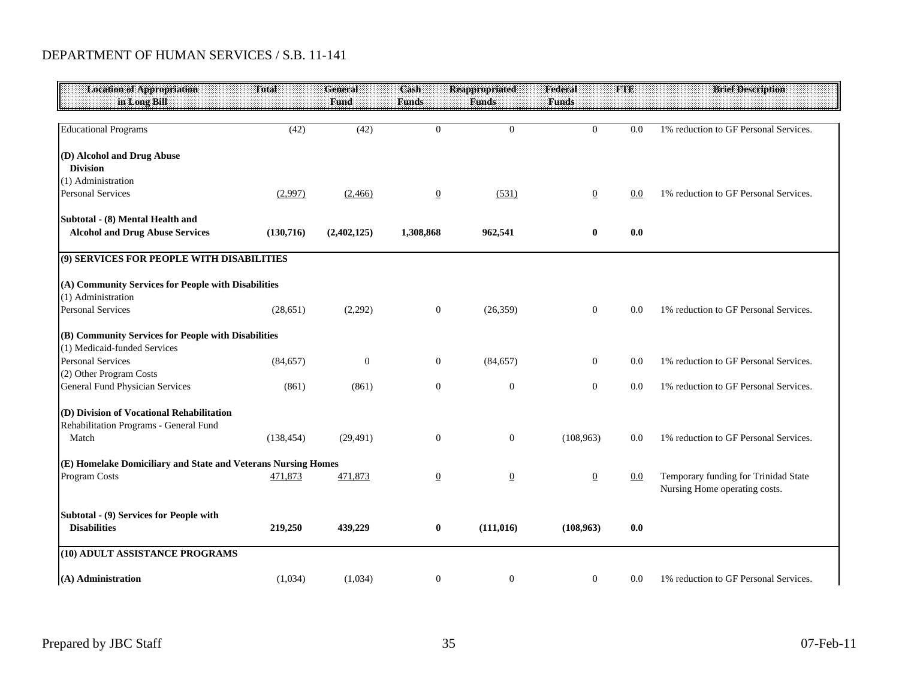#### DEPARTMENT OF HUMAN SERVICES / S.B. 11-141

| <b>Location of Appropriation</b><br>in Long Bill              | Total      | <b>General</b><br>Fund | Cash<br><b>Funds</b> | <b>Reappropriated</b><br><b>Funds</b> | Federal<br><b>Funds</b> | <b>FTE</b> | <b>Brief Description</b>                                              |
|---------------------------------------------------------------|------------|------------------------|----------------------|---------------------------------------|-------------------------|------------|-----------------------------------------------------------------------|
| <b>Educational Programs</b>                                   | (42)       | (42)                   | $\overline{0}$       | $\overline{0}$                        | $\Omega$                | 0.0        | 1% reduction to GF Personal Services.                                 |
| (D) Alcohol and Drug Abuse                                    |            |                        |                      |                                       |                         |            |                                                                       |
| <b>Division</b>                                               |            |                        |                      |                                       |                         |            |                                                                       |
| (1) Administration                                            |            |                        |                      |                                       |                         |            |                                                                       |
| <b>Personal Services</b>                                      | (2,997)    | (2,466)                | $\overline{0}$       | (531)                                 | $\overline{0}$          | 0.0        | 1% reduction to GF Personal Services.                                 |
| Subtotal - (8) Mental Health and                              |            |                        |                      |                                       |                         |            |                                                                       |
| <b>Alcohol and Drug Abuse Services</b>                        | (130,716)  | (2,402,125)            | 1,308,868            | 962,541                               | $\bf{0}$                | 0.0        |                                                                       |
| (9) SERVICES FOR PEOPLE WITH DISABILITIES                     |            |                        |                      |                                       |                         |            |                                                                       |
| (A) Community Services for People with Disabilities           |            |                        |                      |                                       |                         |            |                                                                       |
| (1) Administration                                            |            |                        |                      |                                       |                         |            |                                                                       |
| <b>Personal Services</b>                                      | (28, 651)  | (2,292)                | $\mathbf{0}$         | (26, 359)                             | $\mathbf{0}$            | 0.0        | 1% reduction to GF Personal Services.                                 |
| (B) Community Services for People with Disabilities           |            |                        |                      |                                       |                         |            |                                                                       |
| (1) Medicaid-funded Services                                  |            |                        |                      |                                       |                         |            |                                                                       |
| <b>Personal Services</b>                                      | (84, 657)  | $\theta$               | $\mathbf{0}$         | (84, 657)                             | $\mathbf{0}$            | 0.0        | 1% reduction to GF Personal Services.                                 |
| (2) Other Program Costs                                       |            |                        |                      |                                       |                         |            |                                                                       |
| <b>General Fund Physician Services</b>                        | (861)      | (861)                  | $\boldsymbol{0}$     | $\boldsymbol{0}$                      | $\boldsymbol{0}$        | 0.0        | 1% reduction to GF Personal Services.                                 |
| (D) Division of Vocational Rehabilitation                     |            |                        |                      |                                       |                         |            |                                                                       |
| Rehabilitation Programs - General Fund                        |            |                        |                      |                                       |                         |            |                                                                       |
| Match                                                         | (138, 454) | (29, 491)              | $\mathbf{0}$         | $\mathbf{0}$                          | (108,963)               | 0.0        | 1% reduction to GF Personal Services.                                 |
| (E) Homelake Domiciliary and State and Veterans Nursing Homes |            |                        |                      |                                       |                         |            |                                                                       |
| Program Costs                                                 | 471,873    | 471,873                | $\overline{0}$       | $\overline{0}$                        | $\underline{0}$         | 0.0        | Temporary funding for Trinidad State<br>Nursing Home operating costs. |
| Subtotal - (9) Services for People with                       |            |                        |                      |                                       |                         |            |                                                                       |
| <b>Disabilities</b>                                           | 219,250    | 439,229                | $\bf{0}$             | (111, 016)                            | (108,963)               | 0.0        |                                                                       |
| (10) ADULT ASSISTANCE PROGRAMS                                |            |                        |                      |                                       |                         |            |                                                                       |
| (A) Administration                                            | (1,034)    | (1,034)                | $\boldsymbol{0}$     | $\overline{0}$                        | $\mathbf{0}$            | 0.0        | 1% reduction to GF Personal Services.                                 |
|                                                               |            |                        |                      |                                       |                         |            |                                                                       |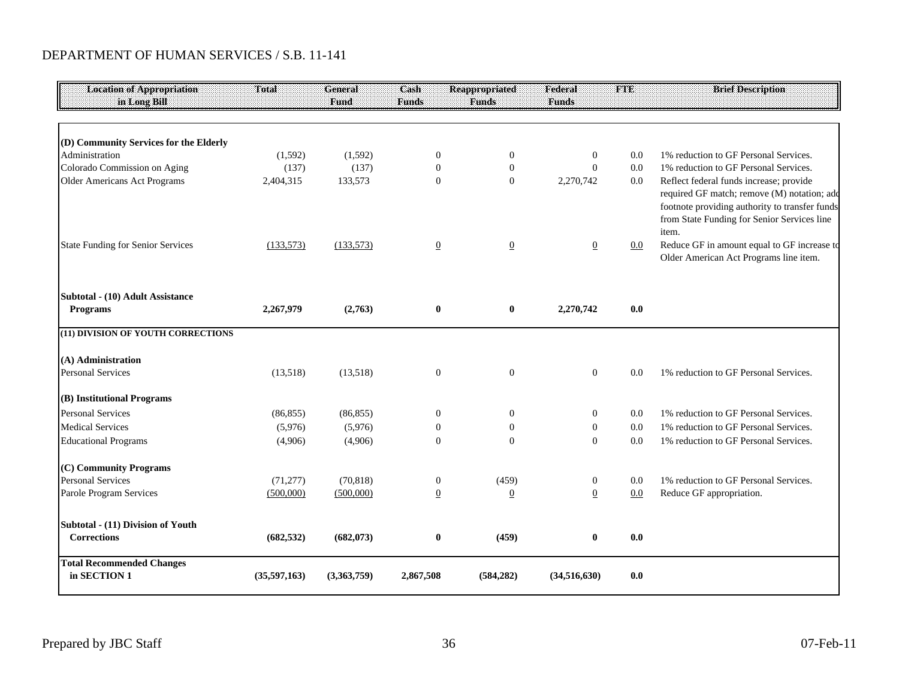#### DEPARTMENT OF HUMAN SERVICES / S.B. 11-141

| <b>Location of Appropriation</b><br>in Long Bill | Total        | <b>General</b><br>Fund | Cash<br><b>Funds</b> | <b>Reappropriated</b><br><b>Funds</b> | Federal<br><b>Funds</b> | <b>FTE</b> | <b>Brief Description</b>                                                                                                                              |
|--------------------------------------------------|--------------|------------------------|----------------------|---------------------------------------|-------------------------|------------|-------------------------------------------------------------------------------------------------------------------------------------------------------|
|                                                  |              |                        |                      |                                       |                         |            |                                                                                                                                                       |
| (D) Community Services for the Elderly           |              |                        |                      |                                       |                         |            |                                                                                                                                                       |
| Administration                                   | (1,592)      | (1,592)                | $\boldsymbol{0}$     | $\boldsymbol{0}$                      | $\mathbf{0}$            | 0.0        | 1% reduction to GF Personal Services.                                                                                                                 |
| Colorado Commission on Aging                     | (137)        | (137)                  | $\mathbf{0}$         | $\mathbf{0}$                          | $\theta$                | 0.0        | 1% reduction to GF Personal Services.                                                                                                                 |
| <b>Older Americans Act Programs</b>              | 2,404,315    | 133,573                | $\mathbf{0}$         | $\boldsymbol{0}$                      | 2,270,742               | 0.0        | Reflect federal funds increase; provide                                                                                                               |
|                                                  |              |                        |                      |                                       |                         |            | required GF match; remove (M) notation; add<br>footnote providing authority to transfer funds<br>from State Funding for Senior Services line<br>item. |
| <b>State Funding for Senior Services</b>         | (133,573)    | (133,573)              | $\overline{0}$       | $\underline{0}$                       | $\overline{0}$          | 0.0        | Reduce GF in amount equal to GF increase to<br>Older American Act Programs line item.                                                                 |
| Subtotal - (10) Adult Assistance                 |              |                        |                      |                                       |                         |            |                                                                                                                                                       |
| <b>Programs</b>                                  | 2,267,979    | (2,763)                | $\bf{0}$             | $\pmb{0}$                             | 2,270,742               | 0.0        |                                                                                                                                                       |
| (11) DIVISION OF YOUTH CORRECTIONS               |              |                        |                      |                                       |                         |            |                                                                                                                                                       |
| (A) Administration                               |              |                        |                      |                                       |                         |            |                                                                                                                                                       |
| <b>Personal Services</b>                         | (13,518)     | (13,518)               | $\mathbf{0}$         | $\mathbf{0}$                          | $\overline{0}$          | 0.0        | 1% reduction to GF Personal Services.                                                                                                                 |
| (B) Institutional Programs                       |              |                        |                      |                                       |                         |            |                                                                                                                                                       |
| <b>Personal Services</b>                         | (86, 855)    | (86, 855)              | $\boldsymbol{0}$     | $\mathbf{0}$                          | $\mathbf{0}$            | 0.0        | 1% reduction to GF Personal Services.                                                                                                                 |
| <b>Medical Services</b>                          | (5,976)      | (5,976)                | $\overline{0}$       | $\theta$                              | $\mathbf{0}$            | 0.0        | 1% reduction to GF Personal Services.                                                                                                                 |
| <b>Educational Programs</b>                      | (4,906)      | (4,906)                | $\Omega$             | $\Omega$                              | $\overline{0}$          | 0.0        | 1% reduction to GF Personal Services.                                                                                                                 |
| (C) Community Programs                           |              |                        |                      |                                       |                         |            |                                                                                                                                                       |
| <b>Personal Services</b>                         | (71, 277)    | (70, 818)              | $\boldsymbol{0}$     | (459)                                 | $\boldsymbol{0}$        | 0.0        | 1% reduction to GF Personal Services.                                                                                                                 |
| Parole Program Services                          | (500,000)    | (500,000)              | $\overline{0}$       | $\overline{0}$                        | $\overline{0}$          | 0.0        | Reduce GF appropriation.                                                                                                                              |
| Subtotal - (11) Division of Youth                |              |                        |                      |                                       |                         |            |                                                                                                                                                       |
| <b>Corrections</b>                               | (682, 532)   | (682,073)              | $\bf{0}$             | (459)                                 | 0                       | 0.0        |                                                                                                                                                       |
| <b>Total Recommended Changes</b>                 |              |                        |                      |                                       |                         |            |                                                                                                                                                       |
| in SECTION 1                                     | (35,597,163) | (3,363,759)            | 2,867,508            | (584, 282)                            | (34,516,630)            | 0.0        |                                                                                                                                                       |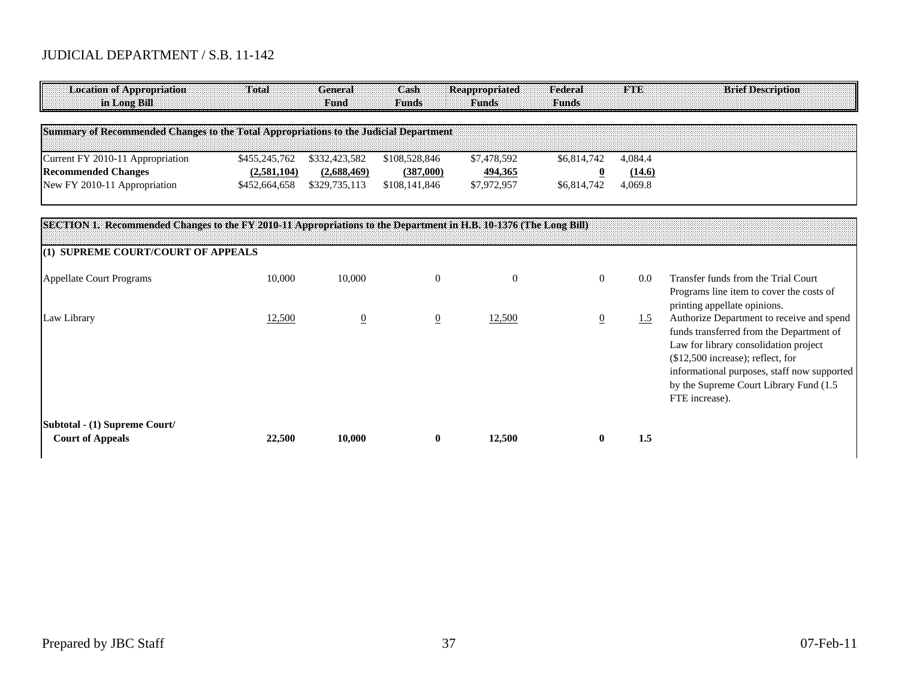| <b>Location of Appropriation</b><br>in Long Bill                                                                  | Total                        | <b>General</b><br><b>Fund</b> | Cash<br>Funds              | <b>Reappropriated</b><br><b>Funds</b> | Federal<br><b>Funds</b> | <b>TABE</b>       | <b>Brief Description</b>                                                                                        |
|-------------------------------------------------------------------------------------------------------------------|------------------------------|-------------------------------|----------------------------|---------------------------------------|-------------------------|-------------------|-----------------------------------------------------------------------------------------------------------------|
| Summary of Recommended Changes to the Total Appropriations to the Judicial Department                             |                              |                               |                            |                                       |                         |                   |                                                                                                                 |
| Current FY 2010-11 Appropriation                                                                                  | \$455,245,762                | \$332,423,582                 | \$108,528,846              | \$7,478,592                           | \$6,814,742             | 4,084.4           |                                                                                                                 |
| <b>Recommended Changes</b><br>New FY 2010-11 Appropriation                                                        | (2,581,104)<br>\$452,664,658 | (2,688,469)<br>\$329,735,113  | (387,000)<br>\$108,141,846 | 494,365<br>\$7,972,957                | \$6,814,742             | (14.6)<br>4,069.8 |                                                                                                                 |
| SECTION 1. Recommended Changes to the FY 2010-11 Appropriations to the Department in H.B. 10-1376 (The Long Bill) |                              |                               |                            |                                       |                         |                   |                                                                                                                 |
| (1) SUPREME COURT/COURT OF APPEALS                                                                                |                              |                               |                            |                                       |                         |                   |                                                                                                                 |
| Appellate Court Programs                                                                                          | 10,000                       | 10,000                        | $\overline{0}$             | $\Omega$                              | $\Omega$                | 0.0               | Transfer funds from the Trial Court<br>Programs line item to cover the costs of<br>printing appellate opinions. |
| Law Library                                                                                                       | 12,500                       | $\overline{0}$                | $\overline{0}$             | 12,500                                |                         | 1.5               | Authorize Department to receive and spend<br>funds transferred from the Department of                           |

**Subtotal - (1) Supreme Court/**

Law for library consolidation project (\$12,500 increase); reflect, for

FTE increase).

informational purposes, staff now supported by the Supreme Court Library Fund (1.5

 **Court of Appeals 22,500 10,000 0 12,500 0 1.5**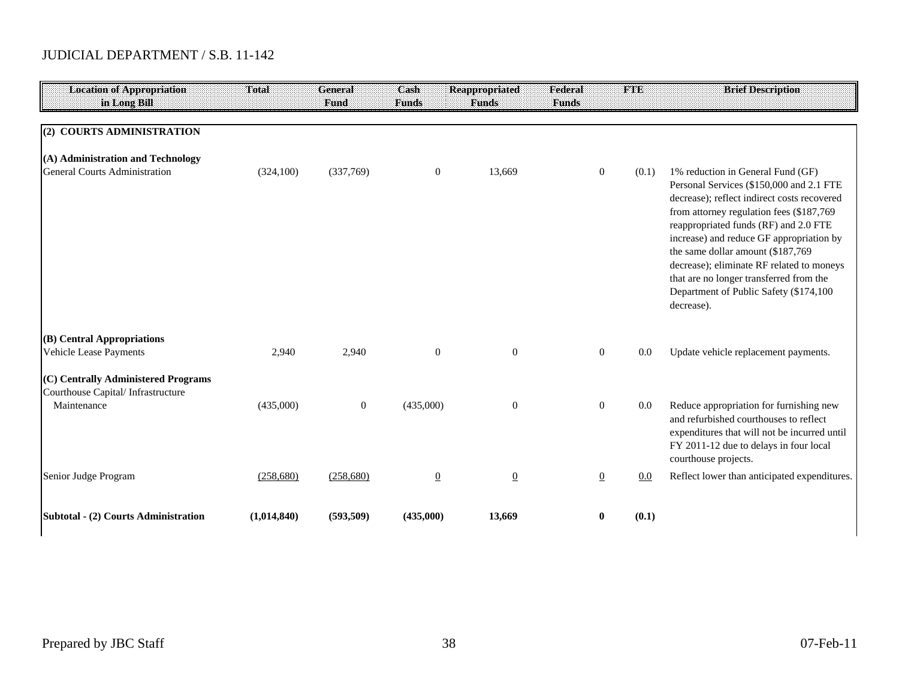| <b>Location of Appropriation</b><br>in Long Bill                         | Total       | General<br>Fund  | Cash<br><b>Funds</b> | <b>Reappropriated</b><br><b>Funds</b> | Federal<br><b>Funds</b> | THE   | <b>Brief Description</b>                                                                                                                                                                                                                                                                                                                                                                                                                            |
|--------------------------------------------------------------------------|-------------|------------------|----------------------|---------------------------------------|-------------------------|-------|-----------------------------------------------------------------------------------------------------------------------------------------------------------------------------------------------------------------------------------------------------------------------------------------------------------------------------------------------------------------------------------------------------------------------------------------------------|
|                                                                          |             |                  |                      |                                       |                         |       |                                                                                                                                                                                                                                                                                                                                                                                                                                                     |
| (2) COURTS ADMINISTRATION                                                |             |                  |                      |                                       |                         |       |                                                                                                                                                                                                                                                                                                                                                                                                                                                     |
| (A) Administration and Technology                                        |             |                  |                      |                                       |                         |       |                                                                                                                                                                                                                                                                                                                                                                                                                                                     |
| <b>General Courts Administration</b>                                     | (324, 100)  | (337,769)        | $\mathbf{0}$         | 13,669                                | $\boldsymbol{0}$        | (0.1) | 1% reduction in General Fund (GF)<br>Personal Services (\$150,000 and 2.1 FTE<br>decrease); reflect indirect costs recovered<br>from attorney regulation fees (\$187,769<br>reappropriated funds (RF) and 2.0 FTE<br>increase) and reduce GF appropriation by<br>the same dollar amount (\$187,769)<br>decrease); eliminate RF related to moneys<br>that are no longer transferred from the<br>Department of Public Safety (\$174,100<br>decrease). |
| (B) Central Appropriations<br>Vehicle Lease Payments                     | 2,940       | 2,940            | $\mathbf{0}$         | $\overline{0}$                        | $\overline{0}$          | 0.0   | Update vehicle replacement payments.                                                                                                                                                                                                                                                                                                                                                                                                                |
| (C) Centrally Administered Programs<br>Courthouse Capital/Infrastructure |             |                  |                      |                                       |                         |       |                                                                                                                                                                                                                                                                                                                                                                                                                                                     |
| Maintenance                                                              | (435,000)   | $\boldsymbol{0}$ | (435,000)            | $\mathbf{0}$                          | $\overline{0}$          | 0.0   | Reduce appropriation for furnishing new<br>and refurbished courthouses to reflect<br>expenditures that will not be incurred until<br>FY 2011-12 due to delays in four local<br>courthouse projects.                                                                                                                                                                                                                                                 |
| Senior Judge Program                                                     | (258,680)   | (258,680)        | $\underline{0}$      | $\overline{0}$                        | $\boldsymbol{0}$        | 0.0   | Reflect lower than anticipated expenditures.                                                                                                                                                                                                                                                                                                                                                                                                        |
| Subtotal - (2) Courts Administration                                     | (1,014,840) | (593, 509)       | (435,000)            | 13,669                                | 0                       | (0.1) |                                                                                                                                                                                                                                                                                                                                                                                                                                                     |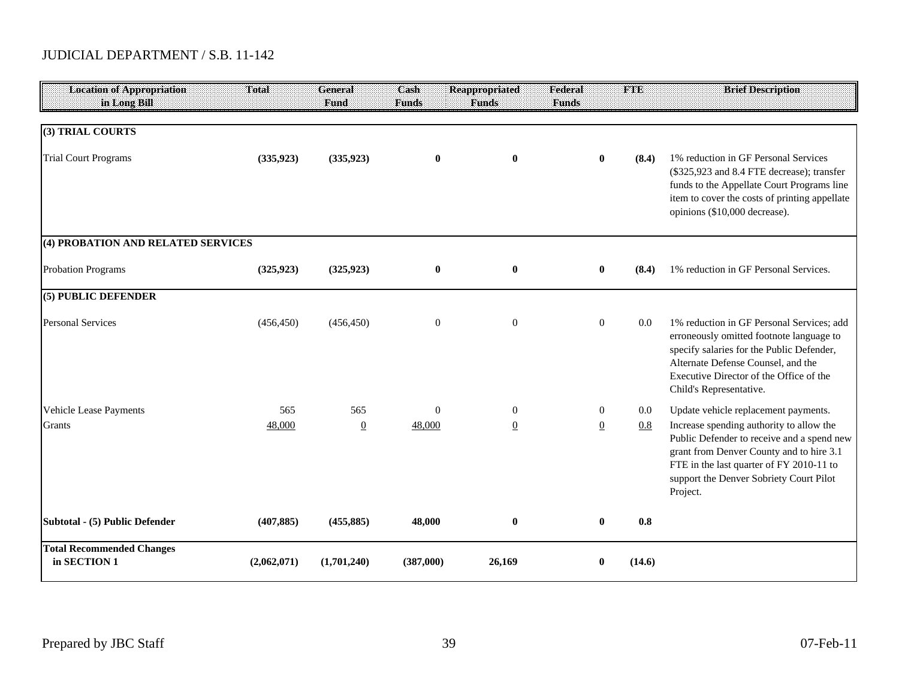| <b>Location of Appropriation</b><br>in Long Bill | <b>Total</b> | <b>General</b><br>Fund | Cash<br><b>Funds</b> | <b>Reappropriated</b><br><b>Funds</b> | Federal<br><b>Funds</b> | <b>FTE</b> | <b>Brief Description</b>                                                                                                                                                                                                                       |
|--------------------------------------------------|--------------|------------------------|----------------------|---------------------------------------|-------------------------|------------|------------------------------------------------------------------------------------------------------------------------------------------------------------------------------------------------------------------------------------------------|
|                                                  |              |                        |                      |                                       |                         |            |                                                                                                                                                                                                                                                |
| (3) TRIAL COURTS                                 |              |                        |                      |                                       |                         |            |                                                                                                                                                                                                                                                |
| <b>Trial Court Programs</b>                      | (335, 923)   | (335, 923)             | $\bf{0}$             | $\bf{0}$                              | $\bf{0}$                | (8.4)      | 1% reduction in GF Personal Services<br>(\$325,923 and 8.4 FTE decrease); transfer<br>funds to the Appellate Court Programs line<br>item to cover the costs of printing appellate<br>opinions (\$10,000 decrease).                             |
| (4) PROBATION AND RELATED SERVICES               |              |                        |                      |                                       |                         |            |                                                                                                                                                                                                                                                |
| <b>Probation Programs</b>                        | (325, 923)   | (325, 923)             | $\bf{0}$             | $\bf{0}$                              | $\bf{0}$                | (8.4)      | 1% reduction in GF Personal Services.                                                                                                                                                                                                          |
| (5) PUBLIC DEFENDER                              |              |                        |                      |                                       |                         |            |                                                                                                                                                                                                                                                |
| <b>Personal Services</b>                         | (456, 450)   | (456, 450)             | $\boldsymbol{0}$     | $\boldsymbol{0}$                      | $\boldsymbol{0}$        | 0.0        | 1% reduction in GF Personal Services; add<br>erroneously omitted footnote language to<br>specify salaries for the Public Defender,<br>Alternate Defense Counsel, and the<br>Executive Director of the Office of the<br>Child's Representative. |
| Vehicle Lease Payments                           | 565          | 565                    | $\theta$             | $\overline{0}$                        | $\overline{0}$          | 0.0        | Update vehicle replacement payments.                                                                                                                                                                                                           |
| Grants                                           | 48,000       | $\overline{0}$         | 48,000               | $\overline{0}$                        | $\underline{0}$         | 0.8        | Increase spending authority to allow the<br>Public Defender to receive and a spend new<br>grant from Denver County and to hire 3.1<br>FTE in the last quarter of FY 2010-11 to<br>support the Denver Sobriety Court Pilot<br>Project.          |
| Subtotal - (5) Public Defender                   | (407, 885)   | (455, 885)             | 48,000               | $\bf{0}$                              | $\bf{0}$                | 0.8        |                                                                                                                                                                                                                                                |
| <b>Total Recommended Changes</b><br>in SECTION 1 | (2,062,071)  | (1,701,240)            | (387,000)            | 26,169                                | $\bf{0}$                | (14.6)     |                                                                                                                                                                                                                                                |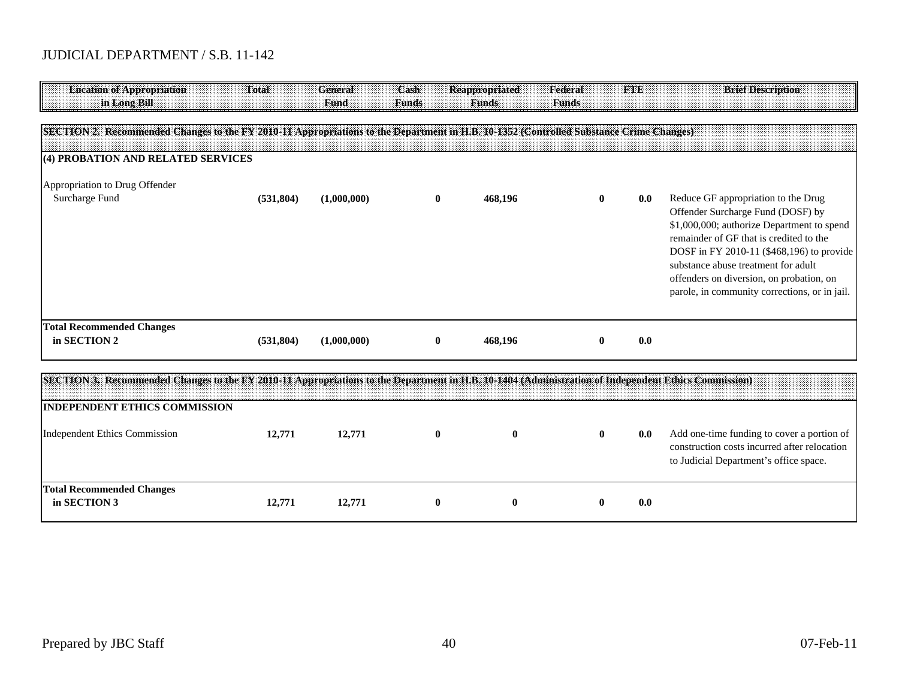| <b>Location of Appropriation</b><br>in Long Bill                                                                                       | Total      | <b>General</b><br>Fund | Cash<br><b>Funds</b> | <b>Reappropriated</b><br><b>Funds</b> | Federal<br><b>Funds</b> | <b>TABE</b> | <b>Brief Description</b>                                                                                                                                                                                                                                                                                                                           |
|----------------------------------------------------------------------------------------------------------------------------------------|------------|------------------------|----------------------|---------------------------------------|-------------------------|-------------|----------------------------------------------------------------------------------------------------------------------------------------------------------------------------------------------------------------------------------------------------------------------------------------------------------------------------------------------------|
| SECTION 2. Recommended Changes to the FY 2010-11 Appropriations to the Department in H.B. 10-1352 (Controlled Substance Crime Changes) |            |                        |                      |                                       |                         |             |                                                                                                                                                                                                                                                                                                                                                    |
| (4) PROBATION AND RELATED SERVICES                                                                                                     |            |                        |                      |                                       |                         |             |                                                                                                                                                                                                                                                                                                                                                    |
| Appropriation to Drug Offender<br>Surcharge Fund                                                                                       | (531, 804) | (1,000,000)            | $\bf{0}$             | 468,196                               | 0                       | 0.0         | Reduce GF appropriation to the Drug<br>Offender Surcharge Fund (DOSF) by<br>\$1,000,000; authorize Department to spend<br>remainder of GF that is credited to the<br>DOSF in FY 2010-11 (\$468,196) to provide<br>substance abuse treatment for adult<br>offenders on diversion, on probation, on<br>parole, in community corrections, or in jail. |
| <b>Total Recommended Changes</b><br>in SECTION 2                                                                                       | (531, 804) | (1,000,000)            | $\bf{0}$             | 468,196                               | $\mathbf{0}$            | 0.0         |                                                                                                                                                                                                                                                                                                                                                    |

| SECTION 3. Recommended Changes to the FY 2010-11 Appropriations to the Department in H.B. 10-1404 (Administration of Independent Ethics Commission) |        |        |   |   |   |     |                                                                                                                                      |
|-----------------------------------------------------------------------------------------------------------------------------------------------------|--------|--------|---|---|---|-----|--------------------------------------------------------------------------------------------------------------------------------------|
| <b>INDEPENDENT ETHICS COMMISSION</b>                                                                                                                |        |        |   |   |   |     |                                                                                                                                      |
| Independent Ethics Commission                                                                                                                       | 12.771 | 12,771 | v | 0 | o | 0.0 | Add one-time funding to cover a portion of<br>construction costs incurred after relocation<br>to Judicial Department's office space. |
| <b>Total Recommended Changes</b><br>in SECTION 3                                                                                                    | 12,771 | 12,771 | v | 0 |   | 0.0 |                                                                                                                                      |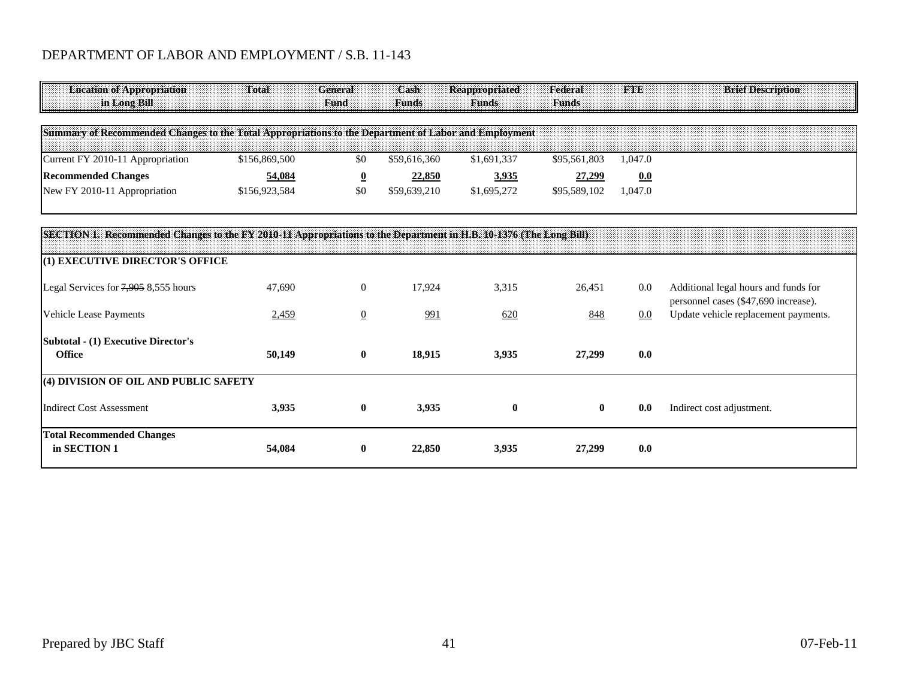### DEPARTMENT OF LABOR AND EMPLOYMENT / S.B. 11-143

| <b>Location of Appropriation</b><br>in Long Bill                                                                  | Total         | General<br>Fund         | Cash<br><b>Funds</b> | <b>Reappropriated</b><br><b>Funds</b> | Federal<br><b>Funds</b> | <b>FTE</b> | <b>Brief Description</b>                                                     |
|-------------------------------------------------------------------------------------------------------------------|---------------|-------------------------|----------------------|---------------------------------------|-------------------------|------------|------------------------------------------------------------------------------|
| Summary of Recommended Changes to the Total Appropriations to the Department of Labor and Employment              |               |                         |                      |                                       |                         |            |                                                                              |
| Current FY 2010-11 Appropriation                                                                                  | \$156,869,500 | \$0                     | \$59,616,360         | \$1,691,337                           | \$95,561,803            | 1,047.0    |                                                                              |
| <b>Recommended Changes</b>                                                                                        | 54,084        | $\overline{\mathbf{0}}$ | <u>22,850</u>        | <u>3,935</u>                          | <u>27,299</u>           | 0.0        |                                                                              |
| New FY 2010-11 Appropriation                                                                                      | \$156,923,584 | \$0                     | \$59,639,210         | \$1,695,272                           | \$95,589,102            | 1,047.0    |                                                                              |
|                                                                                                                   |               |                         |                      |                                       |                         |            |                                                                              |
| SECTION 1. Recommended Changes to the FY 2010-11 Appropriations to the Department in H.B. 10-1376 (The Long Bill) |               |                         |                      |                                       |                         |            |                                                                              |
| (1) EXECUTIVE DIRECTOR'S OFFICE                                                                                   |               |                         |                      |                                       |                         |            |                                                                              |
| Legal Services for $7,905,8,555$ hours                                                                            | 47,690        | $\overline{0}$          | 17,924               | 3,315                                 | 26,451                  | 0.0        | Additional legal hours and funds for<br>personnel cases (\$47,690 increase). |
| Vehicle Lease Payments                                                                                            | 2,459         | $\overline{0}$          | <u>991</u>           | 620                                   | 848                     | 0.0        | Update vehicle replacement payments.                                         |
| <b>Subtotal - (1) Executive Director's</b><br><b>Office</b>                                                       | 50,149        | $\mathbf{0}$            | 18,915               | 3,935                                 | 27,299                  | 0.0        |                                                                              |
| (4) DIVISION OF OIL AND PUBLIC SAFETY                                                                             |               |                         |                      |                                       |                         |            |                                                                              |
| <b>Indirect Cost Assessment</b>                                                                                   | 3,935         | $\bf{0}$                | 3,935                | $\bf{0}$                              | $\bf{0}$                | 0.0        | Indirect cost adjustment.                                                    |
| <b>Total Recommended Changes</b><br>in SECTION 1                                                                  | 54,084        | $\mathbf{0}$            | 22,850               | 3,935                                 | 27,299                  | 0.0        |                                                                              |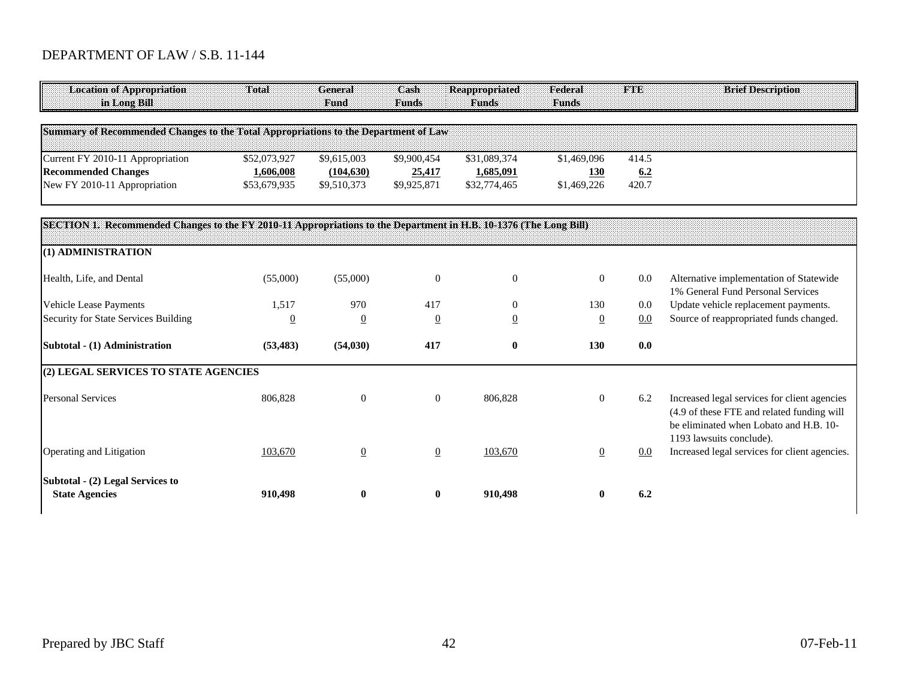# DEPARTMENT OF LAW / S.B. 11-144

| <b>Location of Appropriation</b><br>in Long Bill                                                                  | Total          | <b>General</b><br>Fund | Cash<br><b>Funds</b> | <b>Reappropriated</b><br><b>Funds</b> | Federal<br><b>Funds</b> | <b>FTE</b> | <b>Brief Description</b>                                                                                                             |
|-------------------------------------------------------------------------------------------------------------------|----------------|------------------------|----------------------|---------------------------------------|-------------------------|------------|--------------------------------------------------------------------------------------------------------------------------------------|
| Summary of Recommended Changes to the Total Appropriations to the Department of Law                               |                |                        |                      |                                       |                         |            |                                                                                                                                      |
| Current FY 2010-11 Appropriation                                                                                  | \$52,073,927   | \$9,615,003            | \$9,900,454          | \$31,089,374                          | \$1,469,096             | 414.5      |                                                                                                                                      |
| <b>Recommended Changes</b>                                                                                        | 1,606,008      | (104, 630)             | 25,417               | 1,685,091                             | <b>130</b>              | 6.2        |                                                                                                                                      |
| New FY 2010-11 Appropriation                                                                                      | \$53,679,935   | \$9,510,373            | \$9,925,871          | \$32,774,465                          | \$1,469,226             | 420.7      |                                                                                                                                      |
| SECTION 1. Recommended Changes to the FY 2010-11 Appropriations to the Department in H.B. 10-1376 (The Long Bill) |                |                        |                      |                                       |                         |            |                                                                                                                                      |
| (1) ADMINISTRATION                                                                                                |                |                        |                      |                                       |                         |            |                                                                                                                                      |
| Health, Life, and Dental                                                                                          | (55,000)       | (55,000)               | $\mathbf{0}$         | $\boldsymbol{0}$                      | $\overline{0}$          | $0.0\,$    | Alternative implementation of Statewide<br>1% General Fund Personal Services                                                         |
| Vehicle Lease Payments                                                                                            | 1,517          | 970                    | 417                  | $\boldsymbol{0}$                      | 130                     | 0.0        | Update vehicle replacement payments.                                                                                                 |
| Security for State Services Building                                                                              | $\overline{0}$ | $\overline{0}$         | $\overline{0}$       | $\underline{0}$                       | $\overline{0}$          | 0.0        | Source of reappropriated funds changed.                                                                                              |
| Subtotal - (1) Administration                                                                                     | (53, 483)      | (54, 030)              | 417                  | $\bf{0}$                              | 130                     | 0.0        |                                                                                                                                      |
| (2) LEGAL SERVICES TO STATE AGENCIES                                                                              |                |                        |                      |                                       |                         |            |                                                                                                                                      |
| <b>Personal Services</b>                                                                                          | 806,828        | $\overline{0}$         | $\overline{0}$       | 806,828                               | $\overline{0}$          | 6.2        | Increased legal services for client agencies<br>(4.9 of these FTE and related funding will<br>be eliminated when Lobato and H.B. 10- |
| Operating and Litigation                                                                                          | 103,670        | $\overline{0}$         | $\overline{0}$       | 103,670                               | $\underline{0}$         | 0.0        | 1193 lawsuits conclude).<br>Increased legal services for client agencies.                                                            |
| Subtotal - (2) Legal Services to<br><b>State Agencies</b>                                                         | 910,498        | $\mathbf{0}$           | $\bf{0}$             | 910,498                               |                         | 6,2        |                                                                                                                                      |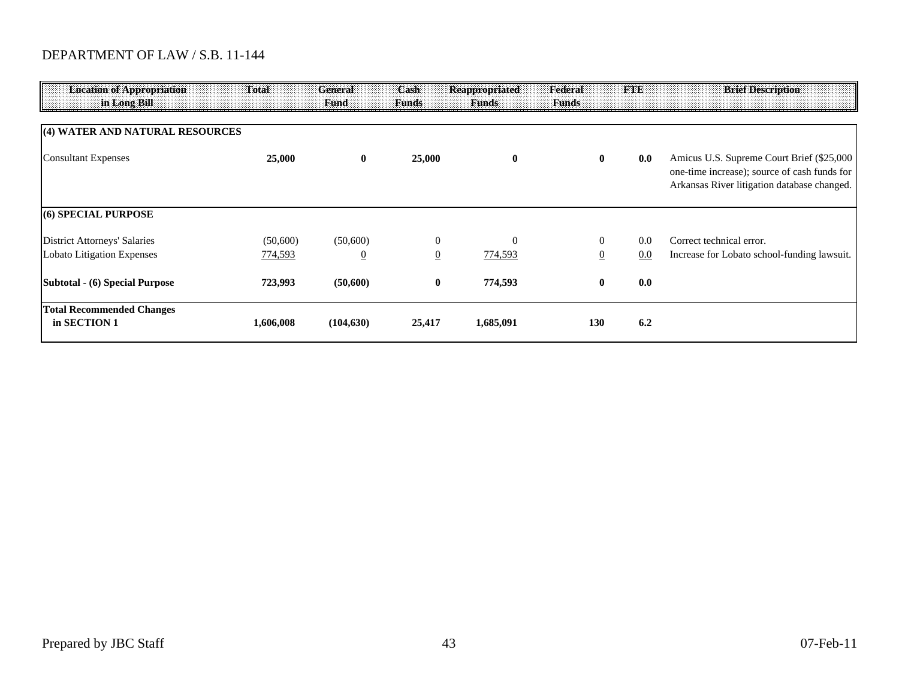## DEPARTMENT OF LAW / S.B. 11-144

| <b>Location of Appropriation</b><br>in Long Bill | Total     | General<br><b>Fund</b> | Cash<br><b>Funds</b> | Reappropriated<br><b>Funds</b> | Federal<br><b>Funds</b> | <b>FTE</b> | <b>Brief Description</b>                                                                                                                 |
|--------------------------------------------------|-----------|------------------------|----------------------|--------------------------------|-------------------------|------------|------------------------------------------------------------------------------------------------------------------------------------------|
| (4) WATER AND NATURAL RESOURCES                  |           |                        |                      |                                |                         |            |                                                                                                                                          |
| <b>Consultant Expenses</b>                       | 25,000    | $\bf{0}$               | 25,000               | $\bf{0}$                       | $\mathbf{0}$            | 0.0        | Amicus U.S. Supreme Court Brief (\$25,000<br>one-time increase); source of cash funds for<br>Arkansas River litigation database changed. |
| (6) SPECIAL PURPOSE                              |           |                        |                      |                                |                         |            |                                                                                                                                          |
| <b>District Attorneys' Salaries</b>              | (50,600)  | (50,600)               | $\theta$             | $\Omega$                       | $\theta$                | 0.0        | Correct technical error.                                                                                                                 |
| Lobato Litigation Expenses                       | 774,593   | $\overline{0}$         | $\overline{0}$       | 774,593                        |                         | 0.0        | Increase for Lobato school-funding lawsuit.                                                                                              |
| Subtotal - (6) Special Purpose                   | 723,993   | (50,600)               | $\bf{0}$             | 774,593                        | $\mathbf{0}$            | 0.0        |                                                                                                                                          |
| <b>Total Recommended Changes</b><br>in SECTION 1 | 1,606,008 | (104, 630)             | 25,417               | 1,685,091                      | 130                     | 6.2        |                                                                                                                                          |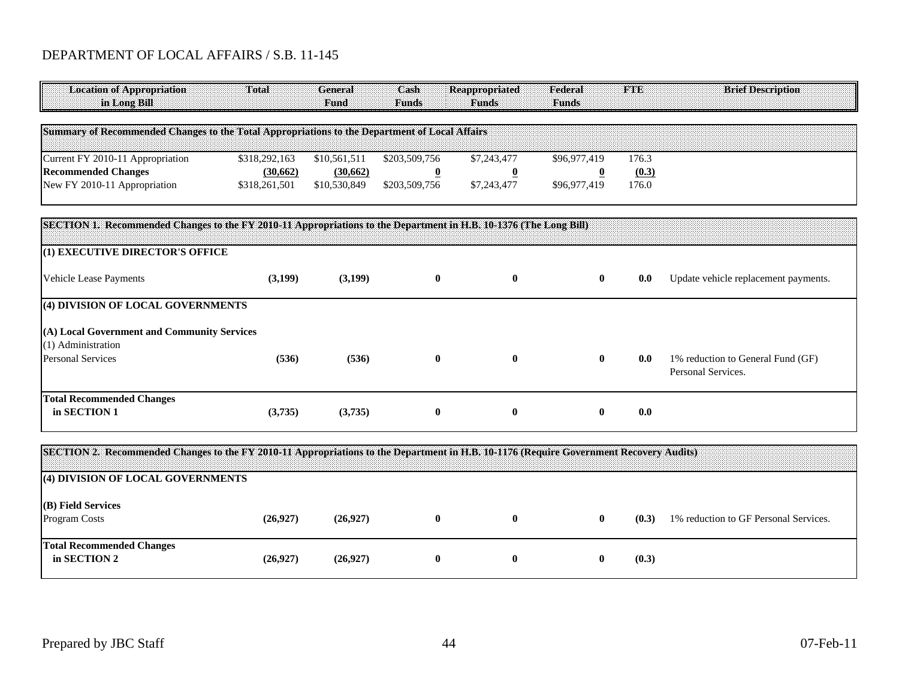## DEPARTMENT OF LOCAL AFFAIRS / S.B. 11-145

| <b>Location of Appropriation</b><br>in Long Bill                                                                                       | Total         | <b>General</b><br>Fund | Cash<br><b>Funds</b> | <b>Reappropriated</b><br><b>Funds</b> | Federal<br><b>Funds</b> | <b>FTE</b> | <b>Brief Description</b>                                |
|----------------------------------------------------------------------------------------------------------------------------------------|---------------|------------------------|----------------------|---------------------------------------|-------------------------|------------|---------------------------------------------------------|
| Summary of Recommended Changes to the Total Appropriations to the Department of Local Affairs                                          |               |                        |                      |                                       |                         |            |                                                         |
| Current FY 2010-11 Appropriation                                                                                                       | \$318,292,163 | \$10,561,511           | \$203,509,756        | \$7,243,477                           | \$96,977,419            | 176.3      |                                                         |
| <b>Recommended Changes</b>                                                                                                             | (30,662)      | (30,662)               | $\overline{0}$       | $\overline{\mathbf{0}}$               | $\overline{0}$          | (0.3)      |                                                         |
| New FY 2010-11 Appropriation                                                                                                           | \$318,261,501 | \$10,530,849           | \$203,509,756        | \$7,243,477                           | \$96,977,419            | 176.0      |                                                         |
| SECTION 1. Recommended Changes to the FY 2010-11 Appropriations to the Department in H.B. 10-1376 (The Long Bill)                      |               |                        |                      |                                       |                         |            |                                                         |
| (1) EXECUTIVE DIRECTOR'S OFFICE                                                                                                        |               |                        |                      |                                       |                         |            |                                                         |
| <b>Vehicle Lease Payments</b>                                                                                                          | (3,199)       | (3,199)                | $\bf{0}$             | $\bf{0}$                              | $\bf{0}$                | 0.0        | Update vehicle replacement payments.                    |
| (4) DIVISION OF LOCAL GOVERNMENTS                                                                                                      |               |                        |                      |                                       |                         |            |                                                         |
| (A) Local Government and Community Services                                                                                            |               |                        |                      |                                       |                         |            |                                                         |
| (1) Administration                                                                                                                     |               |                        |                      |                                       |                         |            |                                                         |
| <b>Personal Services</b>                                                                                                               | (536)         | (536)                  | $\bf{0}$             | $\bf{0}$                              | $\bf{0}$                | 0.0        | 1% reduction to General Fund (GF)<br>Personal Services. |
| <b>Total Recommended Changes</b>                                                                                                       |               |                        |                      |                                       |                         |            |                                                         |
| in SECTION 1                                                                                                                           | (3,735)       | (3,735)                | $\bf{0}$             | $\bf{0}$                              | $\bf{0}$                | 0.0        |                                                         |
| SECTION 2. Recommended Changes to the FY 2010-11 Appropriations to the Department in H.B. 10-1176 (Require Government Recovery Audits) |               |                        |                      |                                       |                         |            |                                                         |

| SECTION 2. Recommended Changes to the FT 2010+11 Appropriations to the Department in 11.b. 10+1170 (Require Government Recovery Addits) |          |          |  |       |                                       |
|-----------------------------------------------------------------------------------------------------------------------------------------|----------|----------|--|-------|---------------------------------------|
| (4) DIVISION OF LOCAL GOVERNMENTS                                                                                                       |          |          |  |       |                                       |
| (B) Field Services<br>Program Costs                                                                                                     | (26,927) | (26,927) |  | (0.3) | 1% reduction to GF Personal Services. |
| <b>Total Recommended Changes</b><br>in SECTION 2                                                                                        | (26.927) | (26,927) |  | (0.3) |                                       |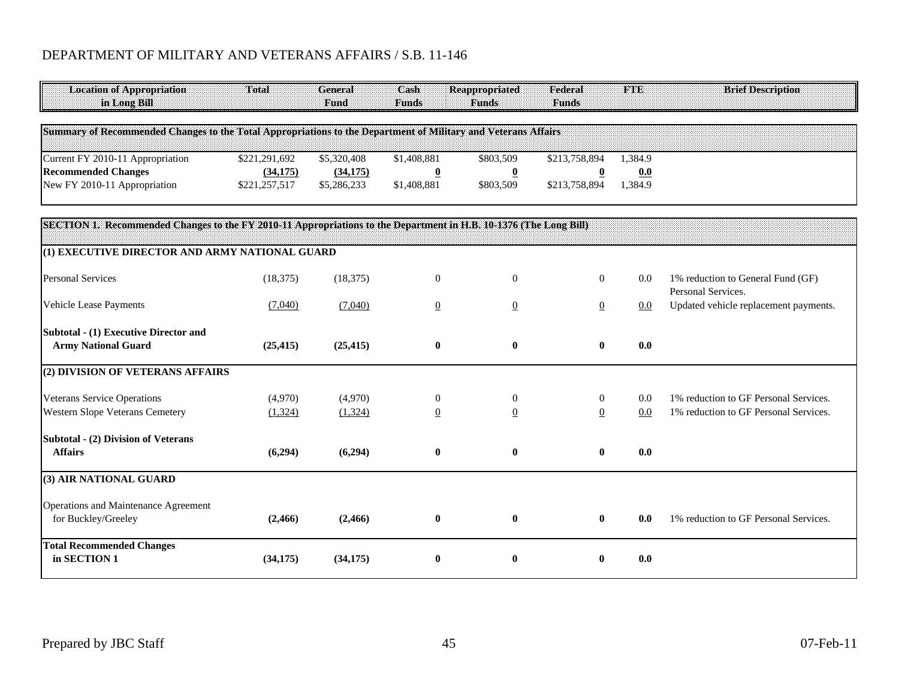## DEPARTMENT OF MILITARY AND VETERANS AFFAIRS / S.B. 11-146

| <b>Location of Appropriation</b>                                                                                  | Total         | <b>General</b> | Cash                    | <b>Reappropriated</b>    | Federal                 | <b>FTE</b> | <b>Brief Description</b>                                |
|-------------------------------------------------------------------------------------------------------------------|---------------|----------------|-------------------------|--------------------------|-------------------------|------------|---------------------------------------------------------|
| in Long Bill                                                                                                      |               | Fund           | <b>Funds</b>            | <b>Funds</b>             | <b>Funds</b>            |            |                                                         |
|                                                                                                                   |               |                |                         |                          |                         |            |                                                         |
| Summary of Recommended Changes to the Total Appropriations to the Department of Military and Veterans Affairs     |               |                |                         |                          |                         |            |                                                         |
| Current FY 2010-11 Appropriation                                                                                  | \$221,291,692 | \$5,320,408    | \$1,408,881             | \$803,509                | \$213,758,894           | 1.384.9    |                                                         |
| <b>Recommended Changes</b>                                                                                        | (34, 175)     | (34, 175)      | $\overline{\mathbf{0}}$ | $\underline{\mathbf{0}}$ | $\overline{\mathbf{0}}$ | 0.0        |                                                         |
| New FY 2010-11 Appropriation                                                                                      | \$221,257,517 | \$5,286,233    | \$1,408,881             | \$803,509                | \$213,758,894           | 1,384.9    |                                                         |
| SECTION 1. Recommended Changes to the FY 2010-11 Appropriations to the Department in H.B. 10-1376 (The Long Bill) |               |                |                         |                          |                         |            |                                                         |
|                                                                                                                   |               |                |                         |                          |                         |            |                                                         |
| (1) EXECUTIVE DIRECTOR AND ARMY NATIONAL GUARD                                                                    |               |                |                         |                          |                         |            |                                                         |
| <b>Personal Services</b>                                                                                          | (18, 375)     | (18, 375)      | $\mathbf{0}$            | $\mathbf{0}$             | $\overline{0}$          | 0.0        | 1% reduction to General Fund (GF)<br>Personal Services. |
| Vehicle Lease Payments                                                                                            | (7,040)       | (7,040)        | $\overline{0}$          | $\underline{0}$          | $\overline{0}$          | 0.0        | Updated vehicle replacement payments.                   |
| <b>Subtotal - (1) Executive Director and</b>                                                                      |               |                |                         |                          |                         |            |                                                         |
| <b>Army National Guard</b>                                                                                        | (25, 415)     | (25, 415)      | $\bf{0}$                | $\boldsymbol{0}$         | $\bf{0}$                | 0.0        |                                                         |
| (2) DIVISION OF VETERANS AFFAIRS                                                                                  |               |                |                         |                          |                         |            |                                                         |
| <b>Veterans Service Operations</b>                                                                                | (4,970)       | (4,970)        | $\theta$                | 0                        | $\boldsymbol{0}$        | 0.0        | 1% reduction to GF Personal Services.                   |
| <b>Western Slope Veterans Cemetery</b>                                                                            | (1, 324)      | (1,324)        | $\boldsymbol{0}$        | $\overline{0}$           | $\underline{0}$         | 0.0        | 1% reduction to GF Personal Services.                   |
| <b>Subtotal - (2) Division of Veterans</b>                                                                        |               |                |                         |                          |                         |            |                                                         |
| <b>Affairs</b>                                                                                                    | (6,294)       | (6,294)        | $\bf{0}$                | $\bf{0}$                 | $\bf{0}$                | 0.0        |                                                         |
| (3) AIR NATIONAL GUARD                                                                                            |               |                |                         |                          |                         |            |                                                         |
| Operations and Maintenance Agreement                                                                              |               |                |                         |                          |                         |            |                                                         |
| for Buckley/Greeley                                                                                               | (2, 466)      | (2,466)        | $\bf{0}$                | $\bf{0}$                 | $\bf{0}$                | 0.0        | 1% reduction to GF Personal Services.                   |
| <b>Total Recommended Changes</b><br>in SECTION 1                                                                  |               |                |                         | $\bf{0}$                 |                         | 0.0        |                                                         |
|                                                                                                                   | (34, 175)     | (34, 175)      | $\bf{0}$                |                          | $\bf{0}$                |            |                                                         |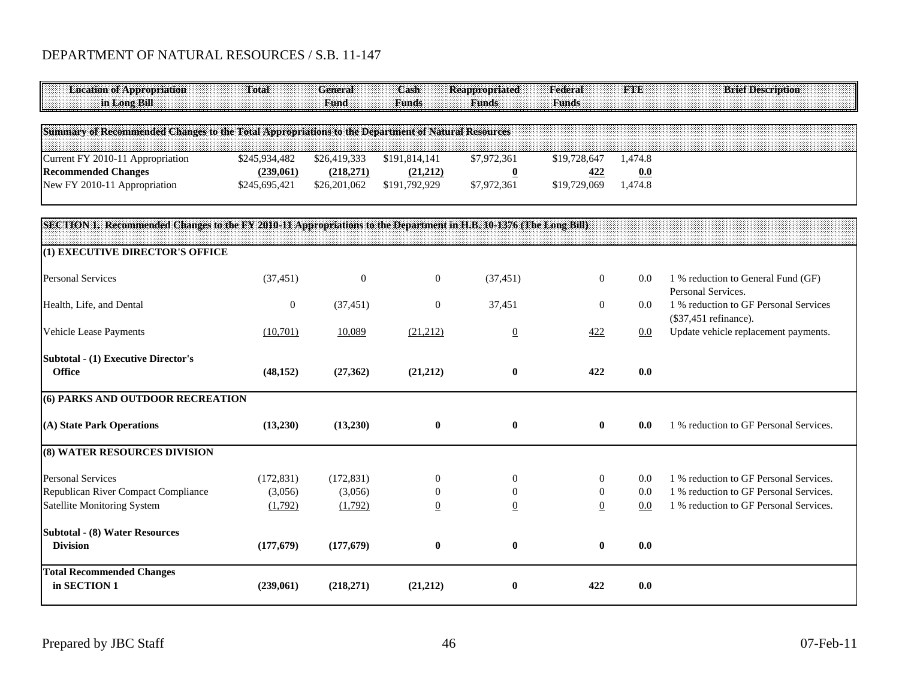## DEPARTMENT OF NATURAL RESOURCES / S.B. 11-147

| <b>Location of Appropriation</b><br>in Long Bill                                                                  | Total            | General<br>Fund | Cash<br><b>Funds</b> | <b>Reappropriated</b><br><b>Funds</b> | Federal<br><b>Funds</b> | <b>FTE</b> | <b>Brief Description</b>                                       |
|-------------------------------------------------------------------------------------------------------------------|------------------|-----------------|----------------------|---------------------------------------|-------------------------|------------|----------------------------------------------------------------|
| Summary of Recommended Changes to the Total Appropriations to the Department of Natural Resources                 |                  |                 |                      |                                       |                         |            |                                                                |
| Current FY 2010-11 Appropriation                                                                                  | \$245,934,482    | \$26,419,333    | \$191,814,141        | \$7,972,361                           | \$19,728,647            | 1,474.8    |                                                                |
| <b>Recommended Changes</b>                                                                                        | (239,061)        | (218,271)       | (21,212)             | $\overline{\mathbf{0}}$               | 422                     | 0.0        |                                                                |
| New FY 2010-11 Appropriation                                                                                      | \$245,695,421    | \$26,201,062    | \$191,792,929        | \$7,972,361                           | \$19,729,069            | 1,474.8    |                                                                |
| SECTION 1. Recommended Changes to the FY 2010-11 Appropriations to the Department in H.B. 10-1376 (The Long Bill) |                  |                 |                      |                                       |                         |            |                                                                |
| (1) EXECUTIVE DIRECTOR'S OFFICE                                                                                   |                  |                 |                      |                                       |                         |            |                                                                |
| <b>Personal Services</b>                                                                                          | (37, 451)        | $\overline{0}$  | $\overline{0}$       | (37, 451)                             | $\overline{0}$          | $0.0\,$    | 1 % reduction to General Fund (GF)<br>Personal Services.       |
| Health, Life, and Dental                                                                                          | $\boldsymbol{0}$ | (37, 451)       | $\boldsymbol{0}$     | 37,451                                | $\boldsymbol{0}$        | 0.0        | 1 % reduction to GF Personal Services<br>(\$37,451 refinance). |
| Vehicle Lease Payments                                                                                            | (10,701)         | 10,089          | (21,212)             | $\underline{0}$                       | 422                     | $0.0\,$    | Update vehicle replacement payments.                           |
| <b>Subtotal - (1) Executive Director's</b><br><b>Office</b>                                                       | (48, 152)        | (27,362)        | (21,212)             | $\bf{0}$                              | 422                     | 0.0        |                                                                |
|                                                                                                                   |                  |                 |                      |                                       |                         |            |                                                                |
| (6) PARKS AND OUTDOOR RECREATION                                                                                  |                  |                 |                      |                                       |                         |            |                                                                |
| (A) State Park Operations                                                                                         | (13,230)         | (13,230)        | $\boldsymbol{0}$     | $\bf{0}$                              | $\bf{0}$                | 0.0        | 1 % reduction to GF Personal Services.                         |
| (8) WATER RESOURCES DIVISION                                                                                      |                  |                 |                      |                                       |                         |            |                                                                |
| <b>Personal Services</b>                                                                                          | (172, 831)       | (172, 831)      | $\mathbf{0}$         | $\theta$                              | $\mathbf{0}$            | 0.0        | 1 % reduction to GF Personal Services.                         |
| Republican River Compact Compliance                                                                               | (3,056)          | (3,056)         | $\Omega$             | $\boldsymbol{0}$                      | $\mathbf{0}$            | 0.0        | 1 % reduction to GF Personal Services.                         |
| <b>Satellite Monitoring System</b>                                                                                | (1,792)          | (1,792)         | $\mathbf{0}$         | $\overline{0}$                        | $\overline{0}$          | 0.0        | 1 % reduction to GF Personal Services.                         |
| <b>Subtotal - (8) Water Resources</b>                                                                             |                  |                 |                      |                                       |                         |            |                                                                |
| <b>Division</b>                                                                                                   | (177, 679)       | (177, 679)      | $\bf{0}$             | $\boldsymbol{0}$                      | $\bf{0}$                | 0.0        |                                                                |
| <b>Total Recommended Changes</b><br>in SECTION 1                                                                  | (239,061)        | (218,271)       | (21,212)             | $\bf{0}$                              | 422                     | 0.0        |                                                                |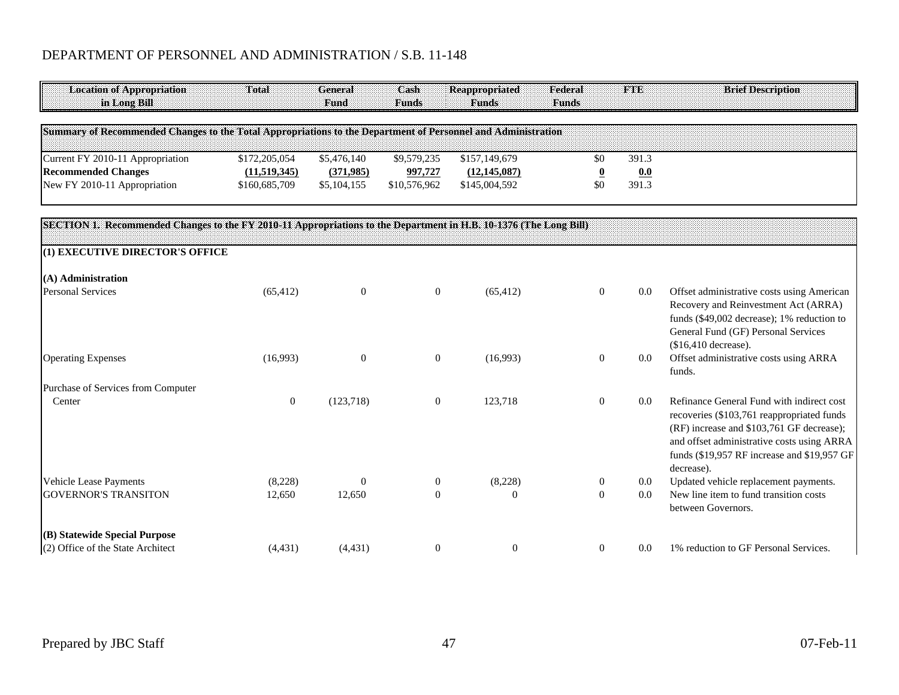| <b>Location of Appropriation</b>                                                                                  | Total            | General        | Cash             | <b>Reappropriated</b> | Federal                 | TATE    | <b>Brief Description</b>                                                                                                                                                                                                                        |
|-------------------------------------------------------------------------------------------------------------------|------------------|----------------|------------------|-----------------------|-------------------------|---------|-------------------------------------------------------------------------------------------------------------------------------------------------------------------------------------------------------------------------------------------------|
| in Long Bill                                                                                                      |                  | Fund           | <b>Funds</b>     | <b>Funds</b>          | <b>Funds</b>            |         |                                                                                                                                                                                                                                                 |
| Summary of Recommended Changes to the Total Appropriations to the Department of Personnel and Administration      |                  |                |                  |                       |                         |         |                                                                                                                                                                                                                                                 |
| Current FY 2010-11 Appropriation                                                                                  | \$172,205,054    | \$5,476,140    | \$9,579,235      | \$157,149,679         | \$0                     | 391.3   |                                                                                                                                                                                                                                                 |
| <b>Recommended Changes</b>                                                                                        | (11,519,345)     | (371,985)      | 997,727          | (12, 145, 087)        | $\overline{\mathbf{0}}$ | 0.0     |                                                                                                                                                                                                                                                 |
| New FY 2010-11 Appropriation                                                                                      | \$160,685,709    | \$5,104,155    | \$10,576,962     | \$145,004,592         | \$0                     | 391.3   |                                                                                                                                                                                                                                                 |
| SECTION 1. Recommended Changes to the FY 2010-11 Appropriations to the Department in H.B. 10-1376 (The Long Bill) |                  |                |                  |                       |                         |         |                                                                                                                                                                                                                                                 |
|                                                                                                                   |                  |                |                  |                       |                         |         |                                                                                                                                                                                                                                                 |
| (1) EXECUTIVE DIRECTOR'S OFFICE                                                                                   |                  |                |                  |                       |                         |         |                                                                                                                                                                                                                                                 |
| (A) Administration                                                                                                |                  |                |                  |                       |                         |         |                                                                                                                                                                                                                                                 |
| <b>Personal Services</b>                                                                                          | (65, 412)        | $\overline{0}$ | $\mathbf{0}$     | (65, 412)             | $\mathbf{0}$            | 0.0     | Offset administrative costs using American<br>Recovery and Reinvestment Act (ARRA)<br>funds (\$49,002 decrease); 1% reduction to<br>General Fund (GF) Personal Services                                                                         |
| <b>Operating Expenses</b>                                                                                         | (16,993)         | $\theta$       | $\boldsymbol{0}$ | (16,993)              | $\mathbf{0}$            | $0.0\,$ | $$16,410$ decrease).<br>Offset administrative costs using ARRA<br>funds.                                                                                                                                                                        |
| Purchase of Services from Computer                                                                                |                  |                |                  |                       |                         |         |                                                                                                                                                                                                                                                 |
| Center                                                                                                            | $\boldsymbol{0}$ | (123, 718)     | $\mathbf{0}$     | 123,718               | $\overline{0}$          | 0.0     | Refinance General Fund with indirect cost<br>recoveries (\$103,761 reappropriated funds<br>(RF) increase and \$103,761 GF decrease);<br>and offset administrative costs using ARRA<br>funds (\$19,957 RF increase and \$19,957 GF<br>decrease). |
| Vehicle Lease Payments                                                                                            | (8,228)          | $\Omega$       | $\boldsymbol{0}$ | (8,228)               | $\boldsymbol{0}$        | $0.0\,$ | Updated vehicle replacement payments.                                                                                                                                                                                                           |
| <b>GOVERNOR'S TRANSITON</b>                                                                                       | 12,650           | 12,650         | $\theta$         | $\Omega$              | $\boldsymbol{0}$        | 0.0     | New line item to fund transition costs<br>between Governors.                                                                                                                                                                                    |
| (B) Statewide Special Purpose                                                                                     |                  |                |                  |                       |                         |         |                                                                                                                                                                                                                                                 |
| (2) Office of the State Architect                                                                                 | (4, 431)         | (4, 431)       | $\boldsymbol{0}$ | $\mathbf{0}$          | $\overline{0}$          | 0.0     | 1% reduction to GF Personal Services.                                                                                                                                                                                                           |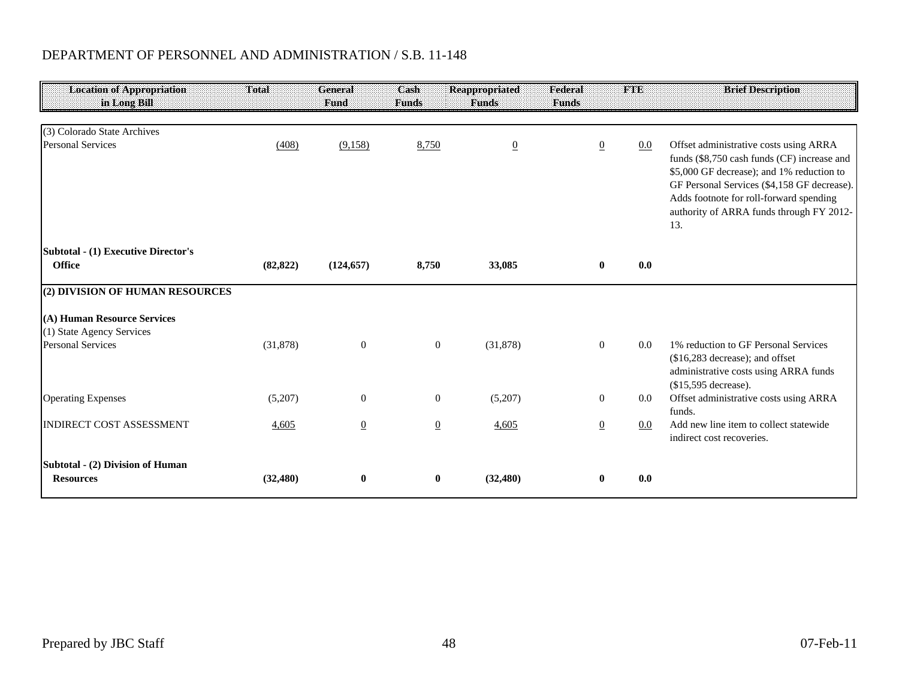| <b>Location of Appropriation</b><br>in Long Bill         | Total     | General<br>Fund | Cash<br><b>Funds</b> | <b>Reappropriated</b><br><b>Funds</b> | Federal<br><b>Funds</b> | <b>FTE</b> | <b>Brief Description</b>                                                                                                                                                                                                                                                        |
|----------------------------------------------------------|-----------|-----------------|----------------------|---------------------------------------|-------------------------|------------|---------------------------------------------------------------------------------------------------------------------------------------------------------------------------------------------------------------------------------------------------------------------------------|
| (3) Colorado State Archives                              |           |                 |                      |                                       |                         |            |                                                                                                                                                                                                                                                                                 |
| <b>Personal Services</b>                                 | (408)     | (9,158)         | 8,750                | $\underline{0}$                       | $\overline{0}$          | 0.0        | Offset administrative costs using ARRA<br>funds (\$8,750 cash funds (CF) increase and<br>\$5,000 GF decrease); and 1% reduction to<br>GF Personal Services (\$4,158 GF decrease).<br>Adds footnote for roll-forward spending<br>authority of ARRA funds through FY 2012-<br>13. |
| <b>Subtotal - (1) Executive Director's</b><br>Office     | (82, 822) | (124, 657)      | 8,750                | 33,085                                | $\bf{0}$                | 0.0        |                                                                                                                                                                                                                                                                                 |
| (2) DIVISION OF HUMAN RESOURCES                          |           |                 |                      |                                       |                         |            |                                                                                                                                                                                                                                                                                 |
| (A) Human Resource Services<br>(1) State Agency Services |           |                 |                      |                                       |                         |            |                                                                                                                                                                                                                                                                                 |
| <b>Personal Services</b>                                 | (31,878)  | $\overline{0}$  | $\boldsymbol{0}$     | (31,878)                              | $\theta$                | 0.0        | 1% reduction to GF Personal Services<br>(\$16,283 decrease); and offset<br>administrative costs using ARRA funds<br>(\$15,595 decrease).                                                                                                                                        |
| <b>Operating Expenses</b>                                | (5,207)   | $\overline{0}$  | $\boldsymbol{0}$     | (5,207)                               | $\mathbf{0}$            | $0.0\,$    | Offset administrative costs using ARRA<br>funds.                                                                                                                                                                                                                                |
| <b>INDIRECT COST ASSESSMENT</b>                          | 4,605     | $\overline{0}$  | $\underline{0}$      | 4,605                                 | $\overline{0}$          | $0.0\,$    | Add new line item to collect statewide<br>indirect cost recoveries.                                                                                                                                                                                                             |
| Subtotal - (2) Division of Human<br><b>Resources</b>     | (32, 480) | $\bf{0}$        | $\bf{0}$             | (32, 480)                             | $\mathbf{0}$            | 0.0        |                                                                                                                                                                                                                                                                                 |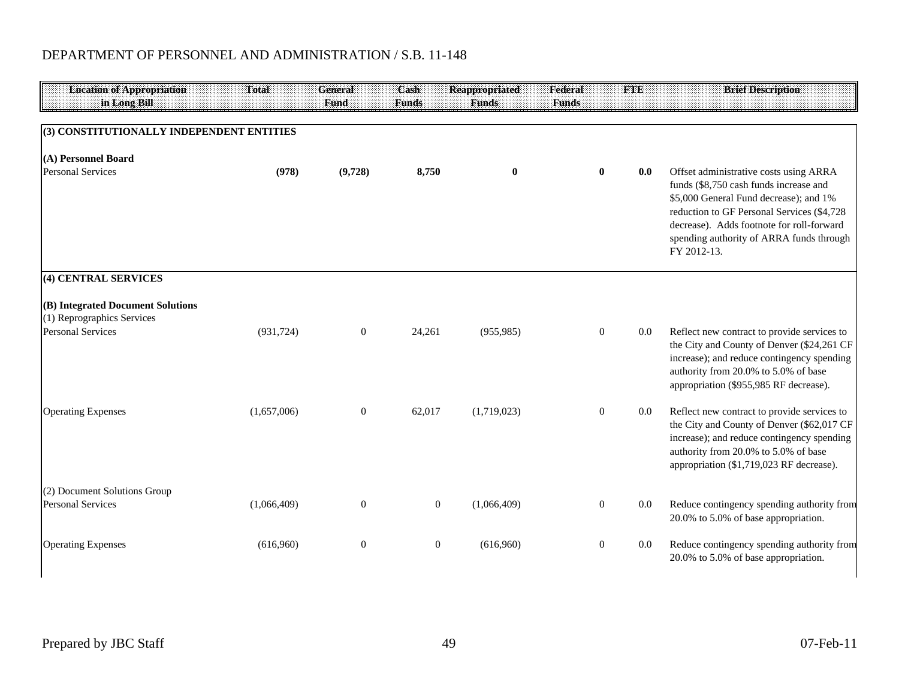| <b>Location of Appropriation</b><br>in Long Bill                | Total       | <b>General</b><br>Fund | Cash<br><b>Funds</b> | <b>Reappropriated</b><br><b>Funds</b> | Federal<br><b>Funds</b> | <b>FTE</b> | <b>Brief Description</b>                                                                                                                                                                                                                                                          |
|-----------------------------------------------------------------|-------------|------------------------|----------------------|---------------------------------------|-------------------------|------------|-----------------------------------------------------------------------------------------------------------------------------------------------------------------------------------------------------------------------------------------------------------------------------------|
|                                                                 |             |                        |                      |                                       |                         |            |                                                                                                                                                                                                                                                                                   |
| (3) CONSTITUTIONALLY INDEPENDENT ENTITIES                       |             |                        |                      |                                       |                         |            |                                                                                                                                                                                                                                                                                   |
| (A) Personnel Board                                             |             |                        |                      |                                       |                         |            |                                                                                                                                                                                                                                                                                   |
| <b>Personal Services</b>                                        | (978)       | (9,728)                | 8,750                | $\bf{0}$                              | $\bf{0}$                | 0.0        | Offset administrative costs using ARRA<br>funds (\$8,750 cash funds increase and<br>\$5,000 General Fund decrease); and 1%<br>reduction to GF Personal Services (\$4,728)<br>decrease). Adds footnote for roll-forward<br>spending authority of ARRA funds through<br>FY 2012-13. |
| (4) CENTRAL SERVICES                                            |             |                        |                      |                                       |                         |            |                                                                                                                                                                                                                                                                                   |
| (B) Integrated Document Solutions<br>(1) Reprographics Services |             |                        |                      |                                       |                         |            |                                                                                                                                                                                                                                                                                   |
| <b>Personal Services</b>                                        | (931, 724)  | $\mathbf{0}$           | 24,261               | (955, 985)                            | $\overline{0}$          | $0.0\,$    | Reflect new contract to provide services to<br>the City and County of Denver (\$24,261 CF<br>increase); and reduce contingency spending<br>authority from 20.0% to 5.0% of base<br>appropriation (\$955,985 RF decrease).                                                         |
| <b>Operating Expenses</b>                                       | (1,657,006) | $\mathbf{0}$           | 62,017               | (1,719,023)                           | $\mathbf{0}$            | $0.0\,$    | Reflect new contract to provide services to<br>the City and County of Denver (\$62,017 CF<br>increase); and reduce contingency spending<br>authority from 20.0% to 5.0% of base<br>appropriation (\$1,719,023 RF decrease).                                                       |
| (2) Document Solutions Group                                    |             |                        |                      |                                       |                         |            |                                                                                                                                                                                                                                                                                   |
| <b>Personal Services</b>                                        | (1,066,409) | $\mathbf{0}$           | $\mathbf{0}$         | (1,066,409)                           | $\mathbf{0}$            | $0.0\,$    | Reduce contingency spending authority from<br>20.0% to 5.0% of base appropriation.                                                                                                                                                                                                |
| <b>Operating Expenses</b>                                       | (616,960)   | $\mathbf{0}$           | $\mathbf{0}$         | (616,960)                             | $\mathbf{0}$            | 0.0        | Reduce contingency spending authority from<br>20.0% to 5.0% of base appropriation.                                                                                                                                                                                                |

 $\mathsf{l}$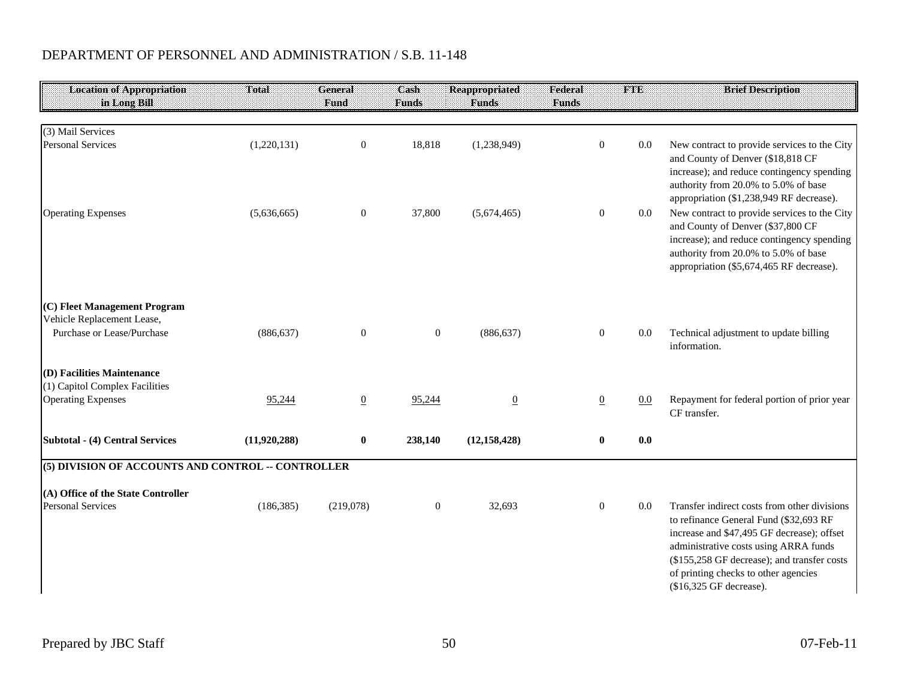| <b>Location of Appropriation</b><br>in Long Bill   | Total        | <b>General</b><br><b>Fund</b> | Cash<br><b>Funds</b> | <b>Reappropriated</b><br><b>Funds</b> | Federal<br><b>Funds</b> | <b>FTE</b> | <b>Brief Description</b>                                                                                                                                                                                                                                                                        |
|----------------------------------------------------|--------------|-------------------------------|----------------------|---------------------------------------|-------------------------|------------|-------------------------------------------------------------------------------------------------------------------------------------------------------------------------------------------------------------------------------------------------------------------------------------------------|
|                                                    |              |                               |                      |                                       |                         |            |                                                                                                                                                                                                                                                                                                 |
| (3) Mail Services                                  |              |                               |                      |                                       |                         |            |                                                                                                                                                                                                                                                                                                 |
| <b>Personal Services</b>                           | (1,220,131)  | $\overline{0}$                | 18,818               | (1,238,949)                           | $\mathbf{0}$            | 0.0        | New contract to provide services to the City<br>and County of Denver (\$18,818 CF<br>increase); and reduce contingency spending<br>authority from 20.0% to 5.0% of base<br>appropriation (\$1,238,949 RF decrease).                                                                             |
| <b>Operating Expenses</b>                          | (5,636,665)  | $\overline{0}$                | 37,800               | (5,674,465)                           | $\mathbf{0}$            | $0.0\,$    | New contract to provide services to the City<br>and County of Denver (\$37,800 CF<br>increase); and reduce contingency spending<br>authority from 20.0% to 5.0% of base<br>appropriation (\$5,674,465 RF decrease).                                                                             |
| (C) Fleet Management Program                       |              |                               |                      |                                       |                         |            |                                                                                                                                                                                                                                                                                                 |
| Vehicle Replacement Lease,                         |              |                               |                      |                                       |                         |            |                                                                                                                                                                                                                                                                                                 |
| Purchase or Lease/Purchase                         | (886, 637)   | $\overline{0}$                | $\boldsymbol{0}$     | (886, 637)                            | $\mathbf{0}$            | 0.0        | Technical adjustment to update billing<br>information.                                                                                                                                                                                                                                          |
| (D) Facilities Maintenance                         |              |                               |                      |                                       |                         |            |                                                                                                                                                                                                                                                                                                 |
| (1) Capitol Complex Facilities                     |              |                               |                      |                                       |                         |            |                                                                                                                                                                                                                                                                                                 |
| <b>Operating Expenses</b>                          | 95,244       | $\overline{0}$                | 95,244               | $\overline{0}$                        | $\overline{0}$          | 0.0        | Repayment for federal portion of prior year<br>CF transfer.                                                                                                                                                                                                                                     |
| Subtotal - (4) Central Services                    | (11,920,288) | $\bf{0}$                      | 238,140              | (12, 158, 428)                        | $\bf{0}$                | 0.0        |                                                                                                                                                                                                                                                                                                 |
| (5) DIVISION OF ACCOUNTS AND CONTROL -- CONTROLLER |              |                               |                      |                                       |                         |            |                                                                                                                                                                                                                                                                                                 |
| (A) Office of the State Controller                 |              |                               |                      |                                       |                         |            |                                                                                                                                                                                                                                                                                                 |
| <b>Personal Services</b>                           | (186, 385)   | (219,078)                     | $\boldsymbol{0}$     | 32,693                                | $\boldsymbol{0}$        | 0.0        | Transfer indirect costs from other divisions<br>to refinance General Fund (\$32,693 RF<br>increase and \$47,495 GF decrease); offset<br>administrative costs using ARRA funds<br>(\$155,258 GF decrease); and transfer costs<br>of printing checks to other agencies<br>(\$16,325 GF decrease). |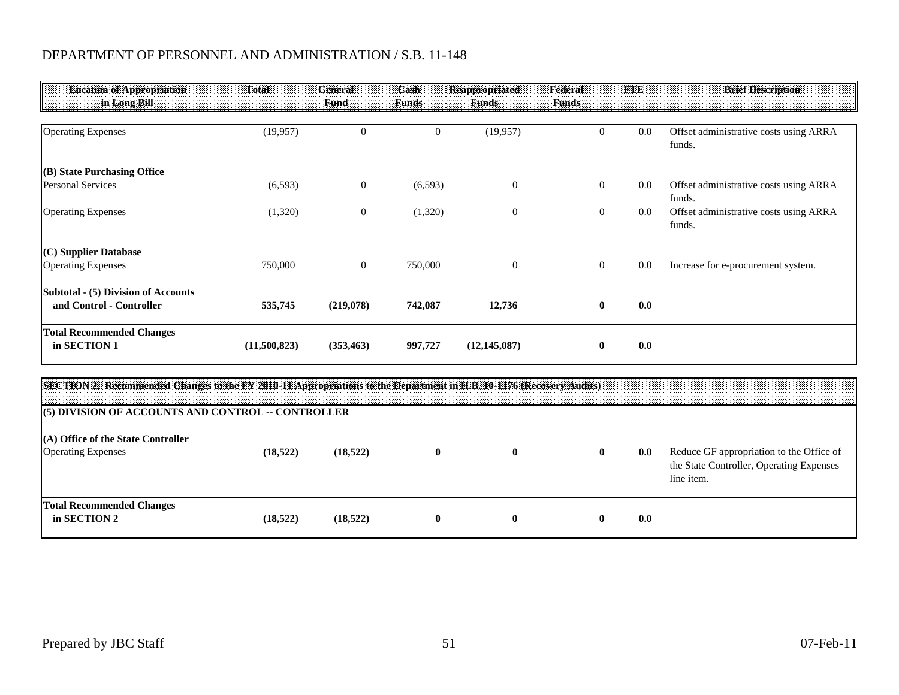| <b>Location of Appropriation</b><br>in Long Bill                | Total        | General<br>Fund  | Cash<br><b>Funds</b> | <b>Reappropriated</b><br><b>Funds</b> | Federal<br><b>Funds</b> | <b>FTE</b> | <b>Brief Description</b>                         |
|-----------------------------------------------------------------|--------------|------------------|----------------------|---------------------------------------|-------------------------|------------|--------------------------------------------------|
| <b>Operating Expenses</b>                                       | (19,957)     | $\boldsymbol{0}$ | $\boldsymbol{0}$     | (19, 957)                             | $\overline{0}$          | 0.0        | Offset administrative costs using ARRA<br>funds. |
| (B) State Purchasing Office                                     |              |                  |                      |                                       |                         |            |                                                  |
| <b>Personal Services</b>                                        | (6, 593)     | $\mathbf{0}$     | (6,593)              | $\theta$                              | $\overline{0}$          | 0.0        | Offset administrative costs using ARRA<br>funds. |
| <b>Operating Expenses</b>                                       | (1,320)      | $\mathbf{0}$     | (1,320)              | $\boldsymbol{0}$                      | $\overline{0}$          | 0.0        | Offset administrative costs using ARRA<br>funds. |
| $(C)$ Supplier Database                                         |              |                  |                      |                                       |                         |            |                                                  |
| <b>Operating Expenses</b>                                       | 750,000      | $\overline{0}$   | 750,000              | $\overline{0}$                        | $\overline{0}$          | 0.0        | Increase for e-procurement system.               |
| Subtotal - (5) Division of Accounts<br>and Control - Controller | 535,745      | (219,078)        | 742,087              | 12,736                                | $\mathbf{0}$            | 0.0        |                                                  |
| <b>Total Recommended Changes</b><br>in SECTION 1                | (11,500,823) | (353, 463)       | 997,727              | (12, 145, 087)                        | $\mathbf{0}$            | 0.0        |                                                  |

| SECTION 2. Recommended Changes to the FY 2010-11 Appropriations to the Department in H.B. 10-1176 (Recovery Audits)<br>(5) DIVISION OF ACCOUNTS AND CONTROL -- CONTROLLER |          |          |              |              |              |     |                                                                                                    |
|---------------------------------------------------------------------------------------------------------------------------------------------------------------------------|----------|----------|--------------|--------------|--------------|-----|----------------------------------------------------------------------------------------------------|
| (A) Office of the State Controller<br><b>Operating Expenses</b>                                                                                                           | (18.522) | (18,522) | 0            | $\mathbf{0}$ | $\mathbf{0}$ | 0.0 | Reduce GF appropriation to the Office of<br>the State Controller, Operating Expenses<br>line item. |
| <b>Total Recommended Changes</b><br>in SECTION 2                                                                                                                          | (18.522) | (18,522) | $\mathbf{0}$ | 0            | $\mathbf{0}$ | 0.0 |                                                                                                    |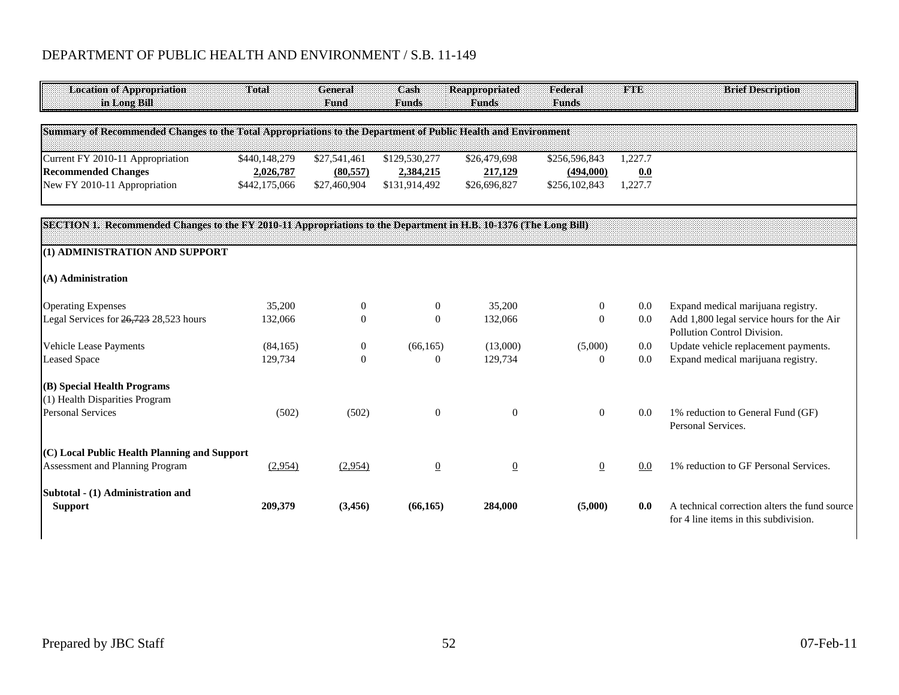| <b>Location of Appropriation</b><br>in Long Bill                                                                  | Total                      | General<br>Fund           | Cash<br><b>Funds</b>       | <b>Reappropriated</b><br><b>Funds</b> | Federal<br><b>Funds</b>    | <b>FTE</b>     | <b>Brief Description</b>                                                 |
|-------------------------------------------------------------------------------------------------------------------|----------------------------|---------------------------|----------------------------|---------------------------------------|----------------------------|----------------|--------------------------------------------------------------------------|
| Summary of Recommended Changes to the Total Appropriations to the Department of Public Health and Environment     |                            |                           |                            |                                       |                            |                |                                                                          |
| Current FY 2010-11 Appropriation                                                                                  | \$440,148,279              | \$27,541,461              | \$129,530,277              | \$26,479,698                          | \$256,596,843              | 1,227.7        |                                                                          |
| <b>Recommended Changes</b><br>New FY 2010-11 Appropriation                                                        | 2,026,787<br>\$442,175,066 | (80, 557)<br>\$27,460,904 | 2,384,215<br>\$131,914,492 | 217,129<br>\$26,696,827               | (494,000)<br>\$256,102,843 | 0.0<br>1,227.7 |                                                                          |
| SECTION 1. Recommended Changes to the FY 2010-11 Appropriations to the Department in H.B. 10-1376 (The Long Bill) |                            |                           |                            |                                       |                            |                |                                                                          |
| (1) ADMINISTRATION AND SUPPORT                                                                                    |                            |                           |                            |                                       |                            |                |                                                                          |
| (A) Administration                                                                                                |                            |                           |                            |                                       |                            |                |                                                                          |
| <b>Operating Expenses</b>                                                                                         | 35,200                     | $\overline{0}$            | $\mathbf{0}$               | 35,200                                | $\mathbf{0}$               | $0.0\,$        | Expand medical marijuana registry.                                       |
| Legal Services for 26,723 28,523 hours                                                                            | 132,066                    | $\Omega$                  | $\mathbf{0}$               | 132,066                               | $\mathbf{0}$               | 0.0            | Add 1,800 legal service hours for the Air<br>Pollution Control Division. |
| <b>Vehicle Lease Payments</b>                                                                                     | (84,165)                   | $\mathbf{0}$              | (66, 165)                  | (13,000)                              | (5,000)                    | 0.0            | Update vehicle replacement payments.                                     |
| <b>Leased Space</b>                                                                                               | 129,734                    | $\overline{0}$            | $\boldsymbol{0}$           | 129,734                               | $\boldsymbol{0}$           | 0.0            | Expand medical marijuana registry.                                       |
| (B) Special Health Programs<br>(1) Health Disparities Program                                                     |                            |                           |                            |                                       |                            |                |                                                                          |
| <b>Personal Services</b>                                                                                          | (502)                      | (502)                     | $\theta$                   | $\theta$                              | $\mathbf{0}$               | 0.0            | 1% reduction to General Fund (GF)<br>Personal Services.                  |
| (C) Local Public Health Planning and Support                                                                      |                            |                           |                            |                                       |                            |                |                                                                          |
| Assessment and Planning Program                                                                                   | (2,954)                    | (2,954)                   | $\overline{0}$             | $\underline{0}$                       | $\overline{0}$             | 0.0            | 1% reduction to GF Personal Services.                                    |
| Subtotal - (1) Administration and<br><b>Support</b>                                                               | 209,379                    | (3,456)                   | (66, 165)                  | 284,000                               | (5,000)                    | 0.0            | A technical correction alters the fund source                            |
|                                                                                                                   |                            |                           |                            |                                       |                            |                | for 4 line items in this subdivision.                                    |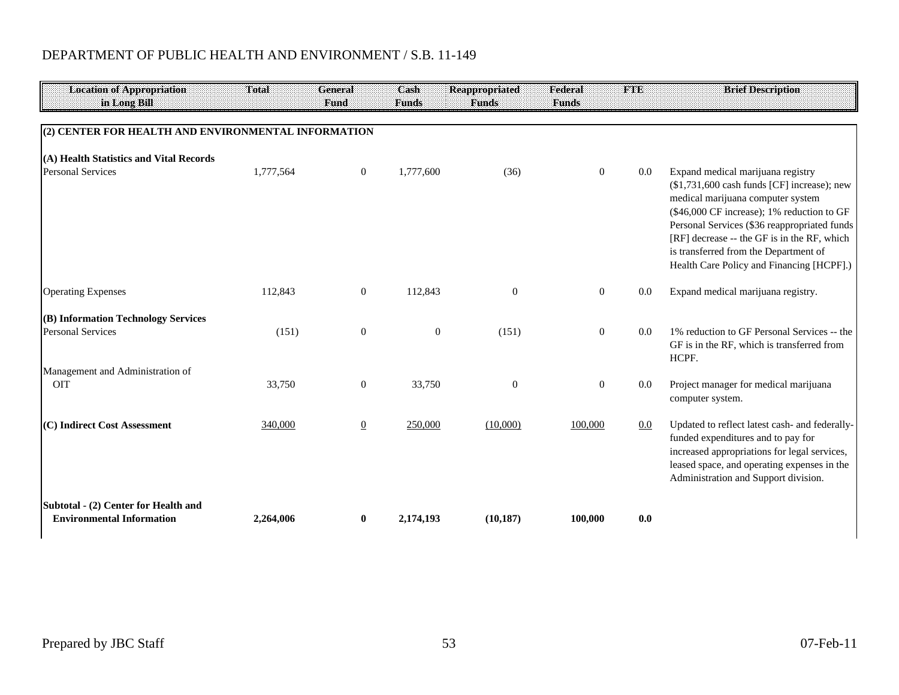| <b>Location of Appropriation</b><br>in Long Bill                         | Total     | General<br>Fund  | Cash<br><b>Funds</b> | <b>Reappropriated</b><br><b>Funds</b> | Federal<br><b>Funds</b> | THE     | <b>Brief Description</b>                                                                                                                                                                                                                                                                                                                                 |
|--------------------------------------------------------------------------|-----------|------------------|----------------------|---------------------------------------|-------------------------|---------|----------------------------------------------------------------------------------------------------------------------------------------------------------------------------------------------------------------------------------------------------------------------------------------------------------------------------------------------------------|
| (2) CENTER FOR HEALTH AND ENVIRONMENTAL INFORMATION                      |           |                  |                      |                                       |                         |         |                                                                                                                                                                                                                                                                                                                                                          |
| (A) Health Statistics and Vital Records                                  |           |                  |                      |                                       |                         |         |                                                                                                                                                                                                                                                                                                                                                          |
| <b>Personal Services</b>                                                 | 1,777,564 | $\mathbf{0}$     | 1,777,600            | (36)                                  | $\overline{0}$          | 0.0     | Expand medical marijuana registry<br>$$1,731,600$ cash funds [CF] increase); new<br>medical marijuana computer system<br>(\$46,000 CF increase); 1% reduction to GF<br>Personal Services (\$36 reappropriated funds<br>[RF] decrease -- the GF is in the RF, which<br>is transferred from the Department of<br>Health Care Policy and Financing [HCPF].) |
| <b>Operating Expenses</b>                                                | 112,843   | $\mathbf{0}$     | 112,843              | $\mathbf{0}$                          | $\overline{0}$          | 0.0     | Expand medical marijuana registry.                                                                                                                                                                                                                                                                                                                       |
| (B) Information Technology Services<br><b>Personal Services</b>          | (151)     | $\boldsymbol{0}$ | $\mathbf{0}$         | (151)                                 | $\boldsymbol{0}$        | 0.0     | 1% reduction to GF Personal Services -- the<br>GF is in the RF, which is transferred from<br>HCPF.                                                                                                                                                                                                                                                       |
| Management and Administration of<br><b>OIT</b>                           | 33,750    | $\mathbf{0}$     | 33,750               | $\mathbf{0}$                          | $\overline{0}$          | 0.0     | Project manager for medical marijuana<br>computer system.                                                                                                                                                                                                                                                                                                |
| (C) Indirect Cost Assessment                                             | 340,000   | $\overline{0}$   | 250,000              | (10,000)                              | 100,000                 | $0.0\,$ | Updated to reflect latest cash- and federally-<br>funded expenditures and to pay for<br>increased appropriations for legal services,<br>leased space, and operating expenses in the<br>Administration and Support division.                                                                                                                              |
| Subtotal - (2) Center for Health and<br><b>Environmental Information</b> | 2,264,006 | $\bf{0}$         | 2,174,193            | (10, 187)                             | 100,000                 | 0.0     |                                                                                                                                                                                                                                                                                                                                                          |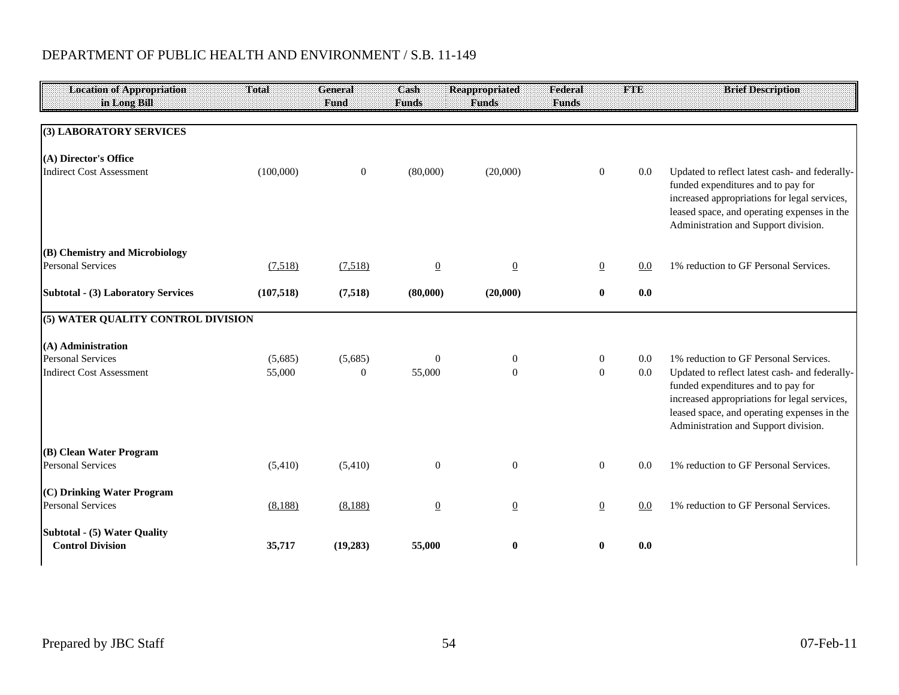| <b>Location of Appropriation</b><br>in Long Bill           | Total      | General<br><b>Fund</b> | Cash<br><b>Funds</b> | <b>Reappropriated</b><br><b>Funds</b> | Federal<br><b>Funds</b> | <b>FTE</b> | <b>Brief Description</b>                                                                                                                                                                                                    |
|------------------------------------------------------------|------------|------------------------|----------------------|---------------------------------------|-------------------------|------------|-----------------------------------------------------------------------------------------------------------------------------------------------------------------------------------------------------------------------------|
|                                                            |            |                        |                      |                                       |                         |            |                                                                                                                                                                                                                             |
| (3) LABORATORY SERVICES                                    |            |                        |                      |                                       |                         |            |                                                                                                                                                                                                                             |
| (A) Director's Office                                      |            |                        |                      |                                       |                         |            |                                                                                                                                                                                                                             |
| <b>Indirect Cost Assessment</b>                            | (100,000)  | $\boldsymbol{0}$       | (80,000)             | (20,000)                              | $\overline{0}$          | 0.0        | Updated to reflect latest cash- and federally-<br>funded expenditures and to pay for<br>increased appropriations for legal services,<br>leased space, and operating expenses in the<br>Administration and Support division. |
| (B) Chemistry and Microbiology<br><b>Personal Services</b> | (7,518)    | (7,518)                | $\overline{0}$       | $\overline{0}$                        | $\overline{0}$          | 0.0        | 1% reduction to GF Personal Services.                                                                                                                                                                                       |
| Subtotal - (3) Laboratory Services                         | (107, 518) | (7,518)                | (80,000)             | (20,000)                              | $\bf{0}$                | 0.0        |                                                                                                                                                                                                                             |
| (5) WATER QUALITY CONTROL DIVISION                         |            |                        |                      |                                       |                         |            |                                                                                                                                                                                                                             |
| (A) Administration                                         |            |                        |                      |                                       |                         |            |                                                                                                                                                                                                                             |
| <b>Personal Services</b>                                   | (5,685)    | (5,685)                | $\mathbf{0}$         | $\boldsymbol{0}$                      | $\boldsymbol{0}$        | 0.0        | 1% reduction to GF Personal Services.                                                                                                                                                                                       |
| <b>Indirect Cost Assessment</b>                            | 55,000     | $\mathbf{0}$           | 55,000               | $\boldsymbol{0}$                      | $\mathbf{0}$            | 0.0        | Updated to reflect latest cash- and federally-<br>funded expenditures and to pay for<br>increased appropriations for legal services,<br>leased space, and operating expenses in the<br>Administration and Support division. |
| (B) Clean Water Program<br><b>Personal Services</b>        | (5,410)    | (5,410)                | $\boldsymbol{0}$     | $\overline{0}$                        | $\overline{0}$          | 0.0        | 1% reduction to GF Personal Services.                                                                                                                                                                                       |
| (C) Drinking Water Program<br><b>Personal Services</b>     | (8,188)    | (8,188)                | $\underline{0}$      | $\overline{0}$                        | $\overline{0}$          | 0.0        | 1% reduction to GF Personal Services.                                                                                                                                                                                       |
| Subtotal - (5) Water Quality<br><b>Control Division</b>    | 35,717     | (19,283)               | 55,000               | $\bf{0}$                              | $\bf{0}$                | 0.0        |                                                                                                                                                                                                                             |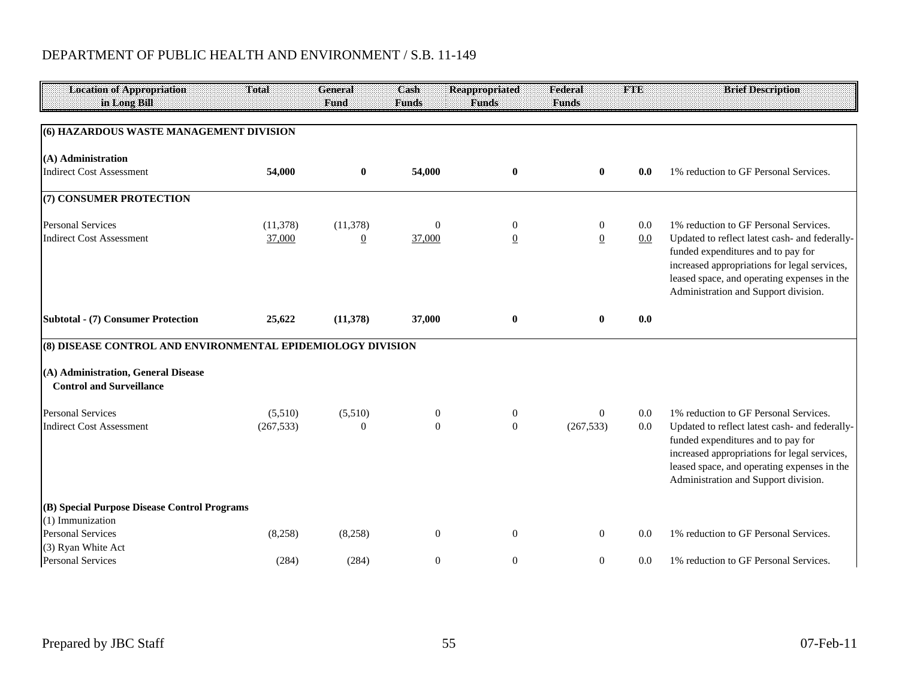| <b>Location of Appropriation</b><br>in Long Bill                       | Total      | General<br>Fund | Cash<br><b>Funds</b> | <b>Reappropriated</b><br><b>Funds</b> | Federal<br><b>Funds</b> | <b>FTE</b> | <b>Brief Description</b>                                                                    |
|------------------------------------------------------------------------|------------|-----------------|----------------------|---------------------------------------|-------------------------|------------|---------------------------------------------------------------------------------------------|
|                                                                        |            |                 |                      |                                       |                         |            |                                                                                             |
| (6) HAZARDOUS WASTE MANAGEMENT DIVISION                                |            |                 |                      |                                       |                         |            |                                                                                             |
| (A) Administration                                                     |            |                 |                      |                                       |                         |            |                                                                                             |
| <b>Indirect Cost Assessment</b>                                        | 54,000     | $\bf{0}$        | 54,000               | $\bf{0}$                              | $\bf{0}$                | 0.0        | 1% reduction to GF Personal Services.                                                       |
| (7) CONSUMER PROTECTION                                                |            |                 |                      |                                       |                         |            |                                                                                             |
| <b>Personal Services</b>                                               | (11, 378)  | (11,378)        | $\mathbf{0}$         | $\mathbf{0}$                          | $\boldsymbol{0}$        | 0.0        | 1% reduction to GF Personal Services.                                                       |
| <b>Indirect Cost Assessment</b>                                        | 37,000     | $\overline{0}$  | 37,000               | $\overline{0}$                        | $\overline{0}$          | 0.0        | Updated to reflect latest cash- and federally-                                              |
|                                                                        |            |                 |                      |                                       |                         |            | funded expenditures and to pay for<br>increased appropriations for legal services,          |
|                                                                        |            |                 |                      |                                       |                         |            | leased space, and operating expenses in the                                                 |
|                                                                        |            |                 |                      |                                       |                         |            | Administration and Support division.                                                        |
| Subtotal - (7) Consumer Protection                                     | 25,622     | (11,378)        | 37,000               | $\mathbf{0}$                          | $\mathbf{0}$            | 0.0        |                                                                                             |
| (8) DISEASE CONTROL AND ENVIRONMENTAL EPIDEMIOLOGY DIVISION            |            |                 |                      |                                       |                         |            |                                                                                             |
| (A) Administration, General Disease<br><b>Control and Surveillance</b> |            |                 |                      |                                       |                         |            |                                                                                             |
| <b>Personal Services</b>                                               | (5,510)    | (5,510)         | $\boldsymbol{0}$     | $\mathbf{0}$                          | $\theta$                | 0.0        | 1% reduction to GF Personal Services.                                                       |
| <b>Indirect Cost Assessment</b>                                        | (267, 533) | $\Omega$        | $\mathbf{0}$         | $\overline{0}$                        | (267, 533)              | 0.0        | Updated to reflect latest cash- and federally-                                              |
|                                                                        |            |                 |                      |                                       |                         |            | funded expenditures and to pay for                                                          |
|                                                                        |            |                 |                      |                                       |                         |            | increased appropriations for legal services,<br>leased space, and operating expenses in the |
|                                                                        |            |                 |                      |                                       |                         |            | Administration and Support division.                                                        |
| (B) Special Purpose Disease Control Programs                           |            |                 |                      |                                       |                         |            |                                                                                             |
| (1) Immunization<br><b>Personal Services</b>                           | (8,258)    | (8,258)         | $\mathbf{0}$         | $\theta$                              | $\overline{0}$          | 0.0        | 1% reduction to GF Personal Services.                                                       |
| (3) Ryan White Act                                                     |            |                 |                      |                                       |                         |            |                                                                                             |
| <b>Personal Services</b>                                               | (284)      | (284)           | $\mathbf{0}$         | $\theta$                              | $\mathbf{0}$            | 0.0        | 1% reduction to GF Personal Services.                                                       |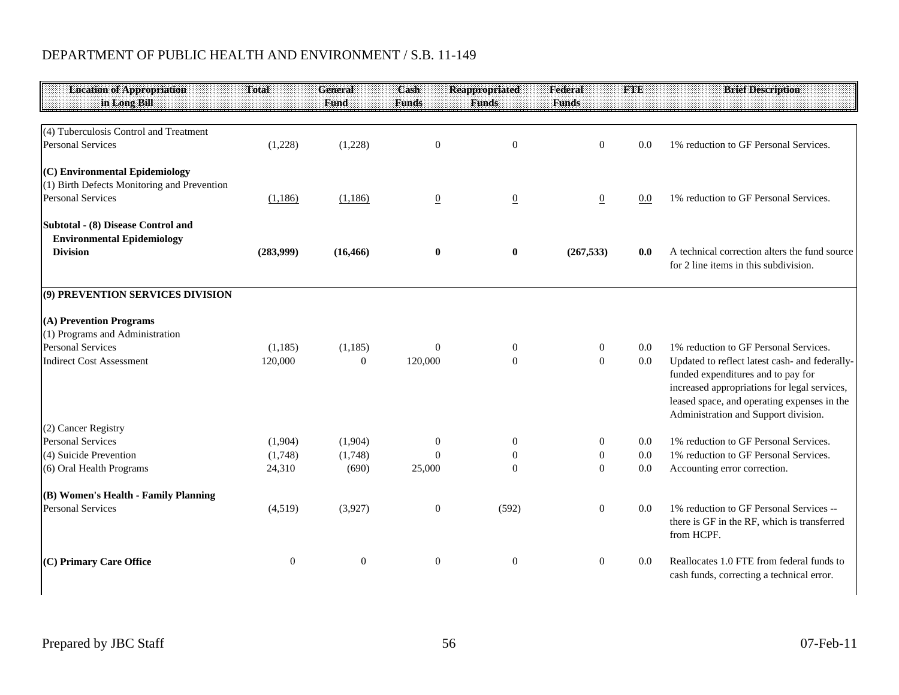| <b>Location of Appropriation</b><br>in Long Bill | Total          | <b>General</b><br>Fund | Cash<br><b>Funds</b> | <b>Reappropriated</b><br><b>Funds</b> | Federal<br><b>Funds</b> | <b>FTE</b> | <b>Brief Description</b>                                                                                                                                                                                                    |
|--------------------------------------------------|----------------|------------------------|----------------------|---------------------------------------|-------------------------|------------|-----------------------------------------------------------------------------------------------------------------------------------------------------------------------------------------------------------------------------|
|                                                  |                |                        |                      |                                       |                         |            |                                                                                                                                                                                                                             |
| (4) Tuberculosis Control and Treatment           |                |                        |                      |                                       |                         |            |                                                                                                                                                                                                                             |
| <b>Personal Services</b>                         | (1,228)        | (1,228)                | $\mathbf{0}$         | $\overline{0}$                        | $\mathbf{0}$            | 0.0        | 1% reduction to GF Personal Services.                                                                                                                                                                                       |
| (C) Environmental Epidemiology                   |                |                        |                      |                                       |                         |            |                                                                                                                                                                                                                             |
| (1) Birth Defects Monitoring and Prevention      |                |                        |                      |                                       |                         |            |                                                                                                                                                                                                                             |
| <b>Personal Services</b>                         | (1,186)        | (1,186)                | $\overline{0}$       | $\underline{0}$                       | $\overline{0}$          | 0.0        | 1% reduction to GF Personal Services.                                                                                                                                                                                       |
| Subtotal - (8) Disease Control and               |                |                        |                      |                                       |                         |            |                                                                                                                                                                                                                             |
| <b>Environmental Epidemiology</b>                |                |                        |                      |                                       |                         |            |                                                                                                                                                                                                                             |
| <b>Division</b>                                  | (283,999)      | (16, 466)              | $\bf{0}$             | $\bf{0}$                              | (267, 533)              | 0.0        | A technical correction alters the fund source<br>for 2 line items in this subdivision.                                                                                                                                      |
| (9) PREVENTION SERVICES DIVISION                 |                |                        |                      |                                       |                         |            |                                                                                                                                                                                                                             |
| (A) Prevention Programs                          |                |                        |                      |                                       |                         |            |                                                                                                                                                                                                                             |
| (1) Programs and Administration                  |                |                        |                      |                                       |                         |            |                                                                                                                                                                                                                             |
| <b>Personal Services</b>                         | (1,185)        | (1,185)                | $\Omega$             | $\mathbf{0}$                          | $\boldsymbol{0}$        | $0.0\,$    | 1% reduction to GF Personal Services.                                                                                                                                                                                       |
| <b>Indirect Cost Assessment</b>                  | 120,000        | $\overline{0}$         | 120,000              | $\theta$                              | $\overline{0}$          | 0.0        | Updated to reflect latest cash- and federally-<br>funded expenditures and to pay for<br>increased appropriations for legal services,<br>leased space, and operating expenses in the<br>Administration and Support division. |
| (2) Cancer Registry                              |                |                        |                      |                                       |                         |            |                                                                                                                                                                                                                             |
| <b>Personal Services</b>                         | (1,904)        | (1,904)                | $\boldsymbol{0}$     | $\mathbf{0}$                          | 0                       | 0.0        | 1% reduction to GF Personal Services.                                                                                                                                                                                       |
| (4) Suicide Prevention                           | (1,748)        | (1,748)                | $\Omega$             | $\boldsymbol{0}$                      | $\boldsymbol{0}$        | 0.0        | 1% reduction to GF Personal Services.                                                                                                                                                                                       |
| (6) Oral Health Programs                         | 24,310         | (690)                  | 25,000               | $\Omega$                              | $\Omega$                | 0.0        | Accounting error correction.                                                                                                                                                                                                |
| (B) Women's Health - Family Planning             |                |                        |                      |                                       |                         |            |                                                                                                                                                                                                                             |
| <b>Personal Services</b>                         | (4,519)        | (3,927)                | $\overline{0}$       | (592)                                 | $\overline{0}$          | $0.0\,$    | 1% reduction to GF Personal Services --<br>there is GF in the RF, which is transferred<br>from HCPF.                                                                                                                        |
| (C) Primary Care Office                          | $\overline{0}$ | $\boldsymbol{0}$       | $\boldsymbol{0}$     | $\mathbf{0}$                          | $\boldsymbol{0}$        | 0.0        | Reallocates 1.0 FTE from federal funds to<br>cash funds, correcting a technical error.                                                                                                                                      |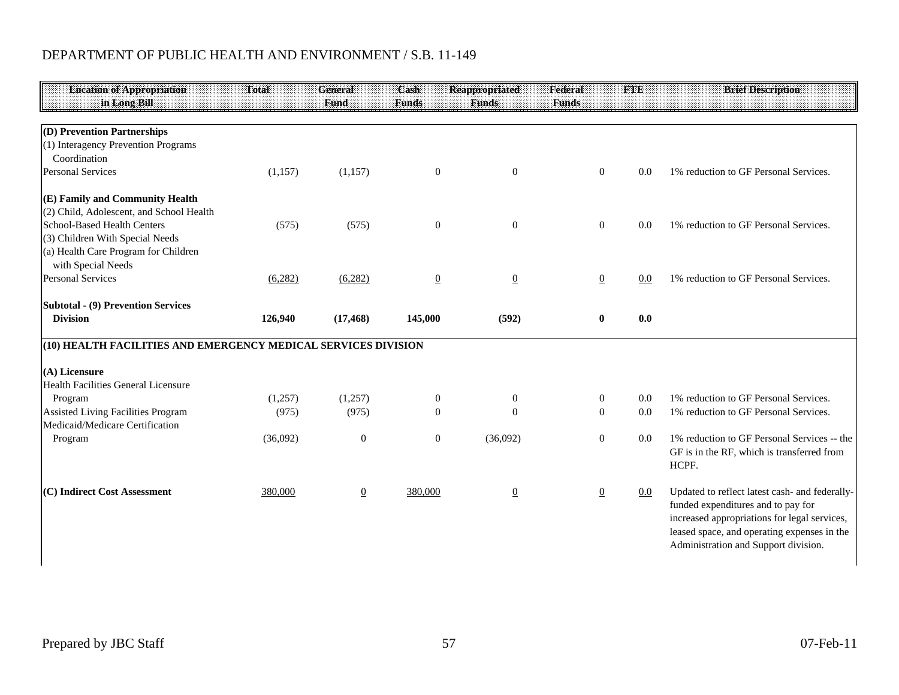| <b>Location of Appropriation</b>                               | Total    | <b>General</b>   | Cash             | <b>Reappropriated</b> | Federal          | <b>FTE</b> | <b>Brief Description</b>                                                             |
|----------------------------------------------------------------|----------|------------------|------------------|-----------------------|------------------|------------|--------------------------------------------------------------------------------------|
| in Long Bill                                                   |          | Fund             | <b>Funds</b>     | <b>Funds</b>          | <b>Funds</b>     |            |                                                                                      |
|                                                                |          |                  |                  |                       |                  |            |                                                                                      |
| (D) Prevention Partnerships                                    |          |                  |                  |                       |                  |            |                                                                                      |
| (1) Interagency Prevention Programs                            |          |                  |                  |                       |                  |            |                                                                                      |
| Coordination                                                   |          |                  |                  |                       |                  |            |                                                                                      |
| <b>Personal Services</b>                                       | (1,157)  | (1,157)          | $\boldsymbol{0}$ | $\boldsymbol{0}$      | $\overline{0}$   | 0.0        | 1% reduction to GF Personal Services.                                                |
| (E) Family and Community Health                                |          |                  |                  |                       |                  |            |                                                                                      |
| (2) Child, Adolescent, and School Health                       |          |                  |                  |                       |                  |            |                                                                                      |
| <b>School-Based Health Centers</b>                             | (575)    | (575)            | $\boldsymbol{0}$ | $\mathbf{0}$          | $\overline{0}$   | 0.0        | 1% reduction to GF Personal Services.                                                |
| (3) Children With Special Needs                                |          |                  |                  |                       |                  |            |                                                                                      |
| (a) Health Care Program for Children                           |          |                  |                  |                       |                  |            |                                                                                      |
| with Special Needs                                             |          |                  |                  |                       |                  |            |                                                                                      |
| <b>Personal Services</b>                                       | (6,282)  | (6, 282)         | $\overline{0}$   | $\overline{0}$        | $\overline{0}$   | 0.0        | 1% reduction to GF Personal Services.                                                |
| <b>Subtotal - (9) Prevention Services</b>                      |          |                  |                  |                       |                  |            |                                                                                      |
| <b>Division</b>                                                | 126,940  | (17, 468)        | 145,000          | (592)                 | $\bf{0}$         | 0.0        |                                                                                      |
|                                                                |          |                  |                  |                       |                  |            |                                                                                      |
| (10) HEALTH FACILITIES AND EMERGENCY MEDICAL SERVICES DIVISION |          |                  |                  |                       |                  |            |                                                                                      |
| (A) Licensure                                                  |          |                  |                  |                       |                  |            |                                                                                      |
| <b>Health Facilities General Licensure</b>                     |          |                  |                  |                       |                  |            |                                                                                      |
| Program                                                        | (1,257)  | (1,257)          | $\mathbf{0}$     | $\boldsymbol{0}$      | $\boldsymbol{0}$ | 0.0        | 1% reduction to GF Personal Services.                                                |
| <b>Assisted Living Facilities Program</b>                      | (975)    | (975)            | $\Omega$         | $\theta$              | $\overline{0}$   | 0.0        | 1% reduction to GF Personal Services.                                                |
| Medicaid/Medicare Certification                                |          |                  |                  |                       |                  |            |                                                                                      |
| Program                                                        | (36,092) | $\boldsymbol{0}$ | $\mathbf{0}$     | (36,092)              | $\overline{0}$   | 0.0        | 1% reduction to GF Personal Services -- the                                          |
|                                                                |          |                  |                  |                       |                  |            | GF is in the RF, which is transferred from                                           |
|                                                                |          |                  |                  |                       |                  |            | HCPF.                                                                                |
| (C) Indirect Cost Assessment                                   |          |                  |                  |                       |                  |            |                                                                                      |
|                                                                | 380,000  | $\overline{0}$   | 380,000          | $\underline{0}$       | $\overline{0}$   | $0.0\,$    | Updated to reflect latest cash- and federally-<br>funded expenditures and to pay for |
|                                                                |          |                  |                  |                       |                  |            | increased appropriations for legal services,                                         |
|                                                                |          |                  |                  |                       |                  |            |                                                                                      |
|                                                                |          |                  |                  |                       |                  |            | leased space, and operating expenses in the                                          |
|                                                                |          |                  |                  |                       |                  |            | Administration and Support division.                                                 |
|                                                                |          |                  |                  |                       |                  |            |                                                                                      |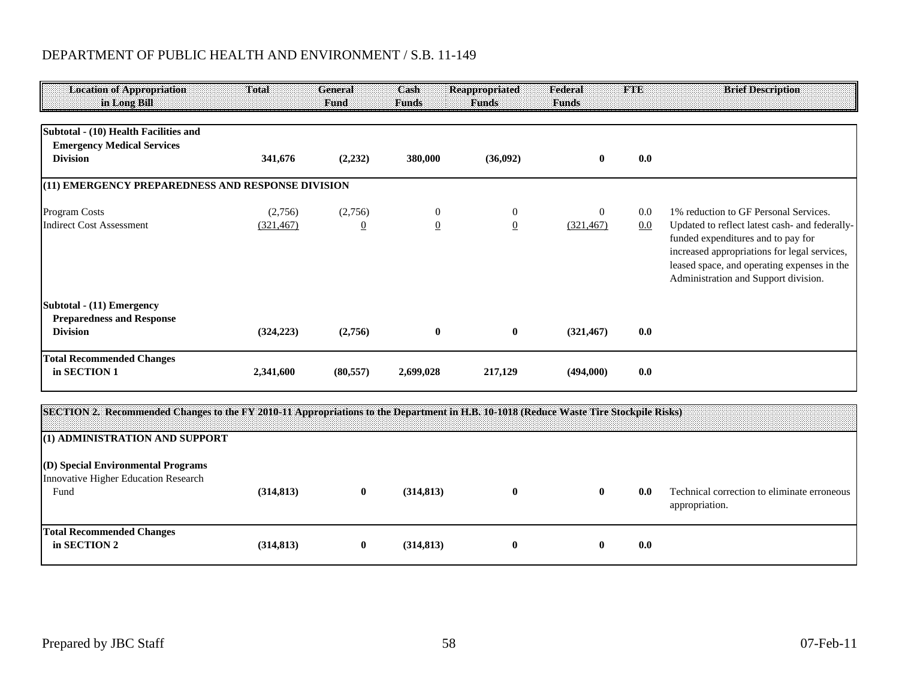| <b>Location of Appropriation</b><br>in Long Bill                                              | Total                 | <b>General</b><br>Fund    | Cash<br><b>Funds</b>             | <b>Reappropriated</b><br><b>Funds</b> | Federal<br><b>Funds</b>      | <b>FTE</b> | <b>Brief Description</b>                                                                                                                                                                                                                                             |
|-----------------------------------------------------------------------------------------------|-----------------------|---------------------------|----------------------------------|---------------------------------------|------------------------------|------------|----------------------------------------------------------------------------------------------------------------------------------------------------------------------------------------------------------------------------------------------------------------------|
| Subtotal - (10) Health Facilities and<br><b>Emergency Medical Services</b><br><b>Division</b> | 341,676               | (2, 232)                  | 380,000                          | (36,092)                              | $\mathbf{0}$                 | 0.0        |                                                                                                                                                                                                                                                                      |
| (11) EMERGENCY PREPAREDNESS AND RESPONSE DIVISION                                             |                       |                           |                                  |                                       |                              |            |                                                                                                                                                                                                                                                                      |
| <b>Program Costs</b><br><b>Indirect Cost Assessment</b>                                       | (2,756)<br>(321, 467) | (2,756)<br>$\overline{0}$ | $\overline{0}$<br>$\overline{0}$ | $\overline{0}$<br>$\overline{0}$      | $\overline{0}$<br>(321, 467) | 0.0<br>0.0 | 1% reduction to GF Personal Services.<br>Updated to reflect latest cash- and federally-<br>funded expenditures and to pay for<br>increased appropriations for legal services,<br>leased space, and operating expenses in the<br>Administration and Support division. |
| Subtotal - (11) Emergency<br><b>Preparedness and Response</b><br><b>Division</b>              | (324, 223)            | (2,756)                   | $\bf{0}$                         | $\bf{0}$                              | (321, 467)                   | 0.0        |                                                                                                                                                                                                                                                                      |
| <b>Total Recommended Changes</b><br>in SECTION 1                                              | 2,341,600             | (80, 557)                 | 2,699,028                        | 217,129                               | (494,000)                    | 0.0        |                                                                                                                                                                                                                                                                      |

| SECTION 2. Recommended Changes to the FY 2010-11 Appropriations to the Department in H.B. 10-1018 (Reduce Waste Tire Stockpile Risks) |            |   |            |              |   |     |                                                               |
|---------------------------------------------------------------------------------------------------------------------------------------|------------|---|------------|--------------|---|-----|---------------------------------------------------------------|
| (1) ADMINISTRATION AND SUPPORT                                                                                                        |            |   |            |              |   |     |                                                               |
| (D) Special Environmental Programs<br>Innovative Higher Education Research<br>Fund                                                    | (314, 813) | v | (314, 813) | $\mathbf{0}$ | v | 0.0 | Technical correction to eliminate erroneous<br>appropriation. |
| <b>Total Recommended Changes</b><br>in SECTION 2                                                                                      | (314, 813) |   | (314, 813) | $\mathbf{0}$ |   | 0.0 |                                                               |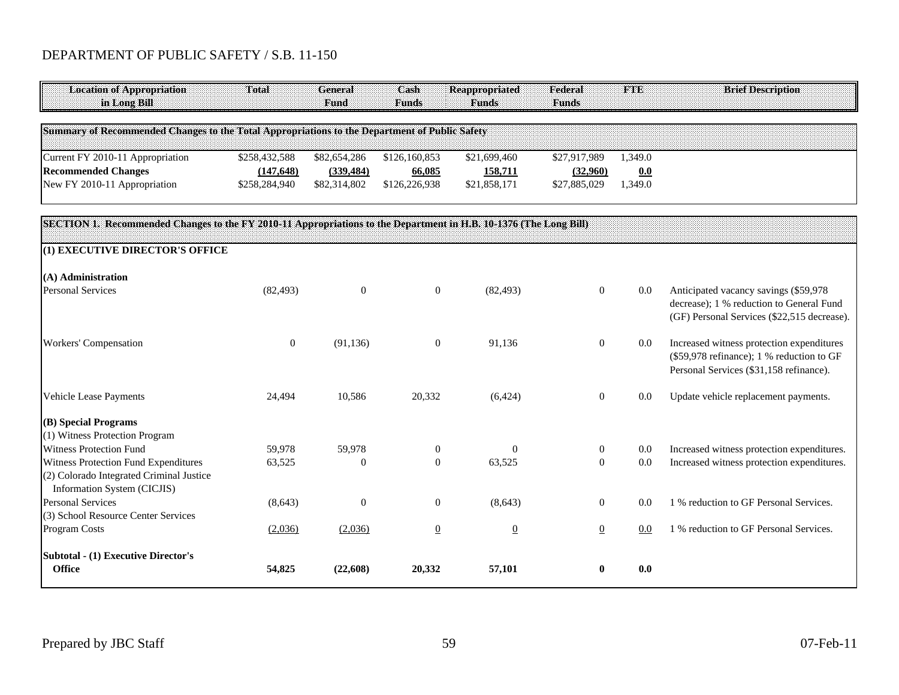## DEPARTMENT OF PUBLIC SAFETY / S.B. 11-150

| <b>Location of Appropriation</b><br>in Long Bill                                                                  | Total            | General<br>Fund  | Cash<br><b>Funds</b> | <b>Reappropriated</b><br><b>Funds</b> | Federal<br><b>Funds</b> | <b>FTE</b> | <b>Brief Description</b>                                                                                                          |
|-------------------------------------------------------------------------------------------------------------------|------------------|------------------|----------------------|---------------------------------------|-------------------------|------------|-----------------------------------------------------------------------------------------------------------------------------------|
| Summary of Recommended Changes to the Total Appropriations to the Department of Public Safety                     |                  |                  |                      |                                       |                         |            |                                                                                                                                   |
| Current FY 2010-11 Appropriation                                                                                  | \$258,432,588    | \$82,654,286     | \$126,160,853        | \$21,699,460                          | \$27,917,989            | 1,349.0    |                                                                                                                                   |
| <b>Recommended Changes</b>                                                                                        | (147, 648)       | (339, 484)       | 66,085               | 158,711                               | (32,960)                | 0.0        |                                                                                                                                   |
| New FY 2010-11 Appropriation                                                                                      | \$258,284,940    | \$82,314,802     | \$126,226,938        | \$21,858,171                          | \$27,885,029            | 1,349.0    |                                                                                                                                   |
| SECTION 1. Recommended Changes to the FY 2010-11 Appropriations to the Department in H.B. 10-1376 (The Long Bill) |                  |                  |                      |                                       |                         |            |                                                                                                                                   |
| (1) EXECUTIVE DIRECTOR'S OFFICE                                                                                   |                  |                  |                      |                                       |                         |            |                                                                                                                                   |
| (A) Administration                                                                                                |                  |                  |                      |                                       |                         |            |                                                                                                                                   |
| <b>Personal Services</b>                                                                                          | (82, 493)        | $\overline{0}$   | $\boldsymbol{0}$     | (82, 493)                             | $\mathbf{0}$            | $0.0\,$    | Anticipated vacancy savings (\$59,978<br>decrease); 1 % reduction to General Fund<br>(GF) Personal Services (\$22,515 decrease).  |
| Workers' Compensation                                                                                             | $\boldsymbol{0}$ | (91, 136)        | $\mathbf{0}$         | 91,136                                | $\boldsymbol{0}$        | $0.0\,$    | Increased witness protection expenditures<br>(\$59,978 refinance); 1 % reduction to GF<br>Personal Services (\$31,158 refinance). |
| Vehicle Lease Payments                                                                                            | 24,494           | 10,586           | 20,332               | (6, 424)                              | $\mathbf{0}$            | 0.0        | Update vehicle replacement payments.                                                                                              |
| (B) Special Programs<br>(1) Witness Protection Program                                                            |                  |                  |                      |                                       |                         |            |                                                                                                                                   |
| <b>Witness Protection Fund</b>                                                                                    | 59,978           | 59,978           | $\boldsymbol{0}$     | $\Omega$                              | $\overline{0}$          | 0.0        | Increased witness protection expenditures.                                                                                        |
| Witness Protection Fund Expenditures                                                                              | 63,525           | $\Omega$         | $\Omega$             | 63,525                                | $\Omega$                | 0.0        | Increased witness protection expenditures.                                                                                        |
| (2) Colorado Integrated Criminal Justice<br>Information System (CICJIS)                                           |                  |                  |                      |                                       |                         |            |                                                                                                                                   |
| <b>Personal Services</b>                                                                                          | (8, 643)         | $\boldsymbol{0}$ | $\boldsymbol{0}$     | (8,643)                               | $\overline{0}$          | 0.0        | 1 % reduction to GF Personal Services.                                                                                            |
| (3) School Resource Center Services                                                                               |                  |                  |                      |                                       |                         |            |                                                                                                                                   |
| Program Costs                                                                                                     | (2,036)          | (2,036)          | $\overline{0}$       | $\overline{0}$                        | $\underline{0}$         | 0.0        | 1 % reduction to GF Personal Services.                                                                                            |
| <b>Subtotal - (1) Executive Director's</b><br><b>Office</b>                                                       | 54,825           | (22,608)         | 20,332               | 57,101                                | $\bf{0}$                | 0.0        |                                                                                                                                   |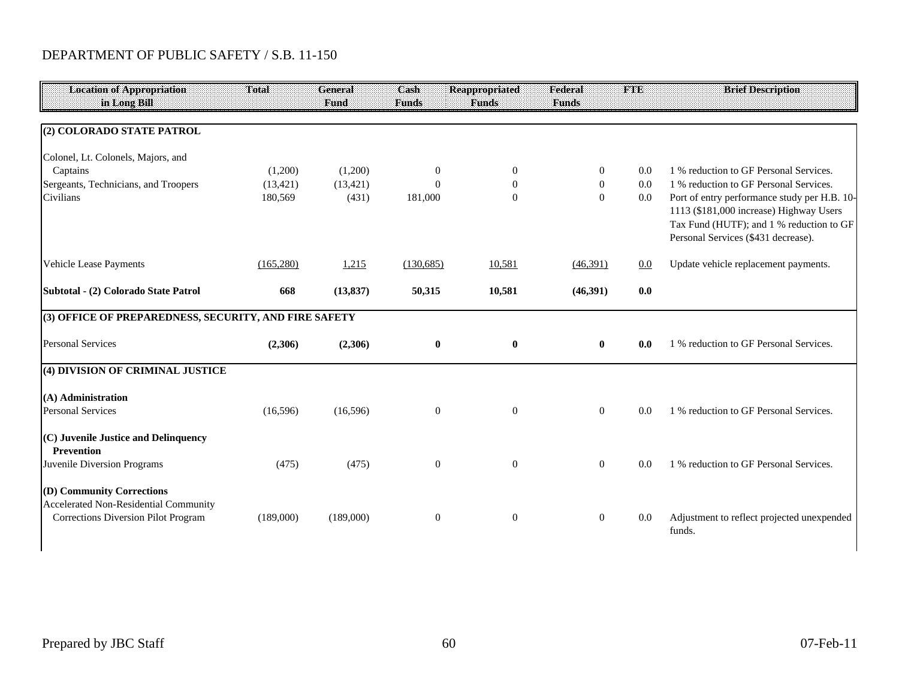## DEPARTMENT OF PUBLIC SAFETY / S.B. 11-150

| <b>Location of Appropriation</b><br>in Long Bill                                                          | Total      | General<br>Fund | Cash<br><b>Funds</b> | <b>Reappropriated</b><br><b>Funds</b> | Federal<br><b>Funds</b> | <b>FTE</b> | <b>Brief Description</b>                                                                                                                                                   |
|-----------------------------------------------------------------------------------------------------------|------------|-----------------|----------------------|---------------------------------------|-------------------------|------------|----------------------------------------------------------------------------------------------------------------------------------------------------------------------------|
|                                                                                                           |            |                 |                      |                                       |                         |            |                                                                                                                                                                            |
| (2) COLORADO STATE PATROL                                                                                 |            |                 |                      |                                       |                         |            |                                                                                                                                                                            |
| Colonel, Lt. Colonels, Majors, and                                                                        |            |                 |                      |                                       |                         |            |                                                                                                                                                                            |
| Captains                                                                                                  | (1,200)    | (1,200)         | $\overline{0}$       | $\overline{0}$                        | $\Omega$                | 0.0        | 1 % reduction to GF Personal Services.                                                                                                                                     |
| Sergeants, Technicians, and Troopers                                                                      | (13, 421)  | (13, 421)       | $\Omega$             | $\theta$                              | $\overline{0}$          | 0.0        | 1 % reduction to GF Personal Services.                                                                                                                                     |
| Civilians                                                                                                 | 180,569    | (431)           | 181,000              | $\mathbf{0}$                          | $\overline{0}$          | $0.0\,$    | Port of entry performance study per H.B. 10-<br>1113 (\$181,000 increase) Highway Users<br>Tax Fund (HUTF); and 1 % reduction to GF<br>Personal Services (\$431 decrease). |
| Vehicle Lease Payments                                                                                    | (165, 280) | 1,215           | (130,685)            | 10,581                                | (46,391)                | 0.0        | Update vehicle replacement payments.                                                                                                                                       |
| Subtotal - (2) Colorado State Patrol                                                                      | 668        | (13, 837)       | 50,315               | 10,581                                | (46,391)                | 0.0        |                                                                                                                                                                            |
| (3) OFFICE OF PREPAREDNESS, SECURITY, AND FIRE SAFETY                                                     |            |                 |                      |                                       |                         |            |                                                                                                                                                                            |
| <b>Personal Services</b>                                                                                  | (2,306)    | (2,306)         | $\bf{0}$             | $\bf{0}$                              | $\bf{0}$                | 0.0        | 1 % reduction to GF Personal Services.                                                                                                                                     |
| (4) DIVISION OF CRIMINAL JUSTICE                                                                          |            |                 |                      |                                       |                         |            |                                                                                                                                                                            |
| (A) Administration                                                                                        |            |                 |                      |                                       |                         |            |                                                                                                                                                                            |
| <b>Personal Services</b>                                                                                  | (16,596)   | (16, 596)       | $\boldsymbol{0}$     | $\mathbf{0}$                          | $\overline{0}$          | 0.0        | 1 % reduction to GF Personal Services.                                                                                                                                     |
| (C) Juvenile Justice and Delinquency<br><b>Prevention</b>                                                 |            |                 |                      |                                       |                         |            |                                                                                                                                                                            |
| Juvenile Diversion Programs                                                                               | (475)      | (475)           | $\boldsymbol{0}$     | $\mathbf{0}$                          | $\mathbf{0}$            | 0.0        | 1 % reduction to GF Personal Services.                                                                                                                                     |
| (D) Community Corrections<br>Accelerated Non-Residential Community<br>Corrections Diversion Pilot Program | (189,000)  | (189,000)       | $\boldsymbol{0}$     | $\overline{0}$                        | $\mathbf{0}$            | 0.0        | Adjustment to reflect projected unexpended<br>funds.                                                                                                                       |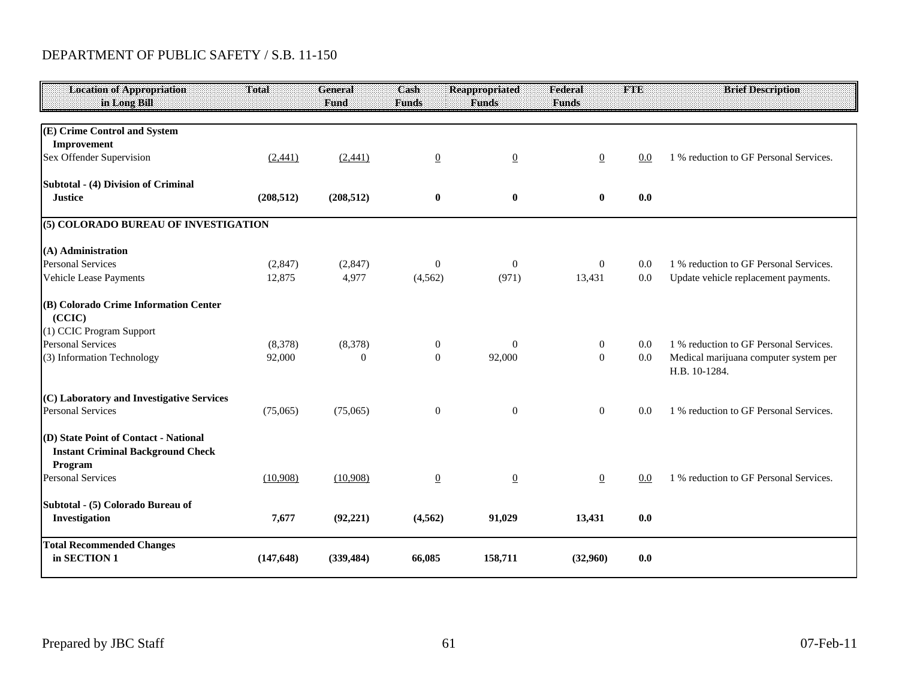# DEPARTMENT OF PUBLIC SAFETY / S.B. 11-150

| <b>Location of Appropriation</b><br>in Long Bill                                             | Total      | <b>General</b><br>Fund | Cash<br><b>Funds</b> | <b>Reappropriated</b><br><b>Funds</b> | Federal<br><b>Funds</b> | THE | <b>Brief Description</b>                               |
|----------------------------------------------------------------------------------------------|------------|------------------------|----------------------|---------------------------------------|-------------------------|-----|--------------------------------------------------------|
|                                                                                              |            |                        |                      |                                       |                         |     |                                                        |
| (E) Crime Control and System                                                                 |            |                        |                      |                                       |                         |     |                                                        |
| Improvement                                                                                  |            |                        |                      |                                       |                         |     |                                                        |
| Sex Offender Supervision                                                                     | (2,441)    | (2,441)                | $\overline{0}$       | $\underline{0}$                       | $\overline{0}$          | 0.0 | 1 % reduction to GF Personal Services.                 |
| Subtotal - (4) Division of Criminal                                                          |            |                        |                      |                                       |                         |     |                                                        |
| <b>Justice</b>                                                                               | (208, 512) | (208, 512)             | $\boldsymbol{0}$     | $\bf{0}$                              | $\bf{0}$                | 0.0 |                                                        |
| (5) COLORADO BUREAU OF INVESTIGATION                                                         |            |                        |                      |                                       |                         |     |                                                        |
| (A) Administration                                                                           |            |                        |                      |                                       |                         |     |                                                        |
| <b>Personal Services</b>                                                                     | (2,847)    | (2, 847)               | $\boldsymbol{0}$     | $\boldsymbol{0}$                      | $\overline{0}$          | 0.0 | 1 % reduction to GF Personal Services.                 |
| Vehicle Lease Payments                                                                       | 12,875     | 4,977                  | (4, 562)             | (971)                                 | 13,431                  | 0.0 | Update vehicle replacement payments.                   |
| (B) Colorado Crime Information Center<br>(CCIC)                                              |            |                        |                      |                                       |                         |     |                                                        |
| (1) CCIC Program Support                                                                     |            |                        |                      |                                       |                         |     |                                                        |
| <b>Personal Services</b>                                                                     | (8,378)    | (8,378)                | $\mathbf{0}$         | $\theta$                              | $\overline{0}$          | 0.0 | 1 % reduction to GF Personal Services.                 |
| (3) Information Technology                                                                   | 92,000     | $\theta$               | $\mathbf{0}$         | 92,000                                | $\overline{0}$          | 0.0 | Medical marijuana computer system per<br>H.B. 10-1284. |
| (C) Laboratory and Investigative Services                                                    |            |                        |                      |                                       |                         |     |                                                        |
| <b>Personal Services</b>                                                                     | (75,065)   | (75,065)               | $\boldsymbol{0}$     | $\boldsymbol{0}$                      | $\overline{0}$          | 0.0 | 1 % reduction to GF Personal Services.                 |
| (D) State Point of Contact - National<br><b>Instant Criminal Background Check</b><br>Program |            |                        |                      |                                       |                         |     |                                                        |
| <b>Personal Services</b>                                                                     | (10,908)   | (10,908)               | $\overline{0}$       | $\overline{0}$                        | $\overline{0}$          | 0.0 | 1 % reduction to GF Personal Services.                 |
| Subtotal - (5) Colorado Bureau of<br>Investigation                                           | 7,677      | (92, 221)              | (4, 562)             | 91,029                                | 13,431                  | 0.0 |                                                        |
| <b>Total Recommended Changes</b><br>in SECTION 1                                             | (147, 648) | (339, 484)             | 66,085               | 158,711                               | (32,960)                | 0.0 |                                                        |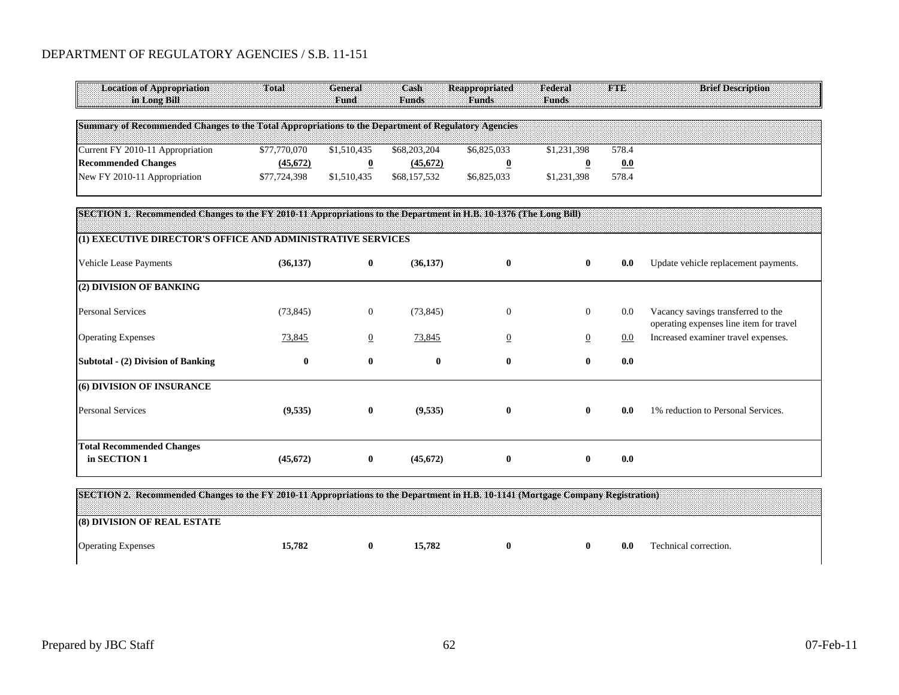#### DEPARTMENT OF REGULATORY AGENCIES / S.B. 11-151

| <b>Location of Appropriation</b><br>in Long Bill                                                                                  | Total        | <b>General</b><br>Fund  | Cash<br><b>Funds</b> | <b>Reappropriated</b><br><b>Funds</b> | Federal<br><b>Funds</b> | <b>FTE</b> | <b>Brief Description</b>                                                      |
|-----------------------------------------------------------------------------------------------------------------------------------|--------------|-------------------------|----------------------|---------------------------------------|-------------------------|------------|-------------------------------------------------------------------------------|
| Summary of Recommended Changes to the Total Appropriations to the Department of Regulatory Agencies                               |              |                         |                      |                                       |                         |            |                                                                               |
| Current FY 2010-11 Appropriation                                                                                                  | \$77,770,070 | \$1,510,435             | \$68,203,204         | \$6,825,033                           | \$1,231,398             | 578.4      |                                                                               |
| <b>Recommended Changes</b>                                                                                                        | (45,672)     | $\overline{\mathbf{0}}$ | (45,672)             | $\overline{\mathbf{0}}$               | $\overline{\mathbf{0}}$ | 0.0        |                                                                               |
| New FY 2010-11 Appropriation                                                                                                      | \$77,724,398 | \$1,510,435             | \$68,157,532         | \$6,825,033                           | \$1,231,398             | 578.4      |                                                                               |
| SECTION 1. Recommended Changes to the FY 2010-11 Appropriations to the Department in H.B. 10-1376 (The Long Bill)                 |              |                         |                      |                                       |                         |            |                                                                               |
| (1) EXECUTIVE DIRECTOR'S OFFICE AND ADMINISTRATIVE SERVICES                                                                       |              |                         |                      |                                       |                         |            |                                                                               |
| <b>Vehicle Lease Payments</b>                                                                                                     | (36, 137)    | $\mathbf{0}$            | (36, 137)            | $\bf{0}$                              | $\bf{0}$                | 0.0        | Update vehicle replacement payments.                                          |
| (2) DIVISION OF BANKING                                                                                                           |              |                         |                      |                                       |                         |            |                                                                               |
| <b>Personal Services</b>                                                                                                          | (73, 845)    | $\overline{0}$          | (73, 845)            | $\mathbf{0}$                          | $\overline{0}$          | 0.0        | Vacancy savings transferred to the<br>operating expenses line item for travel |
| <b>Operating Expenses</b>                                                                                                         | 73,845       | $\overline{0}$          | 73,845               | $\overline{0}$                        | $\overline{0}$          | 0.0        | Increased examiner travel expenses.                                           |
| Subtotal - (2) Division of Banking                                                                                                | $\bf{0}$     | $\bf{0}$                | $\bf{0}$             | $\bf{0}$                              | $\bf{0}$                | 0.0        |                                                                               |
| (6) DIVISION OF INSURANCE                                                                                                         |              |                         |                      |                                       |                         |            |                                                                               |
| <b>Personal Services</b>                                                                                                          | (9,535)      | $\bf{0}$                | (9,535)              | $\bf{0}$                              | $\bf{0}$                | 0.0        | 1% reduction to Personal Services.                                            |
| <b>Total Recommended Changes</b>                                                                                                  |              |                         |                      |                                       |                         |            |                                                                               |
| in SECTION 1                                                                                                                      | (45, 672)    | $\bf{0}$                | (45, 672)            | $\bf{0}$                              | $\bf{0}$                | 0.0        |                                                                               |
| SECTION 2. Recommended Changes to the FY 2010-11 Appropriations to the Department in H.B. 10-1141 (Mortgage Company Registration) |              |                         |                      |                                       |                         |            |                                                                               |
| (8) DIVISION OF REAL ESTATE                                                                                                       |              |                         |                      |                                       |                         |            |                                                                               |

| Operating Expenses | $-782$ | $-782$ |  | 0.0 | Fechnical correction. |
|--------------------|--------|--------|--|-----|-----------------------|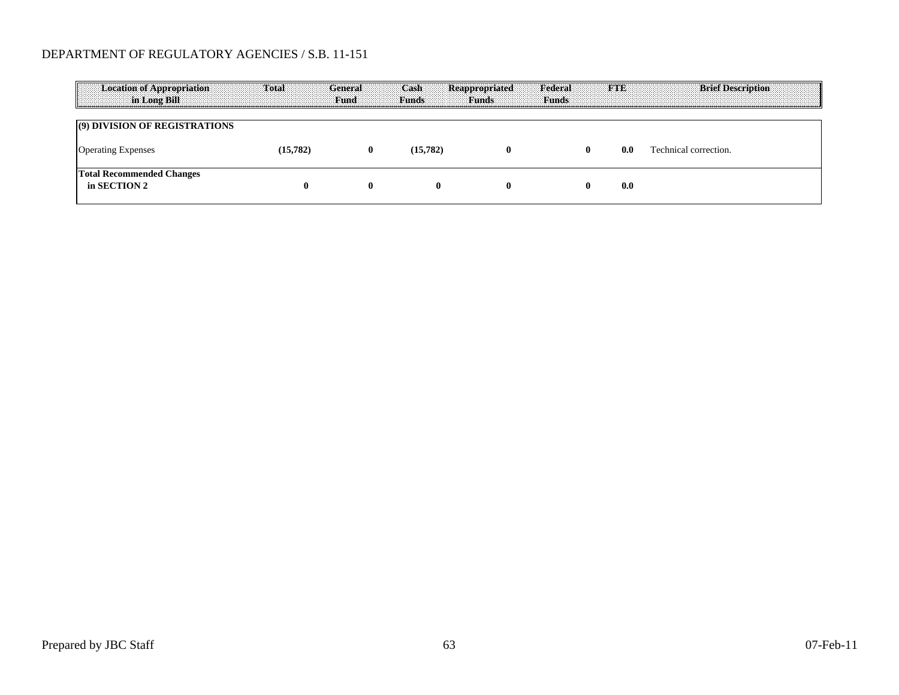#### DEPARTMENT OF REGULATORY AGENCIES / S.B. 11-151

| Location of Appropriation<br><b>Example 1.5 In Long Bill</b> | <b>Total General</b> |   | Cash Reappropriated | <b>Eund</b> Funds Funds Funds Funds | <b>Federal</b> |     | <b>ETE</b> Brief Description |
|--------------------------------------------------------------|----------------------|---|---------------------|-------------------------------------|----------------|-----|------------------------------|
| (9) DIVISION OF REGISTRATIONS                                |                      |   |                     |                                     |                |     |                              |
| <b>Operating Expenses</b>                                    | 15.782)              | 0 | 15.782)             |                                     |                | 0.0 | Technical correction.        |
| <b>Total Recommended Changes</b><br>in SECTION 2             |                      | o |                     |                                     |                | 0.0 |                              |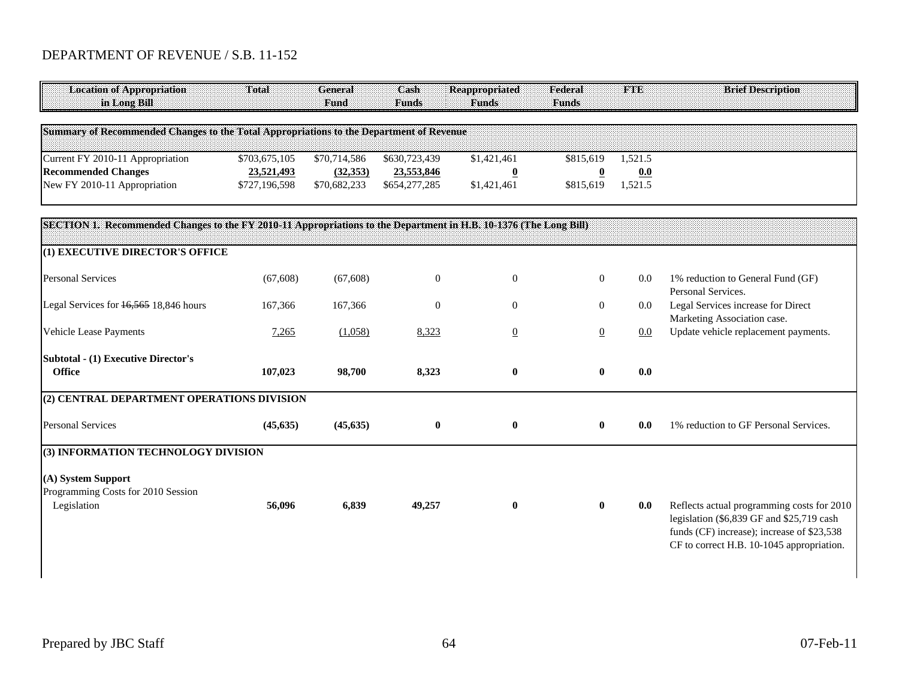## DEPARTMENT OF REVENUE / S.B. 11-152

| Total                                        | <b>General</b><br>Fund                                                 | Cash<br><b>Funds</b>                         | <b>Reappropriated</b><br><b>Funds</b>                 | Federal<br><b>Funds</b>                                                                 | <b>FTE</b>                                                                                                        | <b>Brief Description</b>                                                                                                                                                           |
|----------------------------------------------|------------------------------------------------------------------------|----------------------------------------------|-------------------------------------------------------|-----------------------------------------------------------------------------------------|-------------------------------------------------------------------------------------------------------------------|------------------------------------------------------------------------------------------------------------------------------------------------------------------------------------|
|                                              |                                                                        |                                              |                                                       |                                                                                         |                                                                                                                   |                                                                                                                                                                                    |
| \$703,675,105<br>23,521,493<br>\$727,196,598 | \$70,714,586<br>(32, 353)<br>\$70,682,233                              | \$630,723,439<br>23,553,846<br>\$654,277,285 | \$1,421,461<br>$\overline{\mathbf{0}}$<br>\$1,421,461 | \$815,619<br>$\overline{\mathbf{0}}$<br>\$815,619                                       | 1,521.5<br>0.0<br>1,521.5                                                                                         |                                                                                                                                                                                    |
|                                              |                                                                        |                                              |                                                       |                                                                                         |                                                                                                                   |                                                                                                                                                                                    |
|                                              |                                                                        |                                              |                                                       |                                                                                         |                                                                                                                   |                                                                                                                                                                                    |
| (67, 608)                                    | (67, 608)                                                              | $\boldsymbol{0}$                             | $\boldsymbol{0}$                                      | $\boldsymbol{0}$                                                                        | 0.0                                                                                                               | 1% reduction to General Fund (GF)<br>Personal Services.                                                                                                                            |
| 167,366                                      | 167,366                                                                | $\theta$                                     | $\overline{0}$                                        | $\overline{0}$                                                                          | 0.0                                                                                                               | Legal Services increase for Direct<br>Marketing Association case.                                                                                                                  |
| 7,265                                        | (1,058)                                                                | 8,323                                        | $\overline{0}$                                        | $\overline{0}$                                                                          | 0.0                                                                                                               | Update vehicle replacement payments.                                                                                                                                               |
| 107,023                                      | 98,700                                                                 | 8,323                                        | $\bf{0}$                                              | $\bf{0}$                                                                                | 0.0                                                                                                               |                                                                                                                                                                                    |
|                                              |                                                                        |                                              |                                                       |                                                                                         |                                                                                                                   |                                                                                                                                                                                    |
| (45, 635)                                    | (45, 635)                                                              | $\bf{0}$                                     | $\pmb{0}$                                             | $\bf{0}$                                                                                | 0.0                                                                                                               | 1% reduction to GF Personal Services.                                                                                                                                              |
|                                              |                                                                        |                                              |                                                       |                                                                                         |                                                                                                                   |                                                                                                                                                                                    |
| 56,096                                       | 6,839                                                                  | 49,257                                       | $\bf{0}$                                              | $\bf{0}$                                                                                | 0.0                                                                                                               | Reflects actual programming costs for 2010<br>legislation (\$6,839 GF and \$25,719 cash<br>funds (CF) increase); increase of \$23,538<br>CF to correct H.B. 10-1045 appropriation. |
|                                              | (1) EXECUTIVE DIRECTOR'S OFFICE<br>(3) INFORMATION TECHNOLOGY DIVISION | (2) CENTRAL DEPARTMENT OPERATIONS DIVISION   |                                                       | Summary of Recommended Changes to the Total Appropriations to the Department of Revenue | SECTION 1. Recommended Changes to the FY 2010-11 Appropriations to the Department in H.B. 10-1376 (The Long Bill) |                                                                                                                                                                                    |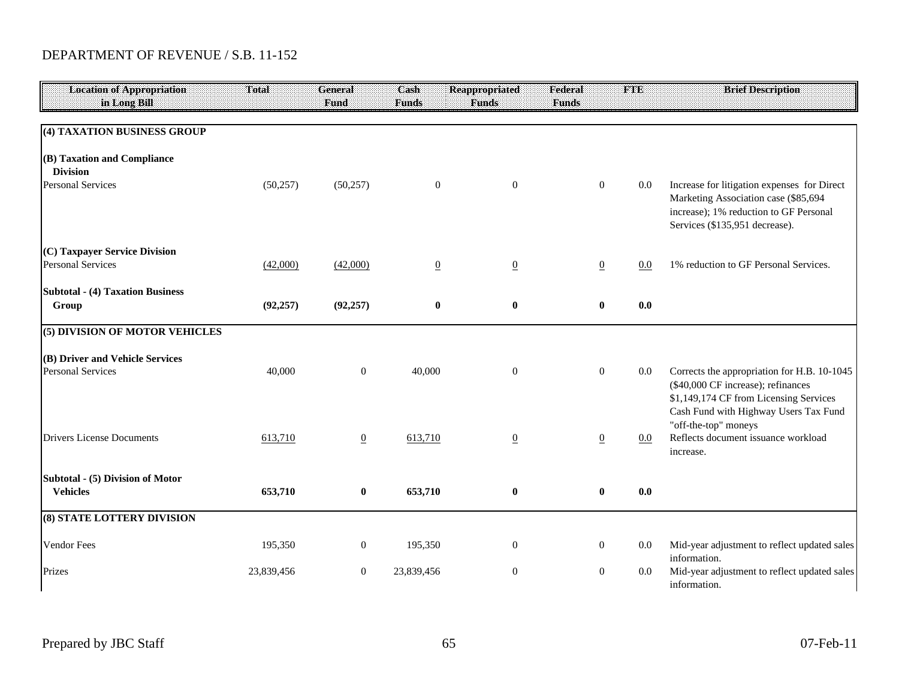## DEPARTMENT OF REVENUE / S.B. 11-152

| <b>Location of Appropriation</b>                            | Total      | <b>General</b>  | Cash             | <b>Reappropriated</b> | Federal        | <b>FTE</b> | <b>Brief Description</b>                                                                                                                                        |
|-------------------------------------------------------------|------------|-----------------|------------------|-----------------------|----------------|------------|-----------------------------------------------------------------------------------------------------------------------------------------------------------------|
| in Long Bill                                                |            | Fund            | <b>Funds</b>     | <b>Funds</b>          | <b>Funds</b>   |            |                                                                                                                                                                 |
| (4) TAXATION BUSINESS GROUP                                 |            |                 |                  |                       |                |            |                                                                                                                                                                 |
| (B) Taxation and Compliance<br><b>Division</b>              |            |                 |                  |                       |                |            |                                                                                                                                                                 |
| <b>Personal Services</b>                                    | (50, 257)  | (50, 257)       | $\boldsymbol{0}$ | $\overline{0}$        | $\overline{0}$ | 0.0        | Increase for litigation expenses for Direct<br>Marketing Association case (\$85,694<br>increase); 1% reduction to GF Personal<br>Services (\$135,951 decrease). |
| (C) Taxpayer Service Division<br><b>Personal Services</b>   | (42,000)   | (42,000)        | $\underline{0}$  | $\underline{0}$       | $\overline{0}$ | 0.0        | 1% reduction to GF Personal Services.                                                                                                                           |
| <b>Subtotal - (4) Taxation Business</b><br>Group            | (92, 257)  | (92, 257)       | $\bf{0}$         | $\bf{0}$              | $\bf{0}$       | 0.0        |                                                                                                                                                                 |
| (5) DIVISION OF MOTOR VEHICLES                              |            |                 |                  |                       |                |            |                                                                                                                                                                 |
| (B) Driver and Vehicle Services<br><b>Personal Services</b> | 40,000     | $\mathbf{0}$    | 40,000           | $\mathbf{0}$          | $\overline{0}$ | 0.0        | Corrects the appropriation for H.B. 10-1045<br>(\$40,000 CF increase); refinances<br>\$1,149,174 CF from Licensing Services                                     |
| <b>Drivers License Documents</b>                            | 613,710    | $\underline{0}$ | 613,710          | $\overline{0}$        | $\overline{0}$ | 0.0        | Cash Fund with Highway Users Tax Fund<br>"off-the-top" moneys<br>Reflects document issuance workload<br>increase.                                               |
| Subtotal - (5) Division of Motor<br><b>Vehicles</b>         | 653,710    | $\bf{0}$        | 653,710          | $\pmb{0}$             | $\bf{0}$       | 0.0        |                                                                                                                                                                 |
| (8) STATE LOTTERY DIVISION                                  |            |                 |                  |                       |                |            |                                                                                                                                                                 |
| <b>Vendor Fees</b>                                          | 195,350    | $\mathbf{0}$    | 195,350          | $\boldsymbol{0}$      | $\mathbf{0}$   | 0.0        | Mid-year adjustment to reflect updated sales<br>information.                                                                                                    |
| Prizes                                                      | 23,839,456 | $\mathbf{0}$    | 23,839,456       | $\overline{0}$        | $\overline{0}$ | 0.0        | Mid-year adjustment to reflect updated sales<br>information.                                                                                                    |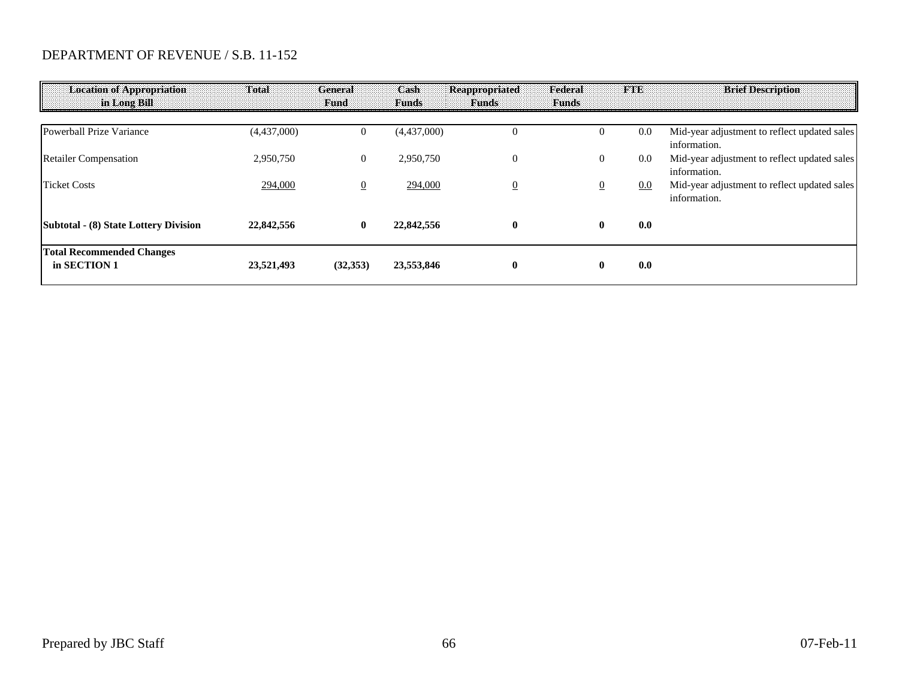### DEPARTMENT OF REVENUE / S.B. 11-152

| <b>Location of Appropriation</b><br>an Long Bill. | Total       | <b>General</b><br>Fund | Cash<br><b>Funds</b> | Reappropriated<br><b>Funds</b> | Federal<br><b>Funds</b> | <b>TANA</b> | <b>Brief Description</b>                                     |
|---------------------------------------------------|-------------|------------------------|----------------------|--------------------------------|-------------------------|-------------|--------------------------------------------------------------|
| Powerball Prize Variance                          | (4,437,000) | 0                      | (4,437,000)          | $_{0}$                         |                         | 0.0         | Mid-year adjustment to reflect updated sales<br>information. |
| <b>Retailer Compensation</b>                      | 2,950,750   | $\overline{0}$         | 2,950,750            | $\overline{0}$                 | 0                       | $0.0\,$     | Mid-year adjustment to reflect updated sales<br>information. |
| <b>Ticket Costs</b>                               | 294,000     | $\overline{0}$         | 294,000              | $\overline{0}$                 |                         | 0.0         | Mid-year adjustment to reflect updated sales<br>information. |
| Subtotal - (8) State Lottery Division             | 22,842,556  | $\bf{0}$               | 22,842,556           | $\mathbf{0}$                   | $\bf{0}$                | 0.0         |                                                              |
| <b>Total Recommended Changes</b><br>in SECTION 1  | 23,521,493  | (32, 353)              | 23,553,846           | $\mathbf{0}$                   |                         | 0.0         |                                                              |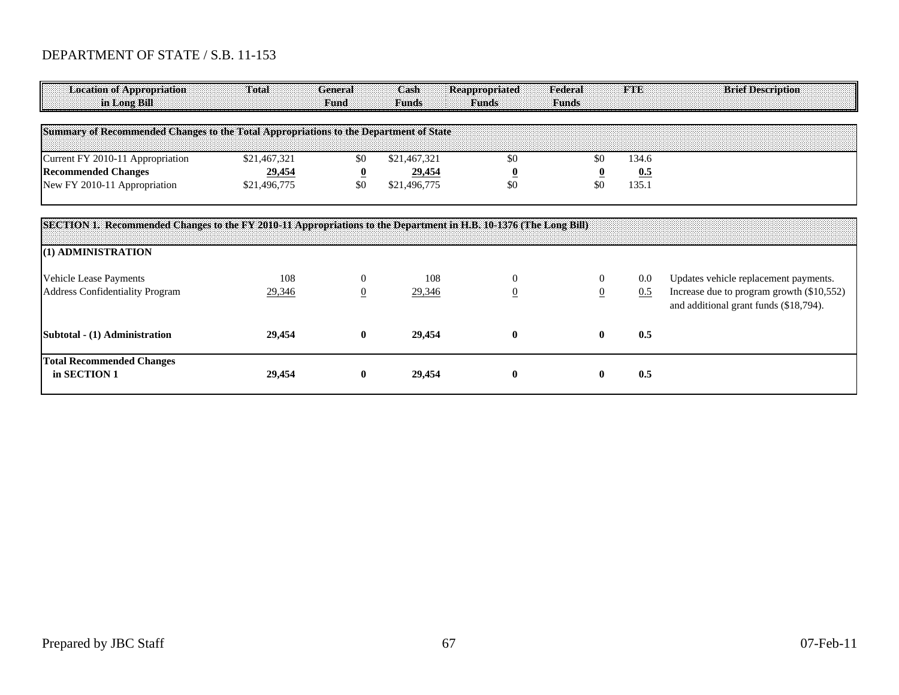# DEPARTMENT OF STATE / S.B. 11-153

| <b>Location of Appropriation</b><br>in Long Bill                                                                                        | Total        | <b>General</b><br>Fund  | Cash<br><b>Funds</b> | Reappropriated<br><b>Funds</b> | Federal<br><b>Funds</b> | <b>FTE</b> | <b>Brief Description</b>                                                            |
|-----------------------------------------------------------------------------------------------------------------------------------------|--------------|-------------------------|----------------------|--------------------------------|-------------------------|------------|-------------------------------------------------------------------------------------|
| Summary of Recommended Changes to the Total Appropriations to the Department of State                                                   |              |                         |                      |                                |                         |            |                                                                                     |
| Current FY 2010-11 Appropriation                                                                                                        | \$21,467,321 | \$0                     | \$21,467,321         | \$0                            | \$0                     | 134.6      |                                                                                     |
| <b>Recommended Changes</b>                                                                                                              | 29,454       | $\overline{\mathbf{0}}$ | 29,454               | $\overline{\mathbf{0}}$        |                         | 0.5        |                                                                                     |
| New FY 2010-11 Appropriation                                                                                                            | \$21,496,775 | \$0                     | \$21,496,775         | \$0                            | \$0                     | 135.1      |                                                                                     |
| SECTION 1. Recommended Changes to the FY 2010-11 Appropriations to the Department in H.B. 10-1376 (The Long Bill)<br>(1) ADMINISTRATION |              |                         |                      |                                |                         |            |                                                                                     |
| Vehicle Lease Payments                                                                                                                  | 108          | $\Omega$                | 108                  | $\Omega$                       | $\Omega$                | $0.0\,$    | Updates vehicle replacement payments.                                               |
| <b>Address Confidentiality Program</b>                                                                                                  | 29,346       | $\mathbf{0}$            | 29,346               | $\overline{0}$                 | $\mathbf{0}$            | 0.5        | Increase due to program growth (\$10,552)<br>and additional grant funds (\$18,794). |
| Subtotal - (1) Administration                                                                                                           | 29,454       | $\bf{0}$                | 29,454               | $\mathbf{0}$                   | $\mathbf{0}$            | 0.5        |                                                                                     |
| <b>Total Recommended Changes</b><br>in SECTION 1                                                                                        | 29,454       | $\bf{0}$                | 29,454               | $\mathbf{0}$                   | $\mathbf{0}$            | 0.5        |                                                                                     |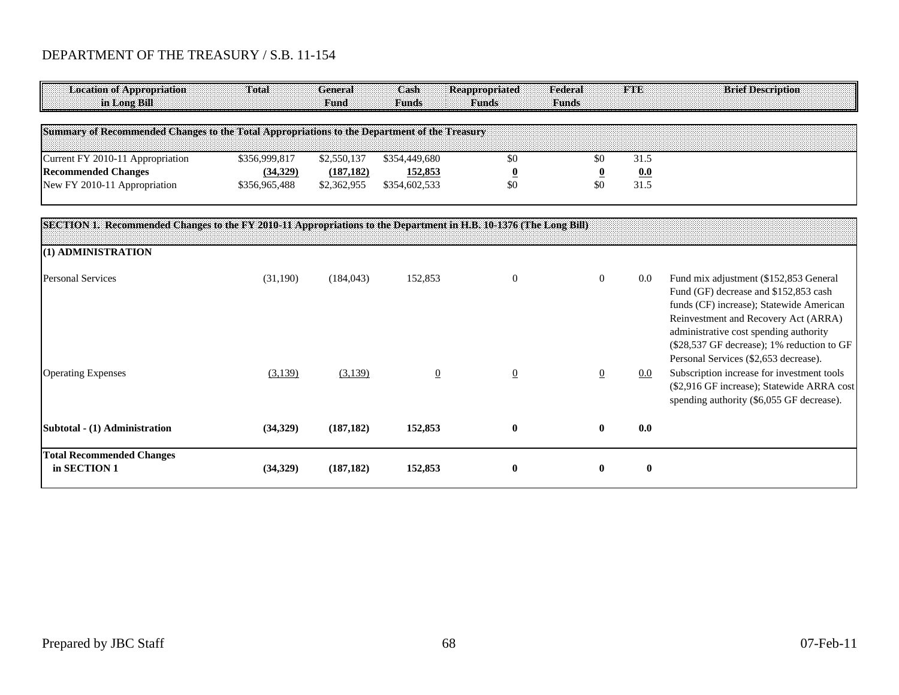## DEPARTMENT OF THE TREASURY / S.B. 11-154

| <b>Location of Appropriation</b>                                                             | <b>Total</b> | General<br><b>Fund</b> | Cash<br><b>Timds</b> | <b>Reappropriated</b> | Federal<br>Funds |     |  | <b>Brief Description</b> |  |
|----------------------------------------------------------------------------------------------|--------------|------------------------|----------------------|-----------------------|------------------|-----|--|--------------------------|--|
| Summary of Recommended Changes to the Total Appropriations to the Department of the Treasury |              |                        |                      |                       |                  |     |  |                          |  |
| Current FY 2010-11 Appropriation                                                             | 56.999.817   |                        | \$354.449.680        |                       |                  |     |  |                          |  |
| <b>Recommended Changes</b>                                                                   | (34,329)     | (187, 182)             | 152,853              |                       |                  | 0.0 |  |                          |  |
| New FY 2010-11 Appropriation                                                                 | 356.965.488  | \$2.362.955            | \$354.602.533        |                       |                  |     |  |                          |  |

| SECTION 1. Recommended Changes to the FY 2010-11 Appropriations to the Department in H.B. 10-1376 (The Long Bill) |          |            |                |                |                |         |                                                                                                                                                                                                                                                                                                      |
|-------------------------------------------------------------------------------------------------------------------|----------|------------|----------------|----------------|----------------|---------|------------------------------------------------------------------------------------------------------------------------------------------------------------------------------------------------------------------------------------------------------------------------------------------------------|
| (1) ADMINISTRATION                                                                                                |          |            |                |                |                |         |                                                                                                                                                                                                                                                                                                      |
| <b>Personal Services</b>                                                                                          | (31,190) | (184, 043) | 152,853        | $\theta$       | $\overline{0}$ | 0.0     | Fund mix adjustment (\$152,853 General<br>Fund (GF) decrease and \$152,853 cash<br>funds (CF) increase); Statewide American<br>Reinvestment and Recovery Act (ARRA)<br>administrative cost spending authority<br>(\$28,537 GF decrease); 1% reduction to GF<br>Personal Services (\$2,653 decrease). |
| <b>Operating Expenses</b>                                                                                         | (3,139)  | (3,139)    | $\overline{0}$ | $\overline{0}$ | $\overline{0}$ | $0.0\,$ | Subscription increase for investment tools<br>(\$2,916 GF increase); Statewide ARRA cost<br>spending authority (\$6,055 GF decrease).                                                                                                                                                                |
| Subtotal - (1) Administration                                                                                     | (34,329) | (187, 182) | 152,853        | $\mathbf 0$    | $\mathbf{0}$   | 0.0     |                                                                                                                                                                                                                                                                                                      |
| <b>Total Recommended Changes</b><br>in SECTION 1                                                                  | (34,329) | (187, 182) | 152,853        | $\bf{0}$       | $\bf{0}$       |         |                                                                                                                                                                                                                                                                                                      |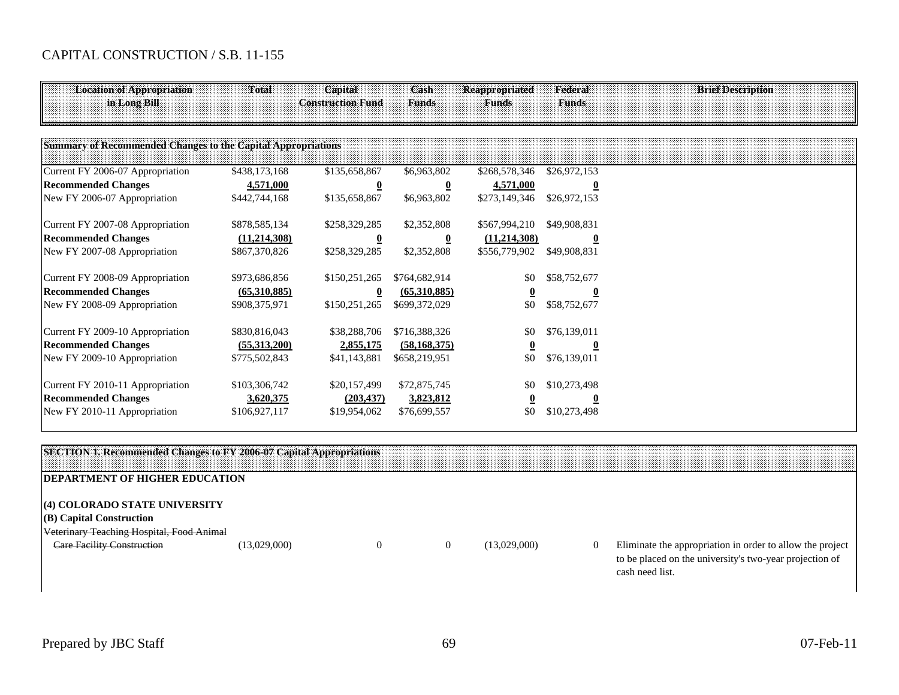# CAPITAL CONSTRUCTION / S.B. 11-155

| <b>Location of Appropriation</b><br>in Long Bill             | Total                      | Capital<br><b>Construction Fund</b> | Cash<br>Funds           | <b>Reappropriated</b><br><b>Funds</b> | Federal<br><b>Funds</b> | <b>Brief Description</b> |
|--------------------------------------------------------------|----------------------------|-------------------------------------|-------------------------|---------------------------------------|-------------------------|--------------------------|
| Summary of Recommended Changes to the Capital Appropriations |                            |                                     |                         |                                       |                         |                          |
| Current FY 2006-07 Appropriation                             | \$438,173,168              | \$135,658,867                       | \$6,963,802             | \$268,578,346                         | \$26,972,153            |                          |
| <b>Recommended Changes</b>                                   | 4,571,000                  | $\overline{0}$                      | $\overline{\mathbf{0}}$ | 4,571,000                             |                         |                          |
| New FY 2006-07 Appropriation                                 | \$442,744,168              | \$135,658,867                       | \$6,963,802             | \$273,149,346                         | \$26,972,153            |                          |
| Current FY 2007-08 Appropriation                             | \$878,585,134              | \$258,329,285                       | \$2,352,808             | \$567,994,210                         | \$49,908,831            |                          |
| <b>Recommended Changes</b>                                   | (11, 214, 308)             | $\overline{\mathbf{0}}$             | $\bf{0}$                | (11, 214, 308)                        | $\bf{0}$                |                          |
| New FY 2007-08 Appropriation                                 | \$867,370,826              | \$258,329,285                       | \$2,352,808             | \$556,779,902                         | \$49,908,831            |                          |
| Current FY 2008-09 Appropriation                             | \$973,686,856              | \$150,251,265                       | \$764,682,914           | \$0                                   | \$58,752,677            |                          |
| <b>Recommended Changes</b>                                   | $\underline{(65,310,885)}$ | $\bf{0}$                            | (65,310,885)            |                                       |                         |                          |
| New FY 2008-09 Appropriation                                 | \$908,375,971              | \$150,251,265                       | \$699,372,029           | \$0                                   | \$58,752,677            |                          |
| Current FY 2009-10 Appropriation                             | \$830,816,043              | \$38,288,706                        | \$716,388,326           | \$0                                   | \$76,139,011            |                          |
| <b>Recommended Changes</b>                                   | (55,313,200)               | 2,855,175                           | (58, 168, 375)          |                                       | 0                       |                          |
| New FY 2009-10 Appropriation                                 | \$775,502,843              | \$41,143,881                        | \$658,219,951           | \$0                                   | \$76,139,011            |                          |
| Current FY 2010-11 Appropriation                             | \$103,306,742              | \$20,157,499                        | \$72,875,745            | \$0                                   | \$10,273,498            |                          |
| <b>Recommended Changes</b>                                   | 3,620,375                  | (203, 437)                          | 3,823,812               |                                       |                         |                          |
| New FY 2010-11 Appropriation                                 | \$106,927,117              | \$19,954,062                        | \$76,699,557            | \$0                                   | \$10,273,498            |                          |

|                                                                                                        | <b>TON 1. Recommended Changes to FY 2006-07 Capital Appropriations</b> |  |              |          |                                                                                                                                         |
|--------------------------------------------------------------------------------------------------------|------------------------------------------------------------------------|--|--------------|----------|-----------------------------------------------------------------------------------------------------------------------------------------|
| <b>IDEPARTMENT OF HIGHER EDUCATION</b>                                                                 |                                                                        |  |              |          |                                                                                                                                         |
| (4) COLORADO STATE UNIVERSITY<br>(B) Capital Construction<br>Veterinary Teaching Hospital, Food Animal |                                                                        |  |              |          |                                                                                                                                         |
| Care Facility Construction                                                                             | (13,029,000)                                                           |  | (13,029,000) | $\Omega$ | Eliminate the appropriation in order to allow the project<br>to be placed on the university's two-year projection of<br>cash need list. |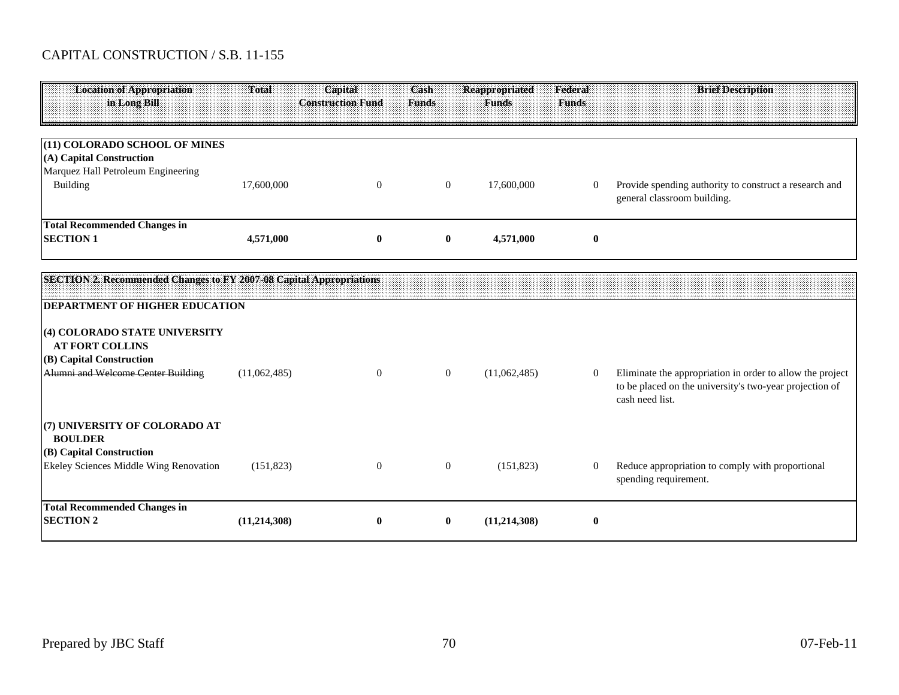# CAPITAL CONSTRUCTION / S.B. 11-155

| <b>Location of Appropriation</b><br>in Long Bill                                                                          | Total          | Capital<br><b>Construction Fund</b> | Cash<br><b>Funds</b> | <b>Reappropriated</b><br><b>Funds</b> | Federal<br><b>Funds</b> | <b>Brief Description</b>                                                                                                                |
|---------------------------------------------------------------------------------------------------------------------------|----------------|-------------------------------------|----------------------|---------------------------------------|-------------------------|-----------------------------------------------------------------------------------------------------------------------------------------|
| (11) COLORADO SCHOOL OF MINES                                                                                             |                |                                     |                      |                                       |                         |                                                                                                                                         |
| (A) Capital Construction                                                                                                  |                |                                     |                      |                                       |                         |                                                                                                                                         |
| Marquez Hall Petroleum Engineering<br>Building                                                                            | 17,600,000     | $\mathbf{0}$                        | $\overline{0}$       | 17,600,000                            | $\overline{0}$          | Provide spending authority to construct a research and<br>general classroom building.                                                   |
| <b>Total Recommended Changes in</b><br><b>SECTION 1</b>                                                                   | 4,571,000      | $\bf{0}$                            | $\bf{0}$             | 4,571,000                             | $\bf{0}$                |                                                                                                                                         |
| SECTION 2. Recommended Changes to FY 2007-08 Capital Appropriations                                                       |                |                                     |                      |                                       |                         |                                                                                                                                         |
| <b>DEPARTMENT OF HIGHER EDUCATION</b>                                                                                     |                |                                     |                      |                                       |                         |                                                                                                                                         |
| (4) COLORADO STATE UNIVERSITY<br><b>AT FORT COLLINS</b><br>(B) Capital Construction<br>Alumni and Welcome Center Building | (11,062,485)   | $\overline{0}$                      | $\overline{0}$       | (11,062,485)                          | $\overline{0}$          | Eliminate the appropriation in order to allow the project<br>to be placed on the university's two-year projection of<br>cash need list. |
| (7) UNIVERSITY OF COLORADO AT<br><b>BOULDER</b>                                                                           |                |                                     |                      |                                       |                         |                                                                                                                                         |
| (B) Capital Construction<br>Ekeley Sciences Middle Wing Renovation                                                        | (151, 823)     | $\theta$                            | $\overline{0}$       | (151, 823)                            | $\overline{0}$          | Reduce appropriation to comply with proportional<br>spending requirement.                                                               |
| <b>Total Recommended Changes in</b><br><b>SECTION 2</b>                                                                   | (11, 214, 308) | $\bf{0}$                            | $\bf{0}$             | (11, 214, 308)                        | $\bf{0}$                |                                                                                                                                         |
|                                                                                                                           |                |                                     |                      |                                       |                         |                                                                                                                                         |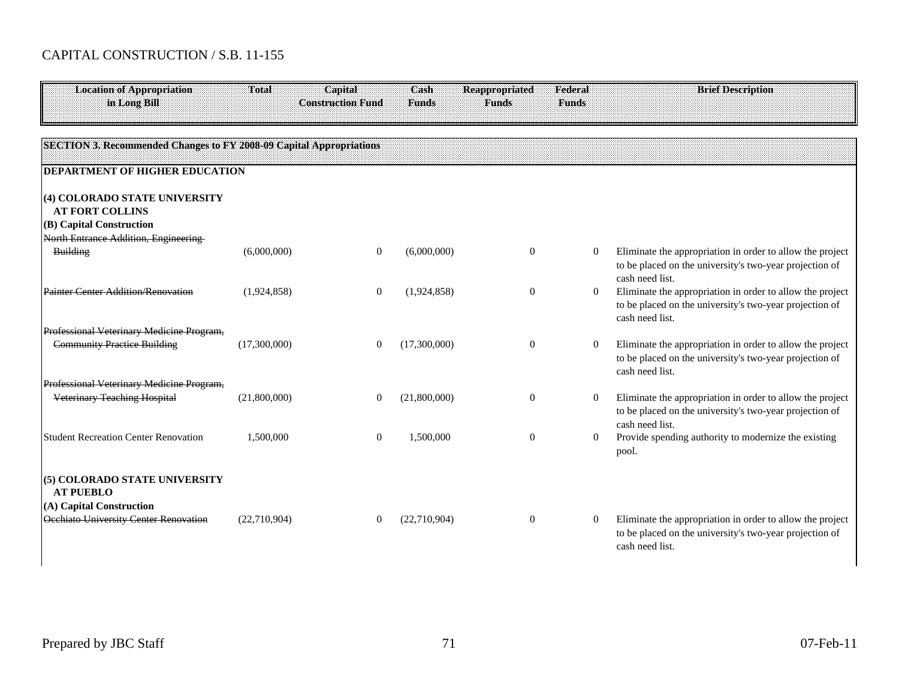| <b>Location of Appropriation</b><br>in Long Bill                                    | Total        | Capital<br><b>Construction Fund</b> | Cash<br><b>Funds</b> | <b>Reappropriated</b><br><b>Funds</b> | Federal<br><b>Funds</b> | <b>Brief Description</b>                                                                                                                |
|-------------------------------------------------------------------------------------|--------------|-------------------------------------|----------------------|---------------------------------------|-------------------------|-----------------------------------------------------------------------------------------------------------------------------------------|
| SECTION 3. Recommended Changes to FY 2008-09 Capital Appropriations                 |              |                                     |                      |                                       |                         |                                                                                                                                         |
| <b>DEPARTMENT OF HIGHER EDUCATION</b>                                               |              |                                     |                      |                                       |                         |                                                                                                                                         |
| (4) COLORADO STATE UNIVERSITY<br><b>AT FORT COLLINS</b><br>(B) Capital Construction |              |                                     |                      |                                       |                         |                                                                                                                                         |
| North Entrance Addition, Engineering                                                |              |                                     |                      |                                       |                         |                                                                                                                                         |
| <b>Building</b>                                                                     | (6,000,000)  | $\theta$                            | (6,000,000)          | $\Omega$                              | $\overline{0}$          | Eliminate the appropriation in order to allow the project<br>to be placed on the university's two-year projection of<br>cash need list. |
| Painter Center Addition/Renovation                                                  | (1,924,858)  | $\theta$                            | (1,924,858)          | $\Omega$                              | $\overline{0}$          | Eliminate the appropriation in order to allow the project<br>to be placed on the university's two-year projection of<br>cash need list. |
| Professional Veterinary Medicine Program,                                           |              |                                     |                      |                                       |                         |                                                                                                                                         |
| <b>Community Practice Building</b>                                                  | (17,300,000) | $\theta$                            | (17,300,000)         | $\theta$                              | $\overline{0}$          | Eliminate the appropriation in order to allow the project<br>to be placed on the university's two-year projection of<br>cash need list. |
| Professional Veterinary Medicine Program,                                           |              |                                     |                      |                                       |                         |                                                                                                                                         |
| <b>Veterinary Teaching Hospital</b>                                                 | (21,800,000) | 0                                   | (21,800,000)         | $\Omega$                              | $\overline{0}$          | Eliminate the appropriation in order to allow the project<br>to be placed on the university's two-year projection of<br>cash need list. |
| <b>Student Recreation Center Renovation</b>                                         | 1,500,000    | $\theta$                            | 1,500,000            | $\Omega$                              | $\overline{0}$          | Provide spending authority to modernize the existing<br>pool.                                                                           |
| (5) COLORADO STATE UNIVERSITY<br><b>AT PUEBLO</b>                                   |              |                                     |                      |                                       |                         |                                                                                                                                         |
| (A) Capital Construction<br>Occhiato University Center Renovation                   | (22,710,904) | $\Omega$                            | (22,710,904)         | $\Omega$                              | $\overline{0}$          | Eliminate the appropriation in order to allow the project<br>to be placed on the university's two-year projection of<br>cash need list. |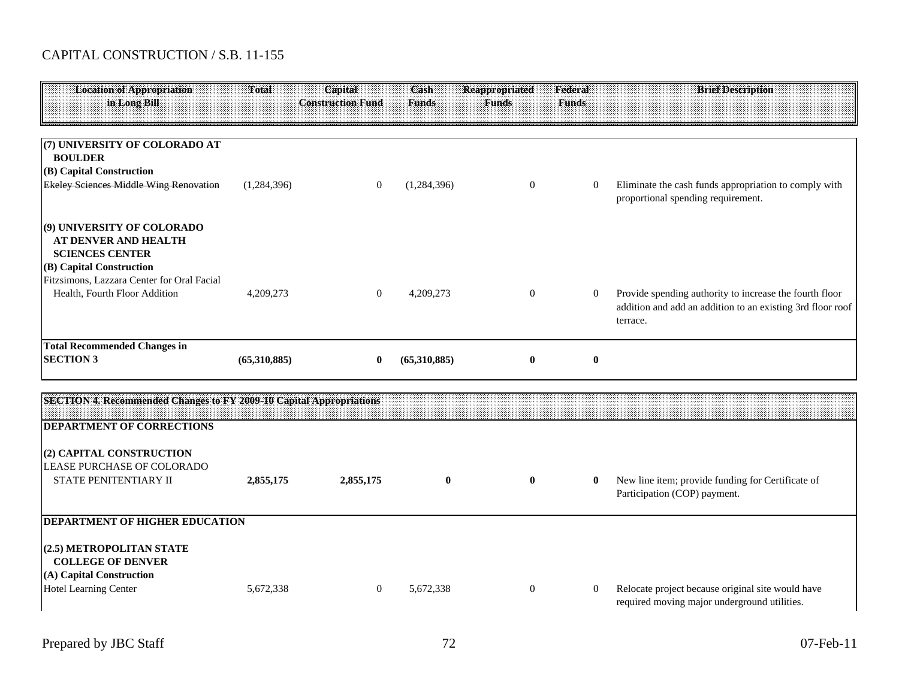| <b>Location of Appropriation</b><br>in Long Bill                                                                             | <b>Total</b> | Capital<br><b>Construction Fund</b> | Cash<br><b>Funds</b> | <b>Reappropriated</b><br><b>Funds</b> | Federal<br><b>Funds</b> | <b>Brief Description</b>                                                                                                          |
|------------------------------------------------------------------------------------------------------------------------------|--------------|-------------------------------------|----------------------|---------------------------------------|-------------------------|-----------------------------------------------------------------------------------------------------------------------------------|
|                                                                                                                              |              |                                     |                      |                                       |                         |                                                                                                                                   |
| (7) UNIVERSITY OF COLORADO AT<br><b>BOULDER</b><br>(B) Capital Construction<br><b>Ekeley Sciences Middle Wing Renovation</b> | (1,284,396)  | $\overline{0}$                      | (1,284,396)          | $\overline{0}$                        | $\overline{0}$          | Eliminate the cash funds appropriation to comply with                                                                             |
|                                                                                                                              |              |                                     |                      |                                       |                         | proportional spending requirement.                                                                                                |
| (9) UNIVERSITY OF COLORADO<br>AT DENVER AND HEALTH<br><b>SCIENCES CENTER</b>                                                 |              |                                     |                      |                                       |                         |                                                                                                                                   |
| (B) Capital Construction<br>Fitzsimons, Lazzara Center for Oral Facial<br>Health, Fourth Floor Addition                      | 4,209,273    | $\theta$                            | 4,209,273            | $\overline{0}$                        | $\overline{0}$          | Provide spending authority to increase the fourth floor<br>addition and add an addition to an existing 3rd floor roof<br>terrace. |
| <b>Total Recommended Changes in</b><br><b>SECTION 3</b>                                                                      | (65,310,885) | $\bf{0}$                            | (65,310,885)         | $\bf{0}$                              | $\bf{0}$                |                                                                                                                                   |
|                                                                                                                              |              |                                     |                      |                                       |                         |                                                                                                                                   |
| SECTION 4. Recommended Changes to FY 2009-10 Capital Appropriations                                                          |              |                                     |                      |                                       |                         |                                                                                                                                   |
| <b>DEPARTMENT OF CORRECTIONS</b>                                                                                             |              |                                     |                      |                                       |                         |                                                                                                                                   |
| (2) CAPITAL CONSTRUCTION<br>LEASE PURCHASE OF COLORADO                                                                       |              |                                     |                      |                                       |                         |                                                                                                                                   |
| STATE PENITENTIARY II                                                                                                        | 2,855,175    | 2,855,175                           | $\bf{0}$             | $\bf{0}$                              | $\bf{0}$                | New line item; provide funding for Certificate of<br>Participation (COP) payment.                                                 |
| <b>DEPARTMENT OF HIGHER EDUCATION</b>                                                                                        |              |                                     |                      |                                       |                         |                                                                                                                                   |
| (2.5) METROPOLITAN STATE<br><b>COLLEGE OF DENVER</b><br>(A) Capital Construction                                             |              |                                     |                      |                                       |                         |                                                                                                                                   |
| <b>Hotel Learning Center</b>                                                                                                 | 5,672,338    | $\overline{0}$                      | 5,672,338            | $\overline{0}$                        | $\overline{0}$          | Relocate project because original site would have<br>required moving major underground utilities.                                 |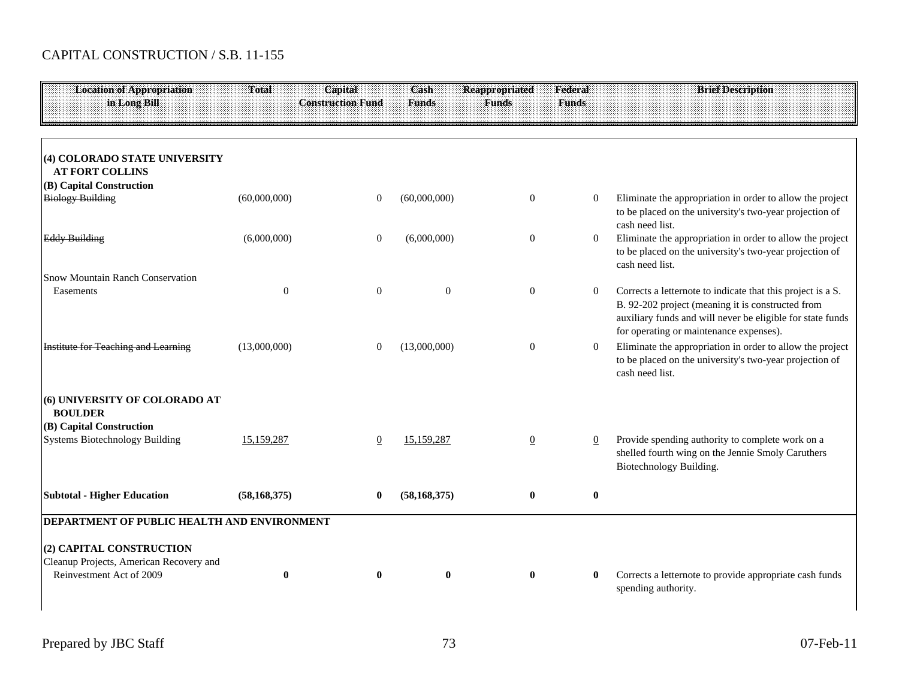| <b>Location of Appropriation</b><br>in Long Bill                                                | Total          | Capital<br><b>Construction Fund</b> | Cash<br><b>Funds</b> | <b>Reappropriated</b><br><b>Funds</b> | Federal<br><b>Funds</b> | <b>Brief Description</b>                                                                                                                                                                                                  |
|-------------------------------------------------------------------------------------------------|----------------|-------------------------------------|----------------------|---------------------------------------|-------------------------|---------------------------------------------------------------------------------------------------------------------------------------------------------------------------------------------------------------------------|
| (4) COLORADO STATE UNIVERSITY<br><b>AT FORT COLLINS</b>                                         |                |                                     |                      |                                       |                         |                                                                                                                                                                                                                           |
| (B) Capital Construction<br><b>Biology Building</b>                                             | (60,000,000)   | $\Omega$                            | (60,000,000)         | $\mathbf{0}$                          | $\Omega$                | Eliminate the appropriation in order to allow the project<br>to be placed on the university's two-year projection of<br>cash need list.                                                                                   |
| <b>Eddy Building</b>                                                                            | (6,000,000)    | $\theta$                            | (6,000,000)          | $\Omega$                              | $\overline{0}$          | Eliminate the appropriation in order to allow the project<br>to be placed on the university's two-year projection of<br>cash need list.                                                                                   |
| Snow Mountain Ranch Conservation<br>Easements                                                   | $\mathbf{0}$   | $\boldsymbol{0}$                    | $\theta$             | $\mathbf{0}$                          | $\overline{0}$          | Corrects a letternote to indicate that this project is a S.<br>B. 92-202 project (meaning it is constructed from<br>auxiliary funds and will never be eligible for state funds<br>for operating or maintenance expenses). |
| <b>Institute for Teaching and Learning</b>                                                      | (13,000,000)   | $\theta$                            | (13,000,000)         | $\overline{0}$                        | $\overline{0}$          | Eliminate the appropriation in order to allow the project<br>to be placed on the university's two-year projection of<br>cash need list.                                                                                   |
| (6) UNIVERSITY OF COLORADO AT<br><b>BOULDER</b>                                                 |                |                                     |                      |                                       |                         |                                                                                                                                                                                                                           |
| (B) Capital Construction<br><b>Systems Biotechnology Building</b>                               | 15,159,287     | 0                                   | 15,159,287           | $\mathbf{0}$                          | $\overline{0}$          | Provide spending authority to complete work on a<br>shelled fourth wing on the Jennie Smoly Caruthers<br>Biotechnology Building.                                                                                          |
| <b>Subtotal - Higher Education</b>                                                              | (58, 168, 375) | $\mathbf{0}$                        | (58, 168, 375)       | $\mathbf{0}$                          | $\bf{0}$                |                                                                                                                                                                                                                           |
| DEPARTMENT OF PUBLIC HEALTH AND ENVIRONMENT                                                     |                |                                     |                      |                                       |                         |                                                                                                                                                                                                                           |
| (2) CAPITAL CONSTRUCTION<br>Cleanup Projects, American Recovery and<br>Reinvestment Act of 2009 | $\bf{0}$       | $\mathbf{0}$                        | $\mathbf{0}$         | $\bf{0}$                              | $\bf{0}$                | Corrects a letternote to provide appropriate cash funds<br>spending authority.                                                                                                                                            |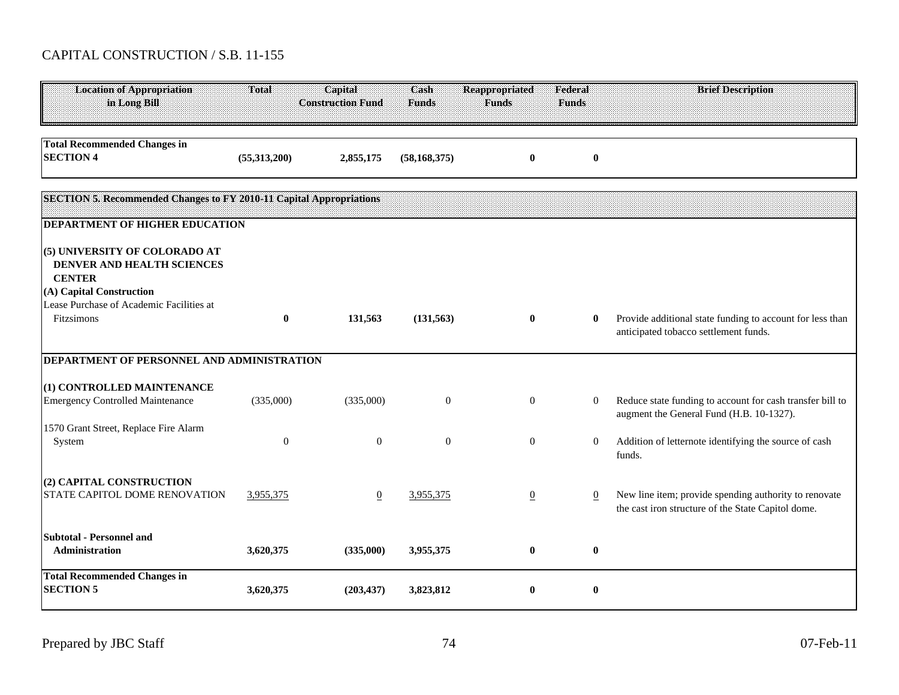| <b>Location of Appropriation</b><br>in Long Bill                                                                                                                   | Total            | Capital<br><b>Construction Fund</b> | Cash<br><b>Funds</b> | <b>Reappropriated</b><br><b>Funds</b> | Federal<br><b>Funds</b> | <b>Brief Description</b>                                                                                    |
|--------------------------------------------------------------------------------------------------------------------------------------------------------------------|------------------|-------------------------------------|----------------------|---------------------------------------|-------------------------|-------------------------------------------------------------------------------------------------------------|
| <b>Total Recommended Changes in</b><br><b>SECTION 4</b>                                                                                                            | (55,313,200)     | 2,855,175                           | (58, 168, 375)       | $\bf{0}$                              | $\bf{0}$                |                                                                                                             |
| SECTION 5. Recommended Changes to FY 2010-11 Capital Appropriations<br><b>DEPARTMENT OF HIGHER EDUCATION</b>                                                       |                  |                                     |                      |                                       |                         |                                                                                                             |
| (5) UNIVERSITY OF COLORADO AT<br>DENVER AND HEALTH SCIENCES<br><b>CENTER</b><br>(A) Capital Construction<br>Lease Purchase of Academic Facilities at<br>Fitzsimons | $\bf{0}$         | 131,563                             | (131, 563)           | $\bf{0}$                              | $\bf{0}$                | Provide additional state funding to account for less than<br>anticipated tobacco settlement funds.          |
| DEPARTMENT OF PERSONNEL AND ADMINISTRATION                                                                                                                         |                  |                                     |                      |                                       |                         |                                                                                                             |
| (1) CONTROLLED MAINTENANCE<br><b>Emergency Controlled Maintenance</b>                                                                                              | (335,000)        | (335,000)                           | $\theta$             | $\overline{0}$                        | $\overline{0}$          | Reduce state funding to account for cash transfer bill to<br>augment the General Fund (H.B. 10-1327).       |
| 1570 Grant Street, Replace Fire Alarm<br>System                                                                                                                    | $\boldsymbol{0}$ | $\boldsymbol{0}$                    | $\overline{0}$       | $\overline{0}$                        | $\overline{0}$          | Addition of letternote identifying the source of cash<br>funds.                                             |
| (2) CAPITAL CONSTRUCTION<br>STATE CAPITOL DOME RENOVATION                                                                                                          | 3,955,375        | $\overline{0}$                      | 3,955,375            | $\overline{0}$                        | $\overline{0}$          | New line item; provide spending authority to renovate<br>the cast iron structure of the State Capitol dome. |
| <b>Subtotal - Personnel and</b><br>Administration                                                                                                                  | 3,620,375        | (335,000)                           | 3,955,375            | $\bf{0}$                              | $\bf{0}$                |                                                                                                             |
| <b>Total Recommended Changes in</b><br><b>SECTION 5</b>                                                                                                            | 3,620,375        | (203, 437)                          | 3,823,812            | $\bf{0}$                              | $\bf{0}$                |                                                                                                             |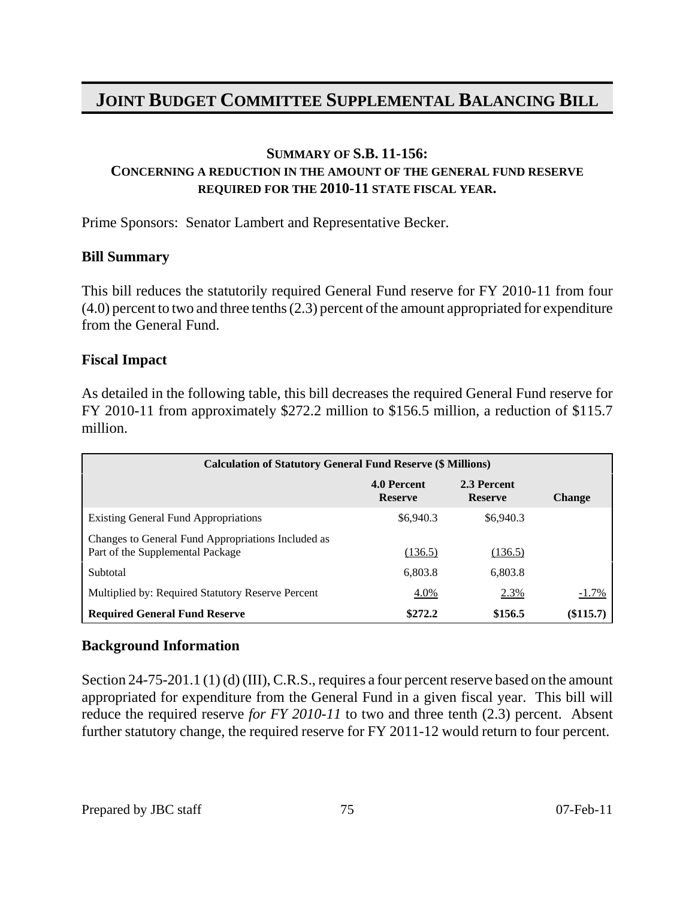#### **SUMMARY OF S.B. 11-156:**

### **CONCERNING A REDUCTION IN THE AMOUNT OF THE GENERAL FUND RESERVE REQUIRED FOR THE 2010-11 STATE FISCAL YEAR.**

Prime Sponsors: Senator Lambert and Representative Becker.

#### **Bill Summary**

This bill reduces the statutorily required General Fund reserve for FY 2010-11 from four (4.0) percent to two and three tenths (2.3) percent of the amount appropriated for expenditure from the General Fund.

#### **Fiscal Impact**

As detailed in the following table, this bill decreases the required General Fund reserve for FY 2010-11 from approximately \$272.2 million to \$156.5 million, a reduction of \$115.7 million.

| <b>Calculation of Statutory General Fund Reserve (\$ Millions)</b>                     |                               |                               |               |
|----------------------------------------------------------------------------------------|-------------------------------|-------------------------------|---------------|
|                                                                                        | 4.0 Percent<br><b>Reserve</b> | 2.3 Percent<br><b>Reserve</b> | <b>Change</b> |
| <b>Existing General Fund Appropriations</b>                                            | \$6,940.3                     | \$6,940.3                     |               |
| Changes to General Fund Appropriations Included as<br>Part of the Supplemental Package | (136.5)                       | (136.5)                       |               |
| Subtotal                                                                               | 6,803.8                       | 6,803.8                       |               |
| Multiplied by: Required Statutory Reserve Percent                                      | 4.0%                          | 2.3%                          | $-1.7\%$      |
| <b>Required General Fund Reserve</b>                                                   | \$272.2                       | \$156.5                       | (\$115.7)     |

#### **Background Information**

Section 24-75-201.1 (1) (d) (III), C.R.S., requires a four percent reserve based on the amount appropriated for expenditure from the General Fund in a given fiscal year. This bill will reduce the required reserve *for FY 2010-11* to two and three tenth (2.3) percent. Absent further statutory change, the required reserve for FY 2011-12 would return to four percent.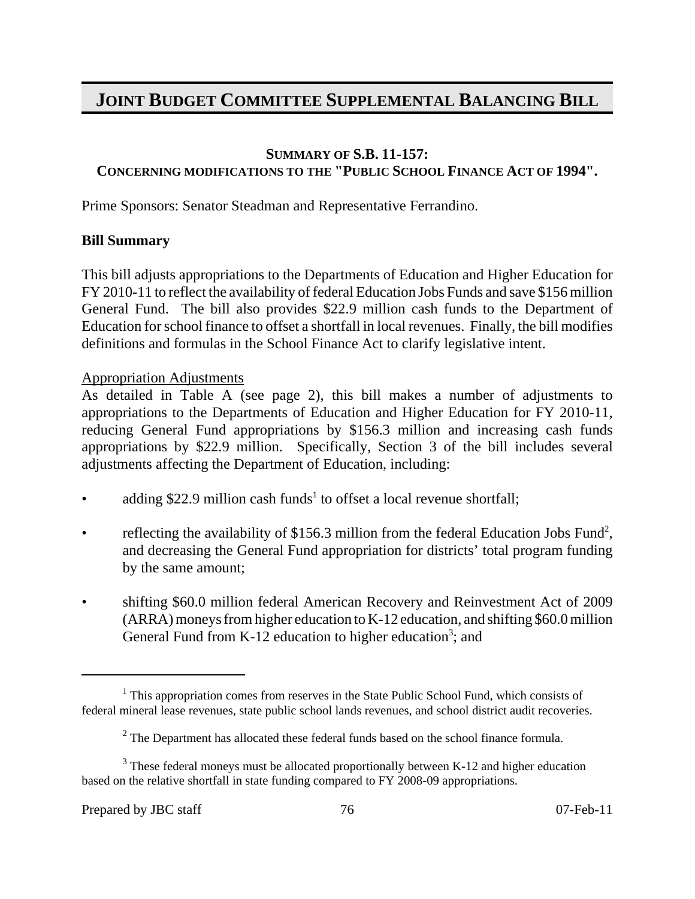### **SUMMARY OF S.B. 11-157: CONCERNING MODIFICATIONS TO THE "PUBLIC SCHOOL FINANCE ACT OF 1994".**

Prime Sponsors: Senator Steadman and Representative Ferrandino.

#### **Bill Summary**

This bill adjusts appropriations to the Departments of Education and Higher Education for FY 2010-11 to reflect the availability of federal Education Jobs Funds and save \$156 million General Fund. The bill also provides \$22.9 million cash funds to the Department of Education for school finance to offset a shortfall in local revenues. Finally, the bill modifies definitions and formulas in the School Finance Act to clarify legislative intent.

#### Appropriation Adjustments

As detailed in Table A (see page 2), this bill makes a number of adjustments to appropriations to the Departments of Education and Higher Education for FY 2010-11, reducing General Fund appropriations by \$156.3 million and increasing cash funds appropriations by \$22.9 million. Specifically, Section 3 of the bill includes several adjustments affecting the Department of Education, including:

- adding \$22.9 million cash funds<sup>1</sup> to offset a local revenue shortfall;
- reflecting the availability of \$156.3 million from the federal Education Jobs Fund<sup>2</sup>, and decreasing the General Fund appropriation for districts' total program funding by the same amount;
- shifting \$60.0 million federal American Recovery and Reinvestment Act of 2009 (ARRA) moneys from higher education to K-12 education, and shifting \$60.0 million General Fund from K-12 education to higher education<sup>3</sup>; and

<sup>&</sup>lt;sup>1</sup> This appropriation comes from reserves in the State Public School Fund, which consists of federal mineral lease revenues, state public school lands revenues, and school district audit recoveries.

 $2<sup>2</sup>$  The Department has allocated these federal funds based on the school finance formula.

 $3$  These federal moneys must be allocated proportionally between K-12 and higher education based on the relative shortfall in state funding compared to FY 2008-09 appropriations.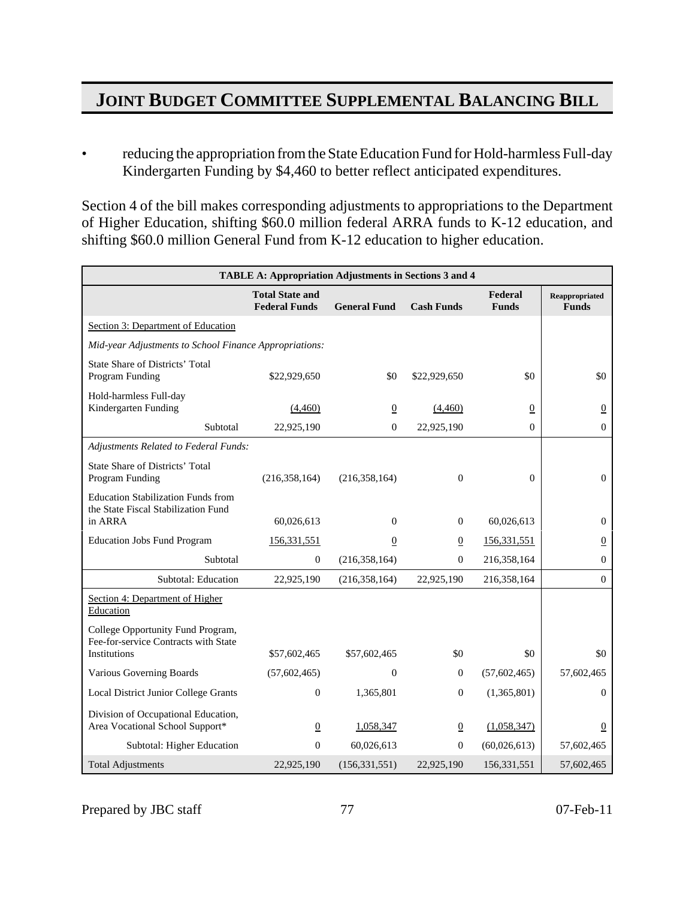• reducing the appropriation from the State Education Fund for Hold-harmless Full-day Kindergarten Funding by \$4,460 to better reflect anticipated expenditures.

Section 4 of the bill makes corresponding adjustments to appropriations to the Department of Higher Education, shifting \$60.0 million federal ARRA funds to K-12 education, and shifting \$60.0 million General Fund from K-12 education to higher education.

|                                                                                                  | <b>TABLE A: Appropriation Adjustments in Sections 3 and 4</b> |                     |                   |                         |                                |
|--------------------------------------------------------------------------------------------------|---------------------------------------------------------------|---------------------|-------------------|-------------------------|--------------------------------|
|                                                                                                  | <b>Total State and</b><br><b>Federal Funds</b>                | <b>General Fund</b> | <b>Cash Funds</b> | Federal<br><b>Funds</b> | Reappropriated<br><b>Funds</b> |
| Section 3: Department of Education                                                               |                                                               |                     |                   |                         |                                |
| Mid-year Adjustments to School Finance Appropriations:                                           |                                                               |                     |                   |                         |                                |
| <b>State Share of Districts' Total</b><br>Program Funding                                        | \$22,929,650                                                  | \$0                 | \$22,929,650      | \$0                     | \$0                            |
| Hold-harmless Full-day<br>Kindergarten Funding                                                   | (4,460)                                                       | $\underline{0}$     | (4,460)           | $\boldsymbol{0}$        | $\overline{0}$                 |
| Subtotal                                                                                         | 22,925,190                                                    | $\overline{0}$      | 22,925,190        | $\Omega$                | $\mathbf{0}$                   |
| Adjustments Related to Federal Funds:                                                            |                                                               |                     |                   |                         |                                |
| <b>State Share of Districts' Total</b><br>Program Funding                                        | (216, 358, 164)                                               | (216, 358, 164)     | $\theta$          | $\mathbf{0}$            | $\mathbf{0}$                   |
| <b>Education Stabilization Funds from</b><br>the State Fiscal Stabilization Fund<br>in ARRA      | 60,026,613                                                    | $\mathbf{0}$        | $\mathbf{0}$      | 60,026,613              | $\mathbf{0}$                   |
| <b>Education Jobs Fund Program</b>                                                               | 156, 331, 551                                                 | $\overline{0}$      | $\overline{0}$    | 156,331,551             | $\overline{0}$                 |
| Subtotal                                                                                         | $\overline{0}$                                                | (216, 358, 164)     | $\Omega$          | 216,358,164             | $\mathbf{0}$                   |
| Subtotal: Education                                                                              | 22,925,190                                                    | (216, 358, 164)     | 22,925,190        | 216,358,164             | $\mathbf{0}$                   |
| Section 4: Department of Higher<br>Education                                                     |                                                               |                     |                   |                         |                                |
| College Opportunity Fund Program,<br>Fee-for-service Contracts with State<br><b>Institutions</b> | \$57,602,465                                                  | \$57,602,465        | \$0               | \$0                     | \$0                            |
| Various Governing Boards                                                                         | (57,602,465)                                                  | $\mathbf{0}$        | $\mathbf{0}$      | (57,602,465)            | 57,602,465                     |
| Local District Junior College Grants                                                             | $\boldsymbol{0}$                                              | 1,365,801           | $\mathbf{0}$      | (1,365,801)             | 0                              |
| Division of Occupational Education,<br>Area Vocational School Support*                           | $\underline{0}$                                               | 1,058,347           | $\overline{0}$    | (1,058,347)             | $\underline{0}$                |
| Subtotal: Higher Education                                                                       | $\overline{0}$                                                | 60,026,613          | $\Omega$          | (60,026,613)            | 57,602,465                     |
| <b>Total Adjustments</b>                                                                         | 22,925,190                                                    | (156, 331, 551)     | 22,925,190        | 156,331,551             | 57,602,465                     |

Prepared by JBC staff 77 7 07-Feb-11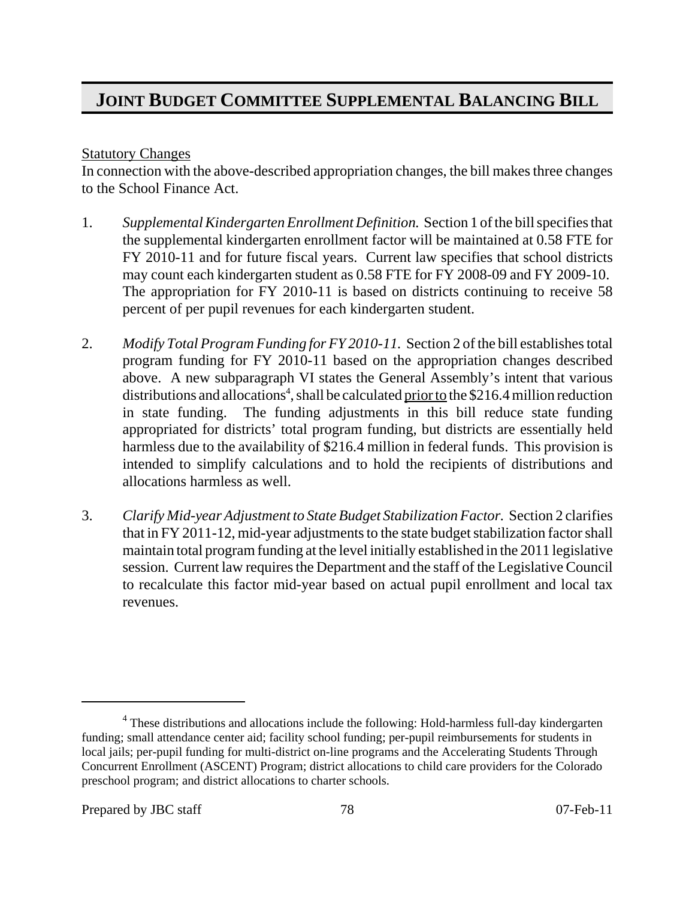#### Statutory Changes

In connection with the above-described appropriation changes, the bill makes three changes to the School Finance Act.

- 1. *Supplemental Kindergarten Enrollment Definition.* Section 1 of the bill specifies that the supplemental kindergarten enrollment factor will be maintained at 0.58 FTE for FY 2010-11 and for future fiscal years. Current law specifies that school districts may count each kindergarten student as 0.58 FTE for FY 2008-09 and FY 2009-10. The appropriation for FY 2010-11 is based on districts continuing to receive 58 percent of per pupil revenues for each kindergarten student.
- 2. *Modify Total Program Funding for FY 2010-11.* Section 2 of the bill establishes total program funding for FY 2010-11 based on the appropriation changes described above. A new subparagraph VI states the General Assembly's intent that various distributions and allocations<sup>4</sup>, shall be calculated prior to the \$216.4 million reduction in state funding. The funding adjustments in this bill reduce state funding appropriated for districts' total program funding, but districts are essentially held harmless due to the availability of \$216.4 million in federal funds. This provision is intended to simplify calculations and to hold the recipients of distributions and allocations harmless as well.
- 3. *Clarify Mid-year Adjustment to State Budget Stabilization Factor.* Section 2 clarifies that in FY 2011-12, mid-year adjustments to the state budget stabilization factor shall maintain total program funding at the level initially established in the 2011 legislative session. Current law requires the Department and the staff of the Legislative Council to recalculate this factor mid-year based on actual pupil enrollment and local tax revenues.

<sup>&</sup>lt;sup>4</sup> These distributions and allocations include the following: Hold-harmless full-day kindergarten funding; small attendance center aid; facility school funding; per-pupil reimbursements for students in local jails; per-pupil funding for multi-district on-line programs and the Accelerating Students Through Concurrent Enrollment (ASCENT) Program; district allocations to child care providers for the Colorado preschool program; and district allocations to charter schools.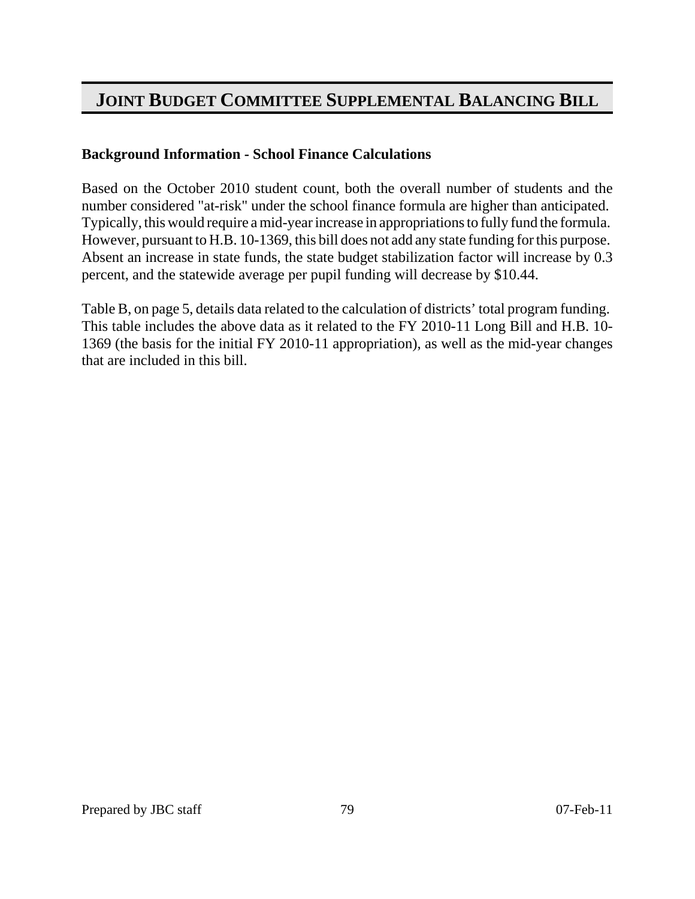### **Background Information - School Finance Calculations**

Based on the October 2010 student count, both the overall number of students and the number considered "at-risk" under the school finance formula are higher than anticipated. Typically, this would require a mid-year increase in appropriations to fully fund the formula. However, pursuant to H.B. 10-1369, this bill does not add any state funding for this purpose. Absent an increase in state funds, the state budget stabilization factor will increase by 0.3 percent, and the statewide average per pupil funding will decrease by \$10.44.

Table B, on page 5, details data related to the calculation of districts' total program funding. This table includes the above data as it related to the FY 2010-11 Long Bill and H.B. 10- 1369 (the basis for the initial FY 2010-11 appropriation), as well as the mid-year changes that are included in this bill.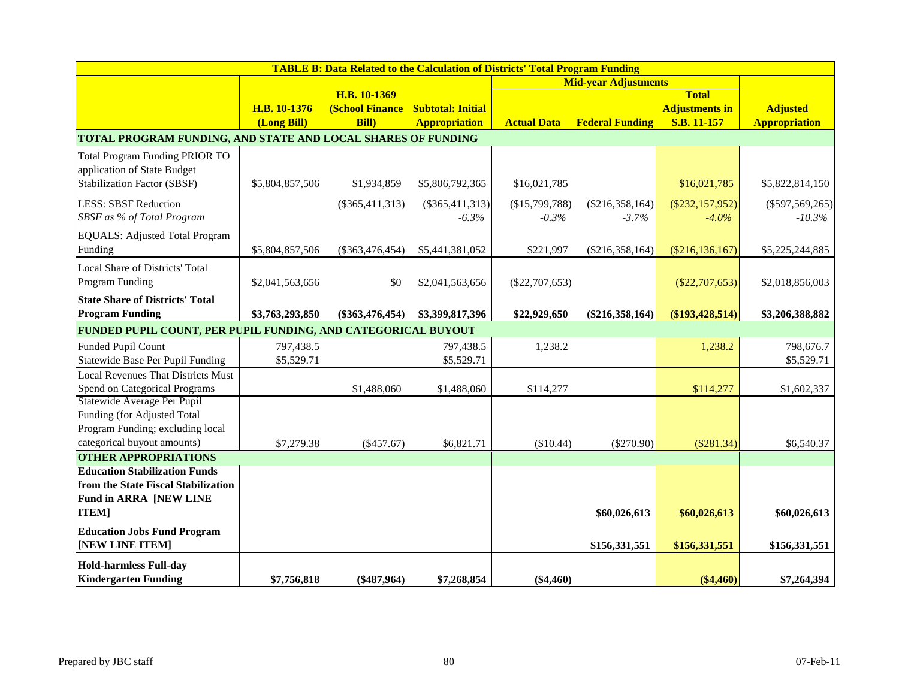|                                                                      |                 | <b>TABLE B: Data Related to the Calculation of Districts' Total Program Funding</b> |                      |                    |                             |                       |                      |
|----------------------------------------------------------------------|-----------------|-------------------------------------------------------------------------------------|----------------------|--------------------|-----------------------------|-----------------------|----------------------|
|                                                                      |                 |                                                                                     |                      |                    | <b>Mid-year Adjustments</b> |                       |                      |
|                                                                      |                 | H.B. 10-1369                                                                        |                      |                    |                             | <b>Total</b>          |                      |
|                                                                      | H.B. 10-1376    | (School Finance Subtotal: Initial                                                   |                      |                    |                             | <b>Adjustments in</b> | <b>Adjusted</b>      |
|                                                                      | (Long Bill)     | <b>Bill</b> )                                                                       | <b>Appropriation</b> | <b>Actual Data</b> | <b>Federal Funding</b>      | S.B. 11-157           | <b>Appropriation</b> |
| TOTAL PROGRAM FUNDING, AND STATE AND LOCAL SHARES OF FUNDING         |                 |                                                                                     |                      |                    |                             |                       |                      |
| <b>Total Program Funding PRIOR TO</b><br>application of State Budget |                 |                                                                                     |                      |                    |                             |                       |                      |
| <b>Stabilization Factor (SBSF)</b>                                   | \$5,804,857,506 | \$1,934,859                                                                         | \$5,806,792,365      | \$16,021,785       |                             | \$16,021,785          | \$5,822,814,150      |
| <b>LESS: SBSF Reduction</b>                                          |                 | $(\$365,411,313)$                                                                   | $(\$365,411,313)$    | (\$15,799,788)     | $(\$216,358,164)$           | $(\$232,157,952)$     | $(\$597,569,265)$    |
| SBSF as % of Total Program                                           |                 |                                                                                     | $-6.3\%$             | $-0.3\%$           | $-3.7%$                     | $-4.0\%$              | $-10.3\%$            |
| EQUALS: Adjusted Total Program                                       |                 |                                                                                     |                      |                    |                             |                       |                      |
| Funding                                                              | \$5,804,857,506 | $(\$363,476,454)$                                                                   | \$5,441,381,052      | \$221,997          | $(\$216,358,164)$           | $(\$216, 136, 167)$   | \$5,225,244,885      |
| Local Share of Districts' Total                                      |                 |                                                                                     |                      |                    |                             |                       |                      |
| Program Funding                                                      | \$2,041,563,656 | \$0                                                                                 | \$2,041,563,656      | $(\$22,707,653)$   |                             | $(\$22,707,653)$      | \$2,018,856,003      |
| <b>State Share of Districts' Total</b>                               |                 |                                                                                     |                      |                    |                             |                       |                      |
| <b>Program Funding</b>                                               | \$3,763,293,850 | $(\$363,476,454)$                                                                   | \$3,399,817,396      | \$22,929,650       | $(\$216,358,164)$           | (\$193,428,514)       | \$3,206,388,882      |
| FUNDED PUPIL COUNT, PER PUPIL FUNDING, AND CATEGORICAL BUYOUT        |                 |                                                                                     |                      |                    |                             |                       |                      |
| Funded Pupil Count                                                   | 797,438.5       |                                                                                     | 797,438.5            | 1,238.2            |                             | 1,238.2               | 798,676.7            |
| <b>Statewide Base Per Pupil Funding</b>                              | \$5,529.71      |                                                                                     | \$5,529.71           |                    |                             |                       | \$5,529.71           |
| <b>Local Revenues That Districts Must</b>                            |                 |                                                                                     |                      |                    |                             |                       |                      |
| Spend on Categorical Programs                                        |                 | \$1,488,060                                                                         | \$1,488,060          | \$114,277          |                             | \$114,277             | \$1,602,337          |
| Statewide Average Per Pupil                                          |                 |                                                                                     |                      |                    |                             |                       |                      |
| Funding (for Adjusted Total                                          |                 |                                                                                     |                      |                    |                             |                       |                      |
| Program Funding; excluding local<br>categorical buyout amounts)      |                 |                                                                                     |                      |                    |                             |                       |                      |
| <b>OTHER APPROPRIATIONS</b>                                          | \$7,279.38      | $(\$457.67)$                                                                        | \$6,821.71           | (\$10.44)          | $(\$270.90)$                | $(\$281.34)$          | \$6,540.37           |
| <b>Education Stabilization Funds</b>                                 |                 |                                                                                     |                      |                    |                             |                       |                      |
| from the State Fiscal Stabilization                                  |                 |                                                                                     |                      |                    |                             |                       |                      |
| Fund in ARRA [NEW LINE                                               |                 |                                                                                     |                      |                    |                             |                       |                      |
| <b>ITEM]</b>                                                         |                 |                                                                                     |                      |                    | \$60,026,613                | \$60,026,613          | \$60,026,613         |
| <b>Education Jobs Fund Program</b>                                   |                 |                                                                                     |                      |                    |                             |                       |                      |
| [NEW LINE ITEM]                                                      |                 |                                                                                     |                      |                    | \$156,331,551               | \$156,331,551         | \$156,331,551        |
| <b>Hold-harmless Full-day</b>                                        |                 |                                                                                     |                      |                    |                             |                       |                      |
| <b>Kindergarten Funding</b>                                          | \$7,756,818     | $(\$487,964)$                                                                       | \$7,268,854          | $(\$4,460)$        |                             | $(\$4,460)$           | \$7,264,394          |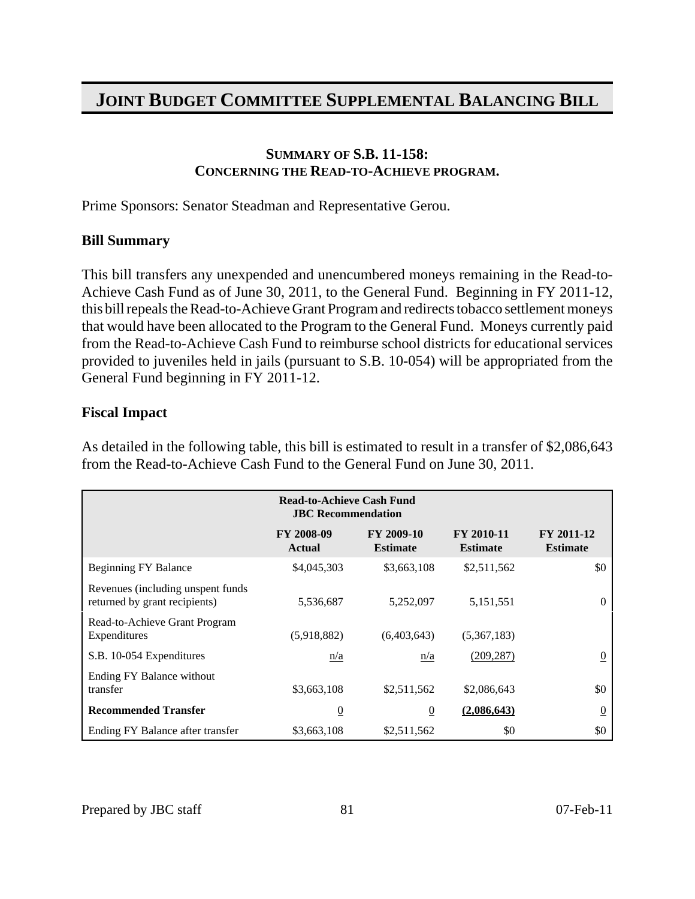#### **SUMMARY OF S.B. 11-158: CONCERNING THE READ-TO-ACHIEVE PROGRAM.**

Prime Sponsors: Senator Steadman and Representative Gerou.

### **Bill Summary**

This bill transfers any unexpended and unencumbered moneys remaining in the Read-to-Achieve Cash Fund as of June 30, 2011, to the General Fund. Beginning in FY 2011-12, this bill repeals the Read-to-Achieve Grant Program and redirects tobacco settlement moneys that would have been allocated to the Program to the General Fund. Moneys currently paid from the Read-to-Achieve Cash Fund to reimburse school districts for educational services provided to juveniles held in jails (pursuant to S.B. 10-054) will be appropriated from the General Fund beginning in FY 2011-12.

#### **Fiscal Impact**

As detailed in the following table, this bill is estimated to result in a transfer of \$2,086,643 from the Read-to-Achieve Cash Fund to the General Fund on June 30, 2011.

|                                                                    | <b>Read-to-Achieve Cash Fund</b><br><b>JBC</b> Recommendation |                               |                               |                               |
|--------------------------------------------------------------------|---------------------------------------------------------------|-------------------------------|-------------------------------|-------------------------------|
|                                                                    | FY 2008-09<br><b>Actual</b>                                   | FY 2009-10<br><b>Estimate</b> | FY 2010-11<br><b>Estimate</b> | FY 2011-12<br><b>Estimate</b> |
| <b>Beginning FY Balance</b>                                        | \$4,045,303                                                   | \$3,663,108                   | \$2,511,562                   | \$0                           |
| Revenues (including unspent funds<br>returned by grant recipients) | 5,536,687                                                     | 5,252,097                     | 5,151,551                     | $\Omega$                      |
| Read-to-Achieve Grant Program<br>Expenditures                      | (5,918,882)                                                   | (6,403,643)                   | (5,367,183)                   |                               |
| S.B. 10-054 Expenditures                                           | n/a                                                           | n/a                           | (209, 287)                    | $\overline{0}$                |
| Ending FY Balance without<br>transfer                              | \$3,663,108                                                   | \$2,511,562                   | \$2,086,643                   | \$0                           |
| <b>Recommended Transfer</b>                                        | $\overline{0}$                                                | $\underline{0}$               | (2,086,643)                   | $\overline{0}$                |
| Ending FY Balance after transfer                                   | \$3,663,108                                                   | \$2,511,562                   | \$0                           | \$0                           |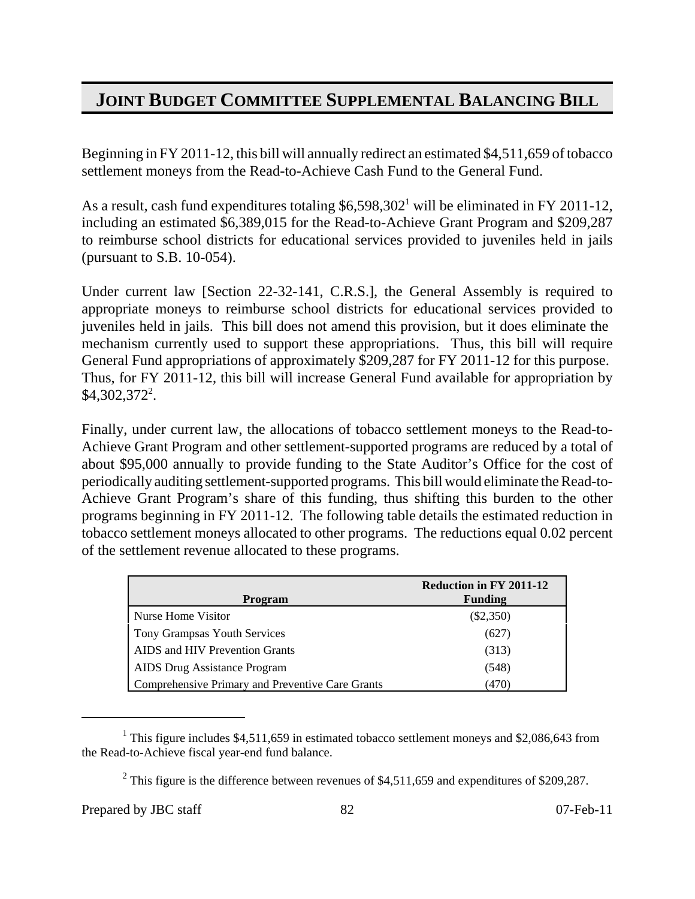Beginning in FY 2011-12, this bill will annually redirect an estimated \$4,511,659 of tobacco settlement moneys from the Read-to-Achieve Cash Fund to the General Fund.

As a result, cash fund expenditures totaling  $$6,598,302^1$$  will be eliminated in FY 2011-12, including an estimated \$6,389,015 for the Read-to-Achieve Grant Program and \$209,287 to reimburse school districts for educational services provided to juveniles held in jails (pursuant to S.B. 10-054).

Under current law [Section 22-32-141, C.R.S.], the General Assembly is required to appropriate moneys to reimburse school districts for educational services provided to juveniles held in jails. This bill does not amend this provision, but it does eliminate the mechanism currently used to support these appropriations. Thus, this bill will require General Fund appropriations of approximately \$209,287 for FY 2011-12 for this purpose. Thus, for FY 2011-12, this bill will increase General Fund available for appropriation by \$4,302,372<sup>2</sup>.

Finally, under current law, the allocations of tobacco settlement moneys to the Read-to-Achieve Grant Program and other settlement-supported programs are reduced by a total of about \$95,000 annually to provide funding to the State Auditor's Office for the cost of periodically auditing settlement-supported programs. This bill would eliminate the Read-to-Achieve Grant Program's share of this funding, thus shifting this burden to the other programs beginning in FY 2011-12. The following table details the estimated reduction in tobacco settlement moneys allocated to other programs. The reductions equal 0.02 percent of the settlement revenue allocated to these programs.

| Program                                          | <b>Reduction in FY 2011-12</b><br><b>Funding</b> |
|--------------------------------------------------|--------------------------------------------------|
| Nurse Home Visitor                               | $(\$2,350)$                                      |
| <b>Tony Grampsas Youth Services</b>              | (627)                                            |
| AIDS and HIV Prevention Grants                   | (313)                                            |
| AIDS Drug Assistance Program                     | (548)                                            |
| Comprehensive Primary and Preventive Care Grants | (470)                                            |

<sup>&</sup>lt;sup>1</sup> This figure includes \$4,511,659 in estimated tobacco settlement moneys and \$2,086,643 from the Read-to-Achieve fiscal year-end fund balance.

<sup>&</sup>lt;sup>2</sup> This figure is the difference between revenues of \$4,511,659 and expenditures of \$209,287.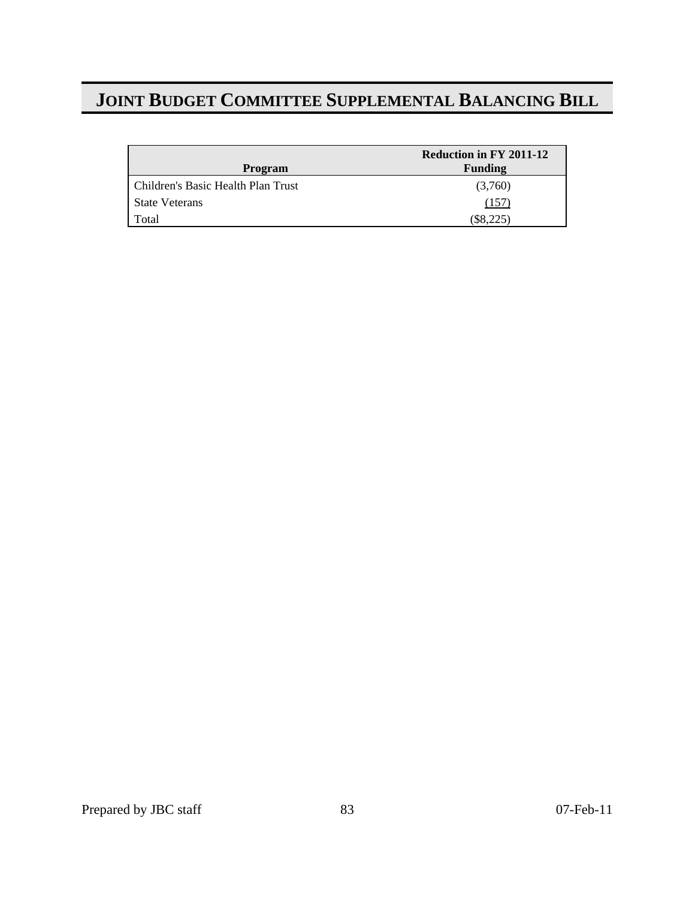|                                      | Reduction in FY 2011-12 |
|--------------------------------------|-------------------------|
| Program                              | <b>Funding</b>          |
| l Children's Basic Health Plan Trust | (3,760)                 |
| <b>State Veterans</b>                | (157                    |
| Total                                | $(\$8,225)$             |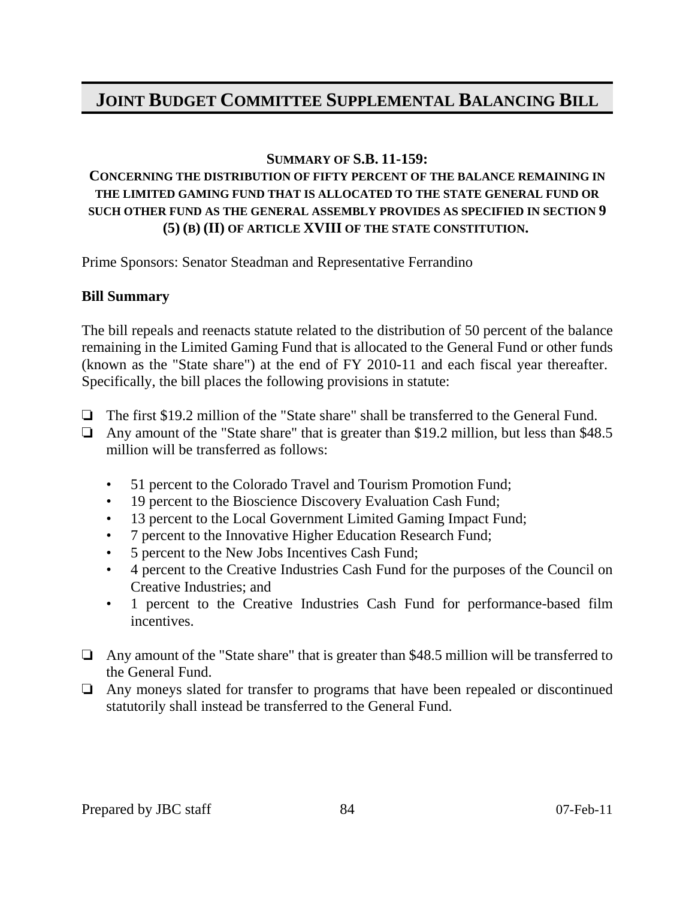#### **SUMMARY OF S.B. 11-159:**

### **CONCERNING THE DISTRIBUTION OF FIFTY PERCENT OF THE BALANCE REMAINING IN THE LIMITED GAMING FUND THAT IS ALLOCATED TO THE STATE GENERAL FUND OR SUCH OTHER FUND AS THE GENERAL ASSEMBLY PROVIDES AS SPECIFIED IN SECTION 9 (5) (B) (II) OF ARTICLE XVIII OF THE STATE CONSTITUTION.**

Prime Sponsors: Senator Steadman and Representative Ferrandino

### **Bill Summary**

The bill repeals and reenacts statute related to the distribution of 50 percent of the balance remaining in the Limited Gaming Fund that is allocated to the General Fund or other funds (known as the "State share") at the end of FY 2010-11 and each fiscal year thereafter. Specifically, the bill places the following provisions in statute:

- $\Box$  The first \$19.2 million of the "State share" shall be transferred to the General Fund.
- $\Box$  Any amount of the "State share" that is greater than \$19.2 million, but less than \$48.5 million will be transferred as follows:
	- 51 percent to the Colorado Travel and Tourism Promotion Fund;
	- 19 percent to the Bioscience Discovery Evaluation Cash Fund;
	- 13 percent to the Local Government Limited Gaming Impact Fund;
	- 7 percent to the Innovative Higher Education Research Fund;
	- 5 percent to the New Jobs Incentives Cash Fund;
	- 4 percent to the Creative Industries Cash Fund for the purposes of the Council on Creative Industries; and
	- 1 percent to the Creative Industries Cash Fund for performance-based film incentives.
- $\Box$  Any amount of the "State share" that is greater than \$48.5 million will be transferred to the General Fund.
- $\Box$  Any moneys slated for transfer to programs that have been repealed or discontinued statutorily shall instead be transferred to the General Fund.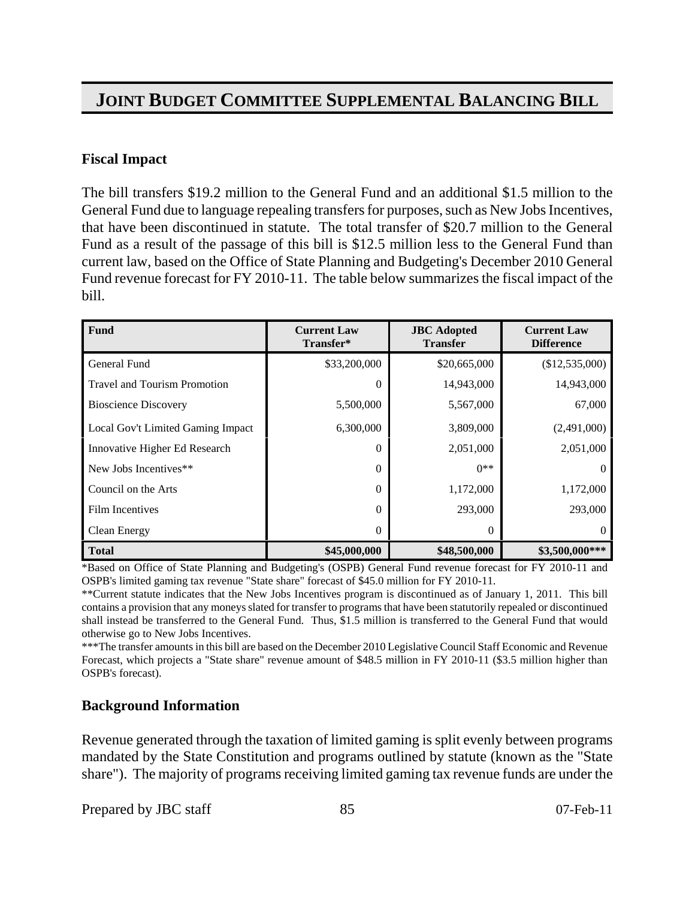#### **Fiscal Impact**

The bill transfers \$19.2 million to the General Fund and an additional \$1.5 million to the General Fund due to language repealing transfers for purposes, such as New Jobs Incentives, that have been discontinued in statute. The total transfer of \$20.7 million to the General Fund as a result of the passage of this bill is \$12.5 million less to the General Fund than current law, based on the Office of State Planning and Budgeting's December 2010 General Fund revenue forecast for FY 2010-11. The table below summarizes the fiscal impact of the bill.

| Fund                                | <b>Current Law</b><br>Transfer* | <b>JBC</b> Adopted<br><b>Transfer</b> | <b>Current Law</b><br><b>Difference</b> |
|-------------------------------------|---------------------------------|---------------------------------------|-----------------------------------------|
| General Fund                        | \$33,200,000                    | \$20,665,000                          | (\$12,535,000)                          |
| <b>Travel and Tourism Promotion</b> | $\theta$                        | 14,943,000                            | 14,943,000                              |
| <b>Bioscience Discovery</b>         | 5,500,000                       | 5,567,000                             | 67,000                                  |
| Local Gov't Limited Gaming Impact   | 6,300,000                       | 3,809,000                             | (2,491,000)                             |
| Innovative Higher Ed Research       | $\Omega$                        | 2,051,000                             | 2,051,000                               |
| New Jobs Incentives**               | $\Omega$                        | $0**$                                 |                                         |
| Council on the Arts                 | $\Omega$                        | 1,172,000                             | 1,172,000                               |
| <b>Film Incentives</b>              | $\Omega$                        | 293,000                               | 293,000                                 |
| Clean Energy                        | $\Omega$                        | $\theta$                              |                                         |
| <b>Total</b>                        | \$45,000,000                    | \$48,500,000                          | $$3,500,000***$                         |

\*Based on Office of State Planning and Budgeting's (OSPB) General Fund revenue forecast for FY 2010-11 and OSPB's limited gaming tax revenue "State share" forecast of \$45.0 million for FY 2010-11.

\*\*Current statute indicates that the New Jobs Incentives program is discontinued as of January 1, 2011. This bill contains a provision that any moneys slated for transfer to programs that have been statutorily repealed or discontinued shall instead be transferred to the General Fund. Thus, \$1.5 million is transferred to the General Fund that would otherwise go to New Jobs Incentives.

\*\*\*The transfer amounts in this bill are based on the December 2010 Legislative Council Staff Economic and Revenue Forecast, which projects a "State share" revenue amount of \$48.5 million in FY 2010-11 (\$3.5 million higher than OSPB's forecast).

### **Background Information**

Revenue generated through the taxation of limited gaming is split evenly between programs mandated by the State Constitution and programs outlined by statute (known as the "State share"). The majority of programs receiving limited gaming tax revenue funds are under the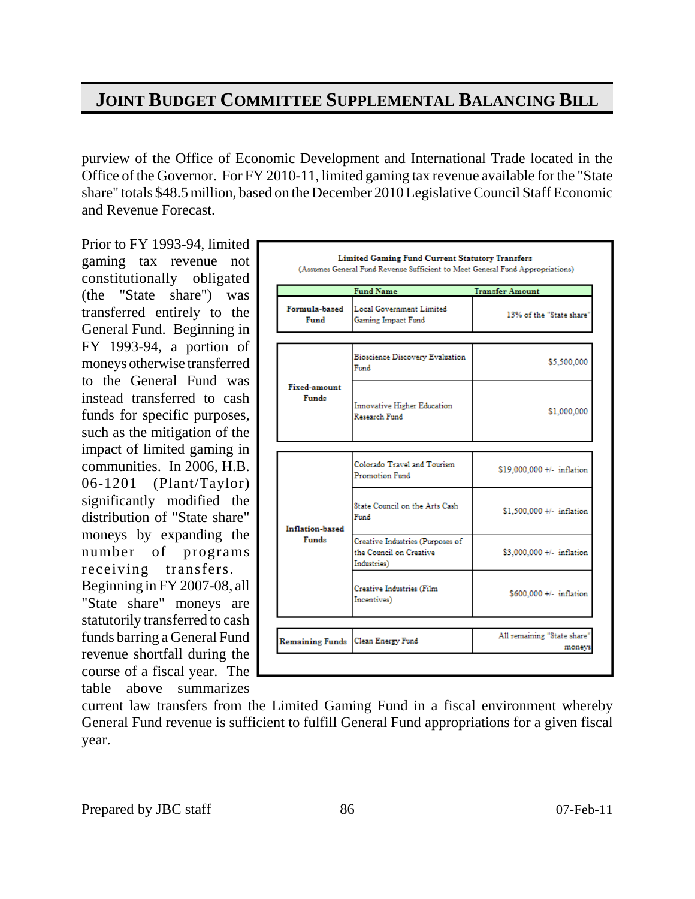purview of the Office of Economic Development and International Trade located in the Office of the Governor. For FY 2010-11, limited gaming tax revenue available for the "State share" totals \$48.5 million, based on the December 2010 Legislative Council Staff Economic and Revenue Forecast.

Prior to FY 1993-94, limited gaming tax revenue not constitutionally obligated (the "State share") was transferred entirely to the General Fund. Beginning in FY 1993-94, a portion of moneys otherwise transferred to the General Fund was instead transferred to cash funds for specific purposes, such as the mitigation of the impact of limited gaming in communities. In 2006, H.B. 06-1201 (Plant/Taylor) significantly modified the distribution of "State share" moneys by expanding the number of programs receiving transfers. Beginning in FY 2007-08, all "State share" moneys are statutorily transferred to cash funds barring a General Fund revenue shortfall during the course of a fiscal year. The table above summarizes

|                                     | <b>Fund Name</b>                               | <b>Transfer Amount</b>     |  |
|-------------------------------------|------------------------------------------------|----------------------------|--|
| Formula-based<br>Fund               | Local Government Limited<br>Gaming Impact Fund | 13% of the "State share"   |  |
|                                     |                                                |                            |  |
|                                     | <b>Bioscience Discovery Evaluation</b><br>Fund | \$5,500,000                |  |
| <b>Fixed-amount</b><br><b>Funds</b> | Innovative Higher Education<br>Research Fund   | \$1,000,000                |  |
|                                     |                                                |                            |  |
|                                     | Colorado Travel and Tourism<br>Promotion Fund  | \$19,000,000 +/- inflation |  |
| Inflation-based                     | State Council on the Arts Cash<br>Fund         | $$1,500,000 +/-$ inflation |  |
|                                     | Creative Industries (Purposes of               | \$3,000,000 +/- inflation  |  |
| Funds                               | the Conneil on Creative<br>Industries)         |                            |  |
|                                     | Creative Industries (Film<br>Incentives)       | \$600,000 +/- inflation    |  |
|                                     |                                                |                            |  |

current law transfers from the Limited Gaming Fund in a fiscal environment whereby General Fund revenue is sufficient to fulfill General Fund appropriations for a given fiscal year.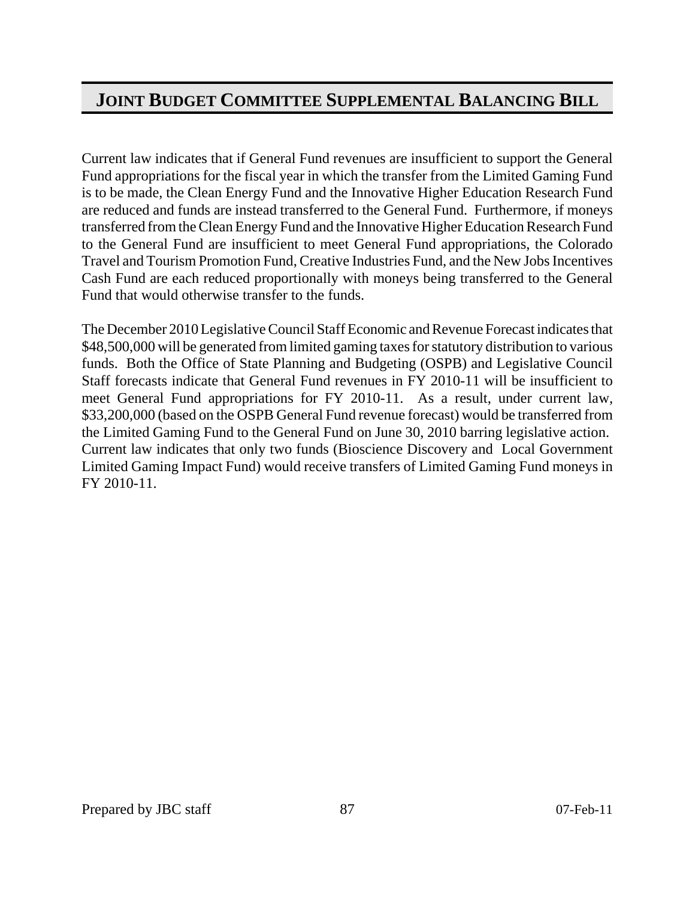Current law indicates that if General Fund revenues are insufficient to support the General Fund appropriations for the fiscal year in which the transfer from the Limited Gaming Fund is to be made, the Clean Energy Fund and the Innovative Higher Education Research Fund are reduced and funds are instead transferred to the General Fund. Furthermore, if moneys transferred from the Clean Energy Fund and the Innovative Higher Education Research Fund to the General Fund are insufficient to meet General Fund appropriations, the Colorado Travel and Tourism Promotion Fund, Creative Industries Fund, and the New Jobs Incentives Cash Fund are each reduced proportionally with moneys being transferred to the General Fund that would otherwise transfer to the funds.

The December 2010 Legislative Council Staff Economic and Revenue Forecast indicates that \$48,500,000 will be generated from limited gaming taxes for statutory distribution to various funds. Both the Office of State Planning and Budgeting (OSPB) and Legislative Council Staff forecasts indicate that General Fund revenues in FY 2010-11 will be insufficient to meet General Fund appropriations for FY 2010-11. As a result, under current law, \$33,200,000 (based on the OSPB General Fund revenue forecast) would be transferred from the Limited Gaming Fund to the General Fund on June 30, 2010 barring legislative action. Current law indicates that only two funds (Bioscience Discovery and Local Government Limited Gaming Impact Fund) would receive transfers of Limited Gaming Fund moneys in FY 2010-11.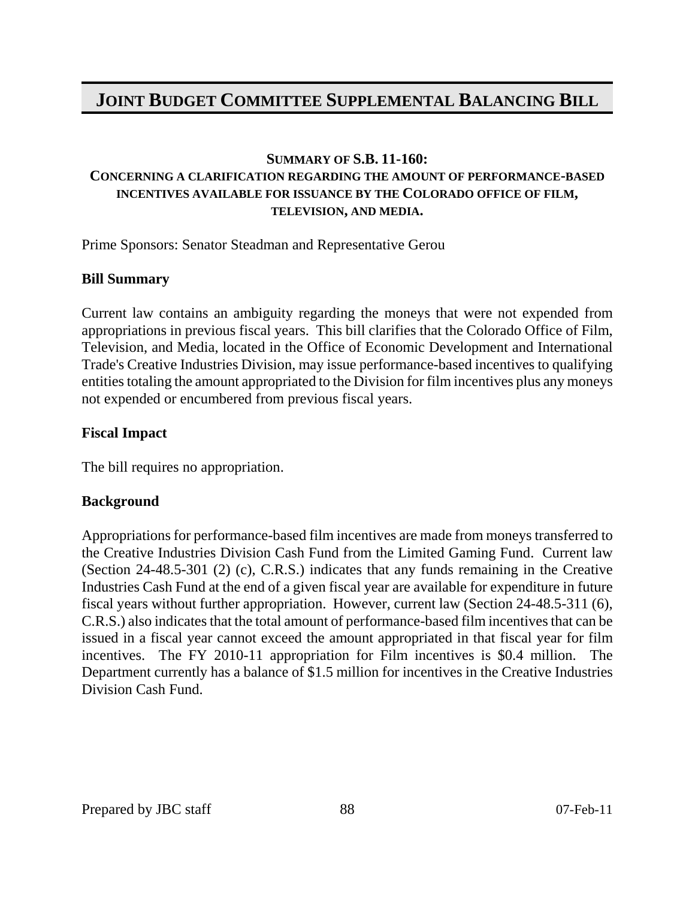#### **SUMMARY OF S.B. 11-160:**

#### **CONCERNING A CLARIFICATION REGARDING THE AMOUNT OF PERFORMANCE-BASED INCENTIVES AVAILABLE FOR ISSUANCE BY THE COLORADO OFFICE OF FILM, TELEVISION, AND MEDIA.**

Prime Sponsors: Senator Steadman and Representative Gerou

### **Bill Summary**

Current law contains an ambiguity regarding the moneys that were not expended from appropriations in previous fiscal years. This bill clarifies that the Colorado Office of Film, Television, and Media, located in the Office of Economic Development and International Trade's Creative Industries Division, may issue performance-based incentives to qualifying entities totaling the amount appropriated to the Division for film incentives plus any moneys not expended or encumbered from previous fiscal years.

#### **Fiscal Impact**

The bill requires no appropriation.

### **Background**

Appropriations for performance-based film incentives are made from moneys transferred to the Creative Industries Division Cash Fund from the Limited Gaming Fund. Current law (Section 24-48.5-301 (2) (c), C.R.S.) indicates that any funds remaining in the Creative Industries Cash Fund at the end of a given fiscal year are available for expenditure in future fiscal years without further appropriation. However, current law (Section 24-48.5-311 (6), C.R.S.) also indicates that the total amount of performance-based film incentives that can be issued in a fiscal year cannot exceed the amount appropriated in that fiscal year for film incentives. The FY 2010-11 appropriation for Film incentives is \$0.4 million. The Department currently has a balance of \$1.5 million for incentives in the Creative Industries Division Cash Fund.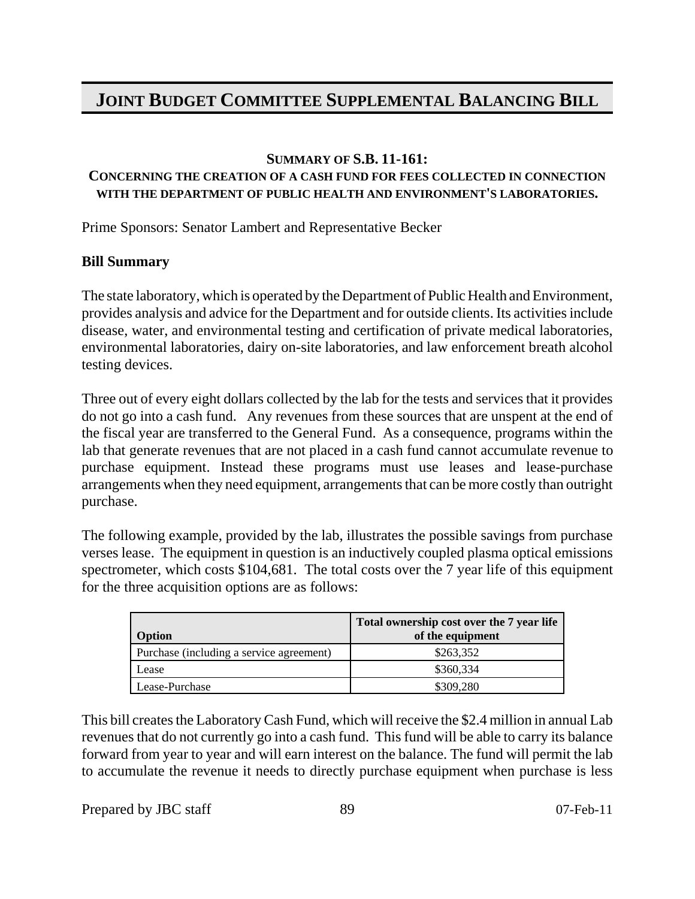#### **SUMMARY OF S.B. 11-161:**

#### **CONCERNING THE CREATION OF A CASH FUND FOR FEES COLLECTED IN CONNECTION WITH THE DEPARTMENT OF PUBLIC HEALTH AND ENVIRONMENT'S LABORATORIES.**

Prime Sponsors: Senator Lambert and Representative Becker

### **Bill Summary**

The state laboratory, which is operated by the Department of Public Health and Environment, provides analysis and advice for the Department and for outside clients. Its activities include disease, water, and environmental testing and certification of private medical laboratories, environmental laboratories, dairy on-site laboratories, and law enforcement breath alcohol testing devices.

Three out of every eight dollars collected by the lab for the tests and services that it provides do not go into a cash fund. Any revenues from these sources that are unspent at the end of the fiscal year are transferred to the General Fund. As a consequence, programs within the lab that generate revenues that are not placed in a cash fund cannot accumulate revenue to purchase equipment. Instead these programs must use leases and lease-purchase arrangements when they need equipment, arrangements that can be more costly than outright purchase.

The following example, provided by the lab, illustrates the possible savings from purchase verses lease. The equipment in question is an inductively coupled plasma optical emissions spectrometer, which costs \$104,681. The total costs over the 7 year life of this equipment for the three acquisition options are as follows:

| <b>Option</b>                            | Total ownership cost over the 7 year life<br>of the equipment |
|------------------------------------------|---------------------------------------------------------------|
| Purchase (including a service agreement) | \$263,352                                                     |
| Lease                                    | \$360,334                                                     |
| Lease-Purchase                           | \$309,280                                                     |

This bill creates the Laboratory Cash Fund, which will receive the \$2.4 million in annual Lab revenues that do not currently go into a cash fund. This fund will be able to carry its balance forward from year to year and will earn interest on the balance. The fund will permit the lab to accumulate the revenue it needs to directly purchase equipment when purchase is less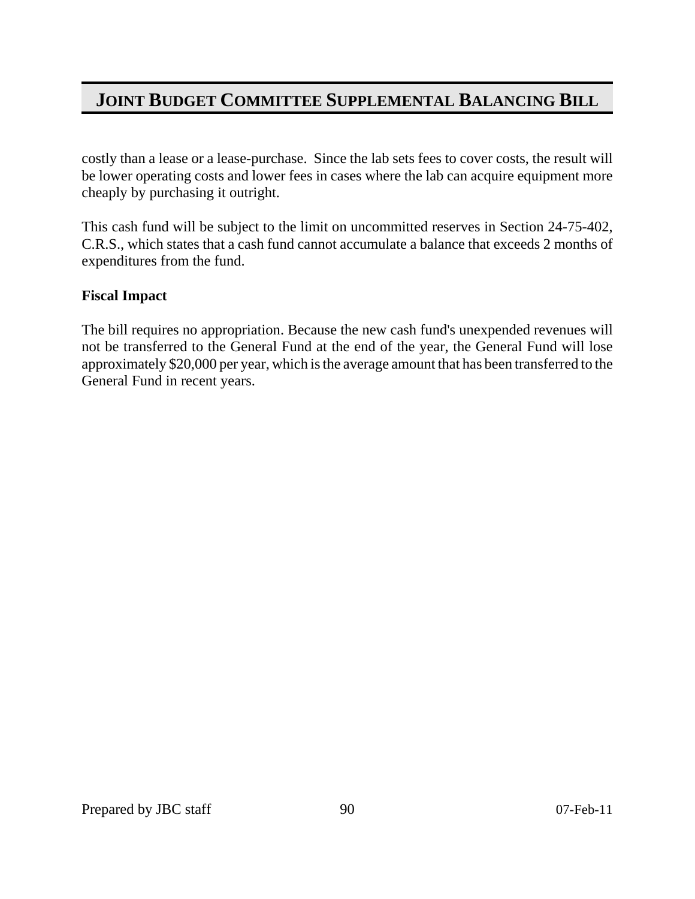costly than a lease or a lease-purchase. Since the lab sets fees to cover costs, the result will be lower operating costs and lower fees in cases where the lab can acquire equipment more cheaply by purchasing it outright.

This cash fund will be subject to the limit on uncommitted reserves in Section 24-75-402, C.R.S., which states that a cash fund cannot accumulate a balance that exceeds 2 months of expenditures from the fund.

### **Fiscal Impact**

The bill requires no appropriation. Because the new cash fund's unexpended revenues will not be transferred to the General Fund at the end of the year, the General Fund will lose approximately \$20,000 per year, which is the average amount that has been transferred to the General Fund in recent years.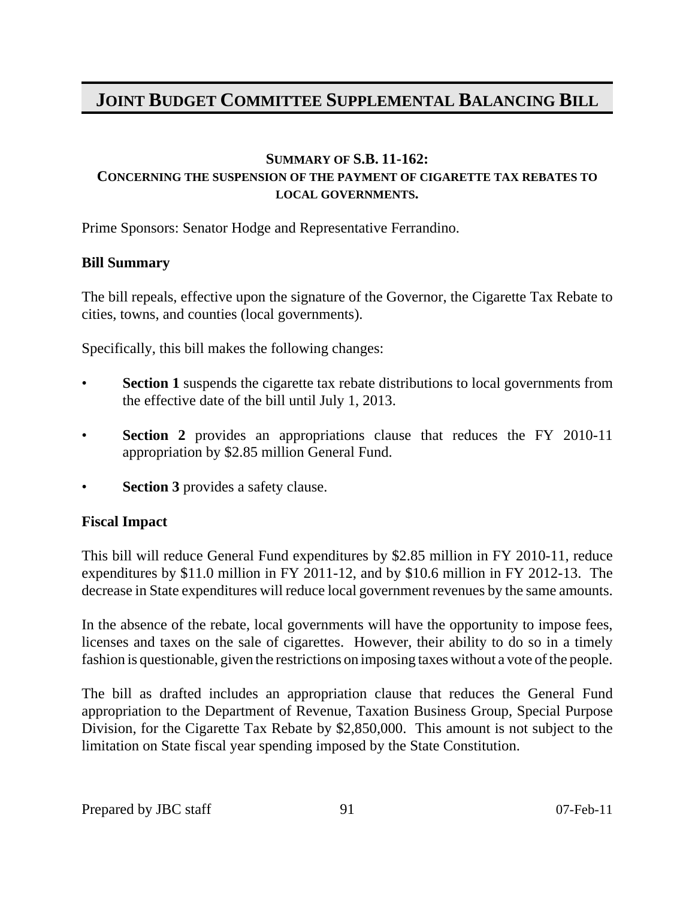#### **SUMMARY OF S.B. 11-162: CONCERNING THE SUSPENSION OF THE PAYMENT OF CIGARETTE TAX REBATES TO LOCAL GOVERNMENTS.**

Prime Sponsors: Senator Hodge and Representative Ferrandino.

#### **Bill Summary**

The bill repeals, effective upon the signature of the Governor, the Cigarette Tax Rebate to cities, towns, and counties (local governments).

Specifically, this bill makes the following changes:

- **Section 1** suspends the cigarette tax rebate distributions to local governments from the effective date of the bill until July 1, 2013.
- **Section 2** provides an appropriations clause that reduces the FY 2010-11 appropriation by \$2.85 million General Fund.
- **Section 3** provides a safety clause.

### **Fiscal Impact**

This bill will reduce General Fund expenditures by \$2.85 million in FY 2010-11, reduce expenditures by \$11.0 million in FY 2011-12, and by \$10.6 million in FY 2012-13. The decrease in State expenditures will reduce local government revenues by the same amounts.

In the absence of the rebate, local governments will have the opportunity to impose fees, licenses and taxes on the sale of cigarettes. However, their ability to do so in a timely fashion is questionable, given the restrictions on imposing taxes without a vote of the people.

The bill as drafted includes an appropriation clause that reduces the General Fund appropriation to the Department of Revenue, Taxation Business Group, Special Purpose Division, for the Cigarette Tax Rebate by \$2,850,000. This amount is not subject to the limitation on State fiscal year spending imposed by the State Constitution.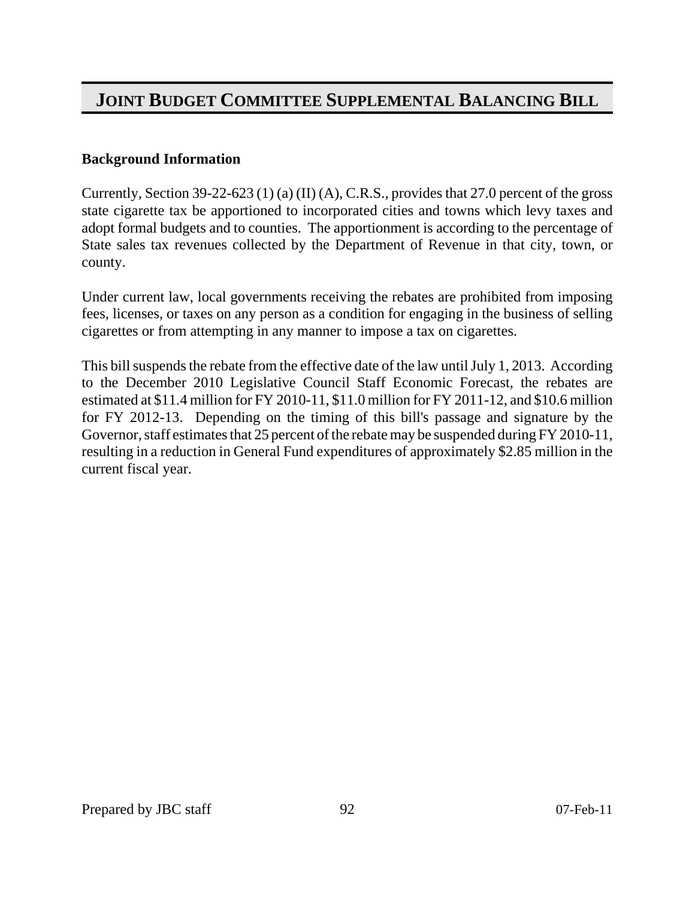#### **Background Information**

Currently, Section 39-22-623 (1) (a) (II) (A), C.R.S., provides that 27.0 percent of the gross state cigarette tax be apportioned to incorporated cities and towns which levy taxes and adopt formal budgets and to counties. The apportionment is according to the percentage of State sales tax revenues collected by the Department of Revenue in that city, town, or county.

Under current law, local governments receiving the rebates are prohibited from imposing fees, licenses, or taxes on any person as a condition for engaging in the business of selling cigarettes or from attempting in any manner to impose a tax on cigarettes.

This bill suspends the rebate from the effective date of the law until July 1, 2013. According to the December 2010 Legislative Council Staff Economic Forecast, the rebates are estimated at \$11.4 million for FY 2010-11, \$11.0 million for FY 2011-12, and \$10.6 million for FY 2012-13. Depending on the timing of this bill's passage and signature by the Governor, staff estimates that 25 percent of the rebate may be suspended during FY 2010-11, resulting in a reduction in General Fund expenditures of approximately \$2.85 million in the current fiscal year.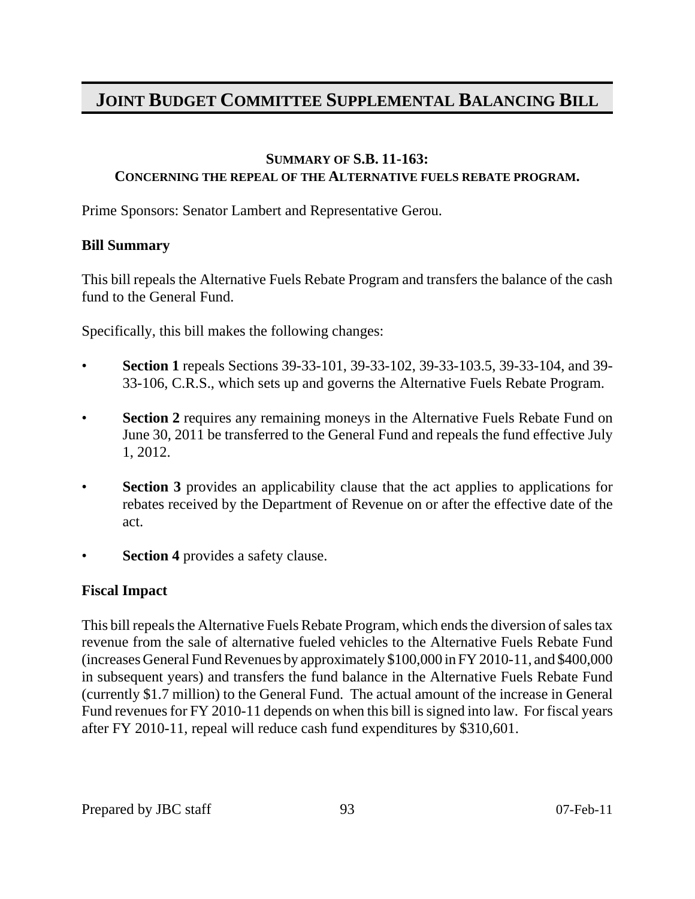### **SUMMARY OF S.B. 11-163:**

#### **CONCERNING THE REPEAL OF THE ALTERNATIVE FUELS REBATE PROGRAM.**

Prime Sponsors: Senator Lambert and Representative Gerou.

### **Bill Summary**

This bill repeals the Alternative Fuels Rebate Program and transfers the balance of the cash fund to the General Fund.

Specifically, this bill makes the following changes:

- **Section 1** repeals Sections 39-33-101, 39-33-102, 39-33-103.5, 39-33-104, and 39- 33-106, C.R.S., which sets up and governs the Alternative Fuels Rebate Program.
- **Section 2** requires any remaining moneys in the Alternative Fuels Rebate Fund on June 30, 2011 be transferred to the General Fund and repeals the fund effective July 1, 2012.
- **Section 3** provides an applicability clause that the act applies to applications for rebates received by the Department of Revenue on or after the effective date of the act.
- **Section 4** provides a safety clause.

### **Fiscal Impact**

This bill repeals the Alternative Fuels Rebate Program, which ends the diversion of sales tax revenue from the sale of alternative fueled vehicles to the Alternative Fuels Rebate Fund (increases General Fund Revenues by approximately \$100,000 in FY 2010-11, and \$400,000 in subsequent years) and transfers the fund balance in the Alternative Fuels Rebate Fund (currently \$1.7 million) to the General Fund. The actual amount of the increase in General Fund revenues for FY 2010-11 depends on when this bill is signed into law. For fiscal years after FY 2010-11, repeal will reduce cash fund expenditures by \$310,601.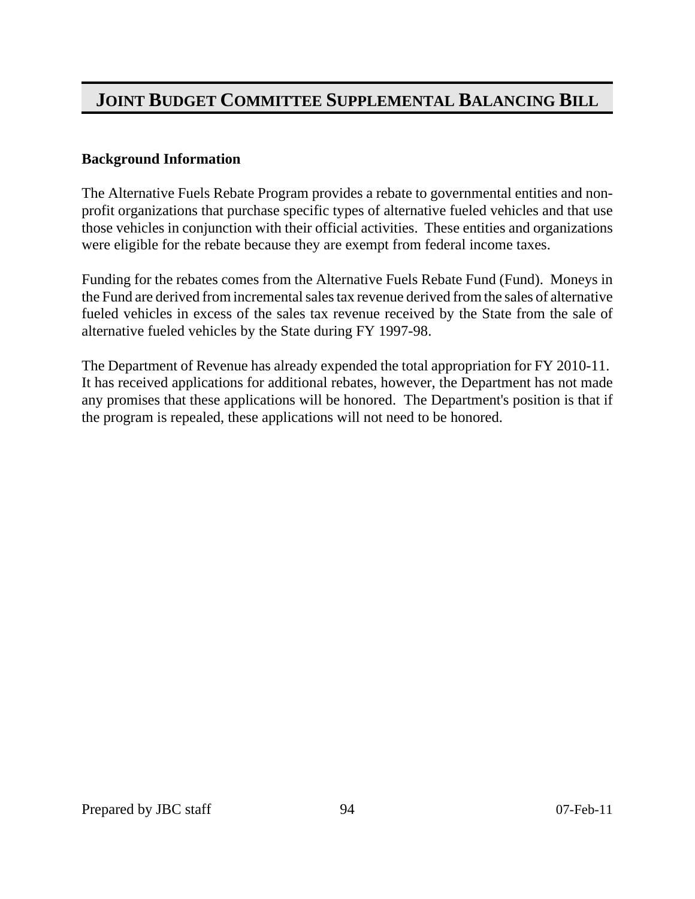### **Background Information**

The Alternative Fuels Rebate Program provides a rebate to governmental entities and nonprofit organizations that purchase specific types of alternative fueled vehicles and that use those vehicles in conjunction with their official activities. These entities and organizations were eligible for the rebate because they are exempt from federal income taxes.

Funding for the rebates comes from the Alternative Fuels Rebate Fund (Fund). Moneys in the Fund are derived from incremental sales tax revenue derived from the sales of alternative fueled vehicles in excess of the sales tax revenue received by the State from the sale of alternative fueled vehicles by the State during FY 1997-98.

The Department of Revenue has already expended the total appropriation for FY 2010-11. It has received applications for additional rebates, however, the Department has not made any promises that these applications will be honored. The Department's position is that if the program is repealed, these applications will not need to be honored.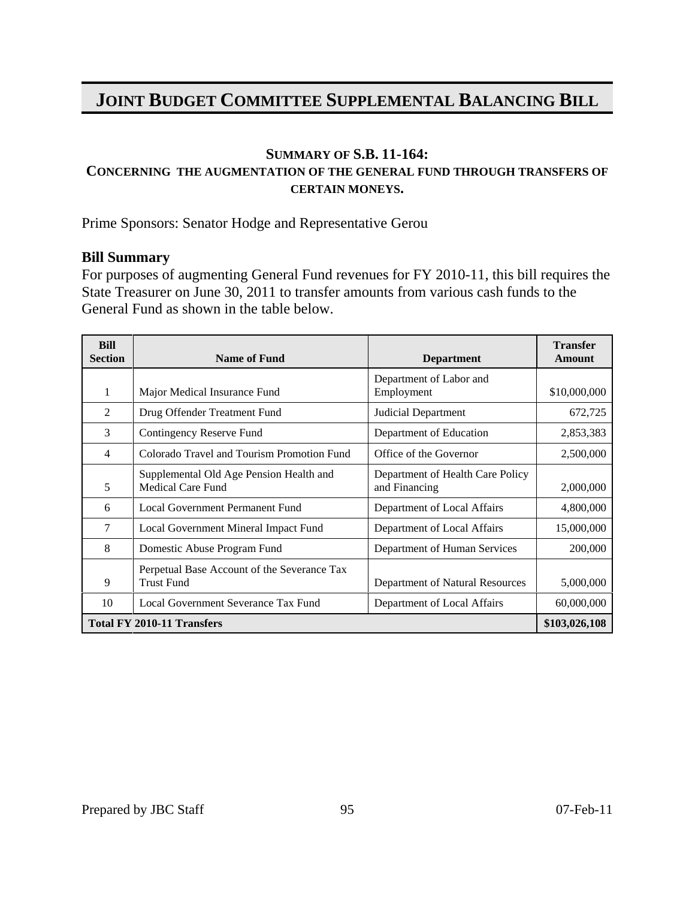#### **SUMMARY OF S.B. 11-164:**

### **CONCERNING THE AUGMENTATION OF THE GENERAL FUND THROUGH TRANSFERS OF CERTAIN MONEYS.**

Prime Sponsors: Senator Hodge and Representative Gerou

#### **Bill Summary**

For purposes of augmenting General Fund revenues for FY 2010-11, this bill requires the State Treasurer on June 30, 2011 to transfer amounts from various cash funds to the General Fund as shown in the table below.

| <b>Bill</b><br><b>Section</b> | <b>Name of Fund</b>                                                 | <b>Department</b>                                 | <b>Transfer</b><br><b>Amount</b> |
|-------------------------------|---------------------------------------------------------------------|---------------------------------------------------|----------------------------------|
|                               |                                                                     | Department of Labor and                           |                                  |
| 1                             | Major Medical Insurance Fund                                        | Employment                                        | \$10,000,000                     |
| 2                             | Drug Offender Treatment Fund                                        | Judicial Department                               | 672,725                          |
| 3                             | Contingency Reserve Fund                                            | Department of Education                           | 2,853,383                        |
| $\overline{4}$                | Colorado Travel and Tourism Promotion Fund                          | Office of the Governor                            | 2,500,000                        |
| 5                             | Supplemental Old Age Pension Health and<br><b>Medical Care Fund</b> | Department of Health Care Policy<br>and Financing | 2,000,000                        |
| 6                             | Local Government Permanent Fund                                     | Department of Local Affairs                       | 4,800,000                        |
| 7                             | Local Government Mineral Impact Fund                                | Department of Local Affairs                       | 15,000,000                       |
| 8                             | Domestic Abuse Program Fund                                         | Department of Human Services                      | 200,000                          |
| 9                             | Perpetual Base Account of the Severance Tax<br><b>Trust Fund</b>    | Department of Natural Resources                   | 5,000,000                        |
| 10                            | Local Government Severance Tax Fund                                 | Department of Local Affairs                       | 60,000,000                       |
|                               | <b>Total FY 2010-11 Transfers</b>                                   |                                                   | \$103,026,108                    |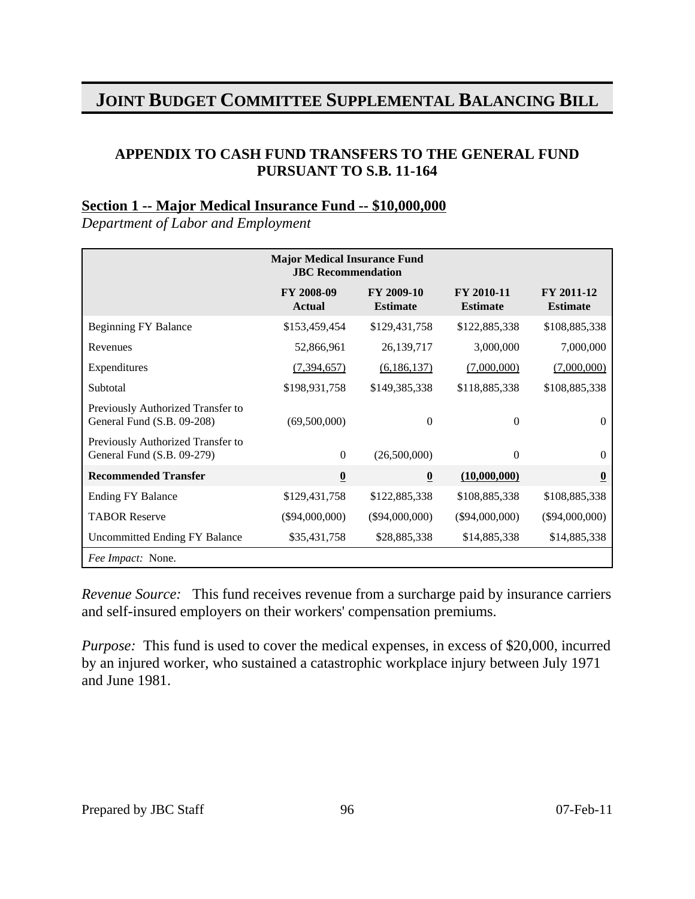### **APPENDIX TO CASH FUND TRANSFERS TO THE GENERAL FUND PURSUANT TO S.B. 11-164**

#### **Section 1 -- Major Medical Insurance Fund -- \$10,000,000**

*Department of Labor and Employment*

|                                                                 | <b>Major Medical Insurance Fund</b><br><b>JBC</b> Recommendation |                               |                               |                               |
|-----------------------------------------------------------------|------------------------------------------------------------------|-------------------------------|-------------------------------|-------------------------------|
|                                                                 | FY 2008-09<br><b>Actual</b>                                      | FY 2009-10<br><b>Estimate</b> | FY 2010-11<br><b>Estimate</b> | FY 2011-12<br><b>Estimate</b> |
| <b>Beginning FY Balance</b>                                     | \$153,459,454                                                    | \$129,431,758                 | \$122,885,338                 | \$108,885,338                 |
| Revenues                                                        | 52,866,961                                                       | 26,139,717                    | 3,000,000                     | 7,000,000                     |
| Expenditures                                                    | (7, 394, 657)                                                    | (6,186,137)                   | (7,000,000)                   | (7,000,000)                   |
| Subtotal                                                        | \$198,931,758                                                    | \$149,385,338                 | \$118,885,338                 | \$108,885,338                 |
| Previously Authorized Transfer to<br>General Fund (S.B. 09-208) | (69,500,000)                                                     | $\Omega$                      | $\Omega$                      | $\theta$                      |
| Previously Authorized Transfer to<br>General Fund (S.B. 09-279) | $\Omega$                                                         | (26,500,000)                  | $\theta$                      | $\theta$                      |
| <b>Recommended Transfer</b>                                     | $\boldsymbol{0}$                                                 | $\bf{0}$                      | (10,000,000)                  | 0                             |
| <b>Ending FY Balance</b>                                        | \$129,431,758                                                    | \$122,885,338                 | \$108,885,338                 | \$108,885,338                 |
| <b>TABOR Reserve</b>                                            | $(\$94,000,000)$                                                 | $(\$94,000,000)$              | $(\$94,000,000)$              | $(\$94,000,000)$              |
| <b>Uncommitted Ending FY Balance</b>                            | \$35,431,758                                                     | \$28,885,338                  | \$14,885,338                  | \$14,885,338                  |
| Fee Impact: None.                                               |                                                                  |                               |                               |                               |

*Revenue Source:* This fund receives revenue from a surcharge paid by insurance carriers and self-insured employers on their workers' compensation premiums.

*Purpose:* This fund is used to cover the medical expenses, in excess of \$20,000, incurred by an injured worker, who sustained a catastrophic workplace injury between July 1971 and June 1981.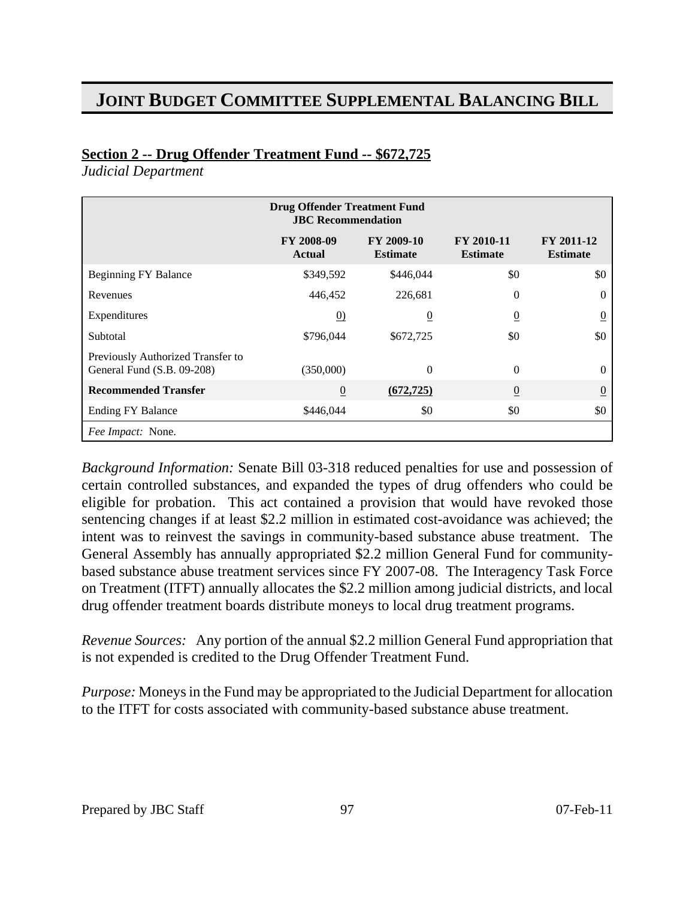### **Section 2 -- Drug Offender Treatment Fund -- \$672,725**

*Judicial Department*

|                                                                 | <b>Drug Offender Treatment Fund</b><br><b>JBC</b> Recommendation |                               |                                      |                               |
|-----------------------------------------------------------------|------------------------------------------------------------------|-------------------------------|--------------------------------------|-------------------------------|
|                                                                 | FY 2008-09<br><b>Actual</b>                                      | FY 2009-10<br><b>Estimate</b> | <b>FY 2010-11</b><br><b>Estimate</b> | FY 2011-12<br><b>Estimate</b> |
| <b>Beginning FY Balance</b>                                     | \$349,592                                                        | \$446,044                     | \$0                                  | \$0                           |
| Revenues                                                        | 446,452                                                          | 226,681                       | $\theta$                             | $\Omega$                      |
| Expenditures                                                    | $\underline{0}$                                                  | $\overline{0}$                | $\overline{0}$                       | $\overline{0}$                |
| Subtotal                                                        | \$796,044                                                        | \$672,725                     | \$0                                  | \$0                           |
| Previously Authorized Transfer to<br>General Fund (S.B. 09-208) | (350,000)                                                        | $\Omega$                      | $\Omega$                             | $\theta$                      |
| <b>Recommended Transfer</b>                                     | $\overline{0}$                                                   | (672, 725)                    | $\overline{0}$                       | $\overline{0}$                |
| <b>Ending FY Balance</b>                                        | \$446,044                                                        | \$0                           | \$0                                  | \$0                           |
| Fee Impact: None.                                               |                                                                  |                               |                                      |                               |

*Background Information:* Senate Bill 03-318 reduced penalties for use and possession of certain controlled substances, and expanded the types of drug offenders who could be eligible for probation. This act contained a provision that would have revoked those sentencing changes if at least \$2.2 million in estimated cost-avoidance was achieved; the intent was to reinvest the savings in community-based substance abuse treatment. The General Assembly has annually appropriated \$2.2 million General Fund for communitybased substance abuse treatment services since FY 2007-08. The Interagency Task Force on Treatment (ITFT) annually allocates the \$2.2 million among judicial districts, and local drug offender treatment boards distribute moneys to local drug treatment programs.

*Revenue Sources:* Any portion of the annual \$2.2 million General Fund appropriation that is not expended is credited to the Drug Offender Treatment Fund.

*Purpose:* Moneys in the Fund may be appropriated to the Judicial Department for allocation to the ITFT for costs associated with community-based substance abuse treatment.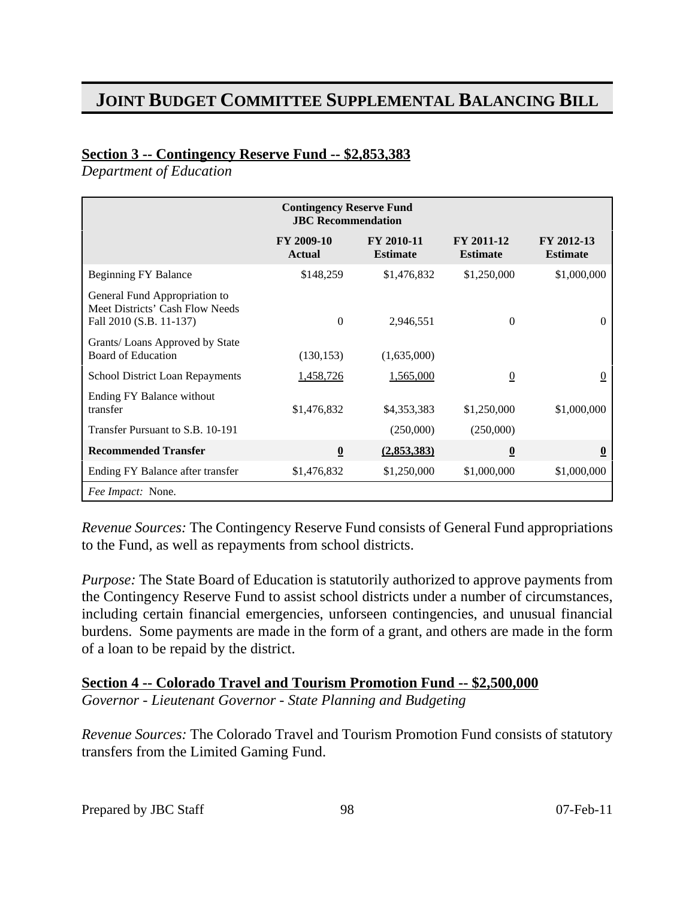### **Section 3 -- Contingency Reserve Fund -- \$2,853,383**

*Department of Education*

| <b>Contingency Reserve Fund</b><br><b>JBC</b> Recommendation                                |                             |                               |                               |                               |
|---------------------------------------------------------------------------------------------|-----------------------------|-------------------------------|-------------------------------|-------------------------------|
|                                                                                             | FY 2009-10<br><b>Actual</b> | FY 2010-11<br><b>Estimate</b> | FY 2011-12<br><b>Estimate</b> | FY 2012-13<br><b>Estimate</b> |
| Beginning FY Balance                                                                        | \$148,259                   | \$1,476,832                   | \$1,250,000                   | \$1,000,000                   |
| General Fund Appropriation to<br>Meet Districts' Cash Flow Needs<br>Fall 2010 (S.B. 11-137) | $\Omega$                    | 2,946,551                     | $\theta$                      | $\Omega$                      |
| Grants/ Loans Approved by State<br>Board of Education                                       | (130, 153)                  | (1,635,000)                   |                               |                               |
| School District Loan Repayments                                                             | 1,458,726                   | 1,565,000                     | $\overline{0}$                | $\overline{0}$                |
| Ending FY Balance without<br>transfer                                                       | \$1,476,832                 | \$4,353,383                   | \$1,250,000                   | \$1,000,000                   |
| Transfer Pursuant to S.B. 10-191                                                            |                             | (250,000)                     | (250,000)                     |                               |
| <b>Recommended Transfer</b>                                                                 | $\boldsymbol{0}$            | (2,853,383)                   | $\overline{\mathbf{0}}$       | $\overline{\mathbf{0}}$       |
| Ending FY Balance after transfer                                                            | \$1,476,832                 | \$1,250,000                   | \$1,000,000                   | \$1,000,000                   |
| Fee Impact: None.                                                                           |                             |                               |                               |                               |

*Revenue Sources:* The Contingency Reserve Fund consists of General Fund appropriations to the Fund, as well as repayments from school districts.

*Purpose:* The State Board of Education is statutorily authorized to approve payments from the Contingency Reserve Fund to assist school districts under a number of circumstances, including certain financial emergencies, unforseen contingencies, and unusual financial burdens. Some payments are made in the form of a grant, and others are made in the form of a loan to be repaid by the district.

**Section 4 -- Colorado Travel and Tourism Promotion Fund -- \$2,500,000** *Governor - Lieutenant Governor - State Planning and Budgeting*

*Revenue Sources:* The Colorado Travel and Tourism Promotion Fund consists of statutory transfers from the Limited Gaming Fund.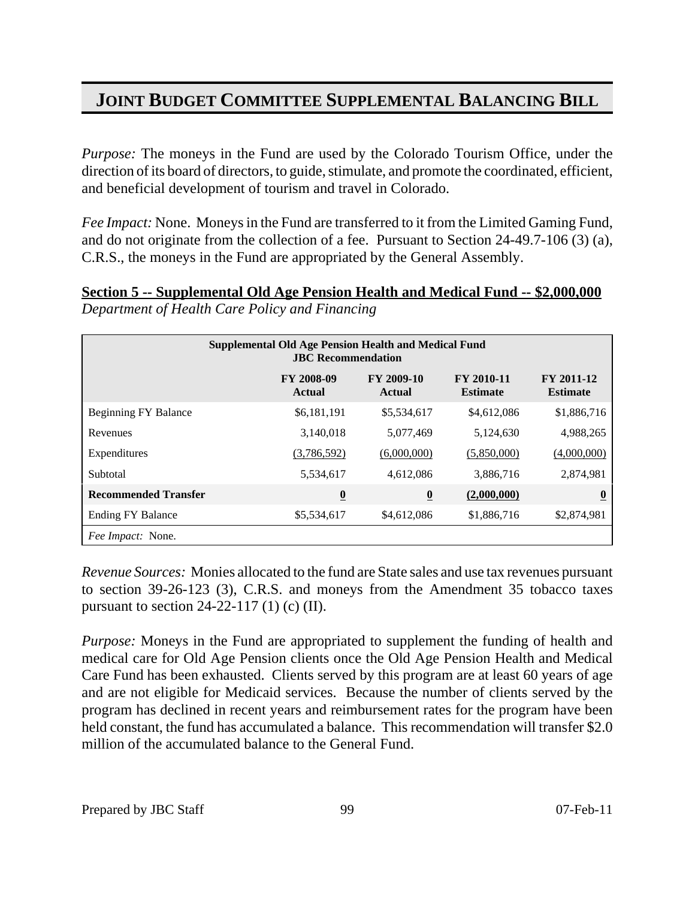*Purpose:* The moneys in the Fund are used by the Colorado Tourism Office, under the direction of its board of directors, to guide, stimulate, and promote the coordinated, efficient, and beneficial development of tourism and travel in Colorado.

*Fee Impact:* None. Moneys in the Fund are transferred to it from the Limited Gaming Fund, and do not originate from the collection of a fee. Pursuant to Section 24-49.7-106 (3) (a), C.R.S., the moneys in the Fund are appropriated by the General Assembly.

**Section 5 -- Supplemental Old Age Pension Health and Medical Fund -- \$2,000,000** *Department of Health Care Policy and Financing*

| <b>Supplemental Old Age Pension Health and Medical Fund</b><br><b>JBC</b> Recommendation |                             |                             |                               |                               |
|------------------------------------------------------------------------------------------|-----------------------------|-----------------------------|-------------------------------|-------------------------------|
|                                                                                          | FY 2008-09<br><b>Actual</b> | FY 2009-10<br><b>Actual</b> | FY 2010-11<br><b>Estimate</b> | FY 2011-12<br><b>Estimate</b> |
| Beginning FY Balance                                                                     | \$6,181,191                 | \$5,534,617                 | \$4,612,086                   | \$1,886,716                   |
| Revenues                                                                                 | 3,140,018                   | 5,077,469                   | 5,124,630                     | 4,988,265                     |
| Expenditures                                                                             | (3,786,592)                 | (6,000,000)                 | (5,850,000)                   | (4,000,000)                   |
| Subtotal                                                                                 | 5,534,617                   | 4,612,086                   | 3,886,716                     | 2,874,981                     |
| <b>Recommended Transfer</b>                                                              | $\overline{\mathbf{0}}$     | $\overline{\mathbf{0}}$     | (2,000,000)                   | $\boldsymbol{0}$              |
| <b>Ending FY Balance</b>                                                                 | \$5,534,617                 | \$4,612,086                 | \$1,886,716                   | \$2,874,981                   |
| <i>Fee Impact:</i> None.                                                                 |                             |                             |                               |                               |

*Revenue Sources:* Monies allocated to the fund are State sales and use tax revenues pursuant to section 39-26-123 (3), C.R.S. and moneys from the Amendment 35 tobacco taxes pursuant to section 24-22-117 (1) (c) (II).

*Purpose:* Moneys in the Fund are appropriated to supplement the funding of health and medical care for Old Age Pension clients once the Old Age Pension Health and Medical Care Fund has been exhausted. Clients served by this program are at least 60 years of age and are not eligible for Medicaid services. Because the number of clients served by the program has declined in recent years and reimbursement rates for the program have been held constant, the fund has accumulated a balance. This recommendation will transfer \$2.0 million of the accumulated balance to the General Fund.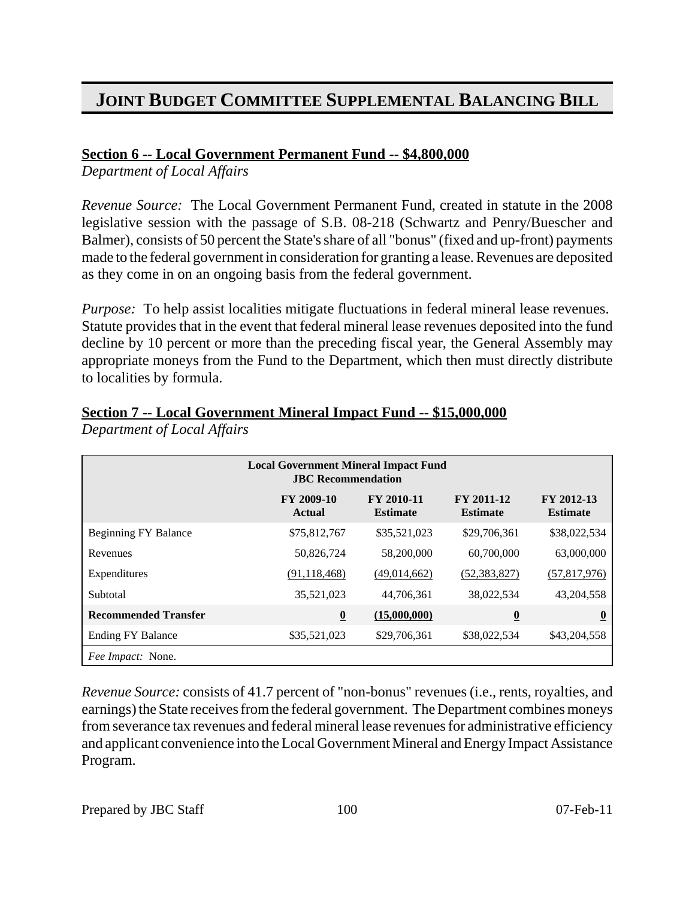### **Section 6 -- Local Government Permanent Fund -- \$4,800,000**

*Department of Local Affairs*

*Revenue Source:* The Local Government Permanent Fund, created in statute in the 2008 legislative session with the passage of S.B. 08-218 (Schwartz and Penry/Buescher and Balmer), consists of 50 percent the State's share of all "bonus" (fixed and up-front) payments made to the federal government in consideration for granting a lease. Revenues are deposited as they come in on an ongoing basis from the federal government.

*Purpose:* To help assist localities mitigate fluctuations in federal mineral lease revenues. Statute provides that in the event that federal mineral lease revenues deposited into the fund decline by 10 percent or more than the preceding fiscal year, the General Assembly may appropriate moneys from the Fund to the Department, which then must directly distribute to localities by formula.

| <b>Local Government Mineral Impact Fund</b><br><b>JBC</b> Recommendation |                             |                               |                               |                               |
|--------------------------------------------------------------------------|-----------------------------|-------------------------------|-------------------------------|-------------------------------|
|                                                                          | FY 2009-10<br><b>Actual</b> | FY 2010-11<br><b>Estimate</b> | FY 2011-12<br><b>Estimate</b> | FY 2012-13<br><b>Estimate</b> |
| <b>Beginning FY Balance</b>                                              | \$75,812,767                | \$35,521,023                  | \$29,706,361                  | \$38,022,534                  |
| Revenues                                                                 | 50,826,724                  | 58,200,000                    | 60,700,000                    | 63,000,000                    |
| Expenditures                                                             | (91, 118, 468)              | (49,014,662)                  | (52, 383, 827)                | (57,817,976)                  |
| Subtotal                                                                 | 35,521,023                  | 44,706,361                    | 38,022,534                    | 43,204,558                    |
| <b>Recommended Transfer</b>                                              | $\overline{\mathbf{0}}$     | (15,000,000)                  | $\overline{\mathbf{0}}$       | $\boldsymbol{0}$              |
| <b>Ending FY Balance</b>                                                 | \$35,521,023                | \$29,706,361                  | \$38,022,534                  | \$43,204,558                  |
| Fee Impact: None.                                                        |                             |                               |                               |                               |

## **Section 7 -- Local Government Mineral Impact Fund -- \$15,000,000**

*Department of Local Affairs*

*Revenue Source:* consists of 41.7 percent of "non-bonus" revenues (i.e., rents, royalties, and earnings) the State receives from the federal government. The Department combines moneys from severance tax revenues and federal mineral lease revenues for administrative efficiency and applicant convenience into the Local Government Mineral and Energy Impact Assistance Program.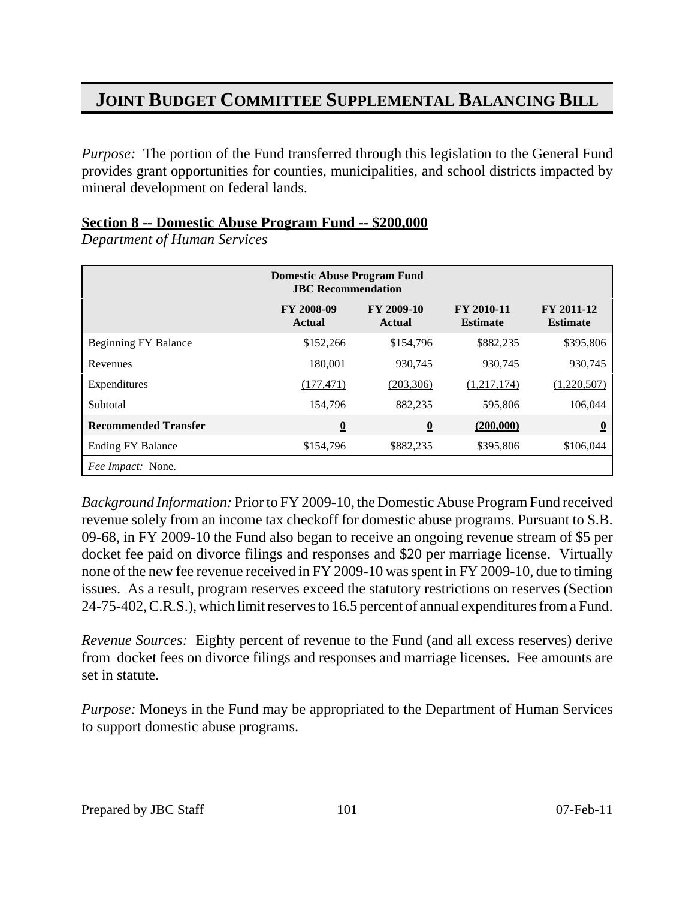*Purpose:* The portion of the Fund transferred through this legislation to the General Fund provides grant opportunities for counties, municipalities, and school districts impacted by mineral development on federal lands.

#### **Section 8 -- Domestic Abuse Program Fund -- \$200,000**

*Department of Human Services*

| <b>Domestic Abuse Program Fund</b><br><b>JBC</b> Recommendation |                             |                          |                                      |                               |
|-----------------------------------------------------------------|-----------------------------|--------------------------|--------------------------------------|-------------------------------|
|                                                                 | FY 2008-09<br><b>Actual</b> | FY 2009-10<br>Actual     | <b>FY 2010-11</b><br><b>Estimate</b> | FY 2011-12<br><b>Estimate</b> |
| <b>Beginning FY Balance</b>                                     | \$152,266                   | \$154,796                | \$882,235                            | \$395,806                     |
| Revenues                                                        | 180,001                     | 930,745                  | 930,745                              | 930,745                       |
| Expenditures                                                    | (177, 471)                  | (203, 306)               | (1,217,174)                          | (1,220,507)                   |
| Subtotal                                                        | 154,796                     | 882,235                  | 595,806                              | 106,044                       |
| <b>Recommended Transfer</b>                                     | $\underline{\mathbf{0}}$    | $\underline{\mathbf{0}}$ | (200,000)                            | $\overline{\mathbf{0}}$       |
| <b>Ending FY Balance</b>                                        | \$154,796                   | \$882,235                | \$395,806                            | \$106,044                     |
| Fee Impact: None.                                               |                             |                          |                                      |                               |

*Background Information:* Prior to FY 2009-10, the Domestic Abuse Program Fund received revenue solely from an income tax checkoff for domestic abuse programs. Pursuant to S.B. 09-68, in FY 2009-10 the Fund also began to receive an ongoing revenue stream of \$5 per docket fee paid on divorce filings and responses and \$20 per marriage license. Virtually none of the new fee revenue received in FY 2009-10 was spent in FY 2009-10, due to timing issues. As a result, program reserves exceed the statutory restrictions on reserves (Section 24-75-402, C.R.S.), which limit reserves to 16.5 percent of annual expenditures from a Fund.

*Revenue Sources:* Eighty percent of revenue to the Fund (and all excess reserves) derive from docket fees on divorce filings and responses and marriage licenses. Fee amounts are set in statute.

*Purpose:* Moneys in the Fund may be appropriated to the Department of Human Services to support domestic abuse programs.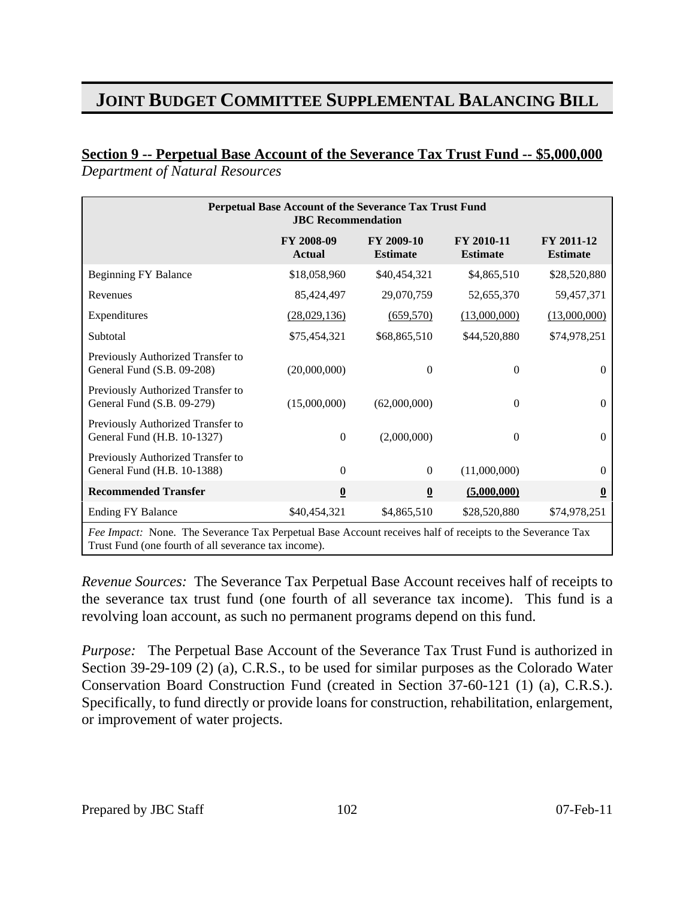### **Section 9 -- Perpetual Base Account of the Severance Tax Trust Fund -- \$5,000,000**

*Department of Natural Resources*

| Perpetual Base Account of the Severance Tax Trust Fund<br><b>JBC</b> Recommendation                       |                             |                               |                               |                               |
|-----------------------------------------------------------------------------------------------------------|-----------------------------|-------------------------------|-------------------------------|-------------------------------|
|                                                                                                           | FY 2008-09<br><b>Actual</b> | FY 2009-10<br><b>Estimate</b> | FY 2010-11<br><b>Estimate</b> | FY 2011-12<br><b>Estimate</b> |
| <b>Beginning FY Balance</b>                                                                               | \$18,058,960                | \$40,454,321                  | \$4,865,510                   | \$28,520,880                  |
| Revenues                                                                                                  | 85,424,497                  | 29,070,759                    | 52,655,370                    | 59,457,371                    |
| Expenditures                                                                                              | (28,029,136)                | (659, 570)                    | (13,000,000)                  | (13,000,000)                  |
| Subtotal                                                                                                  | \$75,454,321                | \$68,865,510                  | \$44,520,880                  | \$74,978,251                  |
| Previously Authorized Transfer to<br>General Fund (S.B. 09-208)                                           | (20,000,000)                | $\theta$                      | $\overline{0}$                | $\overline{0}$                |
| Previously Authorized Transfer to<br>General Fund (S.B. 09-279)                                           | (15,000,000)                | (62,000,000)                  | $\Omega$                      | $\mathbf{0}$                  |
| Previously Authorized Transfer to<br>General Fund (H.B. 10-1327)                                          | $\theta$                    | (2,000,000)                   | $\Omega$                      | $\Omega$                      |
| Previously Authorized Transfer to<br>General Fund (H.B. 10-1388)                                          | $\Omega$                    | $\Omega$                      | (11,000,000)                  | $\Omega$                      |
| <b>Recommended Transfer</b>                                                                               | $\overline{\mathbf{0}}$     | $\overline{\mathbf{0}}$       | (5,000,000)                   | $\overline{\mathbf{0}}$       |
| <b>Ending FY Balance</b>                                                                                  | \$40,454,321                | \$4,865,510                   | \$28,520,880                  | \$74,978,251                  |
| Fee Impact: None. The Severance Tax Perpetual Base Account receives half of receipts to the Severance Tax |                             |                               |                               |                               |

Trust Fund (one fourth of all severance tax income).

*Revenue Sources:* The Severance Tax Perpetual Base Account receives half of receipts to the severance tax trust fund (one fourth of all severance tax income). This fund is a revolving loan account, as such no permanent programs depend on this fund.

*Purpose:* The Perpetual Base Account of the Severance Tax Trust Fund is authorized in Section 39-29-109 (2) (a), C.R.S., to be used for similar purposes as the Colorado Water Conservation Board Construction Fund (created in Section 37-60-121 (1) (a), C.R.S.). Specifically, to fund directly or provide loans for construction, rehabilitation, enlargement, or improvement of water projects.